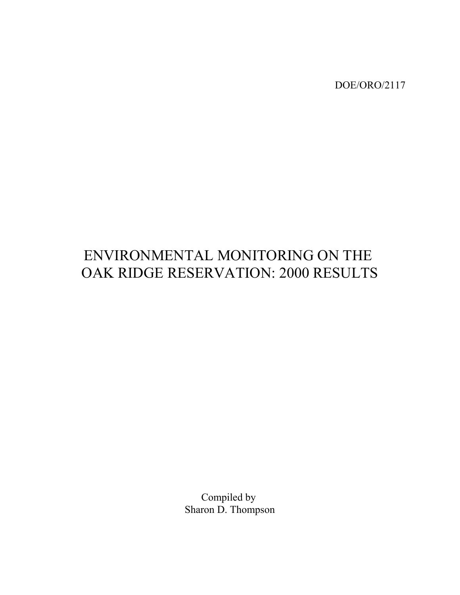DOE/ORO/2117

# ENVIRONMENTAL MONITORING ON THE OAK RIDGE RESERVATION: 2000 RESULTS

Compiled by Sharon D. Thompson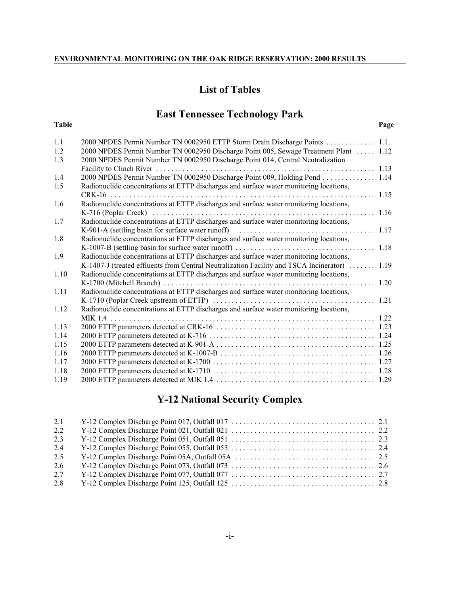# **List of Tables**

# **East Tennessee Technology Park**

| Page |
|------|
|      |

| 1.1  | 2000 NPDES Permit Number TN 0002950 ETTP Storm Drain Discharge Points  1.1             |      |
|------|----------------------------------------------------------------------------------------|------|
| 1.2  | 2000 NPDES Permit Number TN 0002950 Discharge Point 005, Sewage Treatment Plant  1.12  |      |
| 1.3  | 2000 NPDES Permit Number TN 0002950 Discharge Point 014, Central Neutralization        |      |
|      | Facility to Clinch River<br>. <i>.</i>                                                 | 1.13 |
| 1.4  | 2000 NPDES Permit Number TN 0002950 Discharge Point 009, Holding Pond                  | 1.14 |
| 1.5  | Radionuclide concentrations at ETTP discharges and surface water monitoring locations, |      |
|      | CRK-16                                                                                 | 1.15 |
| 1.6  | Radionuclide concentrations at ETTP discharges and surface water monitoring locations, |      |
|      |                                                                                        | 1.16 |
| 1.7  | Radionuclide concentrations at ETTP discharges and surface water monitoring locations, |      |
|      |                                                                                        | 1.17 |
| 1.8  | Radionuclide concentrations at ETTP discharges and surface water monitoring locations, |      |
|      |                                                                                        | 1.18 |
| 1.9  | Radionuclide concentrations at ETTP discharges and surface water monitoring locations, |      |
|      | K-1407-J (treated effluents from Central Neutralization Facility and TSCA Incinerator) | 1.19 |
| 1.10 | Radionuclide concentrations at ETTP discharges and surface water monitoring locations, |      |
|      |                                                                                        | 1.20 |
| 1.11 | Radionuclide concentrations at ETTP discharges and surface water monitoring locations, |      |
|      |                                                                                        | 1.21 |
| 1.12 | Radionuclide concentrations at ETTP discharges and surface water monitoring locations, |      |
|      | $MIK$ 14                                                                               | 1.22 |
| 1.13 |                                                                                        |      |
| 1.14 |                                                                                        |      |
| 1.15 |                                                                                        |      |
| 1.16 |                                                                                        |      |
| 1.17 |                                                                                        |      |
| 1.18 |                                                                                        |      |
| 1.19 |                                                                                        |      |

# **Y-12 National Security Complex**

| 2.1 |  |
|-----|--|
| 2.2 |  |
| 2.3 |  |
| 2.4 |  |
| 2.5 |  |
| 2.6 |  |
| 2.7 |  |
| 2.8 |  |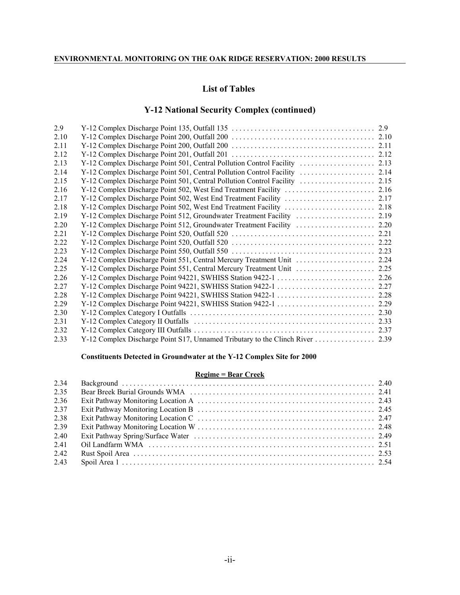# **List of Tables**

# **Y-12 National Security Complex (continued)**

| 2.9  |  |
|------|--|
| 2.10 |  |
| 2.11 |  |
| 2.12 |  |
| 2.13 |  |
| 2.14 |  |
| 2.15 |  |
| 2.16 |  |
| 2.17 |  |
| 2.18 |  |
| 2.19 |  |
| 2.20 |  |
| 2.21 |  |
| 2.22 |  |
| 2.23 |  |
| 2.24 |  |
| 2.25 |  |
| 2.26 |  |
| 2.27 |  |
| 2.28 |  |
| 2.29 |  |
| 2.30 |  |
| 2.31 |  |
| 2.32 |  |
| 2.33 |  |

#### **Constituents Detected in Groundwater at the Y-12 Complex Site for 2000**

#### **Regime = Bear Creek**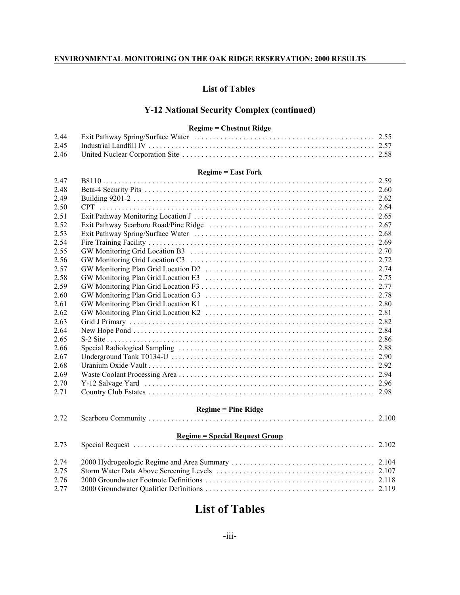# **List of Tables**

# **Y-12 National Security Complex (continued)**

# **Regime = Chestnut Ridge**

|      | <u> Regilite – Chestitut Kiuge</u>     |  |
|------|----------------------------------------|--|
| 2.44 |                                        |  |
| 2.45 |                                        |  |
| 2.46 |                                        |  |
|      | $Regime = East Fork$                   |  |
| 2.47 |                                        |  |
| 2.48 |                                        |  |
| 2.49 |                                        |  |
| 2.50 |                                        |  |
| 2.51 |                                        |  |
| 2.52 |                                        |  |
| 2.53 |                                        |  |
| 2.54 |                                        |  |
| 2.55 |                                        |  |
| 2.56 |                                        |  |
| 2.57 |                                        |  |
| 2.58 |                                        |  |
| 2.59 |                                        |  |
| 2.60 |                                        |  |
| 2.61 |                                        |  |
| 2.62 |                                        |  |
| 2.63 |                                        |  |
| 2.64 |                                        |  |
| 2.65 |                                        |  |
| 2.66 |                                        |  |
| 2.67 |                                        |  |
| 2.68 |                                        |  |
| 2.69 |                                        |  |
| 2.70 |                                        |  |
| 2.71 |                                        |  |
|      | $Regime = Pine Ridge$                  |  |
| 2.72 |                                        |  |
|      |                                        |  |
|      | <u> Regime = Special Request Group</u> |  |
| 2.73 |                                        |  |
| 2.74 |                                        |  |
| 2.75 |                                        |  |
| 2.76 |                                        |  |
| 2.77 |                                        |  |
|      |                                        |  |

# **List of Tables**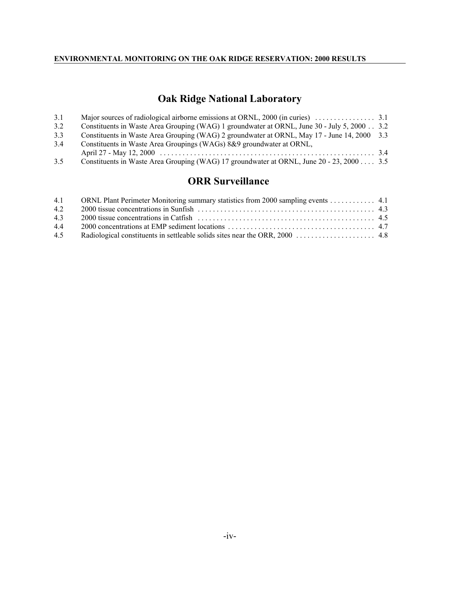# **Oak Ridge National Laboratory**

| 3.1 |                                                                                             |  |
|-----|---------------------------------------------------------------------------------------------|--|
| 3.2 | Constituents in Waste Area Grouping (WAG) 1 groundwater at ORNL, June 30 - July 5, 2000 3.2 |  |
| 3.3 | Constituents in Waste Area Grouping (WAG) 2 groundwater at ORNL, May 17 - June 14, 2000 3.3 |  |
| 3.4 | Constituents in Waste Area Groupings (WAGs) 8&9 groundwater at ORNL,                        |  |
|     |                                                                                             |  |
| 3.5 | Constituents in Waste Area Grouping (WAG) 17 groundwater at ORNL, June 20 - 23, 2000 3.5    |  |

# **ORR Surveillance**

|     | 4.1 ORNL Plant Perimeter Monitoring summary statistics from 2000 sampling events 4.1 |  |
|-----|--------------------------------------------------------------------------------------|--|
| 4.2 |                                                                                      |  |
| 4.3 |                                                                                      |  |
| 4.4 |                                                                                      |  |
| 4.5 |                                                                                      |  |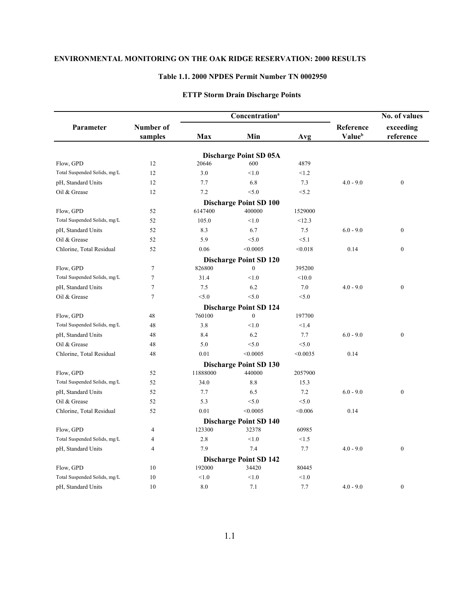#### **Table 1.1. 2000 NPDES Permit Number TN 0002950**

|                              |                      |          | Concentration <sup>a</sup>              |          |                     | No. of values          |  |
|------------------------------|----------------------|----------|-----------------------------------------|----------|---------------------|------------------------|--|
| Parameter                    | Number of<br>samples | Max      | Min                                     | Avg      | Reference<br>Valueb | exceeding<br>reference |  |
|                              |                      |          |                                         |          |                     |                        |  |
| Flow, GPD                    | 12                   | 20646    | <b>Discharge Point SD 05A</b><br>600    | 4879     |                     |                        |  |
| Total Suspended Solids, mg/L | 12                   | 3.0      | < 1.0                                   | < 1.2    |                     |                        |  |
| pH, Standard Units           | 12                   | 7.7      | 6.8                                     | 7.3      | $4.0 - 9.0$         | $\mathbf{0}$           |  |
| Oil & Grease                 | 12                   | 7.2      | < 5.0                                   | < 5.2    |                     |                        |  |
|                              |                      |          |                                         |          |                     |                        |  |
| Flow, GPD                    | 52                   | 6147400  | <b>Discharge Point SD 100</b><br>400000 | 1529000  |                     |                        |  |
| Total Suspended Solids, mg/L | 52                   | 105.0    | < 1.0                                   | <12.3    |                     |                        |  |
| pH, Standard Units           | 52                   | 8.3      | 6.7                                     | 7.5      | $6.0 - 9.0$         | $\boldsymbol{0}$       |  |
| Oil & Grease                 | 52                   | 5.9      | < 5.0                                   | < 5.1    |                     |                        |  |
| Chlorine, Total Residual     | 52                   | 0.06     | < 0.0005                                | < 0.018  | 0.14                | $\mathbf{0}$           |  |
|                              |                      |          | <b>Discharge Point SD 120</b>           |          |                     |                        |  |
| Flow, GPD                    | $\overline{7}$       | 826800   | $\mathbf{0}$                            | 395200   |                     |                        |  |
| Total Suspended Solids, mg/L | $\overline{7}$       | 31.4     | < 1.0                                   | < 10.0   |                     |                        |  |
| pH, Standard Units           | $\overline{7}$       | 7.5      | 6.2                                     | 7.0      | $4.0 - 9.0$         | $\boldsymbol{0}$       |  |
| Oil & Grease                 | 7                    | < 5.0    | < 5.0                                   | < 5.0    |                     |                        |  |
|                              |                      |          | <b>Discharge Point SD 124</b>           |          |                     |                        |  |
| Flow, GPD                    | 48                   | 760100   | $\mathbf{0}$                            | 197700   |                     |                        |  |
| Total Suspended Solids, mg/L | 48                   | 3.8      | < 1.0                                   | < 1.4    |                     |                        |  |
| pH, Standard Units           | 48                   | 8.4      | 6.2                                     | 7.7      | $6.0 - 9.0$         | $\boldsymbol{0}$       |  |
| Oil & Grease                 | 48                   | 5.0      | < 5.0                                   | < 5.0    |                     |                        |  |
| Chlorine, Total Residual     | 48                   | 0.01     | < 0.0005                                | < 0.0035 | 0.14                |                        |  |
|                              |                      |          | <b>Discharge Point SD 130</b>           |          |                     |                        |  |
| Flow, GPD                    | 52                   | 11888000 | 440000                                  | 2057900  |                     |                        |  |
| Total Suspended Solids, mg/L | 52                   | 34.0     | 8.8                                     | 15.3     |                     |                        |  |
| pH, Standard Units           | 52                   | 7.7      | 6.5                                     | 7.2      | $6.0 - 9.0$         | $\boldsymbol{0}$       |  |
| Oil & Grease                 | 52                   | 5.3      | < 5.0                                   | < 5.0    |                     |                        |  |
| Chlorine, Total Residual     | 52                   | 0.01     | < 0.0005                                | < 0.006  | 0.14                |                        |  |
|                              |                      |          | <b>Discharge Point SD 140</b>           |          |                     |                        |  |
| Flow, GPD                    | 4                    | 123300   | 32378                                   | 60985    |                     |                        |  |
| Total Suspended Solids, mg/L | $\overline{4}$       | 2.8      | < 1.0                                   | < 1.5    |                     |                        |  |
| pH, Standard Units           | 4                    | 7.9      | 7.4                                     | 7.7      | $4.0 - 9.0$         | $\boldsymbol{0}$       |  |
|                              |                      |          | <b>Discharge Point SD 142</b>           |          |                     |                        |  |
| Flow, GPD                    | 10                   | 192000   | 34420                                   | 80445    |                     |                        |  |
| Total Suspended Solids, mg/L | 10                   | < 1.0    | < 1.0                                   | < 1.0    |                     |                        |  |
| pH, Standard Units           | 10                   | 8.0      | 7.1                                     | 7.7      | $4.0 - 9.0$         | $\mathbf{0}$           |  |

# **ETTP Storm Drain Discharge Points**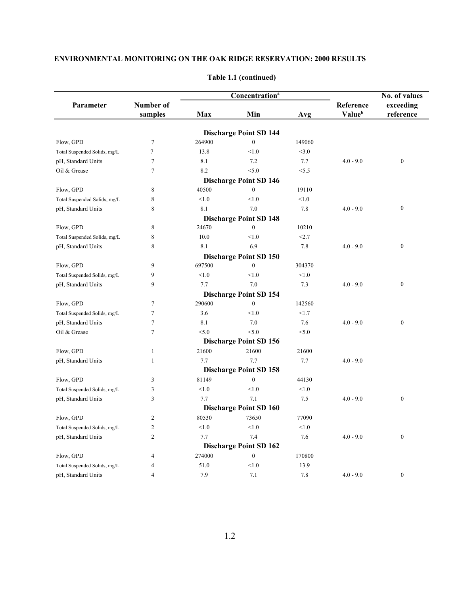|                              |                | Concentration <sup>a</sup> |                               |        |             | No. of values    |
|------------------------------|----------------|----------------------------|-------------------------------|--------|-------------|------------------|
| Parameter                    | Number of      |                            |                               |        | Reference   | exceeding        |
|                              | samples        | Max                        | Min                           | Avg    | Valueb      | reference        |
|                              |                |                            | <b>Discharge Point SD 144</b> |        |             |                  |
| Flow, GPD                    | $\overline{7}$ | 264900                     | $\mathbf{0}$                  | 149060 |             |                  |
| Total Suspended Solids, mg/L | $\tau$         | 13.8                       | < 1.0                         | <3.0   |             |                  |
| pH, Standard Units           | $\tau$         | 8.1                        | 7.2                           | 7.7    | $4.0 - 9.0$ | $\boldsymbol{0}$ |
| Oil & Grease                 | $\overline{7}$ | 8.2                        | < 5.0                         | < 5.5  |             |                  |
|                              |                |                            | <b>Discharge Point SD 146</b> |        |             |                  |
| Flow, GPD                    | 8              | 40500                      | $\mathbf{0}$                  | 19110  |             |                  |
| Total Suspended Solids, mg/L | 8              | < 1.0                      | < 1.0                         | < 1.0  |             |                  |
| pH, Standard Units           | 8              | 8.1                        | 7.0                           | 7.8    | $4.0 - 9.0$ | $\boldsymbol{0}$ |
|                              |                |                            | <b>Discharge Point SD 148</b> |        |             |                  |
| Flow, GPD                    | 8              | 24670                      | $\mathbf{0}$                  | 10210  |             |                  |
| Total Suspended Solids, mg/L | 8              | 10.0                       | < 1.0                         | <2.7   |             |                  |
| pH, Standard Units           | 8              | 8.1                        | 6.9                           | 7.8    | $4.0 - 9.0$ | $\boldsymbol{0}$ |
|                              |                |                            | <b>Discharge Point SD 150</b> |        |             |                  |
| Flow, GPD                    | 9              | 697500                     | $\boldsymbol{0}$              | 304370 |             |                  |
| Total Suspended Solids, mg/L | 9              | < 1.0                      | < 1.0                         | < 1.0  |             |                  |
| pH, Standard Units           | 9              | 7.7                        | 7.0                           | 7.3    | $4.0 - 9.0$ | $\boldsymbol{0}$ |
|                              |                |                            | <b>Discharge Point SD 154</b> |        |             |                  |
| Flow, GPD                    | $\tau$         | 290600                     | $\boldsymbol{0}$              | 142560 |             |                  |
| Total Suspended Solids, mg/L | 7              | 3.6                        | < 1.0                         | <1.7   |             |                  |
| pH, Standard Units           | $\overline{7}$ | 8.1                        | 7.0                           | 7.6    | $4.0 - 9.0$ | $\boldsymbol{0}$ |
| Oil & Grease                 | $\tau$         | < 5.0                      | < 5.0                         | < 5.0  |             |                  |
|                              |                |                            | <b>Discharge Point SD 156</b> |        |             |                  |
| Flow, GPD                    | 1              | 21600                      | 21600                         | 21600  |             |                  |
| pH, Standard Units           | 1              | 7.7                        | 7.7                           | 7.7    | $4.0 - 9.0$ |                  |
|                              |                |                            | <b>Discharge Point SD 158</b> |        |             |                  |
| Flow, GPD                    | 3              | 81149                      | $\boldsymbol{0}$              | 44130  |             |                  |
| Total Suspended Solids, mg/L | 3              | < 1.0                      | < 1.0                         | < 1.0  |             |                  |
| pH, Standard Units           | 3              | 7.7                        | 7.1                           | 7.5    | $4.0 - 9.0$ | $\boldsymbol{0}$ |
|                              |                |                            | <b>Discharge Point SD 160</b> |        |             |                  |
| Flow, GPD                    | $\overline{c}$ | 80530                      | 73650                         | 77090  |             |                  |
| Total Suspended Solids, mg/L | $\overline{c}$ | < 1.0                      | < 1.0                         | < 1.0  |             |                  |
| pH, Standard Units           | $\overline{c}$ | 7.7                        | 7.4                           | 7.6    | $4.0 - 9.0$ | $\boldsymbol{0}$ |
|                              |                |                            | <b>Discharge Point SD 162</b> |        |             |                  |
| Flow, GPD                    | 4              | 274000                     | $\boldsymbol{0}$              | 170800 |             |                  |
| Total Suspended Solids, mg/L | 4              | 51.0                       | < 1.0                         | 13.9   |             |                  |
| pH, Standard Units           | $\overline{4}$ | 7.9                        | 7.1                           | 7.8    | $4.0 - 9.0$ | $\mathbf{0}$     |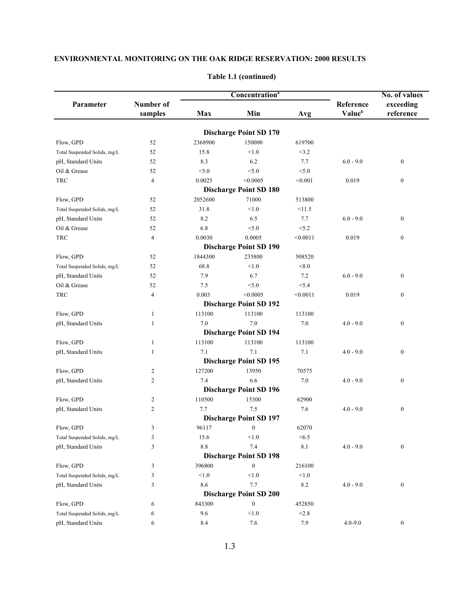|                                    |                      | Concentration <sup>a</sup> |                                         |          | No. of values       |                        |
|------------------------------------|----------------------|----------------------------|-----------------------------------------|----------|---------------------|------------------------|
| Parameter                          | Number of<br>samples | <b>Max</b>                 | Min                                     | Avg      | Reference<br>Valueb | exceeding<br>reference |
|                                    |                      |                            |                                         |          |                     |                        |
| Flow, GPD                          | 52                   | 2368900                    | <b>Discharge Point SD 170</b><br>150000 | 619700   |                     |                        |
| Total Suspended Solids, mg/L       | 52                   | 15.8                       | < 1.0                                   | <3.2     |                     |                        |
|                                    | 52                   | 8.3                        | 6.2                                     | 7.7      | $6.0 - 9.0$         | $\boldsymbol{0}$       |
| pH, Standard Units<br>Oil & Grease | 52                   | < 5.0                      | < 5.0                                   | < 5.0    |                     |                        |
| <b>TRC</b>                         | $\overline{4}$       | 0.0025                     | < 0.0005                                | < 0.001  | 0.019               | $\boldsymbol{0}$       |
|                                    |                      |                            | <b>Discharge Point SD 180</b>           |          |                     |                        |
|                                    |                      |                            | 71000                                   |          |                     |                        |
| Flow, GPD                          | 52                   | 2052600                    |                                         | 513800   |                     |                        |
| Total Suspended Solids, mg/L       | 52                   | 31.8                       | < 1.0                                   | <11.5    |                     |                        |
| pH, Standard Units                 | 52                   | 8.2                        | 6.5                                     | 7.7      | $6.0 - 9.0$         | $\boldsymbol{0}$       |
| Oil & Grease                       | 52                   | 6.8                        | < 5.0                                   | < 5.2    |                     |                        |
| TRC                                | $\overline{4}$       | 0.0030                     | 0.0005                                  | < 0.0011 | 0.019               | $\boldsymbol{0}$       |
|                                    |                      |                            | <b>Discharge Point SD 190</b>           |          |                     |                        |
| Flow, GPD                          | 52                   | 1844300                    | 235800                                  | 508520   |                     |                        |
| Total Suspended Solids, mg/L       | 52                   | 68.8                       | < 1.0                                   | < 8.0    |                     |                        |
| pH, Standard Units                 | 52                   | 7.9                        | 6.7                                     | 7.2      | $6.0 - 9.0$         | $\boldsymbol{0}$       |
| Oil & Grease                       | 52                   | 7.5                        | < 5.0                                   | < 5.4    |                     |                        |
| TRC                                | $\overline{4}$       | 0.003                      | < 0.0005                                | < 0.0011 | 0.019               | $\boldsymbol{0}$       |
|                                    |                      |                            | <b>Discharge Point SD 192</b>           |          |                     |                        |
| Flow, GPD                          | $\mathbf{1}$         | 113100                     | 113100                                  | 113100   |                     |                        |
| pH, Standard Units                 | 1                    | 7.0                        | 7.0                                     | 7.0      | $4.0 - 9.0$         | $\boldsymbol{0}$       |
|                                    |                      |                            | <b>Discharge Point SD 194</b>           |          |                     |                        |
| Flow, GPD                          | 1                    | 113100                     | 113100                                  | 113100   |                     |                        |
| pH, Standard Units                 | 1                    | 7.1                        | 7.1                                     | 7.1      | $4.0 - 9.0$         | $\boldsymbol{0}$       |
|                                    |                      |                            | <b>Discharge Point SD 195</b>           |          |                     |                        |
| Flow, GPD                          | 2                    | 127200                     | 13950                                   | 70575    |                     |                        |
| pH, Standard Units                 | $\overline{2}$       | 7.4                        | 6.6                                     | $7.0\,$  | $4.0 - 9.0$         | $\boldsymbol{0}$       |
|                                    |                      |                            | <b>Discharge Point SD 196</b>           |          |                     |                        |
| Flow, GPD                          | $\overline{c}$       | 110500                     | 15300                                   | 62900    |                     |                        |
| pH, Standard Units                 | $\overline{c}$       | 7.7                        | 7.5                                     | 7.6      | $4.0 - 9.0$         | $\boldsymbol{0}$       |
|                                    |                      |                            | <b>Discharge Point SD 197</b>           |          |                     |                        |
|                                    | 3                    | 96117                      | $\boldsymbol{0}$                        | 62070    |                     |                        |
| Flow, GPD                          |                      |                            |                                         |          |                     |                        |
| Total Suspended Solids, mg/L       | 3                    | 15.6                       | < 1.0                                   | < 6.5    |                     |                        |
| pH, Standard Units                 | 3                    | $8.8\,$                    | 7.4                                     | 8.1      | $4.0 - 9.0$         | $\boldsymbol{0}$       |
|                                    |                      |                            | <b>Discharge Point SD 198</b>           |          |                     |                        |
| Flow, GPD                          | 3                    | 396800                     | $\boldsymbol{0}$                        | 216100   |                     |                        |
| Total Suspended Solids, mg/L       | 3                    | < 1.0                      | < 1.0                                   | < 1.0    |                     |                        |
| pH, Standard Units                 | 3                    | 8.6                        | 7.7                                     | 8.2      | $4.0 - 9.0$         | $\boldsymbol{0}$       |
|                                    |                      |                            | <b>Discharge Point SD 200</b>           |          |                     |                        |
| Flow, GPD                          | 6                    | 843300                     | $\boldsymbol{0}$                        | 452850   |                     |                        |
| Total Suspended Solids, mg/L       | 6                    | 9.6                        | < 1.0                                   | < 2.8    |                     |                        |
| pH, Standard Units                 | 6                    | 8.4                        | 7.6                                     | 7.9      | $4.0 - 9.0$         | $\boldsymbol{0}$       |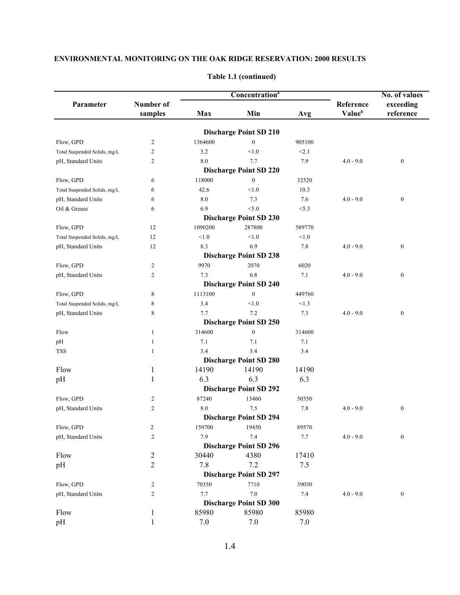|                                                    |                      |         |                                               | No. of values |                     |                        |
|----------------------------------------------------|----------------------|---------|-----------------------------------------------|---------------|---------------------|------------------------|
| Parameter                                          | Number of<br>samples | Max     | Min                                           | Avg           | Reference<br>Valueb | exceeding<br>reference |
|                                                    |                      |         |                                               |               |                     |                        |
|                                                    |                      | 1364600 | <b>Discharge Point SD 210</b><br>$\mathbf{0}$ | 905100        |                     |                        |
| Flow, GPD                                          | 2<br>2               | 3.2     | < 1.0                                         | < 2.1         |                     |                        |
| Total Suspended Solids, mg/L<br>pH, Standard Units | 2                    | 8.0     | 7.7                                           | 7.9           | $4.0 - 9.0$         | $\boldsymbol{0}$       |
|                                                    |                      |         | <b>Discharge Point SD 220</b>                 |               |                     |                        |
| Flow, GPD                                          | 6                    | 118000  | $\mathbf{0}$                                  | 32520         |                     |                        |
| Total Suspended Solids, mg/L                       | 6                    | 42.6    | < 1.0                                         | 10.3          |                     |                        |
| pH, Standard Units                                 | 6                    | 8.0     | 7.3                                           | 7.6           | $4.0 - 9.0$         | $\boldsymbol{0}$       |
| Oil & Grease                                       | 6                    | 6.9     | < 5.0                                         | < 5.3         |                     |                        |
|                                                    |                      |         | <b>Discharge Point SD 230</b>                 |               |                     |                        |
| Flow, GPD                                          | 12                   | 1090200 | 287800                                        | 589770        |                     |                        |
| Total Suspended Solids, mg/L                       | 12                   | < 1.0   | < 1.0                                         | < 1.0         |                     |                        |
| pH, Standard Units                                 | 12                   | 8.3     | 6.9                                           | 7.8           | $4.0 - 9.0$         | $\boldsymbol{0}$       |
|                                                    |                      |         | <b>Discharge Point SD 238</b>                 |               |                     |                        |
| Flow, GPD                                          | 2                    | 9970    | 2070                                          | 6020          |                     |                        |
| pH, Standard Units                                 | 2                    | 7.3     | 6.8                                           | 7.1           | $4.0 - 9.0$         | $\boldsymbol{0}$       |
|                                                    |                      |         | <b>Discharge Point SD 240</b>                 |               |                     |                        |
| Flow, GPD                                          | 8                    | 1113100 | $\boldsymbol{0}$                              | 449760        |                     |                        |
| Total Suspended Solids, mg/L                       | 8                    | 3.4     | < 1.0                                         | <1.3          |                     |                        |
| pH, Standard Units                                 | 8                    | 7.7     | 7.2                                           | 7.3           | $4.0 - 9.0$         | $\boldsymbol{0}$       |
|                                                    |                      |         | <b>Discharge Point SD 250</b>                 |               |                     |                        |
| Flow                                               | 1                    | 314600  | $\mathbf{0}$                                  | 314600        |                     |                        |
| pH                                                 | 1                    | 7.1     | 7.1                                           | 7.1           |                     |                        |
| <b>TSS</b>                                         | 1                    | 3.4     | 3.4                                           | 3.4           |                     |                        |
|                                                    |                      |         | <b>Discharge Point SD 280</b>                 |               |                     |                        |
| Flow                                               | 1                    | 14190   | 14190                                         | 14190         |                     |                        |
| pH                                                 | 1                    | 6.3     | 6.3                                           | 6.3           |                     |                        |
|                                                    |                      |         | <b>Discharge Point SD 292</b>                 |               |                     |                        |
|                                                    |                      | 87240   | 13460                                         | 50350         |                     |                        |
| Flow, GPD                                          | 2<br>$\overline{c}$  | 8.0     | 7.5                                           |               |                     |                        |
| pH, Standard Units                                 |                      |         | <b>Discharge Point SD 294</b>                 | 7.8           | $4.0 - 9.0$         | $\boldsymbol{0}$       |
| Flow, GPD                                          |                      | 159700  | 19450                                         |               |                     |                        |
|                                                    | 2<br>2               | 7.9     | $7.4\,$                                       | 89570<br>7.7  | $4.0 - 9.0$         | $\boldsymbol{0}$       |
| pH, Standard Units                                 |                      |         | <b>Discharge Point SD 296</b>                 |               |                     |                        |
| Flow                                               | 2                    | 30440   | 4380                                          | 17410         |                     |                        |
| pH                                                 | 2                    | 7.8     | 7.2                                           | 7.5           |                     |                        |
|                                                    |                      |         | <b>Discharge Point SD 297</b>                 |               |                     |                        |
|                                                    |                      |         |                                               |               |                     |                        |
| Flow, GPD                                          | 2                    | 70350   | 7710                                          | 39030         |                     |                        |
| pH, Standard Units                                 | 2                    | 7.7     | $7.0\,$                                       | 7.4           | $4.0 - 9.0$         | $\boldsymbol{0}$       |
|                                                    |                      |         | <b>Discharge Point SD 300</b>                 |               |                     |                        |
| Flow                                               | 1<br>1               | 85980   | 85980                                         | 85980         |                     |                        |
| pH                                                 |                      | $7.0\,$ | $7.0\,$                                       | $7.0\,$       |                     |                        |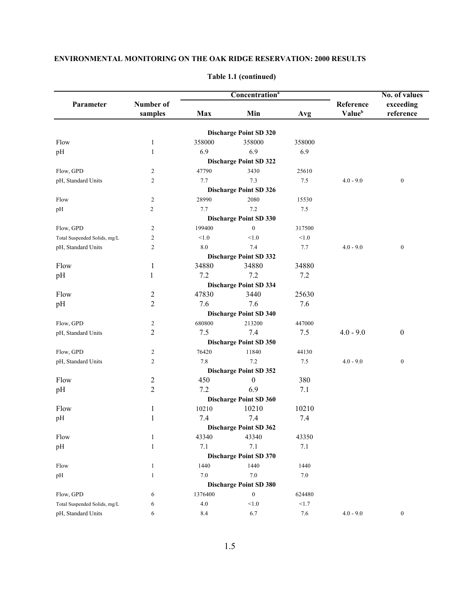|                              |                      |         | Concentration <sup>a</sup>    |         |                     | No. of values          |  |
|------------------------------|----------------------|---------|-------------------------------|---------|---------------------|------------------------|--|
| Parameter                    | Number of<br>samples | Max     | Min<br>Avg                    |         | Reference<br>Valueb | exceeding<br>reference |  |
|                              |                      |         |                               |         |                     |                        |  |
|                              |                      |         | <b>Discharge Point SD 320</b> |         |                     |                        |  |
| Flow                         | 1                    | 358000  | 358000                        | 358000  |                     |                        |  |
| pH                           | 1                    | 6.9     | 6.9                           | 6.9     |                     |                        |  |
|                              |                      |         | <b>Discharge Point SD 322</b> |         |                     |                        |  |
| Flow, GPD                    | $\overline{2}$       | 47790   | 3430                          | 25610   |                     |                        |  |
| pH, Standard Units           | $\overline{c}$       | 7.7     | 7.3                           | 7.5     | $4.0 - 9.0$         | $\boldsymbol{0}$       |  |
|                              |                      |         | <b>Discharge Point SD 326</b> |         |                     |                        |  |
| Flow                         | $\sqrt{2}$           | 28990   | 2080                          | 15530   |                     |                        |  |
| pH                           | 2                    | 7.7     | 7.2                           | $7.5\,$ |                     |                        |  |
|                              |                      |         | <b>Discharge Point SD 330</b> |         |                     |                        |  |
| Flow, GPD                    | $\overline{2}$       | 199400  | $\boldsymbol{0}$              | 317500  |                     |                        |  |
| Total Suspended Solids, mg/L | $\overline{2}$       | < 1.0   | < 1.0                         | < 1.0   |                     |                        |  |
| pH, Standard Units           | $\mathfrak{2}$       | 8.0     | 7.4                           | 7.7     | $4.0 - 9.0$         | $\mathbf{0}$           |  |
|                              |                      |         | <b>Discharge Point SD 332</b> |         |                     |                        |  |
| Flow                         | 1                    | 34880   | 34880                         | 34880   |                     |                        |  |
| pH                           | 1                    | 7.2     | 7.2                           | 7.2     |                     |                        |  |
|                              |                      |         | <b>Discharge Point SD 334</b> |         |                     |                        |  |
| Flow                         | $\overline{c}$       | 47830   | 3440                          | 25630   |                     |                        |  |
| pH                           | $\overline{c}$       | 7.6     | 7.6                           | 7.6     |                     |                        |  |
|                              |                      |         | <b>Discharge Point SD 340</b> |         |                     |                        |  |
| Flow, GPD                    | $\overline{c}$       | 680800  | 213200                        | 447000  |                     |                        |  |
| pH, Standard Units           | 2                    | 7.5     | 7.4                           | 7.5     | $4.0 - 9.0$         | $\boldsymbol{0}$       |  |
|                              |                      |         | <b>Discharge Point SD 350</b> |         |                     |                        |  |
| Flow, GPD                    | $\overline{c}$       | 76420   | 11840                         | 44130   |                     |                        |  |
| pH, Standard Units           | $\overline{c}$       | 7.8     | 7.2                           | 7.5     | $4.0 - 9.0$         | $\boldsymbol{0}$       |  |
|                              |                      |         | <b>Discharge Point SD 352</b> |         |                     |                        |  |
| Flow                         | $\overline{c}$       | 450     | $\boldsymbol{0}$              | 380     |                     |                        |  |
| pH                           | $\overline{2}$       | 7.2     | 6.9                           | 7.1     |                     |                        |  |
|                              |                      |         | <b>Discharge Point SD 360</b> |         |                     |                        |  |
| Flow                         | 1                    | 10210   | 10210                         | 10210   |                     |                        |  |
| pH                           | 1                    | 7.4     | 7.4                           | 7.4     |                     |                        |  |
|                              |                      |         | <b>Discharge Point SD 362</b> |         |                     |                        |  |
| Flow                         | 1                    | 43340   | 43340                         | 43350   |                     |                        |  |
| pH                           | $\mathbf{1}$         | 7.1     | 7.1                           | 7.1     |                     |                        |  |
|                              |                      |         | <b>Discharge Point SD 370</b> |         |                     |                        |  |
| Flow                         | $\mathbf{1}$         | 1440    | 1440                          | 1440    |                     |                        |  |
| pH                           | $\mathbf{1}$         | $7.0\,$ | $7.0\,$                       | 7.0     |                     |                        |  |
|                              |                      |         | <b>Discharge Point SD 380</b> |         |                     |                        |  |
| Flow, GPD                    | 6                    | 1376400 | $\boldsymbol{0}$              | 624480  |                     |                        |  |
| Total Suspended Solids, mg/L | 6                    | $4.0\,$ | $<1.0$                        | <1.7    |                     |                        |  |
| pH, Standard Units           | 6                    | 8.4     | 6.7                           | 7.6     | $4.0 - 9.0$         | $\bf{0}$               |  |

#### **Table 1.1 (continued)**

1.5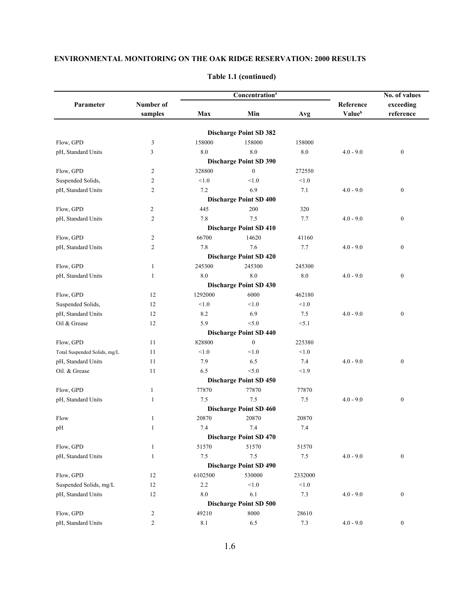|                              |                |           | <b>Concentration</b> <sup>a</sup> |         |             | No. of values    |  |
|------------------------------|----------------|-----------|-----------------------------------|---------|-------------|------------------|--|
| Parameter                    | Number of      |           |                                   |         | Reference   | exceeding        |  |
|                              | samples        | Max       | Min                               | Avg     | Valueb      | reference        |  |
|                              |                |           | <b>Discharge Point SD 382</b>     |         |             |                  |  |
| Flow, GPD                    | 3              | 158000    | 158000                            | 158000  |             |                  |  |
| pH, Standard Units           | 3              | 8.0       | 8.0                               | $8.0\,$ | $4.0 - 9.0$ | $\boldsymbol{0}$ |  |
|                              |                |           | <b>Discharge Point SD 390</b>     |         |             |                  |  |
| Flow, GPD                    | $\overline{c}$ | 328800    | $\mathbf{0}$                      | 272550  |             |                  |  |
| Suspended Solids,            | 2              | < 1.0     | < 1.0                             | < 1.0   |             |                  |  |
| pH, Standard Units           | $\overline{c}$ | 7.2       | 6.9                               | 7.1     | $4.0 - 9.0$ | $\boldsymbol{0}$ |  |
|                              |                |           | <b>Discharge Point SD 400</b>     |         |             |                  |  |
| Flow, GPD                    | $\overline{c}$ | 445       | 200                               | 320     |             |                  |  |
| pH, Standard Units           | $\overline{c}$ | 7.8       | 7.5                               | 7.7     | $4.0 - 9.0$ | $\boldsymbol{0}$ |  |
|                              |                |           | <b>Discharge Point SD 410</b>     |         |             |                  |  |
| Flow, GPD                    | $\overline{c}$ | 66700     | 14620                             | 41160   |             |                  |  |
| pH, Standard Units           | $\overline{c}$ | 7.8       | 7.6                               | 7.7     | $4.0 - 9.0$ | $\boldsymbol{0}$ |  |
|                              |                |           | <b>Discharge Point SD 420</b>     |         |             |                  |  |
| Flow, GPD                    | 1              | 245300    | 245300                            | 245300  |             |                  |  |
| pH, Standard Units           | 1              | 8.0       | 8.0                               | $8.0\,$ | $4.0 - 9.0$ | $\boldsymbol{0}$ |  |
|                              |                |           | <b>Discharge Point SD 430</b>     |         |             |                  |  |
| Flow, GPD                    | 12             | 1292000   | 6000                              | 462180  |             |                  |  |
| Suspended Solids,            | 12             | < 1.0     | < 1.0                             | < 1.0   |             |                  |  |
| pH, Standard Units           | 12             | 8.2       | 6.9                               | 7.5     | $4.0 - 9.0$ | $\boldsymbol{0}$ |  |
| Oil & Grease                 | 12             | 5.9       | < 5.0                             | < 5.1   |             |                  |  |
|                              |                |           | <b>Discharge Point SD 440</b>     |         |             |                  |  |
| Flow, GPD                    | 11             | 828800    | $\mathbf{0}$                      | 225380  |             |                  |  |
| Total Suspended Solids, mg/L | 11             | < 1.0     | < 1.0                             | < 1.0   |             |                  |  |
| pH, Standard Units           | 11             | 7.9       | 6.5                               | 7.4     | $4.0 - 9.0$ | $\boldsymbol{0}$ |  |
| Oil. & Grease                | 11             | 6.5       | < 5.0                             | < 1.9   |             |                  |  |
|                              |                |           | <b>Discharge Point SD 450</b>     |         |             |                  |  |
| Flow, GPD                    | $\mathbf{1}$   | 77870     | 77870                             | 77870   |             |                  |  |
| pH, Standard Units           | 1              | 7.5       | 7.5                               | 7.5     | $4.0 - 9.0$ | $\boldsymbol{0}$ |  |
|                              |                |           | <b>Discharge Point SD 460</b>     |         |             |                  |  |
| Flow                         | $\mathbf{1}$   | 20870     | 20870                             | 20870   |             |                  |  |
| pH                           | $\mathbf{1}$   | 7.4       | $7.4\,$                           | 7.4     |             |                  |  |
|                              |                |           | <b>Discharge Point SD 470</b>     |         |             |                  |  |
| Flow, GPD                    | 1              | 51570     | 51570                             | 51570   |             |                  |  |
| pH, Standard Units           | $\mathbf{1}$   | $7.5\,$   | $7.5\,$                           | $7.5\,$ | $4.0 - 9.0$ | $\boldsymbol{0}$ |  |
|                              |                |           | <b>Discharge Point SD 490</b>     |         |             |                  |  |
| Flow, GPD                    | 12             | 6102500   | 530000                            | 2332000 |             |                  |  |
| Suspended Solids, mg/L       | 12             | 2.2       | $<1.0$                            | $<1.0$  |             |                  |  |
| pH, Standard Units           | 12             | $\ \ 8.0$ | 6.1                               | 7.3     | $4.0 - 9.0$ | $\boldsymbol{0}$ |  |
|                              |                |           | <b>Discharge Point SD 500</b>     |         |             |                  |  |
| Flow, GPD                    | $\overline{c}$ | 49210     | 8000                              | 28610   |             |                  |  |
| pH, Standard Units           | $\overline{c}$ | $8.1\,$   | 6.5                               | $7.3$   | $4.0 - 9.0$ | $\boldsymbol{0}$ |  |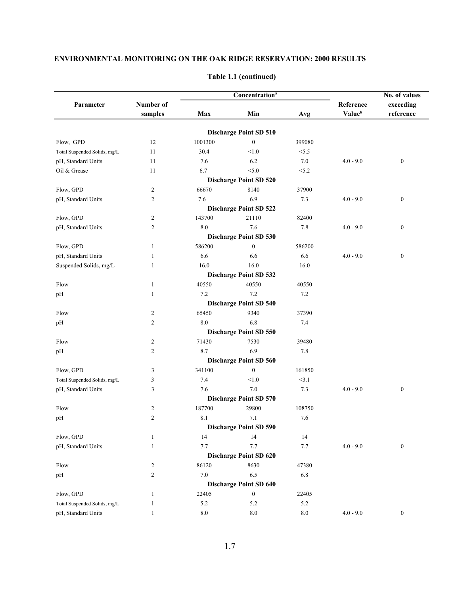|                              |                |         | <b>Concentration</b> <sup>a</sup> |         |             | No. of values    |  |
|------------------------------|----------------|---------|-----------------------------------|---------|-------------|------------------|--|
| Parameter                    | Number of      |         |                                   |         | Reference   | exceeding        |  |
|                              | samples        | Max     | Min                               | Avg     | Valueb      | reference        |  |
|                              |                |         | <b>Discharge Point SD 510</b>     |         |             |                  |  |
| Flow, GPD                    | 12             | 1001300 | $\boldsymbol{0}$                  | 399080  |             |                  |  |
| Total Suspended Solids, mg/L | 11             | 30.4    | < 1.0                             | < 5.5   |             |                  |  |
| pH, Standard Units           | 11             | 7.6     | 6.2                               | $7.0\,$ | $4.0 - 9.0$ | $\boldsymbol{0}$ |  |
| Oil & Grease                 | 11             | 6.7     | < 5.0                             | < 5.2   |             |                  |  |
|                              |                |         | <b>Discharge Point SD 520</b>     |         |             |                  |  |
| Flow, GPD                    | 2              | 66670   | 8140                              | 37900   |             |                  |  |
| pH, Standard Units           | $\overline{2}$ | 7.6     | 6.9                               | 7.3     | $4.0 - 9.0$ | $\boldsymbol{0}$ |  |
|                              |                |         | <b>Discharge Point SD 522</b>     |         |             |                  |  |
| Flow, GPD                    | $\overline{c}$ | 143700  | 21110                             | 82400   |             |                  |  |
| pH, Standard Units           | $\overline{c}$ | 8.0     | 7.6                               | 7.8     | $4.0 - 9.0$ | $\boldsymbol{0}$ |  |
|                              |                |         | <b>Discharge Point SD 530</b>     |         |             |                  |  |
| Flow, GPD                    | 1              | 586200  | $\mathbf{0}$                      | 586200  |             |                  |  |
| pH, Standard Units           | 1              | 6.6     | 6.6                               | 6.6     | $4.0 - 9.0$ | $\boldsymbol{0}$ |  |
| Suspended Solids, mg/L       | 1              | 16.0    | 16.0                              | 16.0    |             |                  |  |
|                              |                |         | <b>Discharge Point SD 532</b>     |         |             |                  |  |
| Flow                         | $\mathbf{1}$   | 40550   | 40550                             | 40550   |             |                  |  |
| pH                           | 1              | 7.2     | 7.2                               | 7.2     |             |                  |  |
|                              |                |         | <b>Discharge Point SD 540</b>     |         |             |                  |  |
| Flow                         | $\overline{2}$ | 65450   | 9340                              | 37390   |             |                  |  |
| pH                           | 2              | 8.0     | 6.8                               | 7.4     |             |                  |  |
|                              |                |         | <b>Discharge Point SD 550</b>     |         |             |                  |  |
| Flow                         | $\overline{c}$ | 71430   | 7530                              | 39480   |             |                  |  |
| pH                           | $\overline{c}$ | 8.7     | 6.9                               | 7.8     |             |                  |  |
|                              |                |         | <b>Discharge Point SD 560</b>     |         |             |                  |  |
| Flow, GPD                    | 3              | 341100  | $\mathbf{0}$                      | 161850  |             |                  |  |
| Total Suspended Solids, mg/L | 3              | 7.4     | < 1.0                             | <3.1    |             |                  |  |
| pH, Standard Units           | 3              | 7.6     | $7.0\,$                           | 7.3     | $4.0 - 9.0$ | $\boldsymbol{0}$ |  |
|                              |                |         | <b>Discharge Point SD 570</b>     |         |             |                  |  |
| Flow                         | $\overline{c}$ | 187700  | 29800                             | 108750  |             |                  |  |
| pH                           | $\mathfrak{2}$ | 8.1     | 7.1                               | 7.6     |             |                  |  |
|                              |                |         | <b>Discharge Point SD 590</b>     |         |             |                  |  |
| Flow, GPD                    | $\mathbf{1}$   | 14      | 14                                | 14      |             |                  |  |
| pH, Standard Units           | $\mathbf{1}$   | 7.7     | 7.7                               | 7.7     | $4.0 - 9.0$ | $\boldsymbol{0}$ |  |
|                              |                |         | <b>Discharge Point SD 620</b>     |         |             |                  |  |
| Flow                         | $\overline{c}$ | 86120   | 8630                              | 47380   |             |                  |  |
| pH                           | $\overline{c}$ | $7.0\,$ | 6.5                               | 6.8     |             |                  |  |
|                              |                |         | <b>Discharge Point SD 640</b>     |         |             |                  |  |
| Flow, GPD                    | 1              | 22405   | $\boldsymbol{0}$                  | 22405   |             |                  |  |
| Total Suspended Solids, mg/L | 1              | 5.2     | 5.2                               | 5.2     |             |                  |  |
| pH, Standard Units           | 1              | $8.0\,$ | $8.0\,$                           | $8.0\,$ | $4.0 - 9.0$ | $\boldsymbol{0}$ |  |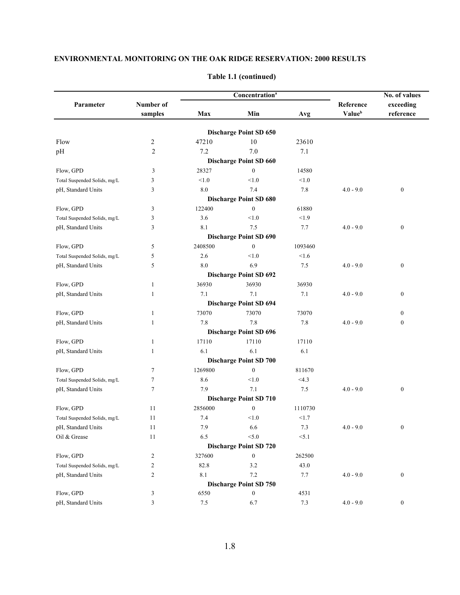|                              |                |                   | Concentration <sup>a</sup>    |         |             | No. of values    |  |
|------------------------------|----------------|-------------------|-------------------------------|---------|-------------|------------------|--|
| Parameter                    | Number of      |                   |                               |         | Reference   | exceeding        |  |
|                              | samples        | Max<br>Min<br>Avg |                               |         | Valueb      | reference        |  |
|                              |                |                   | <b>Discharge Point SD 650</b> |         |             |                  |  |
| Flow                         | 2              | 47210             | 10                            | 23610   |             |                  |  |
| pH                           | $\overline{c}$ | 7.2               | 7.0                           | 7.1     |             |                  |  |
|                              |                |                   | <b>Discharge Point SD 660</b> |         |             |                  |  |
| Flow, GPD                    | 3              | 28327             | $\boldsymbol{0}$              | 14580   |             |                  |  |
| Total Suspended Solids, mg/L | 3              | < 1.0             | < 1.0                         | < 1.0   |             |                  |  |
| pH, Standard Units           | 3              | 8.0               | 7.4                           | 7.8     | $4.0 - 9.0$ | $\boldsymbol{0}$ |  |
|                              |                |                   | <b>Discharge Point SD 680</b> |         |             |                  |  |
| Flow, GPD                    | 3              | 122400            | $\boldsymbol{0}$              | 61880   |             |                  |  |
| Total Suspended Solids, mg/L | 3              | 3.6               | < 1.0                         | < 1.9   |             |                  |  |
| pH, Standard Units           | 3              | 8.1               | 7.5                           | 7.7     | $4.0 - 9.0$ | $\boldsymbol{0}$ |  |
|                              |                |                   | <b>Discharge Point SD 690</b> |         |             |                  |  |
| Flow, GPD                    | 5              | 2408500           | $\boldsymbol{0}$              | 1093460 |             |                  |  |
| Total Suspended Solids, mg/L | 5              | 2.6               | < 1.0                         | < 1.6   |             |                  |  |
| pH, Standard Units           | 5              | 8.0               | 6.9                           | 7.5     | $4.0 - 9.0$ | $\boldsymbol{0}$ |  |
|                              |                |                   | <b>Discharge Point SD 692</b> |         |             |                  |  |
| Flow, GPD                    | 1              | 36930             | 36930                         | 36930   |             |                  |  |
| pH, Standard Units           | 1              | 7.1               | 7.1                           | 7.1     | $4.0 - 9.0$ | $\boldsymbol{0}$ |  |
|                              |                |                   | <b>Discharge Point SD 694</b> |         |             |                  |  |
| Flow, GPD                    | 1              | 73070             | 73070                         | 73070   |             | $\boldsymbol{0}$ |  |
| pH, Standard Units           | 1              | 7.8               | 7.8                           | 7.8     | $4.0 - 9.0$ | $\boldsymbol{0}$ |  |
|                              |                |                   | <b>Discharge Point SD 696</b> |         |             |                  |  |
| Flow, GPD                    | 1              | 17110             | 17110                         | 17110   |             |                  |  |
| pH, Standard Units           | 1              | 6.1               | 6.1                           | 6.1     |             |                  |  |
|                              |                |                   | <b>Discharge Point SD 700</b> |         |             |                  |  |
| Flow, GPD                    | 7              | 1269800           | $\mathbf{0}$                  | 811670  |             |                  |  |
| Total Suspended Solids, mg/L | 7              | 8.6               | < 1.0                         | <4.3    |             |                  |  |
| pH, Standard Units           | 7              | 7.9               | 7.1                           | 7.5     | $4.0 - 9.0$ | $\boldsymbol{0}$ |  |
|                              |                |                   | <b>Discharge Point SD 710</b> |         |             |                  |  |
| Flow, GPD                    | 11             | 2856000           | $\boldsymbol{0}$              | 1110730 |             |                  |  |
| Total Suspended Solids, mg/L | 11             | 7.4               | < 1.0                         | <1.7    |             |                  |  |
| pH, Standard Units           | 11             | 7.9               | 6.6                           | $7.3\,$ | $4.0 - 9.0$ | $\bf{0}$         |  |
| Oil & Grease                 | 11             | 6.5               | < 5.0                         | < 5.1   |             |                  |  |
|                              |                |                   | <b>Discharge Point SD 720</b> |         |             |                  |  |
| Flow, GPD                    | 2              | 327600            | $\boldsymbol{0}$              | 262500  |             |                  |  |
| Total Suspended Solids, mg/L | 2              | 82.8              | 3.2                           | 43.0    |             |                  |  |
| pH, Standard Units           | 2              | 8.1               | 7.2                           | 7.7     | $4.0 - 9.0$ | $\boldsymbol{0}$ |  |
|                              |                |                   | <b>Discharge Point SD 750</b> |         |             |                  |  |
| Flow, GPD                    | 3              | 6550              | $\boldsymbol{0}$              | 4531    |             |                  |  |
| pH, Standard Units           | 3              | $7.5\,$           | 6.7                           | 7.3     | $4.0 - 9.0$ | $\boldsymbol{0}$ |  |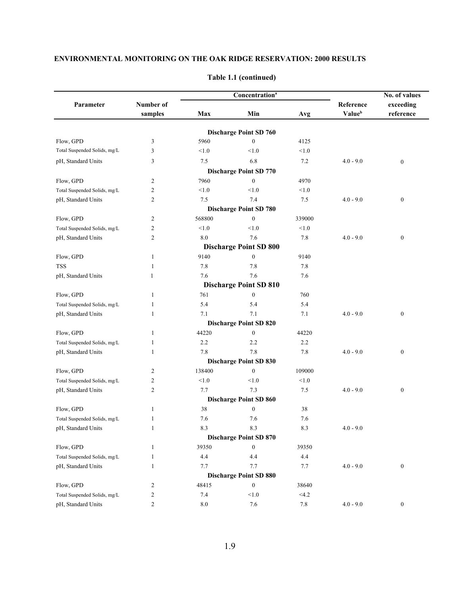|                              |                |         | Concentration <sup>a</sup>    |         |             | No. of values    |  |
|------------------------------|----------------|---------|-------------------------------|---------|-------------|------------------|--|
| Parameter                    | Number of      |         |                               |         | Reference   | exceeding        |  |
|                              | samples        | Max     | Min                           | Avg     | Valueb      | reference        |  |
|                              |                |         | <b>Discharge Point SD 760</b> |         |             |                  |  |
| Flow, GPD                    | 3              | 5960    | $\boldsymbol{0}$              | 4125    |             |                  |  |
| Total Suspended Solids, mg/L | 3              | < 1.0   | < 1.0                         | < 1.0   |             |                  |  |
| pH, Standard Units           | 3              | $7.5$   | 6.8                           | 7.2     | $4.0 - 9.0$ | $\boldsymbol{0}$ |  |
|                              |                |         | <b>Discharge Point SD 770</b> |         |             |                  |  |
| Flow, GPD                    | $\overline{2}$ | 7960    | $\boldsymbol{0}$              | 4970    |             |                  |  |
| Total Suspended Solids, mg/L | $\overline{2}$ | < 1.0   | < 1.0                         | < 1.0   |             |                  |  |
| pH, Standard Units           | $\overline{2}$ | 7.5     | 7.4                           | 7.5     | $4.0 - 9.0$ | $\boldsymbol{0}$ |  |
|                              |                |         | <b>Discharge Point SD 780</b> |         |             |                  |  |
| Flow, GPD                    | $\overline{2}$ | 568800  | $\boldsymbol{0}$              | 339000  |             |                  |  |
| Total Suspended Solids, mg/L | $\overline{2}$ | < 1.0   | < 1.0                         | < 1.0   |             |                  |  |
| pH, Standard Units           | $\overline{2}$ | 8.0     | 7.6                           | 7.8     | $4.0 - 9.0$ | $\boldsymbol{0}$ |  |
|                              |                |         | <b>Discharge Point SD 800</b> |         |             |                  |  |
| Flow, GPD                    | 1              | 9140    | $\mathbf{0}$                  | 9140    |             |                  |  |
| <b>TSS</b>                   | 1              | 7.8     | 7.8                           | 7.8     |             |                  |  |
| pH, Standard Units           | 1              | 7.6     | 7.6                           | 7.6     |             |                  |  |
|                              |                |         | <b>Discharge Point SD 810</b> |         |             |                  |  |
| Flow, GPD                    | 1              | 761     | $\boldsymbol{0}$              | 760     |             |                  |  |
| Total Suspended Solids, mg/L | 1              | 5.4     | 5.4                           | 5.4     |             |                  |  |
| pH, Standard Units           | 1              | 7.1     | 7.1                           | 7.1     | $4.0 - 9.0$ | $\boldsymbol{0}$ |  |
|                              |                |         | <b>Discharge Point SD 820</b> |         |             |                  |  |
| Flow, GPD                    | 1              | 44220   | $\mathbf{0}$                  | 44220   |             |                  |  |
| Total Suspended Solids, mg/L | 1              | 2.2     | 2.2                           | 2.2     |             |                  |  |
| pH, Standard Units           | 1              | 7.8     | 7.8                           | 7.8     | $4.0 - 9.0$ | $\boldsymbol{0}$ |  |
|                              |                |         | <b>Discharge Point SD 830</b> |         |             |                  |  |
| Flow, GPD                    | $\overline{c}$ | 138400  | $\boldsymbol{0}$              | 109000  |             |                  |  |
| Total Suspended Solids, mg/L | $\overline{2}$ | < 1.0   | < 1.0                         | < 1.0   |             |                  |  |
| pH, Standard Units           | $\overline{2}$ | 7.7     | 7.3                           | 7.5     | $4.0 - 9.0$ | $\boldsymbol{0}$ |  |
|                              |                |         | <b>Discharge Point SD 860</b> |         |             |                  |  |
| Flow, GPD                    | $\mathbf{1}$   | 38      | $\mathbf{0}$                  | 38      |             |                  |  |
| Total Suspended Solids, mg/L | 1              | 7.6     | 7.6                           | 7.6     |             |                  |  |
| pH, Standard Units           | $\mathbf{1}$   | 8.3     | 8.3                           | 8.3     | $4.0 - 9.0$ |                  |  |
|                              |                |         | <b>Discharge Point SD 870</b> |         |             |                  |  |
| Flow, GPD                    | $\mathbf{1}$   | 39350   | $\boldsymbol{0}$              | 39350   |             |                  |  |
| Total Suspended Solids, mg/L | $\mathbf{1}$   | 4.4     | 4.4                           | $4.4\,$ |             |                  |  |
| pH, Standard Units           | 1              | 7.7     | 7.7                           | 7.7     | $4.0 - 9.0$ | $\boldsymbol{0}$ |  |
|                              |                |         | <b>Discharge Point SD 880</b> |         |             |                  |  |
| Flow, GPD                    | $\overline{c}$ | 48415   | $\boldsymbol{0}$              | 38640   |             |                  |  |
| Total Suspended Solids, mg/L | $\overline{c}$ | 7.4     | < 1.0                         | <4.2    |             |                  |  |
| pH, Standard Units           | $\overline{c}$ | $8.0\,$ | 7.6                           | $7.8\,$ | $4.0 - 9.0$ | $\boldsymbol{0}$ |  |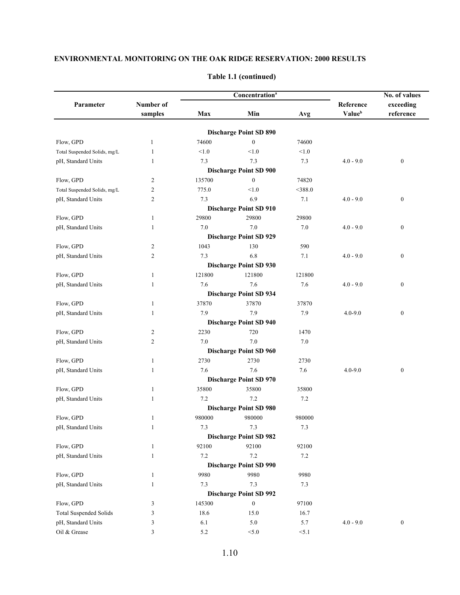|                               |                |         | Concentration <sup>a</sup>    |           | No. of values |                  |  |
|-------------------------------|----------------|---------|-------------------------------|-----------|---------------|------------------|--|
| Parameter                     | Number of      |         |                               |           | Reference     | exceeding        |  |
|                               | samples        | Max     | Min                           | Avg       | Valueb        | reference        |  |
|                               |                |         | <b>Discharge Point SD 890</b> |           |               |                  |  |
| Flow, GPD                     | 1              | 74600   | $\boldsymbol{0}$              | 74600     |               |                  |  |
| Total Suspended Solids, mg/L  | 1              | < 1.0   | < 1.0                         | < 1.0     |               |                  |  |
| pH, Standard Units            | 1              | 7.3     | 7.3                           | 7.3       | $4.0 - 9.0$   | $\boldsymbol{0}$ |  |
|                               |                |         | <b>Discharge Point SD 900</b> |           |               |                  |  |
| Flow, GPD                     | 2              | 135700  | $\boldsymbol{0}$              | 74820     |               |                  |  |
| Total Suspended Solids, mg/L  | $\overline{c}$ | 775.0   | < 1.0                         | $<$ 388.0 |               |                  |  |
| pH, Standard Units            | 2              | 7.3     | 6.9                           | 7.1       | $4.0 - 9.0$   | $\boldsymbol{0}$ |  |
|                               |                |         | <b>Discharge Point SD 910</b> |           |               |                  |  |
| Flow, GPD                     | 1              | 29800   | 29800                         | 29800     |               |                  |  |
| pH, Standard Units            | 1              | 7.0     | 7.0                           | 7.0       | $4.0 - 9.0$   | $\boldsymbol{0}$ |  |
|                               |                |         | <b>Discharge Point SD 929</b> |           |               |                  |  |
| Flow, GPD                     | 2              | 1043    | 130                           | 590       |               |                  |  |
| pH, Standard Units            | 2              | 7.3     | 6.8                           | 7.1       | $4.0 - 9.0$   | $\boldsymbol{0}$ |  |
|                               |                |         | <b>Discharge Point SD 930</b> |           |               |                  |  |
| Flow, GPD                     | 1              | 121800  | 121800                        | 121800    |               |                  |  |
| pH, Standard Units            | 1              | 7.6     | 7.6                           | 7.6       | $4.0 - 9.0$   | $\boldsymbol{0}$ |  |
|                               |                |         | <b>Discharge Point SD 934</b> |           |               |                  |  |
| Flow, GPD                     | 1              | 37870   | 37870                         | 37870     |               |                  |  |
| pH, Standard Units            | 1              | 7.9     | 7.9                           | 7.9       | $4.0 - 9.0$   | $\boldsymbol{0}$ |  |
|                               |                |         | <b>Discharge Point SD 940</b> |           |               |                  |  |
| Flow, GPD                     | 2              | 2230    | 720                           | 1470      |               |                  |  |
| pH, Standard Units            | 2              | 7.0     | 7.0                           | 7.0       |               |                  |  |
|                               |                |         | <b>Discharge Point SD 960</b> |           |               |                  |  |
| Flow, GPD                     | 1              | 2730    | 2730                          | 2730      |               |                  |  |
| pH, Standard Units            | 1              | 7.6     | 7.6                           | 7.6       | $4.0 - 9.0$   | $\boldsymbol{0}$ |  |
|                               |                |         | <b>Discharge Point SD 970</b> |           |               |                  |  |
| Flow, GPD                     | 1              | 35800   | 35800                         | 35800     |               |                  |  |
| pH, Standard Units            | 1              | 7.2     | 7.2                           | 7.2       |               |                  |  |
|                               |                |         | <b>Discharge Point SD 980</b> |           |               |                  |  |
| Flow, GPD                     | 1              | 980000  | 980000                        | 980000    |               |                  |  |
| pH, Standard Units            | 1              | 7.3     | 7.3                           | $7.3$     |               |                  |  |
|                               |                |         | <b>Discharge Point SD 982</b> |           |               |                  |  |
| Flow, GPD                     | 1              | 92100   | 92100                         | 92100     |               |                  |  |
| pH, Standard Units            | 1              | $7.2\,$ | $7.2\,$                       | 7.2       |               |                  |  |
|                               |                |         | <b>Discharge Point SD 990</b> |           |               |                  |  |
| Flow, GPD                     | 1              | 9980    | 9980                          | 9980      |               |                  |  |
| pH, Standard Units            | 1              | 7.3     | $7.3$                         | 7.3       |               |                  |  |
|                               |                |         | <b>Discharge Point SD 992</b> |           |               |                  |  |
| Flow, GPD                     | 3              | 145300  | $\boldsymbol{0}$              | 97100     |               |                  |  |
| <b>Total Suspended Solids</b> | 3              | 18.6    | 15.0                          | 16.7      |               |                  |  |
| pH, Standard Units            | 3              | 6.1     | 5.0                           | 5.7       | $4.0 - 9.0$   | $\boldsymbol{0}$ |  |
| Oil & Grease                  | 3              | 5.2     | < 5.0                         | < 5.1     |               |                  |  |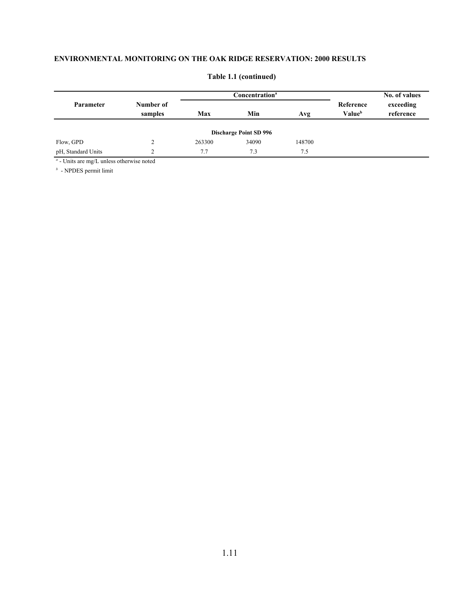|                    |                      |        | Concentration <sup>a</sup>    | No. of values |                                 |                        |
|--------------------|----------------------|--------|-------------------------------|---------------|---------------------------------|------------------------|
| Parameter          | Number of<br>samples | Max    | Min                           | Avg           | Reference<br>Value <sup>b</sup> | exceeding<br>reference |
|                    |                      |        | <b>Discharge Point SD 996</b> |               |                                 |                        |
| Flow, GPD          |                      | 263300 | 34090                         | 148700        |                                 |                        |
| pH, Standard Units |                      | 7.7    | 7.3                           | 7.5           |                                 |                        |

#### **Table 1.1 (continued)**

*a* - Units are mg/L unless otherwise noted

*b* - NPDES permit limit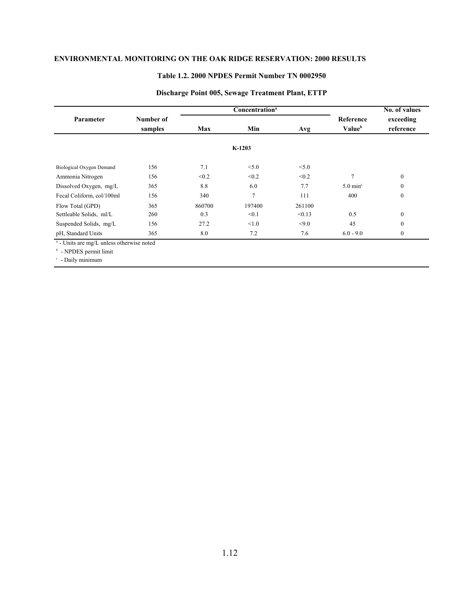#### **Table 1.2. 2000 NPDES Permit Number TN 0002950**

|                                                                              |                      |            | Concentration <sup>a</sup> |        |                           | No. of values          |
|------------------------------------------------------------------------------|----------------------|------------|----------------------------|--------|---------------------------|------------------------|
| <b>Parameter</b>                                                             | Number of<br>samples | Min<br>Max |                            | Avg    | Reference<br>Valueb       | exceeding<br>reference |
|                                                                              |                      |            | $K-1203$                   |        |                           |                        |
| Biological Oxygen Demand                                                     | 156                  | 7.1        | < 5.0                      | < 5.0  |                           |                        |
| Ammonia Nitrogen                                                             | 156                  | < 0.2      | < 0.2                      | < 0.2  | $\overline{7}$            | $\mathbf{0}$           |
| Dissolved Oxygen, mg/L                                                       | 365                  | 8.8        | 6.0                        | 7.7    | $5.0 \text{ min}^{\circ}$ | $\mathbf{0}$           |
| Fecal Coliform, col/100ml                                                    | 156                  | 340        | 7                          | 111    | 400                       | $\boldsymbol{0}$       |
| Flow Total (GPD)                                                             | 365                  | 860700     | 197400                     | 261100 |                           |                        |
| Settleable Solids, ml/L                                                      | 260                  | 0.3        | < 0.1                      | < 0.13 | 0.5                       | $\mathbf{0}$           |
| Suspended Solids, mg/L                                                       | 156                  | 27.2       | < 1.0                      | < 9.0  | 45                        | $\mathbf{0}$           |
| pH, Standard Units                                                           | 365                  | 8.0        | 7.2                        | 7.6    | $6.0 - 9.0$               | $\mathbf{0}$           |
| $\alpha$ - Units are mg/L unless otherwise noted<br>$b$ - NPDES permit limit |                      |            |                            |        |                           |                        |

#### **Discharge Point 005, Sewage Treatment Plant, ETTP**

*c* - Daily minimum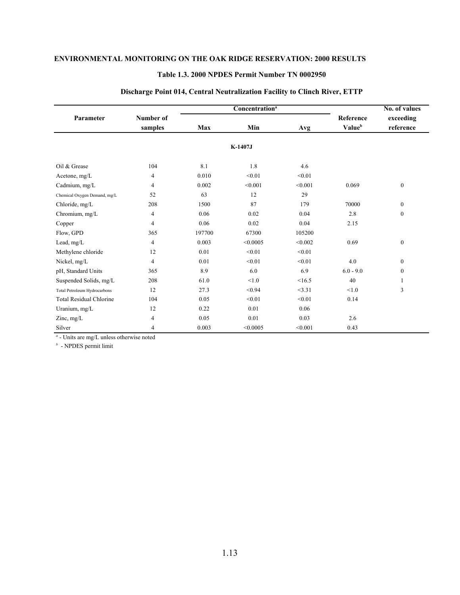#### **Table 1.3. 2000 NPDES Permit Number TN 0002950**

|                                |                      |        | Concentration <sup>a</sup> |         |                     | No. of values          |
|--------------------------------|----------------------|--------|----------------------------|---------|---------------------|------------------------|
| Parameter                      | Number of<br>samples | Max    | Min                        | Avg     | Reference<br>Valueb | exceeding<br>reference |
|                                |                      |        | K-1407J                    |         |                     |                        |
| Oil & Grease                   | 104                  | 8.1    | 1.8                        | 4.6     |                     |                        |
| Acetone, mg/L                  | 4                    | 0.010  | < 0.01                     | < 0.01  |                     |                        |
| Cadmium, mg/L                  | 4                    | 0.002  | < 0.001                    | < 0.001 | 0.069               | $\overline{0}$         |
| Chemical Oxygen Demand, mg/L   | 52                   | 63     | 12                         | 29      |                     |                        |
| Chloride, mg/L                 | 208                  | 1500   | 87                         | 179     | 70000               | $\mathbf{0}$           |
| Chromium, mg/L                 | $\overline{4}$       | 0.06   | 0.02                       | 0.04    | 2.8                 | $\boldsymbol{0}$       |
| Copper                         | 4                    | 0.06   | 0.02                       | 0.04    | 2.15                |                        |
| Flow, GPD                      | 365                  | 197700 | 67300                      | 105200  |                     |                        |
| Lead, mg/L                     | $\overline{4}$       | 0.003  | < 0.0005                   | < 0.002 | 0.69                | $\boldsymbol{0}$       |
| Methylene chloride             | 12                   | 0.01   | < 0.01                     | < 0.01  |                     |                        |
| Nickel, mg/L                   | $\overline{4}$       | 0.01   | < 0.01                     | < 0.01  | 4.0                 | $\boldsymbol{0}$       |
| pH, Standard Units             | 365                  | 8.9    | 6.0                        | 6.9     | $6.0 - 9.0$         | $\boldsymbol{0}$       |
| Suspended Solids, mg/L         | 208                  | 61.0   | < 1.0                      | <16.5   | 40                  | 1                      |
| Total Petroleum Hydrocarbons   | 12                   | 27.3   | < 0.94                     | <3.31   | < 1.0               | 3                      |
| <b>Total Residual Chlorine</b> | 104                  | 0.05   | < 0.01                     | < 0.01  | 0.14                |                        |
| Uranium, mg/L                  | 12                   | 0.22   | 0.01                       | 0.06    |                     |                        |
| Zinc, mg/L                     | 4                    | 0.05   | 0.01                       | 0.03    | 2.6                 |                        |
| Silver                         | 4                    | 0.003  | < 0.0005                   | < 0.001 | 0.43                |                        |

#### **Discharge Point 014, Central Neutralization Facility to Clinch River, ETTP**

*a* - Units are mg/L unless otherwise noted

*b* - NPDES permit limit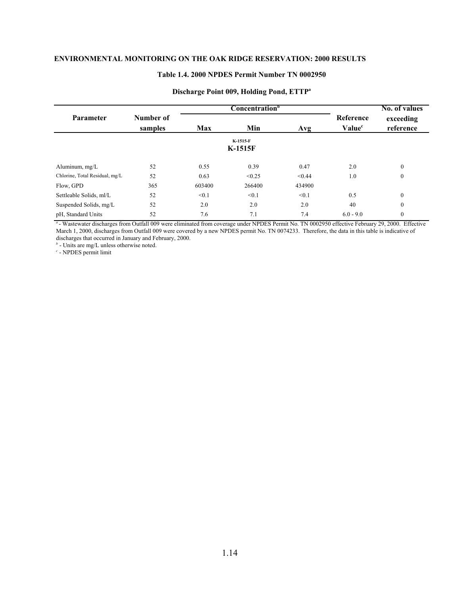### **Table 1.4. 2000 NPDES Permit Number TN 0002950**

|                                |                      |                          | <b>Concentration</b> <sup>b</sup> |        | No. of values                          |                        |  |  |  |  |  |
|--------------------------------|----------------------|--------------------------|-----------------------------------|--------|----------------------------------------|------------------------|--|--|--|--|--|
| <b>Parameter</b>               | Number of<br>samples | Min<br><b>Max</b><br>Avg |                                   |        | <b>Reference</b><br>Value <sup>c</sup> | exceeding<br>reference |  |  |  |  |  |
| K-1515-F<br><b>K-1515F</b>     |                      |                          |                                   |        |                                        |                        |  |  |  |  |  |
| Aluminum, mg/L                 | 52                   | 0.55                     | 0.39                              | 0.47   | 2.0                                    | $\mathbf{0}$           |  |  |  |  |  |
| Chlorine, Total Residual, mg/L | 52                   | 0.63                     | < 0.25                            | < 0.44 | 1.0                                    | $\mathbf{0}$           |  |  |  |  |  |
| Flow, GPD                      | 365                  | 603400                   | 266400                            | 434900 |                                        |                        |  |  |  |  |  |
| Settleable Solids, ml/L        | 52                   | < 0.1                    | < 0.1                             | < 0.1  | 0.5                                    | $\mathbf{0}$           |  |  |  |  |  |
| Suspended Solids, mg/L         | 52                   | 2.0                      | 2.0                               | 2.0    | 40                                     | $\mathbf{0}$           |  |  |  |  |  |
| pH, Standard Units             | 52                   | 7.6                      | 7.1                               | 7.4    | $6.0 - 9.0$                            | $\mathbf{0}$           |  |  |  |  |  |

#### **Discharge Point 009, Holding Pond, ETTPa**

*<sup>a</sup>*- Wastewater discharges from Outfall 009 were eliminated from coverage under NPDES Permit No. TN 0002950 effective February 29, 2000. Effective March 1, 2000, discharges from Outfall 009 were covered by a new NPDES permit No. TN 0074233. Therefore, the data in this table is indicative of discharges that occurred in January and February, 2000.

*b* - Units are mg/L unless otherwise noted.

*c* - NPDES permit limit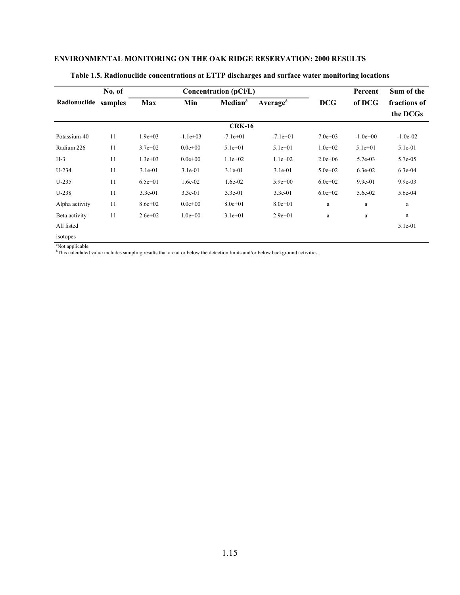|                | No. of  |             |             | Concentration (pCi/L) |              |             | Percent    | Sum of the   |
|----------------|---------|-------------|-------------|-----------------------|--------------|-------------|------------|--------------|
| Radionuclide   | samples | <b>Max</b>  | Min         | Median <sup>b</sup>   | Average $^b$ | <b>DCG</b>  | of DCG     | fractions of |
|                |         |             |             |                       |              |             |            | the DCGs     |
|                |         |             |             | <b>CRK-16</b>         |              |             |            |              |
| Potassium-40   | 11      | $1.9e + 03$ | $-1.1e+03$  | $-7.1e+01$            | $-7.1e+01$   | $7.0e + 03$ | $-1.0e+00$ | $-1.0e-02$   |
| Radium 226     | 11      | $3.7e + 02$ | $0.0e + 00$ | $5.1e+01$             | $5.1e+01$    | $1.0e + 02$ | $5.1e+01$  | 5.1e-01      |
| $H-3$          | 11      | $1.3e+03$   | $0.0e + 00$ | $1.1e+02$             | $1.1e+02$    | $2.0e + 06$ | 5.7e-03    | 5.7e-05      |
| $U-234$        | 11      | $3.1e-01$   | $3.1e-01$   | $3.1e-01$             | $3.1e-01$    | $5.0e + 02$ | $6.3e-02$  | $6.3e-04$    |
| $U-235$        | 11      | $6.5e+01$   | 1.6e-02     | 1.6e-02               | $5.9e + 00$  | $6.0e + 02$ | 9.9e-01    | $9.9e-03$    |
| $U-238$        | 11      | $3.3e-01$   | $3.3e-01$   | $3.3e-01$             | $3.3e-01$    | $6.0e + 02$ | 5.6e-02    | 5.6e-04      |
| Alpha activity | 11      | $8.6e + 02$ | $0.0e + 00$ | $8.0e + 01$           | $8.0e + 01$  | a           | a          | a            |
| Beta activity  | 11      | $2.6e+02$   | $1.0e + 00$ | $3.1e+01$             | $2.9e+01$    | a           | $\rm{a}$   | a            |
| All listed     |         |             |             |                       |              |             |            | 5.1e-01      |
| isotopes       |         |             |             |                       |              |             |            |              |

#### **Table 1.5. Radionuclide concentrations at ETTP discharges and surface water monitoring locations**

a Not applicable b This calculated value includes sampling results that are at or below the detection limits and/or below background activities.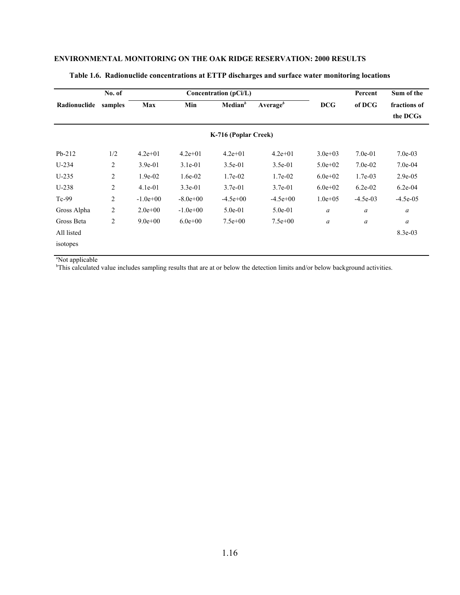|              | No. of  |             |             | Concentration (pCi/L) |              |                  | Percent    | Sum of the       |
|--------------|---------|-------------|-------------|-----------------------|--------------|------------------|------------|------------------|
| Radionuclide | samples | Max         | Min         | Median <sup>b</sup>   | Average $^b$ | <b>DCG</b>       | of DCG     | fractions of     |
|              |         |             |             |                       |              |                  |            | the DCGs         |
|              |         |             |             | K-716 (Poplar Creek)  |              |                  |            |                  |
| $Pb-212$     | 1/2     | $4.2e+01$   | $4.2e+01$   | $4.2e + 01$           | $4.2e + 01$  | $3.0e + 03$      | $7.0e-01$  | $7.0e-03$        |
| $U-234$      | 2       | $3.9e-01$   | $3.1e-01$   | $3.5e-01$             | $3.5e-01$    | $5.0e + 02$      | $7.0e-02$  | $7.0e-04$        |
| $U-235$      | 2       | $1.9e-02$   | $1.6e-02$   | $1.7e-02$             | $1.7e-02$    | $6.0e + 02$      | 1.7e-03    | $2.9e-0.5$       |
| $U-238$      | 2       | $4.1e-01$   | $3.3e-01$   | $3.7e-01$             | $3.7e-01$    | $6.0e+02$        | $6.2e-02$  | $6.2e-04$        |
| $Tc-99$      | 2       | $-1.0e+00$  | $-8.0e+00$  | $-4.5e+00$            | $-4.5e+00$   | $1.0e + 0.5$     | $-4.5e-03$ | $-4.5e-05$       |
| Gross Alpha  | 2       | $2.0e+0.0$  | $-1.0e+00$  | $5.0e-01$             | $5.0e-01$    | $\boldsymbol{a}$ | a          | $\boldsymbol{a}$ |
| Gross Beta   | 2       | $9.0e + 00$ | $6.0e + 00$ | $7.5e+00$             | $7.5e+00$    | $\boldsymbol{a}$ | a          | $\boldsymbol{a}$ |
| All listed   |         |             |             |                       |              |                  |            | $8.3e-03$        |
| isotopes     |         |             |             |                       |              |                  |            |                  |

#### **Table 1.6. Radionuclide concentrations at ETTP discharges and surface water monitoring locations**

<sup>a</sup>Not applicable

b This calculated value includes sampling results that are at or below the detection limits and/or below background activities.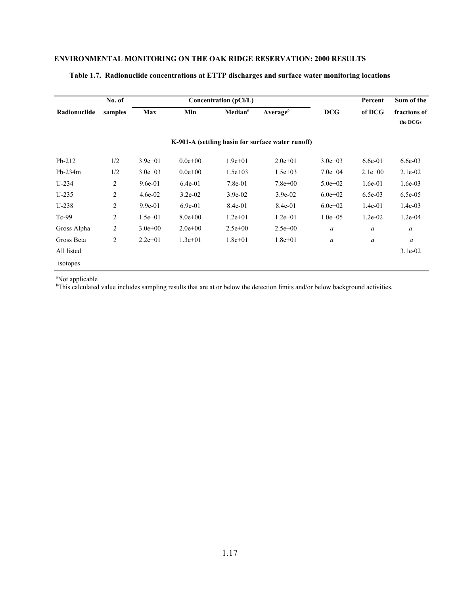|              | No. of         |             |             | Concentration (pCi/L) |                                                   |                  | Percent          | Sum of the       |
|--------------|----------------|-------------|-------------|-----------------------|---------------------------------------------------|------------------|------------------|------------------|
| Radionuclide | samples        | Max         | Min         | Median <sup>b</sup>   | Average $^b$                                      | <b>DCG</b>       | of DCG           | fractions of     |
|              |                |             |             |                       |                                                   |                  |                  | the DCGs         |
|              |                |             |             |                       | K-901-A (settling basin for surface water runoff) |                  |                  |                  |
| $Pb-212$     | 1/2            | $3.9e + 01$ | $0.0e + 00$ | $1.9e + 01$           | $2.0e+01$                                         | $3.0e + 03$      | $6.6e-01$        | $6.6e-03$        |
| $Pb-234m$    | 1/2            | $3.0e + 03$ | $0.0e + 00$ | $1.5e + 03$           | $1.5e+03$                                         | $7.0e+04$        | $2.1e+00$        | $2.1e-02$        |
| $U-234$      | 2              | $9.6e-01$   | $6.4e-01$   | 7.8e-01               | $7.8e + 00$                                       | $5.0e + 02$      | $1.6e-01$        | $1.6e-03$        |
| $U-235$      | 2              | $4.6e-02$   | $3.2e-02$   | $3.9e-02$             | $3.9e-02$                                         | $6.0e+02$        | $6.5e-03$        | $6.5e-0.5$       |
| $U-238$      | 2              | $9.9e-01$   | $6.9e-01$   | 8.4e-01               | 8.4e-01                                           | $6.0e + 02$      | $1.4e-01$        | $1.4e-03$        |
| $Tc-99$      | 2              | $1.5e + 01$ | $8.0e + 00$ | $1.2e + 01$           | $1.2e + 01$                                       | $1.0e + 0.5$     | $1.2e-02$        | $1.2e-04$        |
| Gross Alpha  | 2              | $3.0e + 00$ | $2.0e+00$   | $2.5e+00$             | $2.5e+00$                                         | $\boldsymbol{a}$ | $\boldsymbol{a}$ | a                |
| Gross Beta   | $\overline{2}$ | $2.2e+01$   | $1.3e+01$   | $1.8e + 01$           | $1.8e + 01$                                       | $\boldsymbol{a}$ | $\boldsymbol{a}$ | $\boldsymbol{a}$ |
| All listed   |                |             |             |                       |                                                   |                  |                  | $3.1e-02$        |
| isotopes     |                |             |             |                       |                                                   |                  |                  |                  |

#### **Table 1.7. Radionuclide concentrations at ETTP discharges and surface water monitoring locations**

a Not applicable b This calculated value includes sampling results that are at or below the detection limits and/or below background activities.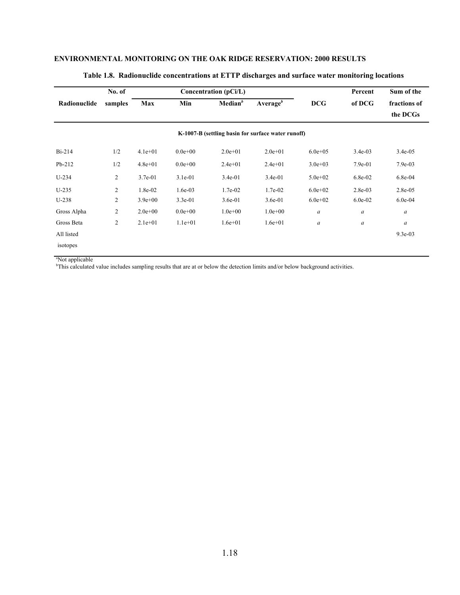|              | No. of         |             |             | Concentration (pCi/L) |                                                    |                  | Percent          | Sum of the   |
|--------------|----------------|-------------|-------------|-----------------------|----------------------------------------------------|------------------|------------------|--------------|
| Radionuclide | samples        | Max         | Min         | Median <sup>b</sup>   | Average $^b$                                       | <b>DCG</b>       | of DCG           | fractions of |
|              |                |             |             |                       |                                                    |                  |                  | the DCGs     |
|              |                |             |             |                       | K-1007-B (settling basin for surface water runoff) |                  |                  |              |
| $Bi-214$     | 1/2            | $4.1e+01$   | $0.0e + 00$ | $2.0e+01$             | $2.0e+01$                                          | $6.0e + 0.5$     | $3.4e-03$        | $3.4e-05$    |
| $Pb-212$     | 1/2            | $4.8e + 01$ | $0.0e + 00$ | $2.4e+01$             | $2.4e+01$                                          | $3.0e + 03$      | $7.9e-01$        | $7.9e-03$    |
| $U-234$      | $\overline{c}$ | $3.7e-01$   | $3.1e-01$   | $3.4e-01$             | $3.4e-01$                                          | $5.0e + 02$      | $6.8e-02$        | $6.8e-04$    |
| $U-235$      | 2              | 1.8e-02     | $1.6e-03$   | 1.7e-02               | 1.7e-02                                            | $6.0e + 02$      | $2.8e-03$        | $2.8e-0.5$   |
| $U-238$      | $\overline{c}$ | $3.9e + 00$ | $3.3e-01$   | $3.6e-01$             | $3.6e-01$                                          | $6.0e + 02$      | $6.0e-02$        | $6.0e-04$    |
| Gross Alpha  | $\overline{c}$ | $2.0e + 00$ | $0.0e + 00$ | $1.0e + 00$           | $1.0e + 00$                                        | $\boldsymbol{a}$ | $\boldsymbol{a}$ | a            |
| Gross Beta   | 2              | $2.1e+01$   | $1.1e+01$   | $1.6e + 01$           | $1.6e + 01$                                        | a                | $\boldsymbol{a}$ | a            |
| All listed   |                |             |             |                       |                                                    |                  |                  | 9.3e-03      |
| isotopes     |                |             |             |                       |                                                    |                  |                  |              |

#### **Table 1.8. Radionuclide concentrations at ETTP discharges and surface water monitoring locations**

a Not applicable

b This calculated value includes sampling results that are at or below the detection limits and/or below background activities.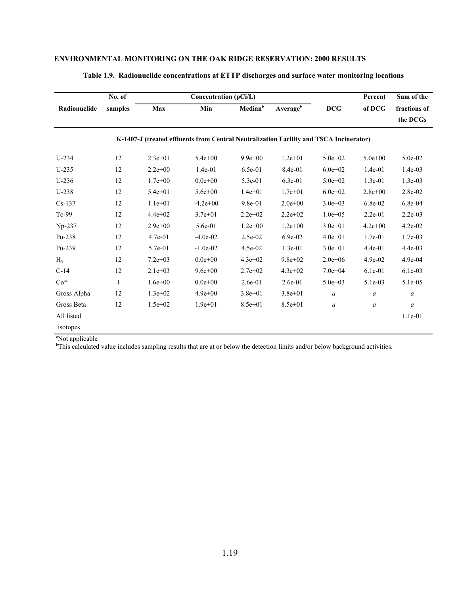|                | No. of       |             | Concentration (pCi/L)                                                                  |                     | Percent              | Sum of the       |                  |                  |
|----------------|--------------|-------------|----------------------------------------------------------------------------------------|---------------------|----------------------|------------------|------------------|------------------|
| Radionuclide   | samples      | Max         | Min                                                                                    | Median <sup>b</sup> | Average <sup>b</sup> | <b>DCG</b>       | of DCG           | fractions of     |
|                |              |             |                                                                                        |                     |                      |                  |                  | the DCGs         |
|                |              |             | K-1407-J (treated effluents from Central Neutralization Facility and TSCA Incinerator) |                     |                      |                  |                  |                  |
| $U-234$        | 12           | $2.3e+01$   | $5.4e + 00$                                                                            | $9.9e + 00$         | $1.2e + 01$          | $5.0e + 02$      | $5.0e + 00$      | 5.0e-02          |
| $U-235$        | 12           | $2.2e+00$   | $1.4e-01$                                                                              | 6.5e-01             | 8.4e-01              | $6.0e + 02$      | $1.4e-01$        | $1.4e-03$        |
| $U-236$        | 12           | $1.7e + 00$ | $0.0e + 00$                                                                            | 5.3e-01             | 6.3e-01              | $5.0e + 02$      | $1.3e-01$        | $1.3e-03$        |
| $U-238$        | 12           | $5.4e + 01$ | $5.6e + 00$                                                                            | $1.4e + 01$         | $1.7e + 01$          | $6.0e + 02$      | $2.8e + 00$      | 2.8e-02          |
| $Cs-137$       | 12           | $1.1e+01$   | $-4.2e+00$                                                                             | 9.8e-01             | $2.0e+00$            | $3.0e + 03$      | 6.8e-02          | 6.8e-04          |
| Tc-99          | 12           | $4.4e+02$   | $3.7e + 01$                                                                            | $2.2e+02$           | $2.2e+02$            | $1.0e + 0.5$     | $2.2e-01$        | $2.2e-03$        |
| Np-237         | 12           | $2.9e + 00$ | 5.6e-01                                                                                | $1.2e + 00$         | $1.2e + 00$          | $3.0e + 01$      | $4.2e + 00$      | $4.2e-02$        |
| Pu-238         | 12           | 4.7e-01     | $-4.0e-02$                                                                             | 2.5e-02             | 6.9e-02              | $4.0e + 01$      | 1.7e-01          | 1.7e-03          |
| Pu-239         | 12           | 5.7e-01     | $-1.0e-02$                                                                             | 4.5e-02             | $1.3e-01$            | $3.0e + 01$      | $4.4e-01$        | 4.4e-03          |
| H <sub>3</sub> | 12           | $7.2e + 03$ | $0.0e + 00$                                                                            | $4.3e+02$           | $9.8e + 02$          | $2.0e + 06$      | 4.9e-02          | 4.9e-04          |
| $C-14$         | 12           | $2.1e+03$   | $9.6e + 00$                                                                            | $2.7e+02$           | $4.3e + 02$          | $7.0e + 04$      | $6.1e-01$        | $6.1e-03$        |
| $Co-60$        | $\mathbf{1}$ | $1.6e + 00$ | $0.0e + 00$                                                                            | $2.6e-01$           | $2.6e-01$            | $5.0e + 03$      | 5.1e-03          | 5.1e-05          |
| Gross Alpha    | 12           | $1.3e+02$   | $4.9e + 00$                                                                            | $3.8e + 01$         | $3.8e + 01$          | $\boldsymbol{a}$ | a                | $\boldsymbol{a}$ |
| Gross Beta     | 12           | $1.5e + 02$ | $1.9e + 01$                                                                            | $8.5e + 01$         | $8.5e + 01$          | $\boldsymbol{a}$ | $\boldsymbol{a}$ | $\boldsymbol{a}$ |
| All listed     |              |             |                                                                                        |                     |                      |                  |                  | $1.1e-01$        |
| isotopes       |              |             |                                                                                        |                     |                      |                  |                  |                  |

#### **Table 1.9. Radionuclide concentrations at ETTP discharges and surface water monitoring locations**

<sup>a</sup>Not applicable

b This calculated value includes sampling results that are at or below the detection limits and/or below background activities.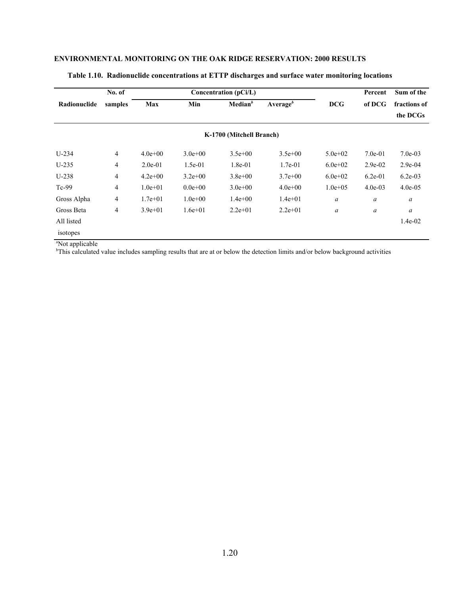|              | No. of  |             |             | Concentration (pCi/L)    |                  |                  | Percent   | Sum of the   |
|--------------|---------|-------------|-------------|--------------------------|------------------|------------------|-----------|--------------|
| Radionuclide | samples | Max         | Min         | Median <sup>b</sup>      | Average $\theta$ | <b>DCG</b>       | of DCG    | fractions of |
|              |         |             |             |                          |                  |                  |           | the DCGs     |
|              |         |             |             | K-1700 (Mitchell Branch) |                  |                  |           |              |
| $U-234$      | 4       | $4.0e + 00$ | $3.0e + 00$ | $3.5e+00$                | $3.5e+00$        | $5.0e + 02$      | $7.0e-01$ | $7.0e-03$    |
| $U-235$      | 4       | $2.0e-01$   | $1.5e-01$   | $1.8e-01$                | $1.7e-01$        | $6.0e+02$        | $2.9e-02$ | $2.9e-04$    |
| $U-238$      | 4       | $4.2e+00$   | $3.2e+00$   | $3.8e + 00$              | $3.7e+00$        | $6.0e+02$        | $6.2e-01$ | $6.2e-03$    |
| $Tc-99$      | 4       | $1.0e + 01$ | $0.0e + 00$ | $3.0e + 00$              | $4.0e+00$        | $1.0e + 0.5$     | $4.0e-03$ | $4.0e-0.5$   |
| Gross Alpha  | 4       | $1.7e + 01$ | $1.0e + 00$ | $1.4e+00$                | $1.4e + 01$      | $\boldsymbol{a}$ | a         | a            |
| Gross Beta   | 4       | $3.9e + 01$ | $1.6e + 01$ | $2.2e+01$                | $2.2e+01$        | $\boldsymbol{a}$ | a         | a            |
| All listed   |         |             |             |                          |                  |                  |           | $1.4e-02$    |
| isotopes     |         |             |             |                          |                  |                  |           |              |

#### **Table 1.10. Radionuclide concentrations at ETTP discharges and surface water monitoring locations**

a Not applicable b This calculated value includes sampling results that are at or below the detection limits and/or below background activities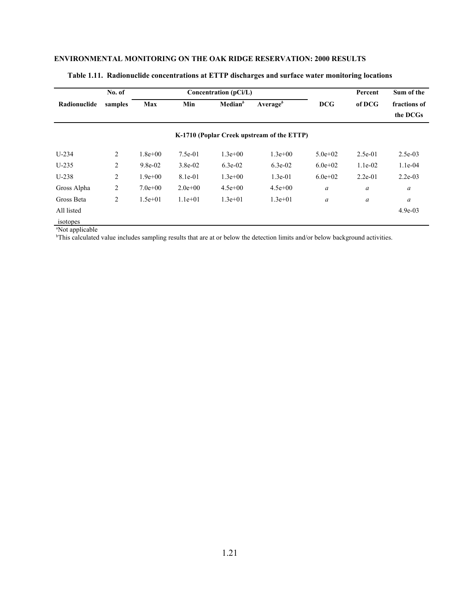|                 | No. of         |             |           | Concentration (pCi/L)               |                                            | Percent          | Sum of the       |                          |
|-----------------|----------------|-------------|-----------|-------------------------------------|--------------------------------------------|------------------|------------------|--------------------------|
| Radionuclide    | samples        | Max         | Min       | Median <sup>b</sup><br>Average $^b$ |                                            | <b>DCG</b>       | of DCG           | fractions of<br>the DCGs |
|                 |                |             |           |                                     | K-1710 (Poplar Creek upstream of the ETTP) |                  |                  |                          |
| $U-234$         | 2              | $1.8e + 00$ | $7.5e-01$ | $1.3e+00$                           | $1.3e+00$                                  | $5.0e + 02$      | $2.5e-01$        | $2.5e-03$                |
| $U-235$         | 2              | $9.8e-02$   | $3.8e-02$ | $6.3e-02$                           | $6.3e-02$                                  | $6.0e+02$        | $1.1e-02$        | $1.1e-04$                |
| $U-238$         | 2              | $1.9e + 00$ | 8.1e-01   | $1.3e+00$                           | $1.3e-01$                                  | $6.0e+02$        | $2.2e-01$        | $2.2e-03$                |
| Gross Alpha     | $\overline{c}$ | $7.0e+00$   | $2.0e+00$ | $4.5e+00$                           | $4.5e+00$                                  | $\boldsymbol{a}$ | $\boldsymbol{a}$ | $\boldsymbol{a}$         |
| Gross Beta      | $\overline{c}$ | $1.5e+01$   | $1.1e+01$ | $1.3e+01$                           | $1.3e+01$                                  | $\boldsymbol{a}$ | $\boldsymbol{a}$ | a                        |
| All listed      |                |             |           |                                     |                                            |                  |                  | $4.9e-03$                |
| <i>isotones</i> |                |             |           |                                     |                                            |                  |                  |                          |

#### **Table 1.11. Radionuclide concentrations at ETTP discharges and surface water monitoring locations**

isotopes a Not applicable b This calculated value includes sampling results that are at or below the detection limits and/or below background activities.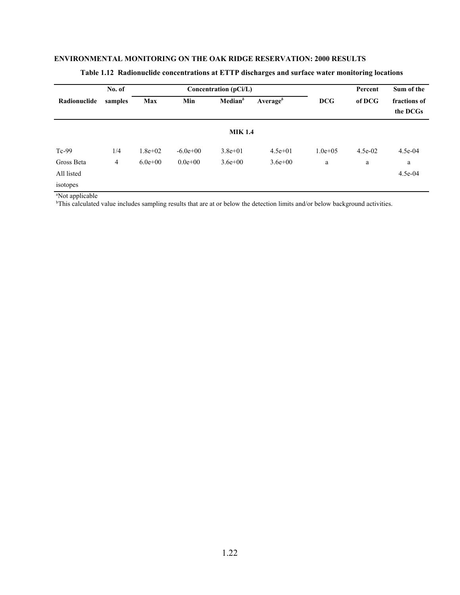|              | No. of  |             |             | Concentration $(pCi/L)$ |                      | Percent      | Sum of the |                          |
|--------------|---------|-------------|-------------|-------------------------|----------------------|--------------|------------|--------------------------|
| Radionuclide | samples | Max         | Min         | Median <sup>b</sup>     | Average <sup>b</sup> | <b>DCG</b>   | of DCG     | fractions of<br>the DCGs |
|              |         |             |             | <b>MIK 1.4</b>          |                      |              |            |                          |
| $Tc-99$      | 1/4     | $1.8e + 02$ | $-6.0e+00$  | $3.8e + 01$             | $4.5e+01$            | $1.0e + 0.5$ | $4.5e-02$  | 4.5e-04                  |
| Gross Beta   | 4       | $6.0e + 00$ | $0.0e + 00$ | $3.6e + 00$             | $3.6e + 00$          | a            | a          | a                        |
| All listed   |         |             |             |                         |                      |              |            | 4.5e-04                  |
| isotopes     |         |             |             |                         |                      |              |            |                          |

# **Table 1.12 Radionuclide concentrations at ETTP discharges and surface water monitoring locations**

a Not applicable b This calculated value includes sampling results that are at or below the detection limits and/or below background activities.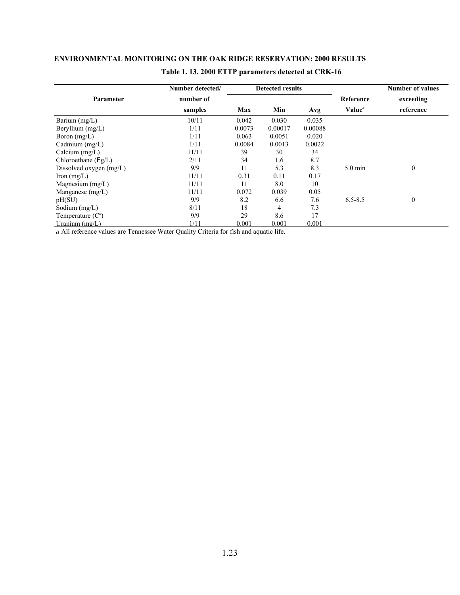|                         | Number detected/ |        | <b>Detected results</b> |         |                    | <b>Number of values</b> |
|-------------------------|------------------|--------|-------------------------|---------|--------------------|-------------------------|
| Parameter               | number of        |        |                         |         | Reference          | exceeding               |
|                         | samples          | Max    | Min                     | Avg     | Value <sup>a</sup> | reference               |
| Barium (mg/L)           | 10/11            | 0.042  | 0.030                   | 0.035   |                    |                         |
| Beryllium $(mg/L)$      | 1/11             | 0.0073 | 0.00017                 | 0.00088 |                    |                         |
| Boron $(mg/L)$          | 1/11             | 0.063  | 0.0051                  | 0.020   |                    |                         |
| Cadmium $(mg/L)$        | 1/11             | 0.0084 | 0.0013                  | 0.0022  |                    |                         |
| Calcium $(mg/L)$        | 11/11            | 39     | 30                      | 34      |                    |                         |
| Chloroethane $(Fg/L)$   | 2/11             | 34     | 1.6                     | 8.7     |                    |                         |
| Dissolved oxygen (mg/L) | 9/9              | 11     | 5.3                     | 8.3     | $5.0 \text{ min}$  | $\mathbf{0}$            |
| Iron $(mg/L)$           | 11/11            | 0.31   | 0.11                    | 0.17    |                    |                         |
| Magnesium $(mg/L)$      | 11/11            | 11     | 8.0                     | 10      |                    |                         |
| Manganese $(mg/L)$      | 11/11            | 0.072  | 0.039                   | 0.05    |                    |                         |
| pH(SU)                  | 9/9              | 8.2    | 6.6                     | 7.6     | $6.5 - 8.5$        | $\theta$                |
| Sodium $(mg/L)$         | 8/11             | 18     | 4                       | 7.3     |                    |                         |
| Temperature $(Co)$      | 9/9              | 29     | 8.6                     | 17      |                    |                         |
| Uranium $(mg/L)$        | 1/11             | 0.001  | 0.001                   | 0.001   |                    |                         |

# **Table 1. 13. 2000 ETTP parameters detected at CRK-16**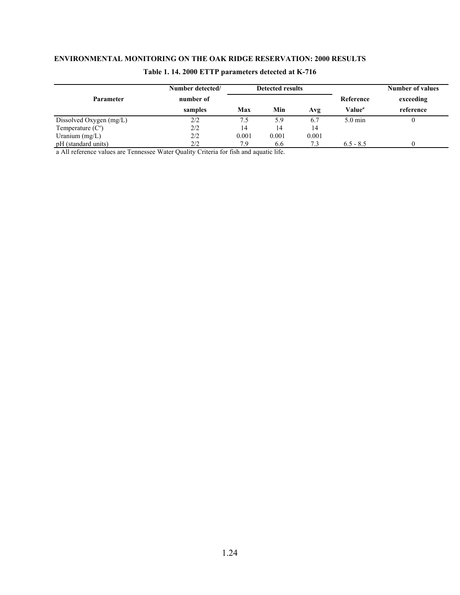|                           | Number detected/ |       | <b>Detected results</b> |       |                    | <b>Number of values</b> |  |
|---------------------------|------------------|-------|-------------------------|-------|--------------------|-------------------------|--|
| <b>Parameter</b>          | number of        |       |                         |       | Reference          | exceeding               |  |
|                           | samples          | Max   | Min                     | Avg   | Value <sup>a</sup> | reference               |  |
| Dissolved Oxygen $(mg/L)$ | 2/2              | 7.5   | 5.9                     | 6.7   | $5.0 \text{ min}$  |                         |  |
| Temperature $(Co)$        | 2/2              | 14    | 14                      | 14    |                    |                         |  |
| Uranium $(mg/L)$          | 2/2              | 0.001 | 0.001                   | 0.001 |                    |                         |  |
| pH (standard units)       | 2/2              | 7.9   | 6.6                     |       | $6.5 - 8.5$        |                         |  |

# **Table 1. 14. 2000 ETTP parameters detected at K-716**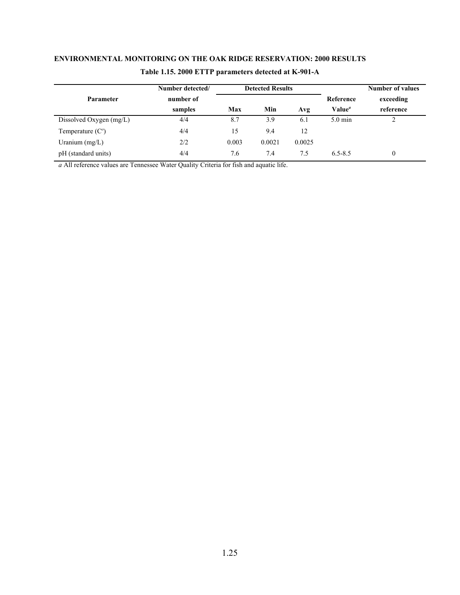|                           | Number detected/ |       | <b>Detected Results</b> |        |                           | <b>Number of values</b> |
|---------------------------|------------------|-------|-------------------------|--------|---------------------------|-------------------------|
| <b>Parameter</b>          | number of        |       |                         |        | Reference                 | exceeding               |
|                           | samples          | Max   | Min                     | Avg    | Value <sup><i>a</i></sup> | reference               |
| Dissolved Oxygen $(mg/L)$ | 4/4              | 8.7   | 3.9                     | 6.1    | $5.0 \text{ min}$         | ∠                       |
| Temperature $(Co)$        | 4/4              | 15    | 9.4                     | 12     |                           |                         |
| Uranium $(mg/L)$          | 2/2              | 0.003 | 0.0021                  | 0.0025 |                           |                         |
| pH (standard units)       | 4/4              | 7.6   | 7.4                     | 7.5    | $6.5 - 8.5$               | 0                       |

# **Table 1.15. 2000 ETTP parameters detected at K-901-A**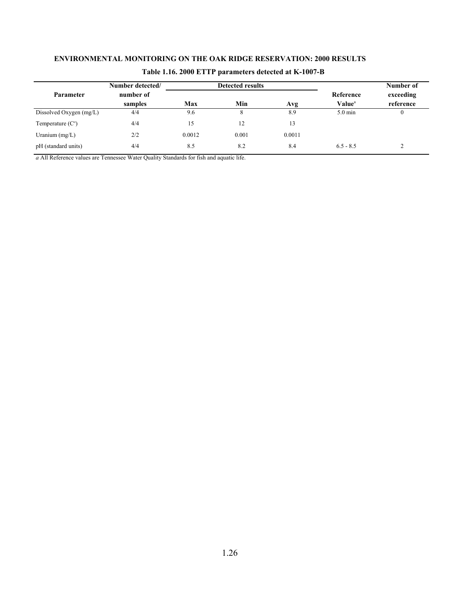|                         | Number detected/ |        | <b>Detected results</b> |        |                           | Number of         |
|-------------------------|------------------|--------|-------------------------|--------|---------------------------|-------------------|
| Parameter               | number of        |        |                         |        | Reference                 | exceeding         |
|                         | samples          | Max    | Min                     | Avg    | <b>Value</b> <sup>a</sup> | reference         |
| Dissolved Oxygen (mg/L) | 4/4              | 9.6    | 8                       | 8.9    | $5.0 \text{ min}$         | $\mathbf{0}$      |
| Temperature $(Co)$      | 4/4              | 15     | 12                      | 13     |                           |                   |
| Uranium $(mg/L)$        | 2/2              | 0.0012 | 0.001                   | 0.0011 |                           |                   |
| pH (standard units)     | 4/4              | 8.5    | 8.2                     | 8.4    | $6.5 - 8.5$               | $\mathbf{\hat{}}$ |

# **Table 1.16. 2000 ETTP parameters detected at K-1007-B**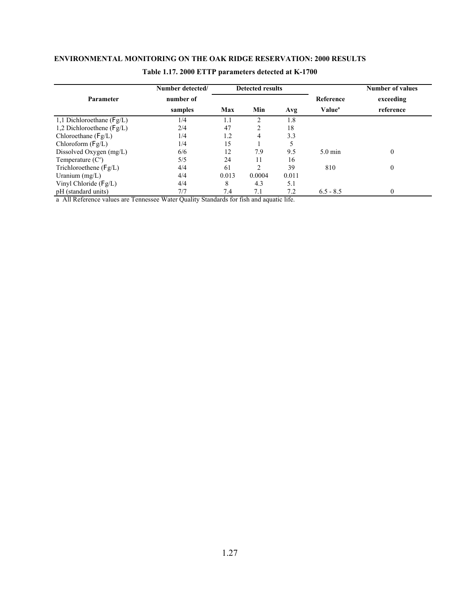|                               | Number detected/ |       | <b>Detected results</b> |       |                    | <b>Number of values</b> |
|-------------------------------|------------------|-------|-------------------------|-------|--------------------|-------------------------|
| <b>Parameter</b>              | number of        |       |                         |       | Reference          | exceeding               |
|                               | samples          | Max   | Min                     | Avg   | Value <sup>a</sup> | reference               |
| 1,1 Dichloroethane ( $Fg/L$ ) | 1/4              | 1.1   | $\mathcal{D}$           | 1.8   |                    |                         |
| 1,2 Dichloroethene ( $Fg/L$ ) | 2/4              | 47    | 2                       | 18    |                    |                         |
| Chloroethane $(Fg/L)$         | 1/4              | 1.2   | 4                       | 3.3   |                    |                         |
| Chloroform $(Fg/L)$           | 1/4              | 15    |                         |       |                    |                         |
| Dissolved Oxygen $(mg/L)$     | 6/6              | 12    | 7.9                     | 9.5   | $5.0 \text{ min}$  | $\theta$                |
| Temperature $(Co)$            | 5/5              | 24    | 11                      | 16    |                    |                         |
| Trichloroethene $(Fg/L)$      | 4/4              | 61    | $\overline{c}$          | 39    | 810                | $\theta$                |
| Uranium $(mg/L)$              | 4/4              | 0.013 | 0.0004                  | 0.011 |                    |                         |
| Vinyl Chloride (Fg/L)         | 4/4              | 8     | 4.3                     | 5.1   |                    |                         |
| pH (standard units)           | 7/7              | 7.4   | 7.1                     | 7.2   | $6.5 - 8.5$        | $\Omega$                |

# **Table 1.17. 2000 ETTP parameters detected at K-1700**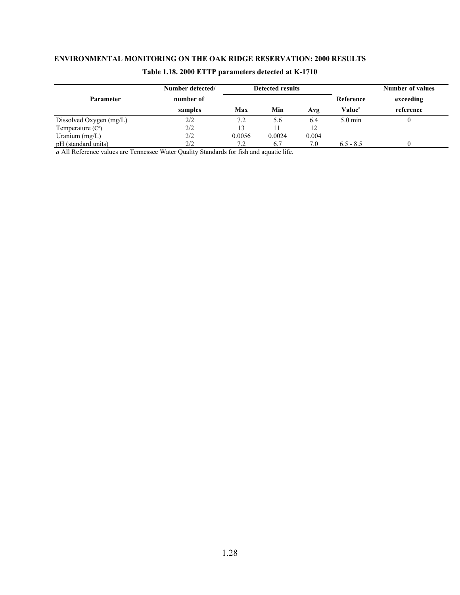|                           | Number detected/ |        | <b>Detected results</b> |       |                           | <b>Number of values</b> |
|---------------------------|------------------|--------|-------------------------|-------|---------------------------|-------------------------|
| Parameter                 | number of        |        |                         |       | Reference                 | exceeding               |
|                           | samples          | Max    | Min                     | Avg   | <b>Value</b> <sup>a</sup> | reference               |
| Dissolved Oxygen $(mg/L)$ | 2/2              | 7.2    | 5.6                     | 6.4   | $5.0 \text{ min}$         |                         |
| Temperature $(C^{\circ})$ | 2/2              | 13     |                         |       |                           |                         |
| Uranium $(mg/L)$          | 2/2              | 0.0056 | 0.0024                  | 0.004 |                           |                         |
| pH (standard units)       | 2/2              | 7.2    | 6.7                     | 7.0   | $6.5 - 8.5$               |                         |

# **Table 1.18. 2000 ETTP parameters detected at K-1710**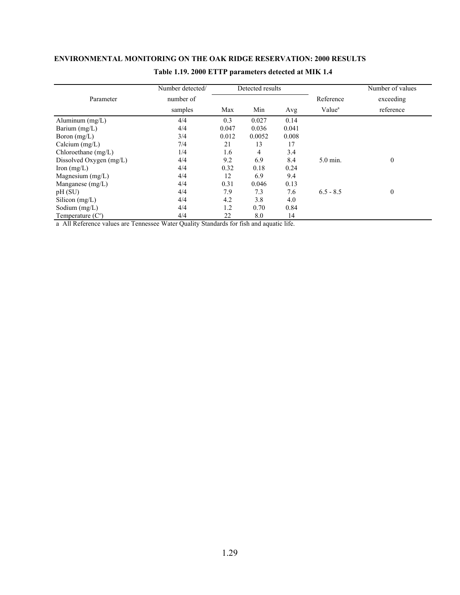|                         | Number detected/ | Detected results |        |       | Number of values   |              |
|-------------------------|------------------|------------------|--------|-------|--------------------|--------------|
| Parameter               | number of        |                  |        |       | Reference          | exceeding    |
|                         | samples          | Max              | Min    | Avg   | Value <sup>a</sup> | reference    |
| Aluminum $(mg/L)$       | 4/4              | 0.3              | 0.027  | 0.14  |                    |              |
| Barium $(mg/L)$         | 4/4              | 0.047            | 0.036  | 0.041 |                    |              |
| Boron $(mg/L)$          | 3/4              | 0.012            | 0.0052 | 0.008 |                    |              |
| Calcium $(mg/L)$        | 7/4              | 21               | 13     | 17    |                    |              |
| Chloroethane $(mg/L)$   | 1/4              | 1.6              | 4      | 3.4   |                    |              |
| Dissolved Oxygen (mg/L) | 4/4              | 9.2              | 6.9    | 8.4   | 5.0 min.           | $\mathbf{0}$ |
| Iron $(mg/L)$           | 4/4              | 0.32             | 0.18   | 0.24  |                    |              |
| Magnesium $(mg/L)$      | 4/4              | 12               | 6.9    | 9.4   |                    |              |
| Manganese $(mg/L)$      | 4/4              | 0.31             | 0.046  | 0.13  |                    |              |
| pH(SU)                  | 4/4              | 7.9              | 7.3    | 7.6   | $6.5 - 8.5$        | $\mathbf{0}$ |
| Silicon $(mg/L)$        | 4/4              | 4.2              | 3.8    | 4.0   |                    |              |
| Sodium $(mg/L)$         | 4/4              | 1.2              | 0.70   | 0.84  |                    |              |
| Temperature $(Co)$      | 4/4              | 22               | 8.0    | 14    |                    |              |

# **Table 1.19. 2000 ETTP parameters detected at MIK 1.4**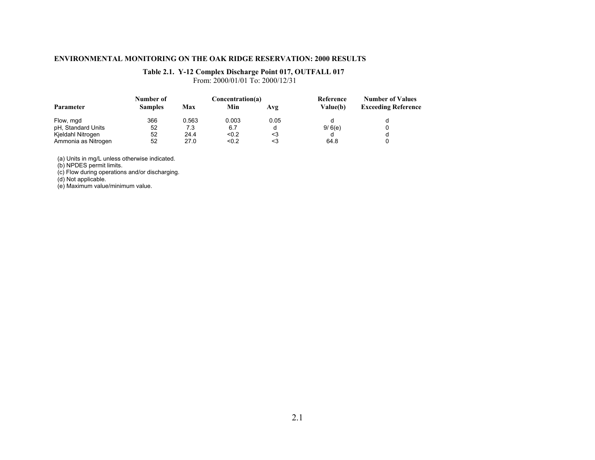#### **Table 2.1. Y-12 Complex Discharge Point 017, OUTFALL 017**

From: 2000/01/01 To: 2000/12/31

|                     | Number of      |       | Concentration(a) |      | Reference<br>Value(b) | <b>Number of Values</b><br><b>Exceeding Reference</b> |
|---------------------|----------------|-------|------------------|------|-----------------------|-------------------------------------------------------|
| Parameter           | <b>Samples</b> | Max   | Min              | Avg  |                       |                                                       |
| Flow, mgd           | 366            | 0.563 | 0.003            | 0.05 |                       |                                                       |
| pH, Standard Units  | 52             | 7.3   | 6.7              |      | 9/6(e)                |                                                       |
| Kjeldahl Nitrogen   | 52             | 24.4  | < 0.2            | <3   |                       |                                                       |
| Ammonia as Nitrogen | 52             | 27.0  | < 0.2            |      | 64.8                  |                                                       |

(a) Units in mg/L unless otherwise indicated.

(b) NPDES permit limits.

(c) Flow during operations and/or discharging.

(d) Not applicable.

(e) Maximum value/minimum value.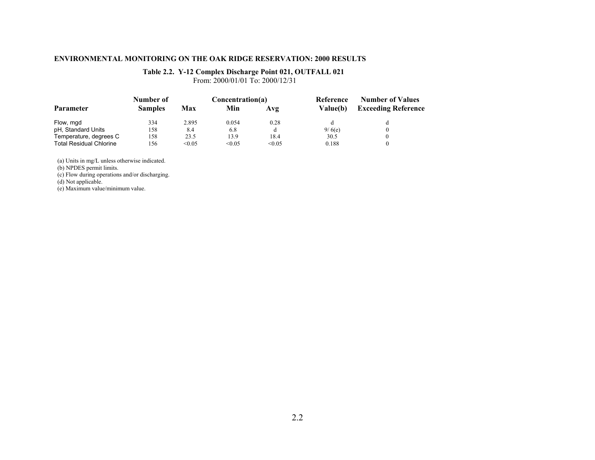#### **Table 2.2. Y-12 Complex Discharge Point 021, OUTFALL 021**

From: 2000/01/01 To: 2000/12/31

|                                | Number of      |        | Concentration(a) |        | Reference<br><b>Value(b)</b> | <b>Number of Values</b><br><b>Exceeding Reference</b> |
|--------------------------------|----------------|--------|------------------|--------|------------------------------|-------------------------------------------------------|
| Parameter                      | <b>Samples</b> | Max    | Min              | Avg    |                              |                                                       |
| Flow, mgd                      | 334            | 2.895  | 0.054            | 0.28   |                              |                                                       |
| pH, Standard Units             | 158            | 8.4    | 6.8              |        | 9/6(e)                       |                                                       |
| Temperature, degrees C         | 158            | 23.5   | 13.9             | 18.4   | 30.5                         |                                                       |
| <b>Total Residual Chlorine</b> | 156            | < 0.05 | < 0.05           | < 0.05 | 0.188                        |                                                       |

(a) Units in mg/L unless otherwise indicated.

(b) NPDES permit limits.

(c) Flow during operations and/or discharging.

(d) Not applicable.

(e) Maximum value/minimum value.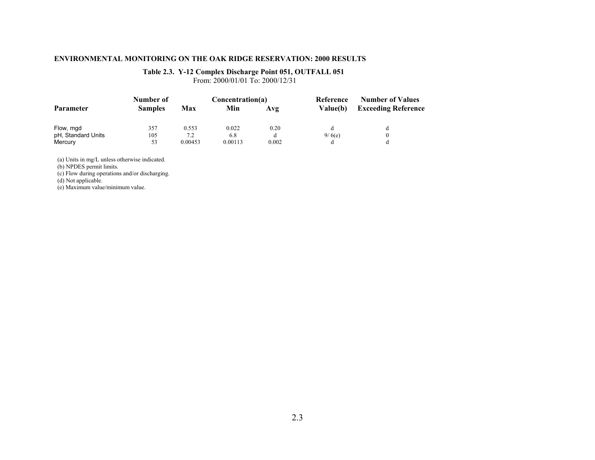### **Table 2.3. Y-12 Complex Discharge Point 051, OUTFALL 051**

From: 2000/01/01 To: 2000/12/31

|                    | Number of      |         | Concentration(a) |       | Reference       | <b>Number of Values</b>    |
|--------------------|----------------|---------|------------------|-------|-----------------|----------------------------|
| <b>Parameter</b>   | <b>Samples</b> | Max     | Min              | Avg   | <b>Value(b)</b> | <b>Exceeding Reference</b> |
| Flow, mgd          | 357            | 0.553   | 0.022            | 0.20  |                 |                            |
| pH, Standard Units | 105            | 7.2     | 6.8              |       | 9/6(e)          |                            |
| Mercury            | 53             | 0.00453 | 0.00113          | 0.002 |                 |                            |

(a) Units in mg/L unless otherwise indicated.

(b) NPDES permit limits.

(c) Flow during operations and/or discharging.

(d) Not applicable.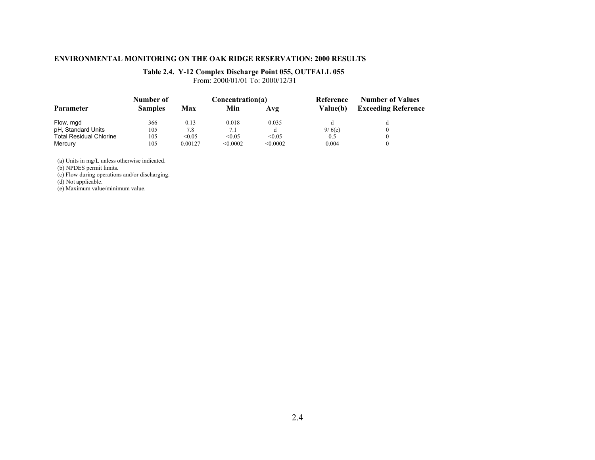### **Table 2.4. Y-12 Complex Discharge Point 055, OUTFALL 055**

From: 2000/01/01 To: 2000/12/31

|                                | Number of      |         | Concentration(a) |          | Reference<br><b>Value(b)</b> | <b>Number of Values</b><br><b>Exceeding Reference</b> |
|--------------------------------|----------------|---------|------------------|----------|------------------------------|-------------------------------------------------------|
| <b>Parameter</b>               | <b>Samples</b> | Max     | Min              | Avg      |                              |                                                       |
| Flow, mgd                      | 366            | 0.13    | 0.018            | 0.035    |                              |                                                       |
| pH, Standard Units             | 105            | 7.8     | 7.1              |          | 9/6(e)                       |                                                       |
| <b>Total Residual Chlorine</b> | 105            | < 0.05  | < 0.05           | < 0.05   | 0.5                          |                                                       |
| Mercury                        | 105            | 0.00127 | < 0.0002         | < 0.0002 | 0.004                        |                                                       |

(a) Units in mg/L unless otherwise indicated.

(b) NPDES permit limits.

(c) Flow during operations and/or discharging.

(d) Not applicable.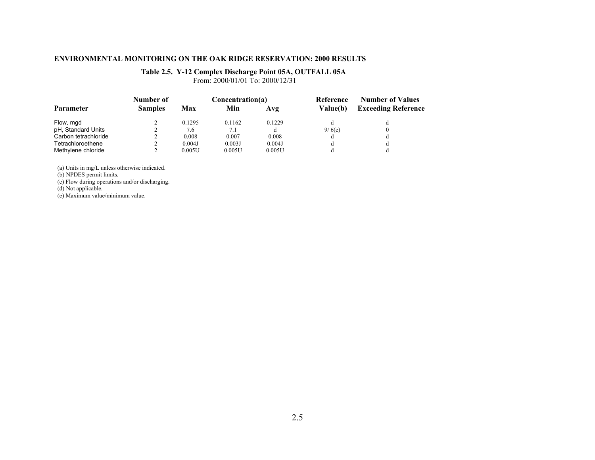### **Table 2.5. Y-12 Complex Discharge Point 05A, OUTFALL 05A**

From: 2000/01/01 To: 2000/12/31

|                      | Number of      |        | Concentration(a) |        | Reference<br><b>Value(b)</b> | <b>Number of Values</b><br><b>Exceeding Reference</b> |
|----------------------|----------------|--------|------------------|--------|------------------------------|-------------------------------------------------------|
| Parameter            | <b>Samples</b> | Max    | Min              | Avg    |                              |                                                       |
| Flow, mgd            |                | 0.1295 | 0.1162           | 0.1229 |                              |                                                       |
| pH, Standard Units   |                | 7.6    | 7.1              |        | 9/6(e)                       |                                                       |
| Carbon tetrachloride |                | 0.008  | 0.007            | 0.008  | d                            |                                                       |
| Tetrachloroethene    |                | 0.004J | 0.003J           | 0.004J | đ                            |                                                       |
| Methylene chloride   |                | 0.005U | 0.005U           | 0.005U |                              |                                                       |

(a) Units in mg/L unless otherwise indicated.

(b) NPDES permit limits.

(c) Flow during operations and/or discharging.

(d) Not applicable.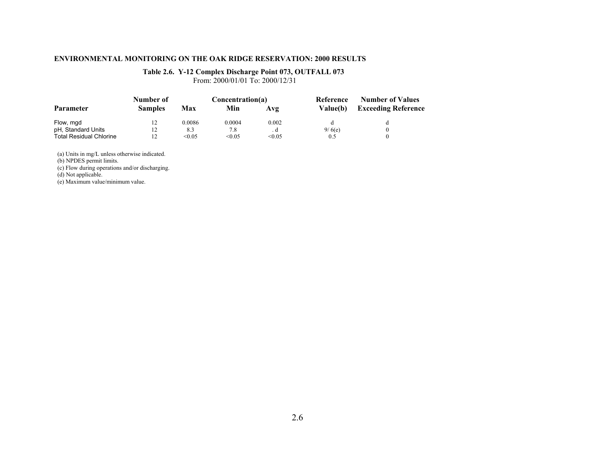### **Table 2.6. Y-12 Complex Discharge Point 073, OUTFALL 073**

From: 2000/01/01 To: 2000/12/31

|                                | Number of      |        | Concentration(a) |        | Reference<br>Value(b) | <b>Number of Values</b><br><b>Exceeding Reference</b> |
|--------------------------------|----------------|--------|------------------|--------|-----------------------|-------------------------------------------------------|
| Parameter                      | <b>Samples</b> | Max    | Min              | Avg    |                       |                                                       |
| Flow, mgd                      | 12             | 0.0086 | 0.0004           | 0.002  |                       |                                                       |
| pH, Standard Units             | 12             | 8.3    | 7.8              |        | 9/6(e)                |                                                       |
| <b>Total Residual Chlorine</b> |                | < 0.05 | < 0.05           | < 0.05 | 0.5                   |                                                       |

(a) Units in mg/L unless otherwise indicated.

(b) NPDES permit limits.

(c) Flow during operations and/or discharging.

(d) Not applicable.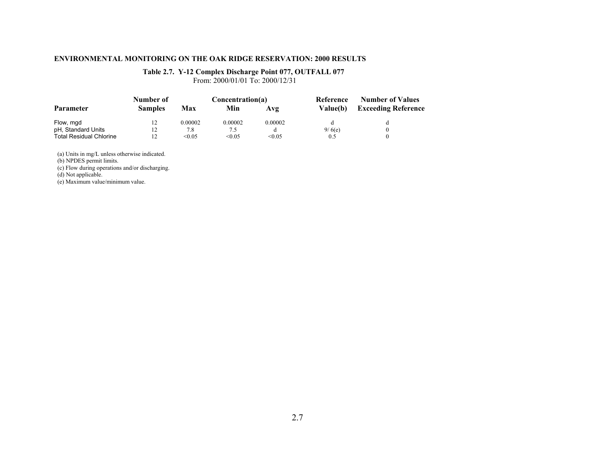### **Table 2.7. Y-12 Complex Discharge Point 077, OUTFALL 077**

From: 2000/01/01 To: 2000/12/31

|                                | Number of      | Concentration(a) |         |         | Reference | <b>Number of Values</b>    |
|--------------------------------|----------------|------------------|---------|---------|-----------|----------------------------|
| Parameter                      | <b>Samples</b> | Max              | Min     | Avg     | Value(b)  | <b>Exceeding Reference</b> |
| Flow, mgd                      | 12             | 0.00002          | 0.00002 | 0.00002 |           |                            |
| pH, Standard Units             | 12             | 7.8              | 7.5     |         | 9/6(e)    |                            |
| <b>Total Residual Chlorine</b> |                | < 0.05           | < 0.05  | < 0.05  | 0.5       |                            |

(a) Units in mg/L unless otherwise indicated.

(b) NPDES permit limits.

(c) Flow during operations and/or discharging.

(d) Not applicable.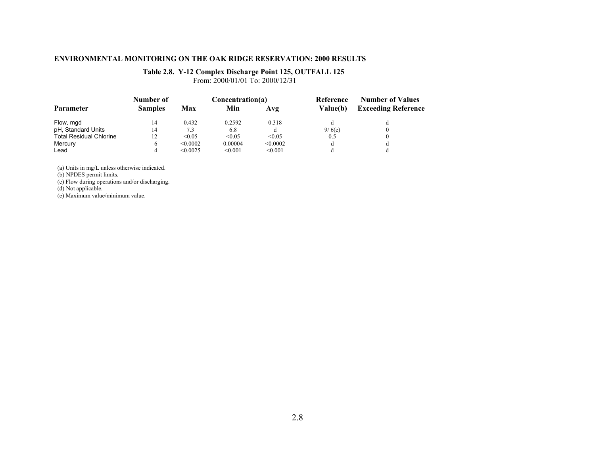### **Table 2.8. Y-12 Complex Discharge Point 125, OUTFALL 125**

From: 2000/01/01 To: 2000/12/31

|                                | Number of      |          | Concentration(a) |          |                 | <b>Number of Values</b>    |
|--------------------------------|----------------|----------|------------------|----------|-----------------|----------------------------|
| Parameter                      | <b>Samples</b> | Max      | Min              | Avg      | <b>Value(b)</b> | <b>Exceeding Reference</b> |
| Flow, mgd                      | 14             | 0.432    | 0.2592           | 0.318    |                 |                            |
| pH, Standard Units             | 14             | 7.3      | 6.8              |          | 9/6(e)          |                            |
| <b>Total Residual Chlorine</b> | 12             | < 0.05   | < 0.05           | < 0.05   | 0.5             |                            |
| Mercury                        |                | < 0.0002 | 0.00004          | < 0.0002 | d               |                            |
| Lead                           |                | < 0.0025 | < 0.001          | < 0.001  |                 |                            |

(a) Units in mg/L unless otherwise indicated.

(b) NPDES permit limits.

(c) Flow during operations and/or discharging.

(d) Not applicable.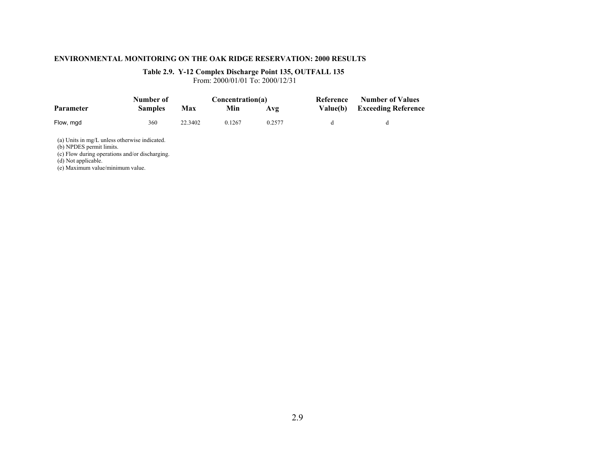### **Table 2.9. Y-12 Complex Discharge Point 135, OUTFALL 135**

From: 2000/01/01 To: 2000/12/31

|                                                                                                                                                                                        | Number of      | Concentration(a) |        |        | Reference | <b>Number of Values</b>    |
|----------------------------------------------------------------------------------------------------------------------------------------------------------------------------------------|----------------|------------------|--------|--------|-----------|----------------------------|
| <b>Parameter</b>                                                                                                                                                                       | <b>Samples</b> | Max              | Min    | Avg    | Value(b)  | <b>Exceeding Reference</b> |
| Flow, mgd                                                                                                                                                                              | 360            | 22.3402          | 0.1267 | 0.2577 | d         | đ                          |
| (a) Units in mg/L unless otherwise indicated.<br>(b) NPDES permit limits.<br>(c) Flow during operations and/or discharging.<br>(d) Not applicable.<br>(e) Maximum value/minimum value. |                |                  |        |        |           |                            |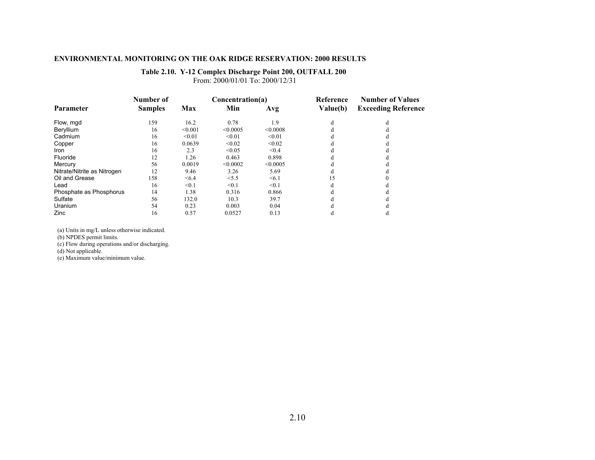# **Table 2.10. Y-12 Complex Discharge Point 200, OUTFALL 200**

From: 2000/01/01 To: 2000/12/31

|                             | Number of      |         | Concentration(a) |            | Reference<br>Value(b) | <b>Number of Values</b><br><b>Exceeding Reference</b> |
|-----------------------------|----------------|---------|------------------|------------|-----------------------|-------------------------------------------------------|
| <b>Parameter</b>            | <b>Samples</b> | Max     | Min              | Avg        |                       |                                                       |
| Flow, mgd                   | 159            | 16.2    | 0.78             | 1.9        | d                     |                                                       |
| Beryllium                   | 16             | < 0.001 | < 0.0005         | < 0.0008   |                       |                                                       |
| Cadmium                     | 16             | < 0.01  | < 0.01           | < 0.01     | Л                     |                                                       |
| Copper                      | 16             | 0.0639  | < 0.02           | < 0.02     |                       |                                                       |
| Iron                        | 16             | 2.3     | < 0.05           | < 0.4      |                       |                                                       |
| Fluoride                    | 12             | 1.26    | 0.463            | 0.898      | đ                     |                                                       |
| Mercury                     | 56             | 0.0019  | < 0.0002         | < 0.0005   |                       |                                                       |
| Nitrate/Nitrite as Nitrogen | 12             | 9.46    | 3.26             | 5.69       |                       |                                                       |
| Oil and Grease              | 158            | < 6.4   | < 5.5            | $\leq 6.1$ | 15                    |                                                       |
| Lead                        | 16             | < 0.1   | < 0.1            | < 0.1      | C                     |                                                       |
| Phosphate as Phosphorus     | 14             | 1.38    | 0.316            | 0.866      |                       |                                                       |
| Sulfate                     | 56             | 132.0   | 10.3             | 39.7       |                       |                                                       |
| Uranium                     | 54             | 0.23    | 0.003            | 0.04       |                       |                                                       |
| Zinc                        | 16             | 0.57    | 0.0527           | 0.13       |                       |                                                       |

(a) Units in mg/L unless otherwise indicated.

(b) NPDES permit limits.

(c) Flow during operations and/or discharging.

(d) Not applicable.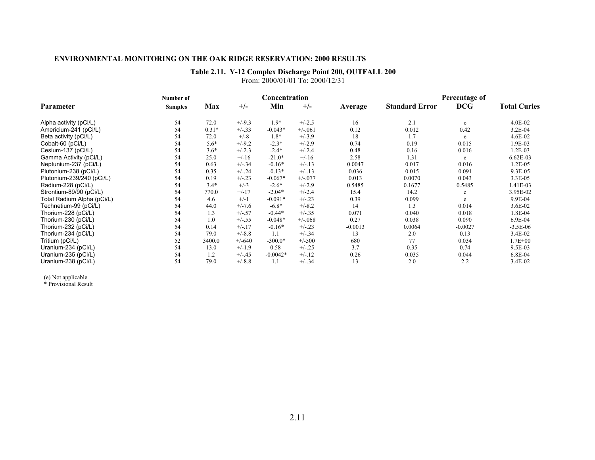### **Table 2.11. Y-12 Complex Discharge Point 200, OUTFALL 200**

From: 2000/01/01 To: 2000/12/31

|                            | Number of      |         | Concentration |            |           |           | Percentage of         |            |                     |
|----------------------------|----------------|---------|---------------|------------|-----------|-----------|-----------------------|------------|---------------------|
| <b>Parameter</b>           | <b>Samples</b> | Max     | $+/-$         | Min        | $+/-$     | Average   | <b>Standard Error</b> | <b>DCG</b> | <b>Total Curies</b> |
| Alpha activity (pCi/L)     | 54             | 72.0    | $+/-9.3$      | $1.9*$     | $+/-2.5$  | 16        | 2.1                   | e          | $4.0E - 02$         |
| Americium-241 (pCi/L)      | 54             | $0.31*$ | $+/-.33$      | $-0.043*$  | $+/-.061$ | 0.12      | 0.012                 | 0.42       | 3.2E-04             |
| Beta activity (pCi/L)      | 54             | 72.0    | $+/-8$        | $1.8*$     | $+/-3.9$  | 18        | 1.7                   | e          | 4.6E-02             |
| Cobalt-60 (pCi/L)          | 54             | $5.6*$  | $+/-9.2$      | $-2.3*$    | $+/-2.9$  | 0.74      | 0.19                  | 0.015      | 1.9E-03             |
| Cesium-137 (pCi/L)         | 54             | $3.6*$  | $+/-2.3$      | $-2.4*$    | $+/-2.4$  | 0.48      | 0.16                  | 0.016      | 1.2E-03             |
| Gamma Activity (pCi/L)     | 54             | 25.0    | $+/-16$       | $-21.0*$   | $+/-16$   | 2.58      | 1.31                  | e          | $6.62E-03$          |
| Neptunium-237 (pCi/L)      | 54             | 0.63    | $+/-.34$      | $-0.16*$   | $+/-13$   | 0.0047    | 0.017                 | 0.016      | 1.2E-05             |
| Plutonium-238 (pCi/L)      | 54             | 0.35    | $+/-.24$      | $-0.13*$   | $+/-13$   | 0.036     | 0.015                 | 0.091      | 9.3E-05             |
| Plutonium-239/240 (pCi/L)  | 54             | 0.19    | $+/-.23$      | $-0.067*$  | $+/-077$  | 0.013     | 0.0070                | 0.043      | 3.3E-05             |
| Radium-228 (pCi/L)         | 54             | $3.4*$  | $+/-3$        | $-2.6*$    | $+/-2.9$  | 0.5485    | 0.1677                | 0.5485     | 1.41E-03            |
| Strontium-89/90 (pCi/L)    | 54             | 770.0   | $+/-17$       | $-2.04*$   | $+/-2.4$  | 15.4      | 14.2                  | e          | 3.95E-02            |
| Total Radium Alpha (pCi/L) | 54             | 4.6     | $+/-1$        | $-0.091*$  | $+/-23$   | 0.39      | 0.099                 | e          | 9.9E-04             |
| Technetium-99 (pCi/L)      | 54             | 44.0    | $+/-7.6$      | $-6.8*$    | $+/-8.2$  | 14        | 1.3                   | 0.014      | 3.6E-02             |
| Thorium-228 (pCi/L)        | 54             | 1.3     | $+/-.57$      | $-0.44*$   | $+/-.35$  | 0.071     | 0.040                 | 0.018      | 1.8E-04             |
| Thorium-230 (pCi/L)        | 54             | 1.0     | $+/-.55$      | $-0.048*$  | $+/-068$  | 0.27      | 0.038                 | 0.090      | 6.9E-04             |
| Thorium-232 (pCi/L)        | 54             | 0.14    | $+/-17$       | $-0.16*$   | $+/-23$   | $-0.0013$ | 0.0064                | $-0.0027$  | $-3.5E-06$          |
| Thorium-234 (pCi/L)        | 54             | 79.0    | $+/-8.8$      | 1.1        | $+/-.34$  | 13        | 2.0                   | 0.13       | 3.4E-02             |
| Tritium (pCi/L)            | 52             | 3400.0  | $+/-640$      | $-300.0*$  | $+/-500$  | 680       | 77                    | 0.034      | $1.7E + 00$         |
| Uranium-234 (pCi/L)        | 54             | 13.0    | $+/-1.9$      | 0.58       | $+/-.25$  | 3.7       | 0.35                  | 0.74       | 9.5E-03             |
| Uranium-235 (pCi/L)        | 54             | 1.2     | $+/-.45$      | $-0.0042*$ | $+/-.12$  | 0.26      | 0.035                 | 0.044      | 6.8E-04             |
| Uranium-238 (pCi/L)        | 54             | 79.0    | $+/-8.8$      | 1.1        | $+/-.34$  | 13        | 2.0                   | 2.2        | 3.4E-02             |

(e) Not applicable \* Provisional Result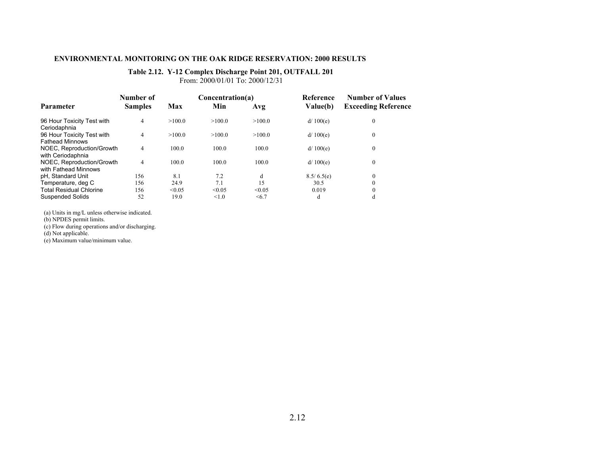### **Table 2.12. Y-12 Complex Discharge Point 201, OUTFALL 201**

From: 2000/01/01 To: 2000/12/31

|                                                      | Number of      |        | Concentration(a) |        | <b>Reference</b><br>Value(b) | <b>Number of Values</b><br><b>Exceeding Reference</b> |
|------------------------------------------------------|----------------|--------|------------------|--------|------------------------------|-------------------------------------------------------|
| <b>Parameter</b>                                     | <b>Samples</b> | Max    | Min              | Avg    |                              |                                                       |
| 96 Hour Toxicity Test with<br>Ceriodaphnia           | 4              | >100.0 | >100.0           | >100.0 | d/100(e)                     | $\mathbf{0}$                                          |
| 96 Hour Toxicity Test with<br><b>Fathead Minnows</b> | 4              | >100.0 | >100.0           | >100.0 | d/100(e)                     | $\mathbf{0}$                                          |
| NOEC, Reproduction/Growth<br>with Ceriodaphnia       | 4              | 100.0  | 100.0            | 100.0  | d/100(e)                     | $\mathbf{0}$                                          |
| NOEC, Reproduction/Growth<br>with Fathead Minnows    | 4              | 100.0  | 100.0            | 100.0  | d/100(e)                     | $\mathbf{0}$                                          |
| pH. Standard Unit                                    | 156            | 8.1    | 7.2              | d      | 8.5/6.5(e)                   | $\theta$                                              |
| Temperature, deg C                                   | 156            | 24.9   | 7.1              | 15     | 30.5                         | $\theta$                                              |
| <b>Total Residual Chlorine</b>                       | 156            | < 0.05 | < 0.05           | < 0.05 | 0.019                        | $\theta$                                              |
| <b>Suspended Solids</b>                              | 52             | 19.0   | < 1.0            | < 6.7  | d                            | d                                                     |

(a) Units in mg/L unless otherwise indicated.

(b) NPDES permit limits.

(c) Flow during operations and/or discharging.

(d) Not applicable.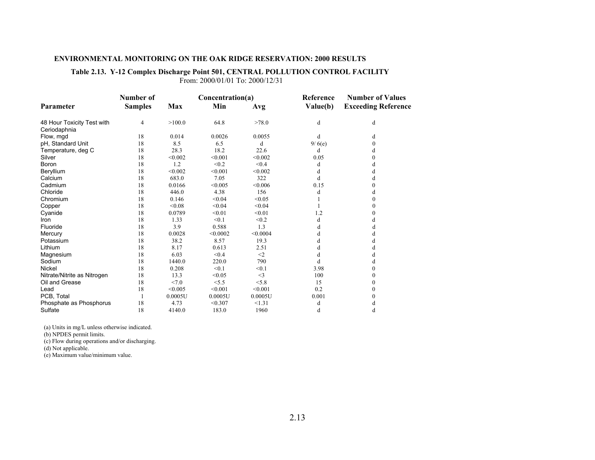### **Table 2.13. Y-12 Complex Discharge Point 501, CENTRAL POLLUTION CONTROL FACILITY**

From: 2000/01/01 To: 2000/12/31

|                             | Number of      |         | Concentration(a) |          | Reference | <b>Number of Values</b>    |
|-----------------------------|----------------|---------|------------------|----------|-----------|----------------------------|
| Parameter                   | <b>Samples</b> | Max     | Min              | Avg      | Value(b)  | <b>Exceeding Reference</b> |
| 48 Hour Toxicity Test with  | $\overline{4}$ | >100.0  | 64.8             | >78.0    | d         | d                          |
| Ceriodaphnia                |                |         |                  |          |           |                            |
| Flow, mgd                   | 18             | 0.014   | 0.0026           | 0.0055   | d         | d                          |
| pH, Standard Unit           | 18             | 8.5     | 6.5              | d        | 9/6(e)    | 0                          |
| Temperature, deg C          | 18             | 28.3    | 18.2             | 22.6     | d         | d                          |
| Silver                      | 18             | < 0.002 | < 0.001          | < 0.002  | 0.05      | 0                          |
| Boron                       | 18             | 1.2     | < 0.2            | < 0.4    | d         | d                          |
| Beryllium                   | 18             | < 0.002 | < 0.001          | < 0.002  | d         | d                          |
| Calcium                     | 18             | 683.0   | 7.05             | 322      | d         | d                          |
| Cadmium                     | 18             | 0.0166  | < 0.005          | < 0.006  | 0.15      | 0                          |
| Chloride                    | 18             | 446.0   | 4.38             | 156      | d         | d                          |
| Chromium                    | 18             | 0.146   | < 0.04           | < 0.05   |           | 0                          |
| Copper                      | 18             | < 0.08  | < 0.04           | < 0.04   |           |                            |
| Cyanide                     | 18             | 0.0789  | < 0.01           | < 0.01   | 1.2       |                            |
| Iron                        | 18             | 1.33    | < 0.1            | < 0.2    | d         | đ                          |
| Fluoride                    | 18             | 3.9     | 0.588            | 1.3      | d         |                            |
| Mercury                     | 18             | 0.0028  | < 0.0002         | < 0.0004 | d         | d                          |
| Potassium                   | 18             | 38.2    | 8.57             | 19.3     | d         | đ                          |
| Lithium                     | 18             | 8.17    | 0.613            | 2.51     | d         |                            |
| Magnesium                   | 18             | 6.03    | < 0.4            | $\leq$ 2 | d         | d                          |
| Sodium                      | 18             | 1440.0  | 220.0            | 790      | d         | d                          |
| Nickel                      | 18             | 0.208   | < 0.1            | < 0.1    | 3.98      |                            |
| Nitrate/Nitrite as Nitrogen | 18             | 13.3    | < 0.05           | $\leq$ 3 | 100       | 0                          |
| Oil and Grease              | 18             | < 7.0   | < 5.5            | < 5.8    | 15        |                            |
| Lead                        | 18             | < 0.005 | < 0.001          | < 0.001  | 0.2       | 0                          |
| PCB, Total                  |                | 0.0005U | 0.0005U          | 0.0005U  | 0.001     |                            |
| Phosphate as Phosphorus     | 18             | 4.73    | < 0.307          | < 1.31   | d         | d                          |
| Sulfate                     | 18             | 4140.0  | 183.0            | 1960     | d         | d                          |

(a) Units in mg/L unless otherwise indicated.

(b) NPDES permit limits.

(c) Flow during operations and/or discharging.

(d) Not applicable.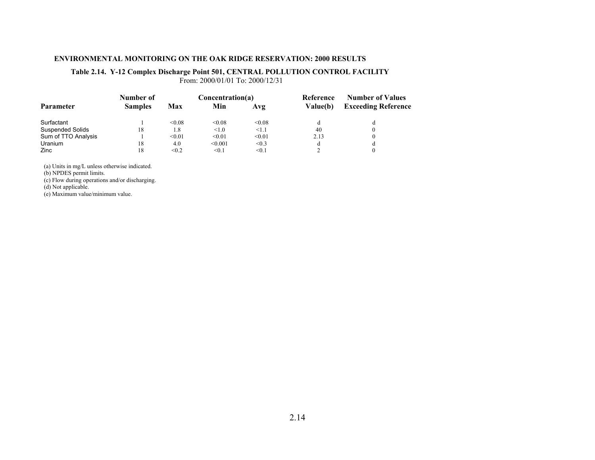# **Table 2.14. Y-12 Complex Discharge Point 501, CENTRAL POLLUTION CONTROL FACILITY**

From: 2000/01/01 To: 2000/12/31

|                         | Number of      |        | Concentration(a) |            | Reference       | <b>Number of Values</b>    |
|-------------------------|----------------|--------|------------------|------------|-----------------|----------------------------|
| <b>Parameter</b>        | <b>Samples</b> | Max    | Min              | Avg        | <b>Value(b)</b> | <b>Exceeding Reference</b> |
| Surfactant              |                | &0.08  | < 0.08           | < 0.08     |                 |                            |
| <b>Suspended Solids</b> | 18             | 1.8    | < 1.0            | $\leq 1.1$ | 40              |                            |
| Sum of TTO Analysis     |                | < 0.01 | < 0.01           | < 0.01     | 2.13            |                            |
| Uranium                 | 18             | 4.0    | < 0.001          | < 0.3      |                 |                            |
| Zinc                    | 18             | < 0.2  | < 0.1            | < 0.1      |                 |                            |

(a) Units in mg/L unless otherwise indicated.

(b) NPDES permit limits.

(c) Flow during operations and/or discharging.

(d) Not applicable.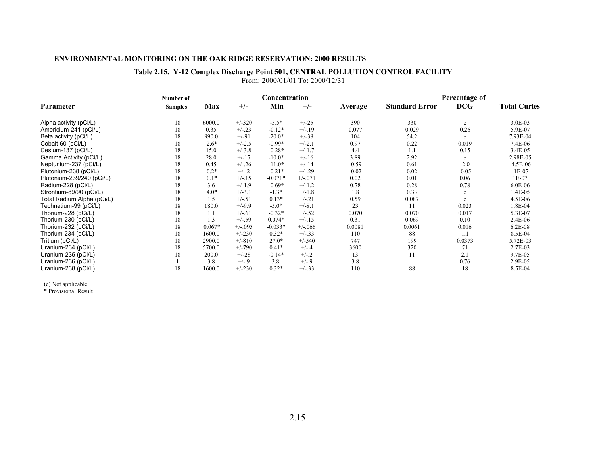### **Table 2.15. Y-12 Complex Discharge Point 501, CENTRAL POLLUTION CONTROL FACILITY** From: 2000/01/01 To: 2000/12/31

|                            | Number of      |          |            | Concentration |          |         | Percentage of         |            |                     |
|----------------------------|----------------|----------|------------|---------------|----------|---------|-----------------------|------------|---------------------|
| Parameter                  | <b>Samples</b> | Max      | $+/-$      | Min           | $+/-$    | Average | <b>Standard Error</b> | <b>DCG</b> | <b>Total Curies</b> |
| Alpha activity (pCi/L)     | 18             | 6000.0   | $+/-320$   | $-5.5*$       | $+/-25$  | 390     | 330                   | e          | 3.0E-03             |
| Americium-241 (pCi/L)      | 18             | 0.35     | $+/-23$    | $-0.12*$      | $+/-19$  | 0.077   | 0.029                 | 0.26       | 5.9E-07             |
| Beta activity (pCi/L)      | 18             | 990.0    | $+/-91$    | $-20.0*$      | $+/-38$  | 104     | 54.2                  | e          | 7.93E-04            |
| Cobalt-60 (pCi/L)          | 18             | $2.6*$   | $+/-2.5$   | $-0.99*$      | $+/-2.1$ | 0.97    | 0.22                  | 0.019      | 7.4E-06             |
| Cesium-137 (pCi/L)         | 18             | 15.0     | $+/-3.8$   | $-0.28*$      | $+/-1.7$ | 4.4     | 1.1                   | 0.15       | 3.4E-05             |
| Gamma Activity (pCi/L)     | 18             | 28.0     | $+/-17$    | $-10.0*$      | $+/-16$  | 3.89    | 2.92                  | e          | 2.98E-05            |
| Neptunium-237 (pCi/L)      | 18             | 0.45     | $+/-.26$   | $-11.0*$      | $+/-14$  | $-0.59$ | 0.61                  | $-2.0$     | $-4.5E-06$          |
| Plutonium-238 (pCi/L)      | 18             | $0.2*$   | $+/-.2$    | $-0.21*$      | $+/-.29$ | $-0.02$ | 0.02                  | $-0.05$    | $-1E-07$            |
| Plutonium-239/240 (pCi/L)  | 18             | $0.1*$   | $+/-15$    | $-0.071*$     | $+/-071$ | 0.02    | 0.01                  | 0.06       | 1E-07               |
| Radium-228 (pCi/L)         | 18             | 3.6      | $+/-1.9$   | $-0.69*$      | $+/-1.2$ | 0.78    | 0.28                  | 0.78       | 6.0E-06             |
| Strontium-89/90 (pCi/L)    | 18             | $4.0*$   | $+/-3.1$   | $-1.3*$       | $+/-1.8$ | 1.8     | 0.33                  | e          | 1.4E-05             |
| Total Radium Alpha (pCi/L) | 18             | 1.5      | $+/-.51$   | $0.13*$       | $+/-.21$ | 0.59    | 0.087                 | e          | 4.5E-06             |
| Technetium-99 (pCi/L)      | 18             | 180.0    | $+/-9.9$   | $-5.0*$       | $+/-8.1$ | 23      | 11                    | 0.023      | 1.8E-04             |
| Thorium-228 (pCi/L)        | 18             | 1.1      | $+/-.61$   | $-0.32*$      | $+/-.52$ | 0.070   | 0.070                 | 0.017      | 5.3E-07             |
| Thorium-230 (pCi/L)        | 18             | 1.3      | $+/-.59$   | $0.074*$      | $+/-15$  | 0.31    | 0.069                 | 0.10       | 2.4E-06             |
| Thorium-232 (pCi/L)        | 18             | $0.067*$ | $+/-0.095$ | $-0.033*$     | $+/-066$ | 0.0081  | 0.0061                | 0.016      | $6.2E-08$           |
| Thorium-234 (pCi/L)        | 18             | 1600.0   | $+/-230$   | $0.32*$       | $+/-.33$ | 110     | 88                    | 1.1        | 8.5E-04             |
| Tritium (pCi/L)            | 18             | 2900.0   | $+/-810$   | $27.0*$       | $+/-540$ | 747     | 199                   | 0.0373     | 5.72E-03            |
| Uranium-234 (pCi/L)        | 18             | 5700.0   | $+/-790$   | $0.41*$       | $+/-.4$  | 3600    | 320                   | 71         | 2.7E-03             |
| Uranium-235 (pCi/L)        | 18             | 200.0    | $+/-28$    | $-0.14*$      | $+/-.2$  | 13      | 11                    | 2.1        | 9.7E-05             |
| Uranium-236 (pCi/L)        |                | 3.8      | $+/-9$     | 3.8           | $+/-9$   | 3.8     |                       | 0.76       | 2.9E-05             |
| Uranium-238 (pCi/L)        | 18             | 1600.0   | $+/-230$   | $0.32*$       | $+/-.33$ | 110     | 88                    | 18         | 8.5E-04             |

(e) Not applicable \* Provisional Result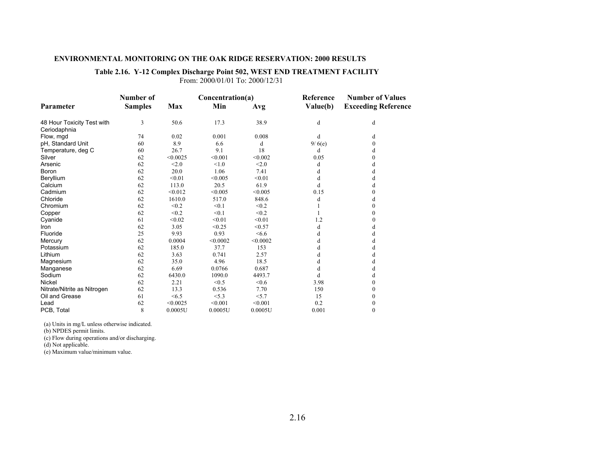### **Table 2.16. Y-12 Complex Discharge Point 502, WEST END TREATMENT FACILITY**

From: 2000/01/01 To: 2000/12/31

|                             | Number of      |          | Concentration(a) |          | Reference | <b>Number of Values</b>    |  |
|-----------------------------|----------------|----------|------------------|----------|-----------|----------------------------|--|
| Parameter                   | <b>Samples</b> | Max      | Min              | Avg      | Value(b)  | <b>Exceeding Reference</b> |  |
| 48 Hour Toxicity Test with  | 3              | 50.6     | 17.3             | 38.9     | d         | d                          |  |
| Ceriodaphnia                |                |          |                  |          |           |                            |  |
| Flow, mgd                   | 74             | 0.02     | 0.001            | 0.008    | d         | d                          |  |
| pH, Standard Unit           | 60             | 8.9      | 6.6              | d        | 9/6(e)    | $\theta$                   |  |
| Temperature, deg C          | 60             | 26.7     | 9.1              | 18       | d         | d                          |  |
| Silver                      | 62             | < 0.0025 | < 0.001          | < 0.002  | 0.05      | 0                          |  |
| Arsenic                     | 62             | < 2.0    | < 1.0            | < 2.0    | d         | d                          |  |
| Boron                       | 62             | 20.0     | 1.06             | 7.41     | d         | d                          |  |
| Beryllium                   | 62             | < 0.01   | < 0.005          | < 0.01   | d         | d                          |  |
| Calcium                     | 62             | 113.0    | 20.5             | 61.9     | d         | d                          |  |
| Cadmium                     | 62             | < 0.012  | < 0.005          | < 0.005  | 0.15      | 0                          |  |
| Chloride                    | 62             | 1610.0   | 517.0            | 848.6    | d         | d                          |  |
| Chromium                    | 62             | < 0.2    | < 0.1            | < 0.2    |           | 0                          |  |
| Copper                      | 62             | < 0.2    | < 0.1            | < 0.2    |           | $\theta$                   |  |
| Cyanide                     | 61             | < 0.02   | < 0.01           | < 0.01   | 1.2       | 0                          |  |
| <b>Iron</b>                 | 62             | 3.05     | < 0.25           | < 0.57   | d         | d                          |  |
| Fluoride                    | 25             | 9.93     | 0.93             | <6.6     | d         | d                          |  |
| Mercury                     | 62             | 0.0004   | < 0.0002         | < 0.0002 | d         | d                          |  |
| Potassium                   | 62             | 185.0    | 37.7             | 153      | d         | d                          |  |
| Lithium                     | 62             | 3.63     | 0.741            | 2.57     | d         | d                          |  |
| Magnesium                   | 62             | 35.0     | 4.96             | 18.5     | d         | d                          |  |
| Manganese                   | 62             | 6.69     | 0.0766           | 0.687    | d         | d                          |  |
| Sodium                      | 62             | 6430.0   | 1090.0           | 4493.7   | d         | d                          |  |
| <b>Nickel</b>               | 62             | 2.21     | < 0.5            | < 0.6    | 3.98      | 0                          |  |
| Nitrate/Nitrite as Nitrogen | 62             | 13.3     | 0.536            | 7.70     | 150       | 0                          |  |
| Oil and Grease              | 61             | < 6.5    | < 5.3            | < 5.7    | 15        | 0                          |  |
| Lead                        | 62             | < 0.0025 | < 0.001          | < 0.001  | 0.2       | 0                          |  |
| PCB, Total                  | 8              | 0.0005U  | 0.0005U          | 0.0005U  | 0.001     | $\mathbf{0}$               |  |

(a) Units in mg/L unless otherwise indicated.

(b) NPDES permit limits.

(c) Flow during operations and/or discharging.

(d) Not applicable.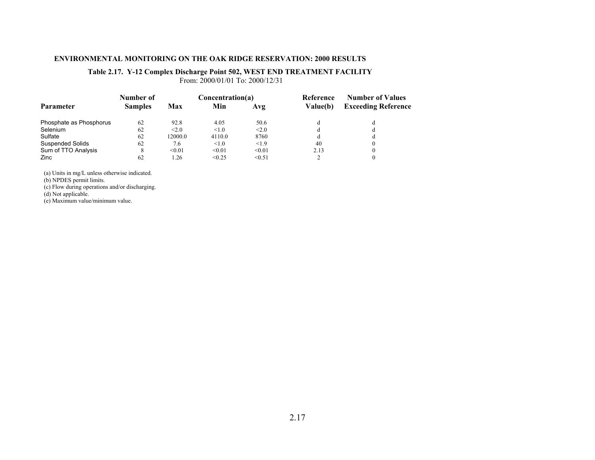### **Table 2.17. Y-12 Complex Discharge Point 502, WEST END TREATMENT FACILITY**

From: 2000/01/01 To: 2000/12/31

|                         | Number of      |         | Concentration(a) |            | Reference | <b>Number of Values</b>    |  |
|-------------------------|----------------|---------|------------------|------------|-----------|----------------------------|--|
| <b>Parameter</b>        | <b>Samples</b> | Max     | Min              | Avg        | Value(b)  | <b>Exceeding Reference</b> |  |
| Phosphate as Phosphorus | 62             | 92.8    | 4.05             | 50.6       | d         |                            |  |
| Selenium                | 62             | < 2.0   | $\leq 1.0$       | $\leq 2.0$ | d         |                            |  |
| Sulfate                 | 62             | 12000.0 | 4110.0           | 8760       | d         | đ                          |  |
| <b>Suspended Solids</b> | 62             | 7.6     | $\leq 1.0$       | <1.9       | 40        |                            |  |
| Sum of TTO Analysis     |                | < 0.01  | < 0.01           | < 0.01     | 2.13      |                            |  |
| Zinc                    | 62             | 1.26    | < 0.25           | < 0.51     | ◠         |                            |  |

(a) Units in mg/L unless otherwise indicated.

(b) NPDES permit limits.

(c) Flow during operations and/or discharging.

(d) Not applicable.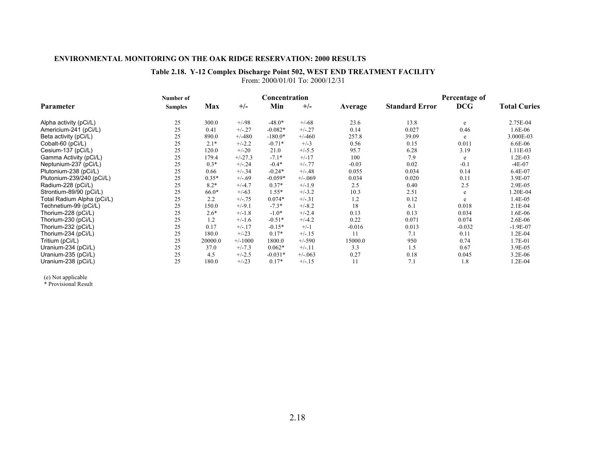### **Table 2.18. Y-12 Complex Discharge Point 502, WEST END TREATMENT FACILITY** From: 2000/01/01 To: 2000/12/31

|                            | Number of      |         |           | Concentration |          |          | Percentage of         |            |                     |
|----------------------------|----------------|---------|-----------|---------------|----------|----------|-----------------------|------------|---------------------|
| Parameter                  | <b>Samples</b> | Max     | $+/-$     | Min           | $+/-$    | Average  | <b>Standard Error</b> | <b>DCG</b> | <b>Total Curies</b> |
| Alpha activity (pCi/L)     | 25             | 300.0   | $+/-98$   | $-48.0*$      | $+/-68$  | 23.6     | 13.8                  | e          | 2.75E-04            |
| Americium-241 (pCi/L)      | 25             | 0.41    | $+/-27$   | $-0.082*$     | $+/-.27$ | 0.14     | 0.027                 | 0.46       | 1.6E-06             |
| Beta activity (pCi/L)      | 25             | 890.0   | $+/-480$  | $-180.0*$     | $+/-460$ | 257.8    | 39.09                 | e          | 3.000E-03           |
| Cobalt-60 (pCi/L)          | 25             | $2.1*$  | $+/-2.2$  | $-0.71*$      | $+/-3$   | 0.56     | 0.15                  | 0.011      | 6.6E-06             |
| Cesium-137 (pCi/L)         | 25             | 120.0   | $+/-20$   | 21.0          | $+/-5.5$ | 95.7     | 6.28                  | 3.19       | 1.11E-03            |
| Gamma Activity (pCi/L)     | 25             | 179.4   | $+/-27.3$ | $-7.1*$       | $+/-17$  | 100      | 7.9                   | e          | 1.2E-03             |
| Neptunium-237 (pCi/L)      | 25             | $0.3*$  | $+/-24$   | $-0.4*$       | $+/-.77$ | $-0.03$  | 0.02                  | $-0.1$     | $-4E-07$            |
| Plutonium-238 (pCi/L)      | 25             | 0.66    | $+/-.34$  | $-0.24*$      | $+/-.48$ | 0.055    | 0.034                 | 0.14       | 6.4E-07             |
| Plutonium-239/240 (pCi/L)  | 25             | $0.35*$ | $+/-.69$  | $-0.059*$     | $+/-069$ | 0.034    | 0.020                 | 0.11       | 3.9E-07             |
| Radium-228 (pCi/L)         | 25             | $8.2*$  | $+/-4.7$  | $0.37*$       | $+/-1.9$ | 2.5      | 0.40                  | 2.5        | 2.9E-05             |
| Strontium-89/90 (pCi/L)    | 25             | $66.0*$ | $+/-63$   | $1.55*$       | $+/-3.2$ | 10.3     | 2.51                  | e          | .20E-04             |
| Total Radium Alpha (pCi/L) | 25             | 2.2     | $+/-.75$  | $0.074*$      | $+/-.31$ | 1.2      | 0.12                  | e          | 1.4E-05             |
| Technetium-99 (pCi/L)      | 25             | 150.0   | $+/-9.1$  | $-7.3*$       | $+/-8.2$ | 18       | 6.1                   | 0.018      | $2.1E-04$           |
| Thorium-228 (pCi/L)        | 25             | $2.6*$  | $+/-1.8$  | $-1.0*$       | $+/-2.4$ | 0.13     | 0.13                  | 0.034      | 1.6E-06             |
| Thorium-230 (pCi/L)        | 25             | 1.2     | $+/-1.6$  | $-0.51*$      | $+/-4.2$ | 0.22     | 0.071                 | 0.074      | 2.6E-06             |
| Thorium-232 (pCi/L)        | 25             | 0.17    | $+/-17$   | $-0.15*$      | $+/-1$   | $-0.016$ | 0.013                 | $-0.032$   | $-1.9E-07$          |
| Thorium-234 (pCi/L)        | 25             | 180.0   | $+/-23$   | $0.17*$       | $+/-15$  | 11       | 7.1                   | 0.11       | 1.2E-04             |
| Tritium (pCi/L)            | 25             | 20000.0 | $+/-1000$ | 1800.0        | $+/-590$ | 15000.0  | 950                   | 0.74       | 1.7E-01             |
| Uranium-234 (pCi/L)        | 25             | 37.0    | $+/-7.3$  | $0.062*$      | $+/-.11$ | 3.3      | 1.5                   | 0.67       | 3.9E-05             |
| Uranium-235 (pCi/L)        | 25             | 4.5     | $+/-2.5$  | $-0.031*$     | $+/-063$ | 0.27     | 0.18                  | 0.045      | $3.2E-06$           |
| Uranium-238 (pCi/L)        | 25             | 180.0   | $+/-23$   | $0.17*$       | $+/-15$  | 11       | 7.1                   | 1.8        | 1.2E-04             |

(e) Not applicable \* Provisional Result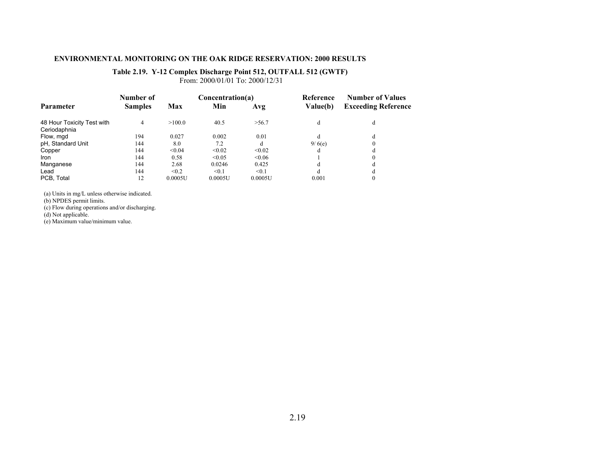### **Table 2.19. Y-12 Complex Discharge Point 512, OUTFALL 512 (GWTF)**

From: 2000/01/01 To: 2000/12/31

|                                            | Number of      |         | Concentration(a) |         | Reference | <b>Number of Values</b><br><b>Exceeding Reference</b> |  |
|--------------------------------------------|----------------|---------|------------------|---------|-----------|-------------------------------------------------------|--|
| <b>Parameter</b>                           | <b>Samples</b> | Max     | Min              | Avg     | Value(b)  |                                                       |  |
| 48 Hour Toxicity Test with<br>Ceriodaphnia | 4              | >100.0  | 40.5             | >56.7   | d         | d                                                     |  |
| Flow, mgd                                  | 194            | 0.027   | 0.002            | 0.01    | d         | đ                                                     |  |
| pH, Standard Unit                          | 144            | 8.0     | 7.2              | d       | 9/6(e)    |                                                       |  |
| Copper                                     | 144            | < 0.04  | < 0.02           | < 0.02  | d         |                                                       |  |
| Iron                                       | 144            | 0.58    | < 0.05           | < 0.06  |           |                                                       |  |
| Manganese                                  | 144            | 2.68    | 0.0246           | 0.425   | d         |                                                       |  |
| Lead                                       | 144            | < 0.2   | < 0.1            | < 0.1   | đ         |                                                       |  |
| PCB, Total                                 | 12             | 0.0005U | 0.0005U          | 0.0005U | 0.001     |                                                       |  |

(a) Units in mg/L unless otherwise indicated.

(b) NPDES permit limits.

(c) Flow during operations and/or discharging.

(d) Not applicable.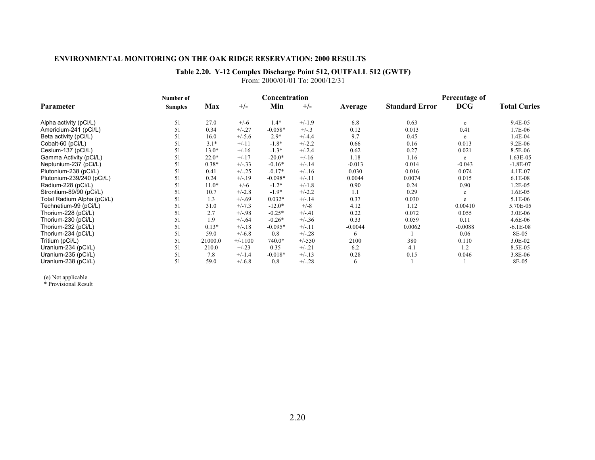# **Table 2.20. Y-12 Complex Discharge Point 512, OUTFALL 512 (GWTF)**

|                            | Number of      |         |           | Concentration |          |           |                       | Percentage of |                     |
|----------------------------|----------------|---------|-----------|---------------|----------|-----------|-----------------------|---------------|---------------------|
| Parameter                  | <b>Samples</b> | Max     | $+/-$     | Min           | $+/-$    | Average   | <b>Standard Error</b> | <b>DCG</b>    | <b>Total Curies</b> |
| Alpha activity (pCi/L)     | 51             | 27.0    | $+/-6$    | $1.4*$        | $+/-1.9$ | 6.8       | 0.63                  | e             | 9.4E-05             |
| Americium-241 (pCi/L)      | 51             | 0.34    | $+/-.27$  | $-0.058*$     | $+/-.3$  | 0.12      | 0.013                 | 0.41          | 1.7E-06             |
| Beta activity (pCi/L)      | 51             | 16.0    | $+/-5.6$  | $2.9*$        | $+/-4.4$ | 9.7       | 0.45                  | e             | 1.4E-04             |
| Cobalt-60 (pCi/L)          | 51             | $3.1*$  | $+/-11$   | $-1.8*$       | $+/-2.2$ | 0.66      | 0.16                  | 0.013         | 9.2E-06             |
| Cesium-137 (pCi/L)         | 51             | $13.0*$ | $+/-16$   | $-1.3*$       | $+/-2.4$ | 0.62      | 0.27                  | 0.021         | 8.5E-06             |
| Gamma Activity (pCi/L)     | 51             | $22.0*$ | $+/-17$   | $-20.0*$      | $+/-16$  | 1.18      | 1.16                  | e             | 1.63E-05            |
| Neptunium-237 (pCi/L)      | 51             | $0.38*$ | $+/-.33$  | $-0.16*$      | $+/-.14$ | $-0.013$  | 0.014                 | $-0.043$      | $-1.8E-07$          |
| Plutonium-238 (pCi/L)      | 51             | 0.41    | $+/-.25$  | $-0.17*$      | $+/-16$  | 0.030     | 0.016                 | 0.074         | $4.1E-07$           |
| Plutonium-239/240 (pCi/L)  | 51             | 0.24    | $+/-19$   | $-0.098*$     | $+/-11$  | 0.0044    | 0.0074                | 0.015         | $6.1E-08$           |
| Radium-228 (pCi/L)         | 51             | $11.0*$ | $+/-6$    | $-1.2*$       | $+/-1.8$ | 0.90      | 0.24                  | 0.90          | 1.2E-05             |
| Strontium-89/90 (pCi/L)    | 51             | 10.7    | $+/-2.8$  | $-1.9*$       | $+/-2.2$ | 1.1       | 0.29                  | e             | 1.6E-05             |
| Total Radium Alpha (pCi/L) | 51             | 1.3     | $+/-.69$  | $0.032*$      | $+/-.14$ | 0.37      | 0.030                 | e             | 5.1E-06             |
| Technetium-99 (pCi/L)      | 51             | 31.0    | $+/-7.3$  | $-12.0*$      | $+/-8$   | 4.12      | 1.12                  | 0.00410       | 5.70E-05            |
| Thorium-228 (pCi/L)        | 51             | 2.7     | $+/-.98$  | $-0.25*$      | $+/-.41$ | 0.22      | 0.072                 | 0.055         | 3.0E-06             |
| Thorium-230 (pCi/L)        | 51             | 1.9     | $+/-.64$  | $-0.26*$      | $+/-.36$ | 0.33      | 0.059                 | 0.11          | 4.6E-06             |
| Thorium-232 (pCi/L)        | 51             | $0.13*$ | $+/-.18$  | $-0.095*$     | $+/-11$  | $-0.0044$ | 0.0062                | $-0.0088$     | $-6.1E-08$          |
| Thorium-234 (pCi/L)        | 51             | 59.0    | $+/-6.8$  | 0.8           | $+/-.28$ | 6         |                       | 0.06          | 8E-05               |
| Tritium (pCi/L)            | 51             | 21000.0 | $+/-1100$ | 740.0*        | $+/-550$ | 2100      | 380                   | 0.110         | 3.0E-02             |
| Uranium-234 (pCi/L)        | 51             | 210.0   | $+/-23$   | 0.35          | $+/-.21$ | 6.2       | 4.1                   | 1.2           | 8.5E-05             |
| Uranium-235 (pCi/L)        | 51             | 7.8     | $+/-1.4$  | $-0.018*$     | $+/-.13$ | 0.28      | 0.15                  | 0.046         | 3.8E-06             |
| Uranium-238 (pCi/L)        | 51             | 59.0    | $+/-6.8$  | 0.8           | $+/-.28$ | 6         |                       |               | 8E-05               |

From: 2000/01/01 To: 2000/12/31

(e) Not applicable \* Provisional Result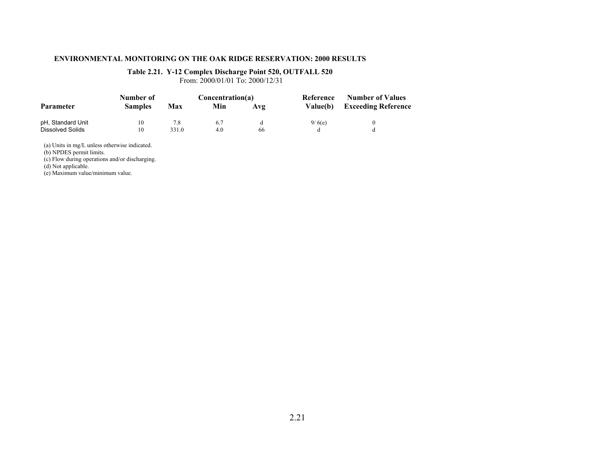### **Table 2.21. Y-12 Complex Discharge Point 520, OUTFALL 520**

From: 2000/01/01 To: 2000/12/31

|                   | Number of      |       | Concentration(a) |     | Reference | <b>Number of Values</b><br><b>Exceeding Reference</b> |  |
|-------------------|----------------|-------|------------------|-----|-----------|-------------------------------------------------------|--|
| <b>Parameter</b>  | <b>Samples</b> | Max   | Min              | Avg | Value(b)  |                                                       |  |
| pH, Standard Unit | 10             | 7.8   | 6.7              |     | 9/6(e)    |                                                       |  |
| Dissolved Solids  | 10             | 331.0 | 4.0              | 66  |           |                                                       |  |

(a) Units in mg/L unless otherwise indicated.

(b) NPDES permit limits.

(c) Flow during operations and/or discharging.

(d) Not applicable.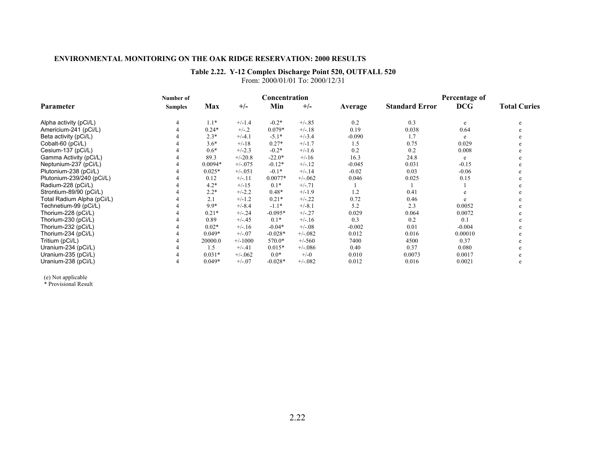### **Table 2.22. Y-12 Complex Discharge Point 520, OUTFALL 520**

From: 2000/01/01 To: 2000/12/31

|                            | Number of      |           |            | Concentration |          |          | Percentage of         |            |                     |
|----------------------------|----------------|-----------|------------|---------------|----------|----------|-----------------------|------------|---------------------|
| Parameter                  | <b>Samples</b> | Max       | $+/-$      | Min           | $+/-$    | Average  | <b>Standard Error</b> | <b>DCG</b> | <b>Total Curies</b> |
| Alpha activity (pCi/L)     |                | $1.1*$    | $+/-1.4$   | $-0.2*$       | $+/-.85$ | 0.2      | 0.3                   | e          | e                   |
| Americium-241 (pCi/L)      |                | $0.24*$   | $+/-2$     | $0.079*$      | $+/-.18$ | 0.19     | 0.038                 | 0.64       |                     |
| Beta activity (pCi/L)      |                | $2.3*$    | $+/-4.1$   | $-5.1*$       | $+/-3.4$ | $-0.090$ | 1.7                   | e          |                     |
| Cobalt-60 (pCi/L)          |                | $3.6*$    | $+/-18$    | $0.27*$       | $+/-1.7$ | 1.5      | 0.75                  | 0.029      |                     |
| Cesium-137 (pCi/L)         |                | $0.6*$    | $+/-2.3$   | $-0.2*$       | $+/-1.6$ | 0.2      | 0.2                   | 0.008      |                     |
| Gamma Activity (pCi/L)     |                | 89.3      | $+/-20.8$  | $-22.0*$      | $+/-16$  | 16.3     | 24.8                  | e          |                     |
| Neptunium-237 (pCi/L)      |                | $0.0094*$ | $+/-0.075$ | $-0.12*$      | $+/-.12$ | $-0.045$ | 0.031                 | $-0.15$    |                     |
| Plutonium-238 (pCi/L)      |                | $0.025*$  | $+/-051$   | $-0.1*$       | $+/-.14$ | $-0.02$  | 0.03                  | $-0.06$    |                     |
| Plutonium-239/240 (pCi/L)  |                | 0.12      | $+/-11$    | $0.0077*$     | $+/-062$ | 0.046    | 0.025                 | 0.15       |                     |
| Radium-228 (pCi/L)         |                | $4.2*$    | $+/-15$    | $0.1*$        | $+/-.71$ |          |                       |            |                     |
| Strontium-89/90 (pCi/L)    |                | $2.2*$    | $+/-2.2$   | $0.48*$       | $+/-1.9$ | 1.2      | 0.41                  |            |                     |
| Total Radium Alpha (pCi/L) |                | 2.1       | $+/-1.2$   | $0.21*$       | $+/-.22$ | 0.72     | 0.46                  |            |                     |
| Technetium-99 (pCi/L)      |                | $9.9*$    | $+/-8.4$   | $-1.1*$       | $+/-8.1$ | 5.2      | 2.3                   | 0.0052     |                     |
| Thorium-228 (pCi/L)        |                | $0.21*$   | $+/-24$    | $-0.095*$     | $+/-.27$ | 0.029    | 0.064                 | 0.0072     |                     |
| Thorium-230 (pCi/L)        |                | 0.89      | $+/-.45$   | $0.1*$        | $+/-16$  | 0.3      | 0.2                   | 0.1        |                     |
| Thorium-232 (pCi/L)        |                | $0.02*$   | $+/-16$    | $-0.04*$      | $+/-.08$ | $-0.002$ | 0.01                  | $-0.004$   |                     |
| Thorium-234 (pCi/L)        |                | $0.049*$  | $+/-07$    | $-0.028*$     | $+/-082$ | 0.012    | 0.016                 | 0.00010    |                     |
| Tritium (pCi/L)            |                | 20000.0   | $+/-1000$  | 570.0*        | $+/-560$ | 7400     | 4500                  | 0.37       |                     |
| Uranium-234 (pCi/L)        |                | 1.5       | $+/-.41$   | $0.015*$      | $+/-086$ | 0.40     | 0.37                  | 0.080      |                     |
| Uranium-235 (pCi/L)        |                | $0.031*$  | $+/-062$   | $0.0*$        | $+/-0$   | 0.010    | 0.0073                | 0.0017     |                     |
| Uranium-238 (pCi/L)        |                | $0.049*$  | $+/-07$    | $-0.028*$     | $+/-082$ | 0.012    | 0.016                 | 0.0021     |                     |

(e) Not applicable \* Provisional Result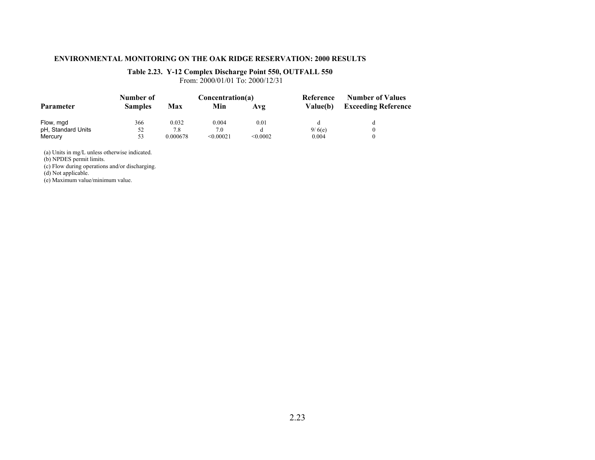### **Table 2.23. Y-12 Complex Discharge Point 550, OUTFALL 550**

From: 2000/01/01 To: 2000/12/31

|                    | Number of      |          | Concentration(a) |          | Reference       | <b>Number of Values</b><br><b>Exceeding Reference</b> |  |
|--------------------|----------------|----------|------------------|----------|-----------------|-------------------------------------------------------|--|
| <b>Parameter</b>   | <b>Samples</b> | Max      | Min              | Avg      | <b>Value(b)</b> |                                                       |  |
| Flow, mgd          | 366            | 0.032    | 0.004            | 0.01     |                 |                                                       |  |
| pH, Standard Units | 52             | 7.8      | 7.0              |          | 9/6(e)          |                                                       |  |
| Mercury            | 53             | 0.000678 | < 0.00021        | < 0.0002 | 0.004           |                                                       |  |

(a) Units in mg/L unless otherwise indicated.

(b) NPDES permit limits.

(c) Flow during operations and/or discharging.

(d) Not applicable.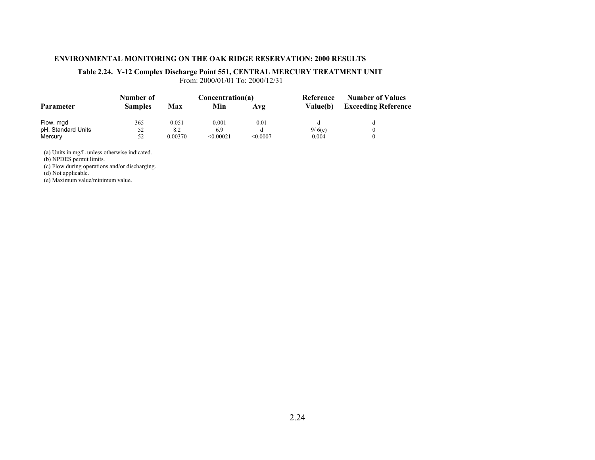### **Table 2.24. Y-12 Complex Discharge Point 551, CENTRAL MERCURY TREATMENT UNIT**

From: 2000/01/01 To: 2000/12/31

|                    | Number of      |         | Concentration(a) |          | Reference | <b>Number of Values</b>    |  |
|--------------------|----------------|---------|------------------|----------|-----------|----------------------------|--|
| <b>Parameter</b>   | <b>Samples</b> | Max     | Min              | Avg      | Value(b)  | <b>Exceeding Reference</b> |  |
| Flow, mgd          | 365            | 0.051   | 0.001            | 0.01     |           |                            |  |
| pH, Standard Units | 52             | 8.2     | 6.9              |          | 9/6(e)    |                            |  |
| Mercury            | 52             | 0.00370 | < 0.00021        | < 0.0007 | 0.004     |                            |  |

(a) Units in mg/L unless otherwise indicated.

(b) NPDES permit limits.

(c) Flow during operations and/or discharging.

(d) Not applicable.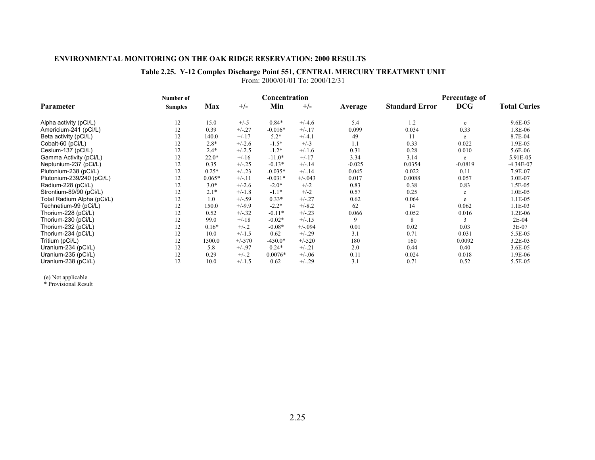### **Table 2.25. Y-12 Complex Discharge Point 551, CENTRAL MERCURY TREATMENT UNIT** From: 2000/01/01 To: 2000/12/31

|                            | Number of      |          |          | Concentration |            |          | Percentage of         |            |                     |
|----------------------------|----------------|----------|----------|---------------|------------|----------|-----------------------|------------|---------------------|
| Parameter                  | <b>Samples</b> | Max      | $+/-$    | Min           | $+/-$      | Average  | <b>Standard Error</b> | <b>DCG</b> | <b>Total Curies</b> |
| Alpha activity (pCi/L)     | 12             | 15.0     | $+/-5$   | $0.84*$       | $+/-4.6$   | 5.4      | 1.2                   | e          | 9.6E-05             |
| Americium-241 (pCi/L)      | 12             | 0.39     | $+/-.27$ | $-0.016*$     | $+/-17$    | 0.099    | 0.034                 | 0.33       | 1.8E-06             |
| Beta activity (pCi/L)      | 12             | 140.0    | $+/-17$  | $5.2*$        | $+/-4.1$   | 49       | 11                    | e          | 8.7E-04             |
| Cobalt-60 (pCi/L)          | 12             | $2.8*$   | $+/-2.6$ | $-1.5*$       | $+/-3$     | 1.1      | 0.33                  | 0.022      | 1.9E-05             |
| Cesium-137 (pCi/L)         | 12             | $2.4*$   | $+/-2.5$ | $-1.2*$       | $+/-1.6$   | 0.31     | 0.28                  | 0.010      | 5.6E-06             |
| Gamma Activity (pCi/L)     | 12             | $22.0*$  | $+/-16$  | $-11.0*$      | $+/-17$    | 3.34     | 3.14                  | e          | 5.91E-05            |
| Neptunium-237 (pCi/L)      | 12             | 0.35     | $+/-.25$ | $-0.13*$      | $+/-.14$   | $-0.025$ | 0.0354                | $-0.0819$  | $-4.34E-07$         |
| Plutonium-238 (pCi/L)      | 12             | $0.25*$  | $+/-.23$ | $-0.035*$     | $+/-.14$   | 0.045    | 0.022                 | 0.11       | 7.9E-07             |
| Plutonium-239/240 (pCi/L)  | 12             | $0.065*$ | $+/-11$  | $-0.031*$     | $+/-0.043$ | 0.017    | 0.0088                | 0.057      | 3.0E-07             |
| Radium-228 (pCi/L)         | 12             | $3.0*$   | $+/-2.6$ | $-2.0*$       | $+/-2$     | 0.83     | 0.38                  | 0.83       | 1.5E-05             |
| Strontium-89/90 (pCi/L)    | 12             | $2.1*$   | $+/-1.8$ | $-1.1*$       | $+/-2$     | 0.57     | 0.25                  | e          | 1.0E-05             |
| Total Radium Alpha (pCi/L) | 12             | 1.0      | $+/-.59$ | $0.33*$       | $+/-.27$   | 0.62     | 0.064                 | e          | 1.1E-05             |
| Technetium-99 (pCi/L)      | 12             | 150.0    | $+/-9.9$ | $-2.2*$       | $+/-8.2$   | 62       | 14                    | 0.062      | 1.1E-03             |
| Thorium-228 (pCi/L)        | 12             | 0.52     | $+/-.32$ | $-0.11*$      | $+/-23$    | 0.066    | 0.052                 | 0.016      | 1.2E-06             |
| Thorium-230 (pCi/L)        | 12             | 99.0     | $+/-18$  | $-0.02*$      | $+/-15$    | 9        | 8                     |            | 2E-04               |
| Thorium-232 (pCi/L)        | 12             | $0.16*$  | $+/-.2$  | $-0.08*$      | $+/-094$   | 0.01     | 0.02                  | 0.03       | 3E-07               |
| Thorium-234 (pCi/L)        | 12             | 10.0     | $+/-1.5$ | 0.62          | $+/-29$    | 3.1      | 0.71                  | 0.031      | 5.5E-05             |
| Tritium (pCi/L)            | 12             | 1500.0   | $+/-570$ | $-450.0*$     | $+/-520$   | 180      | 160                   | 0.0092     | $3.2E-03$           |
| Uranium-234 (pCi/L)        | 12             | 5.8      | $+/-.97$ | $0.24*$       | $+/-.21$   | 2.0      | 0.44                  | 0.40       | 3.6E-05             |
| Uranium-235 (pCi/L)        | 12             | 0.29     | $+/-.2$  | $0.0076*$     | $+/-.06$   | 0.11     | 0.024                 | 0.018      | 1.9E-06             |
| Uranium-238 (pCi/L)        | 12             | 10.0     | $+/-1.5$ | 0.62          | $+/-29$    | 3.1      | 0.71                  | 0.52       | 5.5E-05             |

(e) Not applicable \* Provisional Result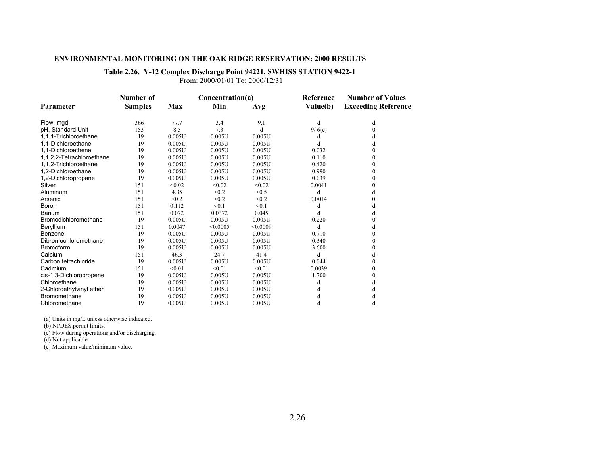### **Table 2.26. Y-12 Complex Discharge Point 94221, SWHISS STATION 9422-1**

From: 2000/01/01 To: 2000/12/31

|                           | Number of      |            | Concentration(a) |          | Reference | <b>Number of Values</b>    |
|---------------------------|----------------|------------|------------------|----------|-----------|----------------------------|
| Parameter                 | <b>Samples</b> | <b>Max</b> | Min              | Avg      | Value(b)  | <b>Exceeding Reference</b> |
| Flow, mgd                 | 366            | 77.7       | 3.4              | 9.1      | d         | d                          |
| pH, Standard Unit         | 153            | 8.5        | 7.3              | d        | 9/6(e)    | $\theta$                   |
| 1.1.1-Trichloroethane     | 19             | 0.005U     | 0.005U           | 0.005U   | d         | d                          |
| 1.1-Dichloroethane        | 19             | 0.005U     | 0.005U           | 0.005U   | d         | d                          |
| 1.1-Dichloroethene        | 19             | 0.005U     | 0.005U           | 0.005U   | 0.032     | 0                          |
| 1,1,2,2-Tetrachloroethane | 19             | 0.005U     | 0.005U           | 0.005U   | 0.110     | $\theta$                   |
| 1,1,2-Trichloroethane     | 19             | 0.005U     | 0.005U           | 0.005U   | 0.420     | 0                          |
| 1.2-Dichloroethane        | 19             | 0.005U     | 0.005U           | 0.005U   | 0.990     | 0                          |
| 1,2-Dichloropropane       | 19             | 0.005U     | 0.005U           | 0.005U   | 0.039     | $\theta$                   |
| Silver                    | 151            | < 0.02     | < 0.02           | < 0.02   | 0.0041    | 0                          |
| Aluminum                  | 151            | 4.35       | < 0.2            | < 0.5    | d         | d                          |
| Arsenic                   | 151            | < 0.2      | < 0.2            | < 0.2    | 0.0014    | 0                          |
| <b>Boron</b>              | 151            | 0.112      | < 0.1            | < 0.1    | d         |                            |
| Barium                    | 151            | 0.072      | 0.0372           | 0.045    | d         | d                          |
| Bromodichloromethane      | 19             | 0.005U     | 0.005U           | 0.005U   | 0.220     |                            |
| Beryllium                 | 151            | 0.0047     | < 0.0005         | < 0.0009 | d         | d                          |
| Benzene                   | 19             | 0.005U     | 0.005U           | 0.005U   | 0.710     | $\theta$                   |
| Dibromochloromethane      | 19             | 0.005U     | 0.005U           | 0.005U   | 0.340     | $\theta$                   |
| <b>Bromoform</b>          | 19             | 0.005U     | 0.005U           | 0.005U   | 3.600     | 0                          |
| Calcium                   | 151            | 46.3       | 24.7             | 41.4     | d         | d                          |
| Carbon tetrachloride      | 19             | 0.005U     | 0.005U           | 0.005U   | 0.044     | $\theta$                   |
| Cadmium                   | 151            | < 0.01     | < 0.01           | < 0.01   | 0.0039    | 0                          |
| cis-1,3-Dichloropropene   | 19             | 0.005U     | 0.005U           | 0.005U   | 1.700     | 0                          |
| Chloroethane              | 19             | 0.005U     | 0.005U           | 0.005U   | d         | d                          |
| 2-Chloroethylvinyl ether  | 19             | 0.005U     | 0.005U           | 0.005U   | d         |                            |
| Bromomethane              | 19             | 0.005U     | 0.005U           | 0.005U   | d         | đ                          |
| Chloromethane             | 19             | 0.005U     | 0.005U           | 0.005U   | d         | d                          |

(a) Units in mg/L unless otherwise indicated.

(b) NPDES permit limits.

(c) Flow during operations and/or discharging.

(d) Not applicable.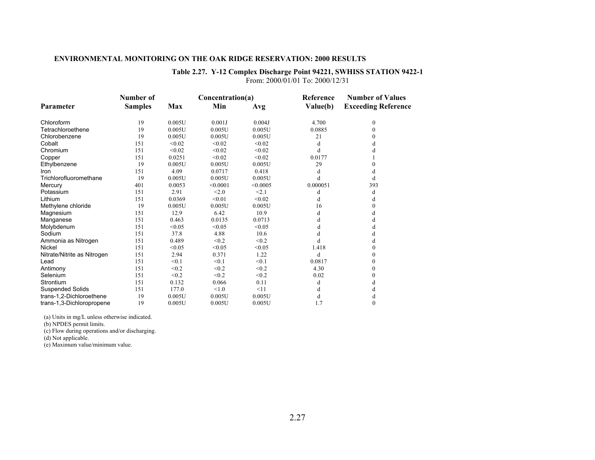### **Table 2.27. Y-12 Complex Discharge Point 94221, SWHISS STATION 9422-1** From: 2000/01/01 To: 2000/12/31

|                             | Number of      |        | Concentration(a) |           | Reference | <b>Number of Values</b>    |
|-----------------------------|----------------|--------|------------------|-----------|-----------|----------------------------|
| Parameter                   | <b>Samples</b> | Max    | Min              | Avg       | Value(b)  | <b>Exceeding Reference</b> |
| Chloroform                  | 19             | 0.005U | 0.001J           | 0.004J    | 4.700     | 0                          |
| Tetrachloroethene           | 19             | 0.005U | 0.005U           | 0.005U    | 0.0885    | $\Omega$                   |
| Chlorobenzene               | 19             | 0.005U | 0.005U           | 0.005U    | 21        | 0                          |
| Cobalt                      | 151            | < 0.02 | < 0.02           | < 0.02    | d         |                            |
| Chromium                    | 151            | < 0.02 | < 0.02           | < 0.02    | d         |                            |
| Copper                      | 151            | 0.0251 | < 0.02           | < 0.02    | 0.0177    |                            |
| Ethylbenzene                | 19             | 0.005U | 0.005U           | 0.005U    | 29        |                            |
| Iron                        | 151            | 4.09   | 0.0717           | 0.418     | d         | d                          |
| Trichlorofluoromethane      | 19             | 0.005U | 0.005U           | 0.005U    | d         | d                          |
| Mercury                     | 401            | 0.0053 | < 0.0001         | < 0.0005  | 0.000051  | 393                        |
| Potassium                   | 151            | 2.91   | < 2.0            | < 2.1     | d         | d                          |
| Lithium                     | 151            | 0.0369 | < 0.01           | < 0.02    | d         | d                          |
| Methylene chloride          | 19             | 0.005U | 0.005U           | 0.005U    | 16        |                            |
| Magnesium                   | 151            | 12.9   | 6.42             | 10.9      | d         | d                          |
| Manganese                   | 151            | 0.463  | 0.0135           | 0.0713    | d         | d                          |
| Molybdenum                  | 151            | < 0.05 | < 0.05           | < 0.05    | d         |                            |
| Sodium                      | 151            | 37.8   | 4.88             | 10.6      | d         | d                          |
| Ammonia as Nitrogen         | 151            | 0.489  | < 0.2            | < 0.2     | d         | d                          |
| Nickel                      | 151            | < 0.05 | < 0.05           | < 0.05    | 1.418     | 0                          |
| Nitrate/Nitrite as Nitrogen | 151            | 2.94   | 0.371            | 1.22      | d         |                            |
| Lead                        | 151            | < 0.1  | < 0.1            | < 0.1     | 0.0817    | $\Omega$                   |
| Antimony                    | 151            | < 0.2  | < 0.2            | < 0.2     | 4.30      | $\theta$                   |
| Selenium                    | 151            | < 0.2  | < 0.2            | < 0.2     | 0.02      |                            |
| Strontium                   | 151            | 0.132  | 0.066            | 0.11      | d         | d                          |
| <b>Suspended Solids</b>     | 151            | 177.0  | < 1.0            | $\leq$ 11 | d         |                            |
| trans-1,2-Dichloroethene    | 19             | 0.005U | 0.005U           | 0.005U    | d         |                            |
| trans-1,3-Dichloropropene   | 19             | 0.005U | 0.005U           | 0.005U    | 1.7       | $\Omega$                   |

(a) Units in mg/L unless otherwise indicated.

(b) NPDES permit limits.

(c) Flow during operations and/or discharging.

(d) Not applicable.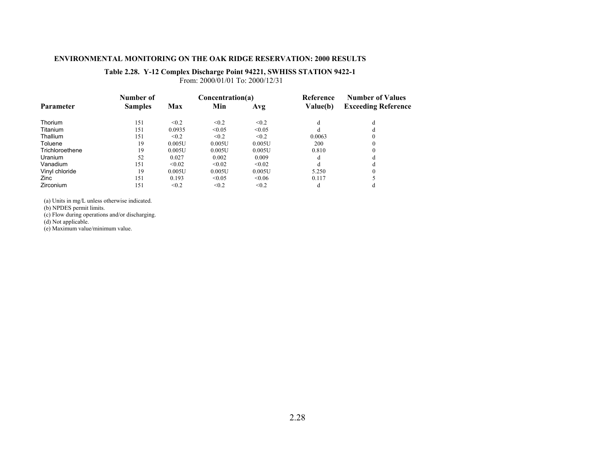### **Table 2.28. Y-12 Complex Discharge Point 94221, SWHISS STATION 9422-1**

From: 2000/01/01 To: 2000/12/31

|                  | Number of      |        | Concentration(a) |        | Reference | <b>Number of Values</b>    |
|------------------|----------------|--------|------------------|--------|-----------|----------------------------|
| <b>Parameter</b> | <b>Samples</b> | Max    | Min              | Avg    | Value(b)  | <b>Exceeding Reference</b> |
| <b>Thorium</b>   | 151            | < 0.2  | < 0.2            | < 0.2  | đ         | đ                          |
| Titanium         | 151            | 0.0935 | < 0.05           | < 0.05 | d         |                            |
| Thallium         | 151            | < 0.2  | < 0.2            | < 0.2  | 0.0063    |                            |
| Toluene          | 19             | 0.005U | 0.005U           | 0.005U | 200       |                            |
| Trichloroethene  | 19             | 0.005U | 0.005U           | 0.005U | 0.810     |                            |
| Uranium          | 52             | 0.027  | 0.002            | 0.009  | d         |                            |
| Vanadium         | 151            | < 0.02 | < 0.02           | < 0.02 | d         |                            |
| Vinyl chloride   | 19             | 0.005U | 0.005U           | 0.005U | 5.250     |                            |
| Zinc.            | 151            | 0.193  | < 0.05           | < 0.06 | 0.117     |                            |
| Zirconium        | 151            | < 0.2  | < 0.2            | < 0.2  | d         |                            |

(a) Units in mg/L unless otherwise indicated.

(b) NPDES permit limits.

(c) Flow during operations and/or discharging.

(d) Not applicable.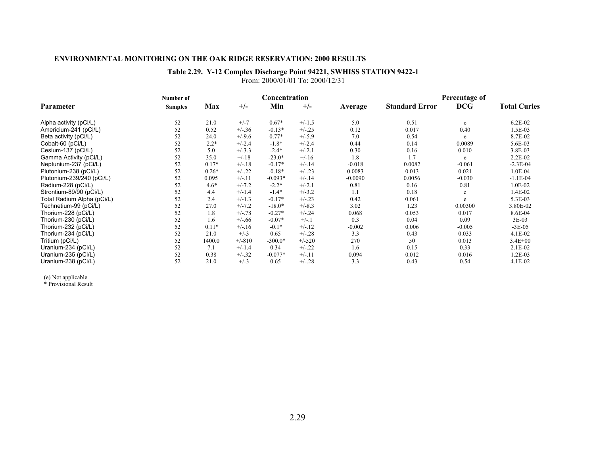### **Table 2.29. Y-12 Complex Discharge Point 94221, SWHISS STATION 9422-1** From: 2000/01/01 To: 2000/12/31

|                            | Number of      |         |          | Concentration |          |           |                       | Percentage of |                     |
|----------------------------|----------------|---------|----------|---------------|----------|-----------|-----------------------|---------------|---------------------|
| Parameter                  | <b>Samples</b> | Max     | $+/-$    | Min           | $+/-$    | Average   | <b>Standard Error</b> | <b>DCG</b>    | <b>Total Curies</b> |
| Alpha activity (pCi/L)     | 52             | 21.0    | $+/-7$   | $0.67*$       | $+/-1.5$ | 5.0       | 0.51                  | e             | $6.2E-02$           |
| Americium-241 (pCi/L)      | 52             | 0.52    | $+/-.36$ | $-0.13*$      | $+/-.25$ | 0.12      | 0.017                 | 0.40          | 1.5E-03             |
| Beta activity (pCi/L)      | 52             | 24.0    | $+/-9.6$ | $0.77*$       | $+/-5.9$ | 7.0       | 0.54                  | e             | 8.7E-02             |
| Cobalt-60 (pCi/L)          | 52             | $2.2*$  | $+/-2.4$ | $-1.8*$       | $+/-2.4$ | 0.44      | 0.14                  | 0.0089        | 5.6E-03             |
| Cesium-137 (pCi/L)         | 52             | 5.0     | $+/-3.3$ | $-2.4*$       | $+/-2.1$ | 0.30      | 0.16                  | 0.010         | 3.8E-03             |
| Gamma Activity (pCi/L)     | 52             | 35.0    | $+/-18$  | $-23.0*$      | $+/-16$  | 1.8       | 1.7                   | e             | $2.2E-02$           |
| Neptunium-237 (pCi/L)      | 52             | $0.17*$ | $+/-.18$ | $-0.17*$      | $+/-.14$ | $-0.018$  | 0.0082                | $-0.061$      | $-2.3E-04$          |
| Plutonium-238 (pCi/L)      | 52             | $0.26*$ | $+/-.22$ | $-0.18*$      | $+/-23$  | 0.0083    | 0.013                 | 0.021         | 1.0E-04             |
| Plutonium-239/240 (pCi/L)  | 52             | 0.095   | $+/-11$  | $-0.093*$     | $+/-.14$ | $-0.0090$ | 0.0056                | $-0.030$      | $-1.1E-04$          |
| Radium-228 (pCi/L)         | 52             | $4.6*$  | $+/-7.2$ | $-2.2*$       | $+/-2.1$ | 0.81      | 0.16                  | 0.81          | 1.0E-02             |
| Strontium-89/90 (pCi/L)    | 52             | 4.4     | $+/-1.4$ | $-1.4*$       | $+/-3.2$ | 1.1       | 0.18                  | e             | 1.4E-02             |
| Total Radium Alpha (pCi/L) | 52             | 2.4     | $+/-1.3$ | $-0.17*$      | $+/-23$  | 0.42      | 0.061                 | e             | 5.3E-03             |
| Technetium-99 (pCi/L)      | 52             | 27.0    | $+/-7.2$ | $-18.0*$      | $+/-8.3$ | 3.02      | 1.23                  | 0.00300       | 3.80E-02            |
| Thorium-228 (pCi/L)        | 52             | 1.8     | $+/-.78$ | $-0.27*$      | $+/-.24$ | 0.068     | 0.053                 | 0.017         | 8.6E-04             |
| Thorium-230 (pCi/L)        | 52             | 1.6     | $+/-.66$ | $-0.07*$      | $+/-1$   | 0.3       | 0.04                  | 0.09          | $3E-03$             |
| Thorium-232 (pCi/L)        | 52             | $0.11*$ | $+/-16$  | $-0.1*$       | $+/-.12$ | $-0.002$  | 0.006                 | $-0.005$      | $-3E-05$            |
| Thorium-234 (pCi/L)        | 52             | 21.0    | $+/-3$   | 0.65          | $+/-.28$ | 3.3       | 0.43                  | 0.033         | $4.1E-02$           |
| Tritium (pCi/L)            | 52             | 1400.0  | $+/-810$ | $-300.0*$     | $+/-520$ | 270       | 50                    | 0.013         | $3.4E + 00$         |
| Uranium-234 (pCi/L)        | 52             | 7.1     | $+/-1.4$ | 0.34          | $+/-.22$ | 1.6       | 0.15                  | 0.33          | $2.1E-02$           |
| Uranium-235 (pCi/L)        | 52             | 0.38    | $+/-.32$ | $-0.077*$     | $+/-.11$ | 0.094     | 0.012                 | 0.016         | 1.2E-03             |
| Uranium-238 (pCi/L)        | 52             | 21.0    | $+/-3$   | 0.65          | $+/-.28$ | 3.3       | 0.43                  | 0.54          | 4.1E-02             |

(e) Not applicable \* Provisional Result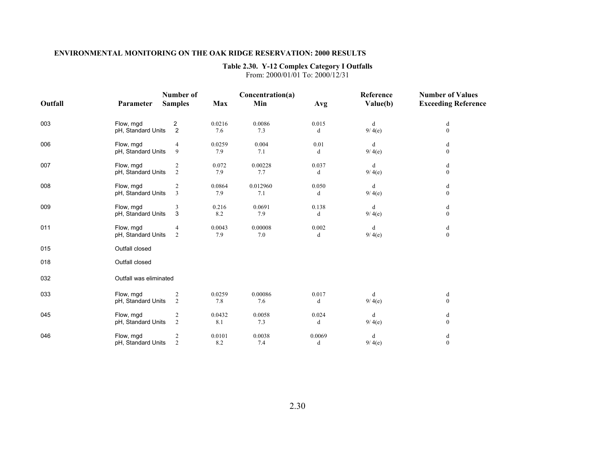### **Table 2.30. Y-12 Complex Category I Outfalls**

From: 2000/01/01 To: 2000/12/31

|         |                        | Number of      |            | Concentration(a) |        | Reference | <b>Number of Values</b>    |
|---------|------------------------|----------------|------------|------------------|--------|-----------|----------------------------|
| Outfall | Parameter              | <b>Samples</b> | <b>Max</b> | Min              | Avg    | Value(b)  | <b>Exceeding Reference</b> |
| 003     | Flow, mgd              | 2              | 0.0216     | 0.0086           | 0.015  | d         | d                          |
|         | pH, Standard Units     | $\overline{2}$ | 7.6        | 7.3              | d      | 9/4(e)    | $\boldsymbol{0}$           |
|         |                        |                |            |                  |        |           |                            |
| 006     | Flow, mgd              | 4              | 0.0259     | 0.004            | 0.01   | d         | d                          |
|         | pH, Standard Units     | 9              | 7.9        | 7.1              | d      | 9/4(e)    | $\boldsymbol{0}$           |
| 007     | Flow, mgd              | $\overline{c}$ | 0.072      | 0.00228          | 0.037  | d         | d                          |
|         | pH, Standard Units     | $\sqrt{2}$     | 7.9        | 7.7              | d      | 9/4(e)    | $\boldsymbol{0}$           |
| 008     | Flow, mgd              | $\overline{c}$ | 0.0864     | 0.012960         | 0.050  | d         | d                          |
|         | pH, Standard Units     | $\overline{3}$ | 7.9        | 7.1              | d      | 9/4(e)    | $\boldsymbol{0}$           |
| 009     | Flow, mgd              | 3              | 0.216      | 0.0691           | 0.138  | d         | d                          |
|         | pH, Standard Units     | 3              | 8.2        | 7.9              | d      | 9/4(e)    | $\boldsymbol{0}$           |
| 011     | Flow, mgd              | 4              | 0.0043     | 0.00008          | 0.002  | d         | $\mathbf d$                |
|         | pH, Standard Units     | 2              | 7.9        | 7.0              | d      | 9/4(e)    | $\mathbf{0}$               |
| 015     | Outfall closed         |                |            |                  |        |           |                            |
| 018     | Outfall closed         |                |            |                  |        |           |                            |
| 032     | Outfall was eliminated |                |            |                  |        |           |                            |
| 033     | Flow, mgd              | $\overline{c}$ | 0.0259     | 0.00086          | 0.017  | d         | d                          |
|         | pH, Standard Units     | 2              | 7.8        | 7.6              | d      | 9/4(e)    | $\boldsymbol{0}$           |
| 045     | Flow, mgd              | $\overline{2}$ | 0.0432     | 0.0058           | 0.024  | d         | d                          |
|         | pH, Standard Units     | $\overline{2}$ | 8.1        | 7.3              | d      | 9/4(e)    | $\mathbf{0}$               |
| 046     | Flow, mgd              | $\sqrt{2}$     | 0.0101     | 0.0038           | 0.0069 | d         | d                          |
|         | pH, Standard Units     | $\overline{2}$ | 8.2        | 7.4              | d      | 9/4(e)    | $\overline{0}$             |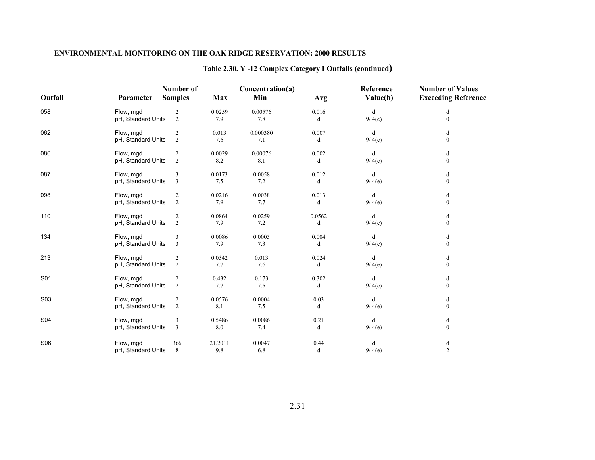# **Table 2.30. Y -12 Complex Category I Outfalls (continued)**

|         |                    | <b>Number of</b>        |            | Concentration(a) |        | Reference | <b>Number of Values</b>    |
|---------|--------------------|-------------------------|------------|------------------|--------|-----------|----------------------------|
| Outfall | Parameter          | <b>Samples</b>          | <b>Max</b> | Min              | Avg    | Value(b)  | <b>Exceeding Reference</b> |
| 058     | Flow, mgd          | $\overline{c}$          | 0.0259     | 0.00576          | 0.016  | d         | d                          |
|         | pH, Standard Units | 2                       | 7.9        | 7.8              | d      | 9/4(e)    | $\mathbf{0}$               |
| 062     | Flow, mgd          | 2                       | 0.013      | 0.000380         | 0.007  | d         | d                          |
|         | pH, Standard Units | 2                       | 7.6        | 7.1              | d      | 9/4(e)    | $\mathbf{0}$               |
| 086     | Flow, mgd          | 2                       | 0.0029     | 0.00076          | 0.002  | d         | d                          |
|         | pH, Standard Units | $\overline{2}$          | 8.2        | 8.1              | d      | 9/4(e)    | $\boldsymbol{0}$           |
| 087     | Flow, mgd          | 3                       | 0.0173     | 0.0058           | 0.012  | d         | d                          |
|         | pH, Standard Units | $\overline{3}$          | $7.5\,$    | 7.2              | d      | 9/4(e)    | $\boldsymbol{0}$           |
| 098     | Flow, mgd          | $\overline{c}$          | 0.0216     | 0.0038           | 0.013  | d         | d                          |
|         | pH, Standard Units | $\overline{2}$          | 7.9        | 7.7              | d      | 9/4(e)    | $\mathbf{0}$               |
| 110     | Flow, mgd          | $\overline{c}$          | 0.0864     | 0.0259           | 0.0562 | d         | d                          |
|         | pH, Standard Units | 2                       | 7.9        | 7.2              | d      | 9/4(e)    | $\overline{0}$             |
| 134     | Flow, mgd          | 3                       | 0.0086     | 0.0005           | 0.004  | d         | d                          |
|         | pH, Standard Units | $\overline{3}$          | 7.9        | 7.3              | d      | 9/4(e)    | $\mathbf{0}$               |
| 213     | Flow, mgd          | $\overline{\mathbf{c}}$ | 0.0342     | 0.013            | 0.024  | d         | d                          |
|         | pH, Standard Units | $\overline{2}$          | 7.7        | 7.6              | d      | 9/4(e)    | $\mathbf{0}$               |
| S01     | Flow, mgd          | $\overline{c}$          | 0.432      | 0.173            | 0.302  | d         | d                          |
|         | pH, Standard Units | $\overline{2}$          | 7.7        | 7.5              | d      | 9/4(e)    | $\boldsymbol{0}$           |
| S03     | Flow, mgd          | $\overline{c}$          | 0.0576     | 0.0004           | 0.03   | d         | d                          |
|         | pH, Standard Units | $\overline{2}$          | 8.1        | 7.5              | d      | 9/4(e)    | $\boldsymbol{0}$           |
| S04     | Flow, mgd          | 3                       | 0.5486     | 0.0086           | 0.21   | d         | d                          |
|         | pH, Standard Units | 3                       | 8.0        | 7.4              | d      | 9/4(e)    | $\mathbf{0}$               |
| S06     | Flow, mgd          | 366                     | 21.2011    | 0.0047           | 0.44   | d         | d                          |
|         | pH, Standard Units | 8                       | 9.8        | 6.8              | d      | 9/4(e)    | $\overline{c}$             |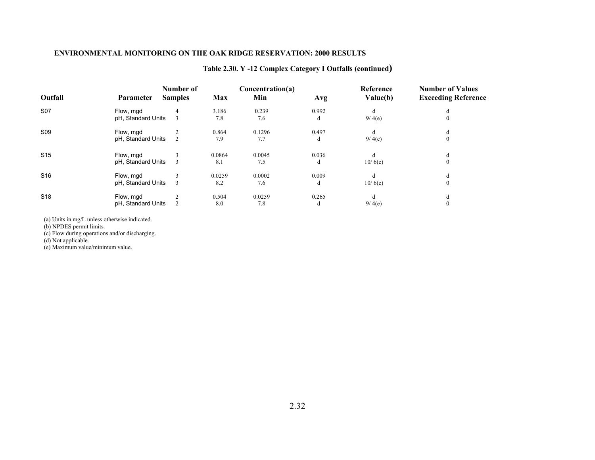# **Table 2.30. Y -12 Complex Category I Outfalls (continued)**

| Outfall         | <b>Parameter</b>                | Number of<br><b>Samples</b> | Max           | Concentration(a)<br>Min | Avg        | Reference<br>Value(b) | <b>Number of Values</b><br><b>Exceeding Reference</b> |
|-----------------|---------------------------------|-----------------------------|---------------|-------------------------|------------|-----------------------|-------------------------------------------------------|
| S07             | Flow, mgd<br>pH, Standard Units | 4                           | 3.186<br>7.8  | 0.239<br>7.6            | 0.992<br>d | d<br>9/4(e)           | d<br>$\mathbf{0}$                                     |
| S09             | Flow, mgd<br>pH, Standard Units |                             | 0.864<br>7.9  | 0.1296<br>7.7           | 0.497<br>d | d<br>9/4(e)           | d<br>$\boldsymbol{0}$                                 |
| S <sub>15</sub> | Flow, mgd<br>pH, Standard Units |                             | 0.0864<br>8.1 | 0.0045<br>7.5           | 0.036<br>d | d<br>10/6(e)          | d<br>$\boldsymbol{0}$                                 |
| S <sub>16</sub> | Flow, mgd<br>pH, Standard Units |                             | 0.0259<br>8.2 | 0.0002<br>7.6           | 0.009<br>d | d<br>10/6(e)          | d<br>$\mathbf{0}$                                     |
| S <sub>18</sub> | Flow, mgd<br>pH, Standard Units |                             | 0.504<br>8.0  | 0.0259<br>7.8           | 0.265<br>d | d<br>9/4(e)           | d<br>$\mathbf{0}$                                     |

(a) Units in mg/L unless otherwise indicated.

(b) NPDES permit limits.

(c) Flow during operations and/or discharging.

(d) Not applicable.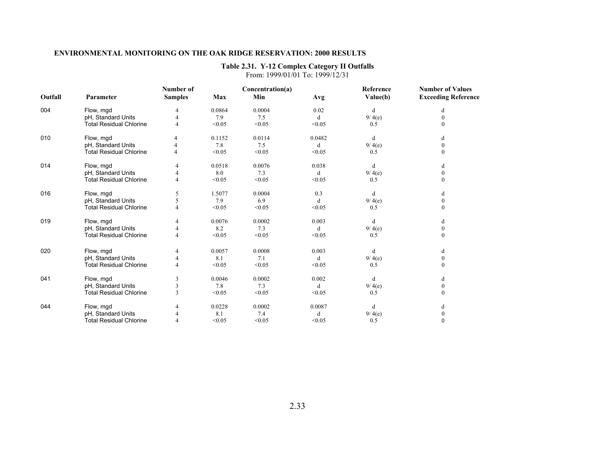### **Table 2.31. Y-12 Complex Category II Outfalls**

|         |                                | Number of      |        | Concentration(a) |        | Reference | <b>Number of Values</b>    |
|---------|--------------------------------|----------------|--------|------------------|--------|-----------|----------------------------|
| Outfall | Parameter                      | <b>Samples</b> | Max    | Min              | Avg    | Value(b)  | <b>Exceeding Reference</b> |
| 004     | Flow, mgd                      |                | 0.0864 | 0.0004           | 0.02   | d         | d                          |
|         | pH, Standard Units             |                | 7.9    | 7.5              | d      | 9/4(e)    | $\theta$                   |
|         | <b>Total Residual Chlorine</b> | 4              | < 0.05 | < 0.05           | < 0.05 | 0.5       | $\Omega$                   |
| 010     | Flow, mgd                      | 4              | 0.1152 | 0.0114           | 0.0482 | d         | d                          |
|         | pH, Standard Units             |                | 7.8    | 7.5              | d      | 9/4(e)    | $\boldsymbol{0}$           |
|         | <b>Total Residual Chlorine</b> |                | < 0.05 | < 0.05           | < 0.05 | 0.5       | $\theta$                   |
| 014     | Flow, mgd                      |                | 0.0518 | 0.0076           | 0.038  | d         |                            |
|         | pH, Standard Units             |                | 8.0    | 7.3              | d      | 9/4(e)    | $\mathbf{0}$               |
|         | <b>Total Residual Chlorine</b> |                | < 0.05 | < 0.05           | < 0.05 | 0.5       | $\mathbf{0}$               |
| 016     | Flow, mgd                      | 5              | 1.5077 | 0.0004           | 0.3    | d         | d                          |
|         | pH, Standard Units             |                | 7.9    | 6.9              | d      | 9/4(e)    | $\mathbf{0}$               |
|         | <b>Total Residual Chlorine</b> |                | < 0.05 | < 0.05           | < 0.05 | 0.5       | $\Omega$                   |
| 019     | Flow, mgd                      | 4              | 0.0076 | 0.0002           | 0.003  | d         | d                          |
|         | pH, Standard Units             |                | 8.2    | 7.3              | d      | 9/4(e)    | $\mathbf{0}$               |
|         | <b>Total Residual Chlorine</b> |                | < 0.05 | < 0.05           | < 0.05 | 0.5       | $\theta$                   |
| 020     | Flow, mgd                      |                | 0.0057 | 0.0008           | 0.003  | d         | d                          |
|         | pH, Standard Units             |                | 8.1    | 7.1              | d      | 9/4(e)    | $\mathbf{0}$               |
|         | <b>Total Residual Chlorine</b> |                | < 0.05 | < 0.05           | < 0.05 | 0.5       | $\theta$                   |
| 041     | Flow, mgd                      | 3              | 0.0046 | 0.0002           | 0.002  | d         | d                          |
|         | pH, Standard Units             |                | 7.8    | 7.3              | d      | 9/4(e)    | $\mathbf{0}$               |
|         | <b>Total Residual Chlorine</b> |                | < 0.05 | < 0.05           | < 0.05 | 0.5       | $\Omega$                   |
| 044     | Flow, mgd                      |                | 0.0228 | 0.0002           | 0.0087 | d         |                            |
|         | pH, Standard Units             |                | 8.1    | 7.4              | d      | 9/4(e)    | $\mathbf{0}$               |
|         | <b>Total Residual Chlorine</b> |                | < 0.05 | < 0.05           | < 0.05 | 0.5       | $\mathbf 0$                |

From: 1999/01/01 To: 1999/12/31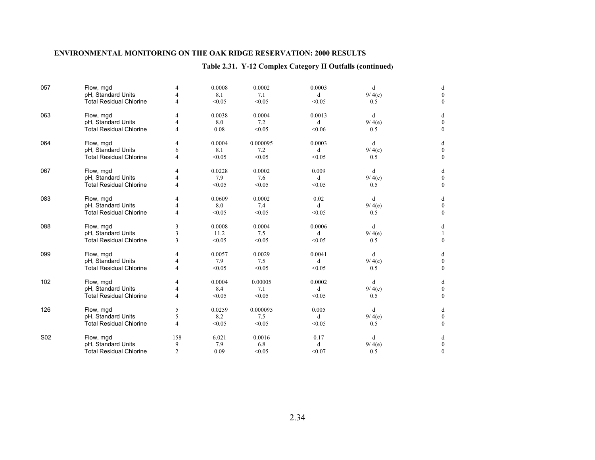# **Table 2.31. Y-12 Complex Category II Outfalls (continued)**

| 057             | Flow, mgd                      | 4              | 0.0008 | 0.0002   | 0.0003  | d      | d            |
|-----------------|--------------------------------|----------------|--------|----------|---------|--------|--------------|
|                 | pH, Standard Units             |                | 8.1    | 7.1      | d       | 9/4(e) | $\theta$     |
|                 | <b>Total Residual Chlorine</b> | 4              | < 0.05 | < 0.05   | < 0.05  | 0.5    | $\theta$     |
| 063             | Flow, mgd                      | $\overline{4}$ | 0.0038 | 0.0004   | 0.0013  | d      | d            |
|                 | pH, Standard Units             | 4              | 8.0    | 7.2      | d       | 9/4(e) | $\theta$     |
|                 | <b>Total Residual Chlorine</b> | 4              | 0.08   | < 0.05   | < 0.06  | 0.5    | $\mathbf{0}$ |
| 064             | Flow, mgd                      | 4              | 0.0004 | 0.000095 | 0.0003  | d      | d            |
|                 | pH, Standard Units             | 6              | 8.1    | 7.2      | d       | 9/4(e) | $\mathbf{0}$ |
|                 | <b>Total Residual Chlorine</b> | 4              | < 0.05 | < 0.05   | < 0.05  | 0.5    | $\Omega$     |
| 067             | Flow, mgd                      | 4              | 0.0228 | 0.0002   | 0.009   | d      | d            |
|                 | pH, Standard Units             | 4              | 7.9    | 7.6      | d       | 9/4(e) | $\Omega$     |
|                 | <b>Total Residual Chlorine</b> | $\overline{4}$ | < 0.05 | < 0.05   | < 0.05  | 0.5    | $\mathbf{0}$ |
| 083             | Flow, mgd                      | 4              | 0.0609 | 0.0002   | 0.02    | d      | d            |
|                 | pH, Standard Units             | 4              | 8.0    | 7.4      | d       | 9/4(e) | $\mathbf{0}$ |
|                 | <b>Total Residual Chlorine</b> | $\overline{4}$ | < 0.05 | < 0.05   | < 0.05  | 0.5    | $\mathbf{0}$ |
| 088             | Flow, mgd                      | 3              | 0.0008 | 0.0004   | 0.0006  | d      | d            |
|                 | pH, Standard Units             | 3              | 11.2   | 7.5      | d       | 9/4(e) |              |
|                 | <b>Total Residual Chlorine</b> | 3              | < 0.05 | < 0.05   | < 0.05  | 0.5    | $\mathbf{0}$ |
| 099             | Flow, mgd                      | 4              | 0.0057 | 0.0029   | 0.0041  | d      | d            |
|                 | pH, Standard Units             | 4              | 7.9    | 7.5      | d       | 9/4(e) | $\Omega$     |
|                 | <b>Total Residual Chlorine</b> | 4              | < 0.05 | < 0.05   | < 0.05  | 0.5    | $\theta$     |
| 102             | Flow, mgd                      | 4              | 0.0004 | 0.00005  | 0.0002  | d      | d            |
|                 | pH, Standard Units             | 4              | 8.4    | 7.1      | d       | 9/4(e) | $\mathbf{0}$ |
|                 | <b>Total Residual Chlorine</b> | 4              | < 0.05 | < 0.05   | < 0.05  | 0.5    | $\mathbf{0}$ |
| 126             | Flow, mgd                      | 5              | 0.0259 | 0.000095 | 0.005   | d      | d            |
|                 | pH, Standard Units             | 5              | 8.2    | 7.5      | d       | 9/4(e) | $\Omega$     |
|                 | <b>Total Residual Chlorine</b> | 4              | < 0.05 | < 0.05   | < 0.05  | 0.5    | $\theta$     |
| S <sub>02</sub> | Flow, mgd                      | 158            | 6.021  | 0.0016   | 0.17    | d      | d            |
|                 | pH, Standard Units             | 9              | 7.9    | 6.8      | $\rm d$ | 9/4(e) | $\mathbf{0}$ |
|                 | <b>Total Residual Chlorine</b> | $\overline{2}$ | 0.09   | < 0.05   | < 0.07  | 0.5    | $\mathbf{0}$ |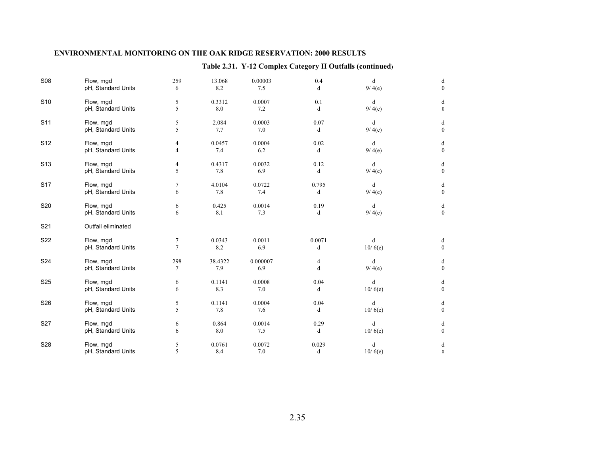# **Table 2.31. Y-12 Complex Category II Outfalls (continued**)

| <b>S08</b>      | Flow, mgd          | 259            | 13.068  | 0.00003  | 0.4    | d       | d                |
|-----------------|--------------------|----------------|---------|----------|--------|---------|------------------|
|                 | pH, Standard Units | 6              | 8.2     | $7.5\,$  | d      | 9/4(e)  | $\mathbf{0}$     |
| S <sub>10</sub> | Flow, mgd          | 5              | 0.3312  | 0.0007   | 0.1    | d       | d                |
|                 | pH, Standard Units | 5              | $8.0\,$ | $7.2\,$  | d      | 9/4(e)  | $\bf{0}$         |
| S <sub>11</sub> | Flow, mgd          | 5              | 2.084   | 0.0003   | 0.07   | d       | d                |
|                 | pH, Standard Units | 5              | 7.7     | 7.0      | d      | 9/4(e)  | $\boldsymbol{0}$ |
| S <sub>12</sub> | Flow, mgd          | 4              | 0.0457  | 0.0004   | 0.02   | d       | d                |
|                 | pH, Standard Units | 4              | 7.4     | 6.2      | d      | 9/4(e)  | $\mathbf{0}$     |
| S <sub>13</sub> | Flow, mgd          | 4              | 0.4317  | 0.0032   | 0.12   | d       | d                |
|                 | pH, Standard Units | 5              | 7.8     | 6.9      | d      | 9/4(e)  | $\boldsymbol{0}$ |
| S <sub>17</sub> | Flow, mgd          | 7              | 4.0104  | 0.0722   | 0.795  | d       | d                |
|                 | pH, Standard Units | 6              | 7.8     | 7.4      | d      | 9/4(e)  | $\overline{0}$   |
| S20             | Flow, mgd          | 6              | 0.425   | 0.0014   | 0.19   | d       | d                |
|                 | pH, Standard Units | 6              | 8.1     | 7.3      | d      | 9/4(e)  | $\boldsymbol{0}$ |
| S <sub>21</sub> | Outfall eliminated |                |         |          |        |         |                  |
| S22             | Flow, mgd          | $\tau$         | 0.0343  | 0.0011   | 0.0071 | d       | d                |
|                 | pH, Standard Units | $\overline{7}$ | 8.2     | 6.9      | d      | 10/6(e) | $\boldsymbol{0}$ |
| S24             | Flow, mgd          | 298            | 38.4322 | 0.000007 | 4      | d       | d                |
|                 | pH, Standard Units | 7              | 7.9     | 6.9      | d      | 9/4(e)  | $\boldsymbol{0}$ |
| S <sub>25</sub> | Flow, mgd          | 6              | 0.1141  | 0.0008   | 0.04   | d       | d                |
|                 | pH, Standard Units | 6              | 8.3     | 7.0      | d      | 10/6(e) | $\mathbf{0}$     |
| S26             | Flow, mgd          | 5              | 0.1141  | 0.0004   | 0.04   | d       | d                |
|                 | pH, Standard Units | 5              | 7.8     | 7.6      | d      | 10/6(e) | $\boldsymbol{0}$ |
| S27             | Flow, mgd          | 6              | 0.864   | 0.0014   | 0.29   | d       | d                |
|                 | pH, Standard Units | 6              | 8.0     | 7.5      | d      | 10/6(e) | $\mathbf{0}$     |
| S28             | Flow, mgd          | 5              | 0.0761  | 0.0072   | 0.029  | d       | d                |
|                 | pH, Standard Units | 5              | 8.4     | 7.0      | d      | 10/6(e) | $\boldsymbol{0}$ |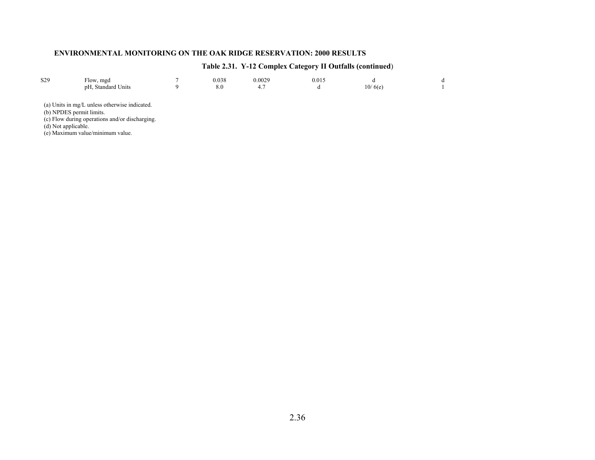| S <sub>29</sub> | Flow, mgd<br>pH, Standard Units                                           | 0.038<br>8.0 | 0.0029<br>4.7 | 0.015 | 10/6(e) |  |
|-----------------|---------------------------------------------------------------------------|--------------|---------------|-------|---------|--|
|                 | (a) Units in mg/L unless otherwise indicated.<br>(b) NPDES permit limits. |              |               |       |         |  |
|                 | (c) Flow during operations and/or discharging.                            |              |               |       |         |  |

# **Table 2.31. Y-12 Complex Category II Outfalls (continued**)

(d) Not applicable.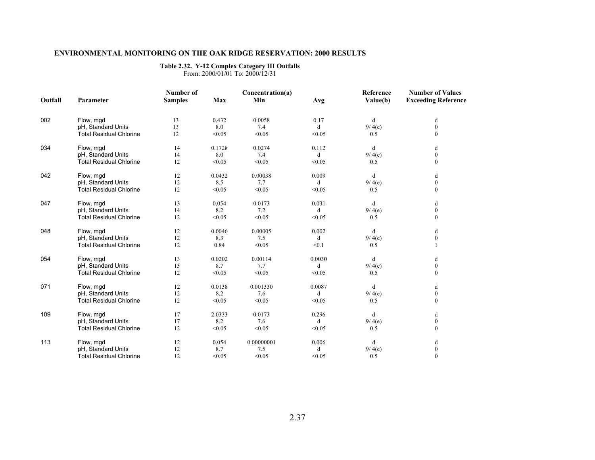### **Table 2.32. Y-12 Complex Category III Outfalls**

From: 2000/01/01 To: 2000/12/31

|         |                                | Number of      |        | Concentration(a) |        | Reference | <b>Number of Values</b>    |
|---------|--------------------------------|----------------|--------|------------------|--------|-----------|----------------------------|
| Outfall | Parameter                      | <b>Samples</b> | Max    | Min              | Avg    | Value(b)  | <b>Exceeding Reference</b> |
| 002     | Flow, mgd                      | 13             | 0.432  | 0.0058           | 0.17   | d         | d                          |
|         | pH, Standard Units             | 13             | 8.0    | 7.4              | d      | 9/4(e)    | $\boldsymbol{0}$           |
|         | <b>Total Residual Chlorine</b> | 12             | < 0.05 | < 0.05           | < 0.05 | 0.5       | $\mathbf{0}$               |
| 034     | Flow, mgd                      | 14             | 0.1728 | 0.0274           | 0.112  | d         | d                          |
|         | pH, Standard Units             | 14             | 8.0    | 7.4              | d      | 9/4(e)    | $\mathbf{0}$               |
|         | <b>Total Residual Chlorine</b> | 12             | < 0.05 | < 0.05           | < 0.05 | 0.5       | $\mathbf{0}$               |
| 042     | Flow, mgd                      | 12             | 0.0432 | 0.00038          | 0.009  | d         | d                          |
|         | pH, Standard Units             | 12             | 8.5    | 7.7              | d      | 9/4(e)    | $\boldsymbol{0}$           |
|         | <b>Total Residual Chlorine</b> | 12             | < 0.05 | < 0.05           | < 0.05 | 0.5       | $\mathbf{0}$               |
| 047     | Flow, mgd                      | 13             | 0.054  | 0.0173           | 0.031  | d         | d                          |
|         | pH, Standard Units             | 14             | 8.2    | 7.2              | d      | 9/4(e)    | $\boldsymbol{0}$           |
|         | <b>Total Residual Chlorine</b> | 12             | < 0.05 | < 0.05           | < 0.05 | 0.5       | $\mathbf{0}$               |
| 048     | Flow, mgd                      | 12             | 0.0046 | 0.00005          | 0.002  | d         | d                          |
|         | pH, Standard Units             | 12             | 8.3    | 7.5              | d      | 9/4(e)    | $\mathbf{0}$               |
|         | <b>Total Residual Chlorine</b> | 12             | 0.84   | < 0.05           | < 0.1  | 0.5       |                            |
| 054     | Flow, mgd                      | 13             | 0.0202 | 0.00114          | 0.0030 | d         | d                          |
|         | pH, Standard Units             | 13             | 8.7    | 7.7              | d      | 9/4(e)    | $\boldsymbol{0}$           |
|         | <b>Total Residual Chlorine</b> | 12             | < 0.05 | < 0.05           | < 0.05 | 0.5       | $\mathbf{0}$               |
| 071     | Flow, mgd                      | 12             | 0.0138 | 0.001330         | 0.0087 | d         | d                          |
|         | pH, Standard Units             | 12             | 8.2    | 7.6              | d      | 9/4(e)    | $\boldsymbol{0}$           |
|         | <b>Total Residual Chlorine</b> | 12             | < 0.05 | < 0.05           | < 0.05 | 0.5       | $\mathbf{0}$               |
| 109     | Flow, mgd                      | 17             | 2.0333 | 0.0173           | 0.296  | d         | d                          |
|         | pH, Standard Units             | 17             | 8.2    | 7.6              | d      | 9/4(e)    | $\bf{0}$                   |
|         | <b>Total Residual Chlorine</b> | 12             | < 0.05 | < 0.05           | < 0.05 | 0.5       | $\theta$                   |
| 113     | Flow, mgd                      | 12             | 0.054  | 0.00000001       | 0.006  | d         | d                          |
|         | pH, Standard Units             | 12             | 8.7    | 7.5              | d      | 9/4(e)    | $\boldsymbol{0}$           |
|         | <b>Total Residual Chlorine</b> | 12             | < 0.05 | < 0.05           | < 0.05 | 0.5       | $\mathbf{0}$               |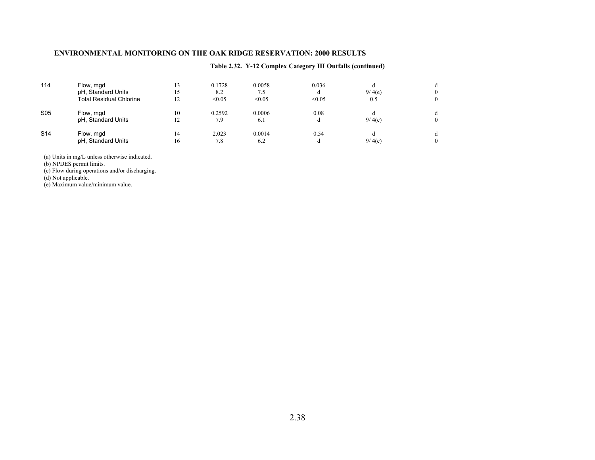### **Table 2.32. Y-12 Complex Category III Outfalls (continued)**

| 114             | Flow, mgd<br>pH, Standard Units<br>Total Residual Chlorine | 15<br>12 | 0.1728<br>8.2<br>< 0.05 | 0.0058<br>7.5<br>< 0.05 | 0.036<br>d<br>< 0.05 | 9/4(e)<br>0.5 | 0<br>0 |
|-----------------|------------------------------------------------------------|----------|-------------------------|-------------------------|----------------------|---------------|--------|
| S <sub>05</sub> | Flow, mgd<br>pH, Standard Units                            | 10       | 0.2592<br>7.9           | 0.0006<br>6.1           | 0.08<br>đ            | 9/4(e)        | 0      |
| S <sub>14</sub> | Flow, mgd<br>pH, Standard Units                            | 14<br>16 | 2.023<br>7.8            | 0.0014<br>6.2           | 0.54<br>d            | 9/4(e)        | đ<br>0 |

(a) Units in mg/L unless otherwise indicated.

(b) NPDES permit limits.

(c) Flow during operations and/or discharging.

(d) Not applicable.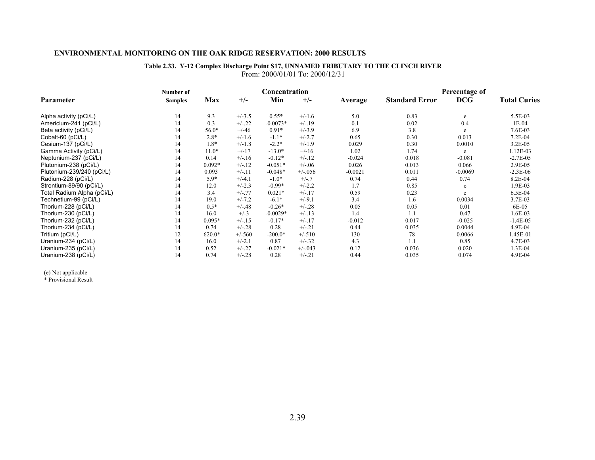#### **Table 2.33. Y-12 Complex Discharge Point S17, UNNAMED TRIBUTARY TO THE CLINCH RIVER** From: 2000/01/01 To: 2000/12/31

|                            | Number of      |          |          | Concentration |            |           |                       | Percentage of |                     |
|----------------------------|----------------|----------|----------|---------------|------------|-----------|-----------------------|---------------|---------------------|
| Parameter                  | <b>Samples</b> | Max      | $+/-$    | Min           | $+/-$      | Average   | <b>Standard Error</b> | <b>DCG</b>    | <b>Total Curies</b> |
| Alpha activity (pCi/L)     | 14             | 9.3      | $+/-3.5$ | $0.55*$       | $+/-1.6$   | 5.0       | 0.83                  | e             | 5.5E-03             |
| Americium-241 (pCi/L)      | 14             | 0.3      | $+/-.22$ | $-0.0073*$    | $+/-19$    | 0.1       | 0.02                  | 0.4           | $1E-04$             |
| Beta activity (pCi/L)      | 14             | 56.0*    | $+/-46$  | $0.91*$       | $+/-3.9$   | 6.9       | 3.8                   | e             | 7.6E-03             |
| Cobalt-60 (pCi/L)          | 14             | $2.8*$   | $+/-1.6$ | $-1.1*$       | $+/-2.7$   | 0.65      | 0.30                  | 0.013         | $7.2E-04$           |
| Cesium-137 (pCi/L)         | 14             | $1.8*$   | $+/-1.8$ | $-2.2*$       | $+/-1.9$   | 0.029     | 0.30                  | 0.0010        | 3.2E-05             |
| Gamma Activity (pCi/L)     | 14             | $11.0*$  | $+/-17$  | $-13.0*$      | $+/-16$    | 1.02      | 1.74                  | e             | 1.12E-03            |
| Neptunium-237 (pCi/L)      | 14             | 0.14     | $+/-16$  | $-0.12*$      | $+/-.12$   | $-0.024$  | 0.018                 | $-0.081$      | $-2.7E-0.5$         |
| Plutonium-238 (pCi/L)      | 14             | $0.092*$ | $+/-12$  | $-0.051*$     | $+/-06$    | 0.026     | 0.013                 | 0.066         | 2.9E-05             |
| Plutonium-239/240 (pCi/L)  | 14             | 0.093    | $+/-11$  | $-0.048*$     | $+/-0.056$ | $-0.0021$ | 0.011                 | $-0.0069$     | $-2.3E-06$          |
| Radium-228 (pCi/L)         | 14             | $5.9*$   | $+/-4.1$ | $-1.0*$       | $+/-.7$    | 0.74      | 0.44                  | 0.74          | 8.2E-04             |
| Strontium-89/90 (pCi/L)    | 14             | 12.0     | $+/-2.3$ | $-0.99*$      | $+/-2.2$   | 1.7       | 0.85                  | e             | 1.9E-03             |
| Total Radium Alpha (pCi/L) | 14             | 3.4      | $+/-.77$ | $0.021*$      | $+/-.17$   | 0.59      | 0.23                  | e             | 6.5E-04             |
| Technetium-99 (pCi/L)      | 14             | 19.0     | $+/-7.2$ | $-6.1*$       | $+/-9.1$   | 3.4       | 1.6                   | 0.0034        | 3.7E-03             |
| Thorium-228 (pCi/L)        | 14             | $0.5*$   | $+/-.48$ | $-0.26*$      | $+/-.28$   | 0.05      | 0.05                  | 0.01          | 6E-05               |
| Thorium-230 (pCi/L)        | 14             | 16.0     | $+/-3$   | $-0.0029*$    | $+/-.13$   | 1.4       | 1.1                   | 0.47          | 1.6E-03             |
| Thorium-232 (pCi/L)        | 14             | $0.095*$ | $+/-15$  | $-0.17*$      | $+/-.17$   | $-0.012$  | 0.017                 | $-0.025$      | $-1.4E-05$          |
| Thorium-234 (pCi/L)        | 14             | 0.74     | $+/-.28$ | 0.28          | $+/-.21$   | 0.44      | 0.035                 | 0.0044        | 4.9E-04             |
| Tritium (pCi/L)            | 12             | $620.0*$ | $+/-560$ | $-200.0*$     | $+/-510$   | 130       | 78                    | 0.0066        | 1.45E-01            |
| Uranium-234 (pCi/L)        | 14             | 16.0     | $+/-2.1$ | 0.87          | $+/-.32$   | 4.3       | 1.1                   | 0.85          | 4.7E-03             |
| Uranium-235 (pCi/L)        | 14             | 0.52     | $+/-.27$ | $-0.021*$     | $+/-0.043$ | 0.12      | 0.036                 | 0.020         | 1.3E-04             |
| Uranium-238 (pCi/L)        | 14             | 0.74     | $+/-.28$ | 0.28          | $+/-.21$   | 0.44      | 0.035                 | 0.074         | 4.9E-04             |

(e) Not applicable \* Provisional Result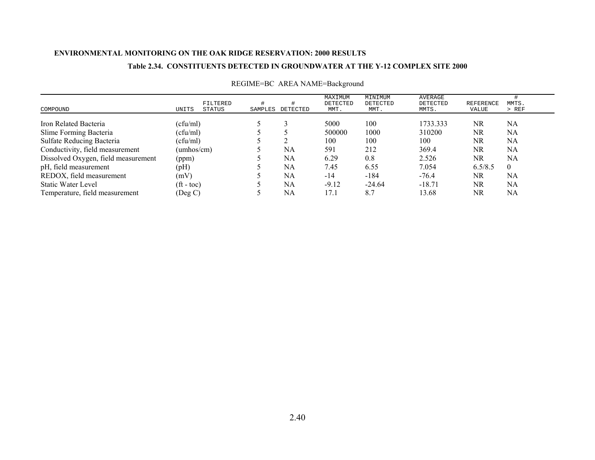### **Table 2.34. CONSTITUENTS DETECTED IN GROUNDWATER AT THE Y-12 COMPLEX SITE 2000**

| COMPOUND                            | UNITS                    | FILTERED<br>STATUS | SAMPLES | DETECTED | MAXIMUM<br>DETECTED<br>MMT. | MINIMUM<br>DETECTED<br>MMT. | AVERAGE<br>DETECTED<br>MMTS. | REFERENCE<br>VALUE | MMTS.<br>> REF |
|-------------------------------------|--------------------------|--------------------|---------|----------|-----------------------------|-----------------------------|------------------------------|--------------------|----------------|
| Iron Related Bacteria               | (cfu/ml)                 |                    |         |          | 5000                        | 100                         | 1733.333                     | NR                 | NA             |
| Slime Forming Bacteria              | (cfu/ml)                 |                    |         |          | 500000                      | 1000                        | 310200                       | NR                 | NA             |
| Sulfate Reducing Bacteria           | (cfu/ml)                 |                    |         |          | 100                         | 100                         | 100                          | NR                 | NA             |
| Conductivity, field measurement     | (umhos/cm)               |                    |         | NA       | 591                         | 212                         | 369.4                        | NR                 | NA             |
| Dissolved Oxygen, field measurement | (ppm)                    |                    |         | NA       | 6.29                        | 0.8                         | 2.526                        | NR                 | NA             |
| pH, field measurement               | (pH)                     |                    |         | NA       | 7.45                        | 6.55                        | 7.054                        | 6.5/8.5            | $\theta$       |
| REDOX, field measurement            | (mV)                     |                    |         | NA       | $-14$                       | $-184$                      | $-76.4$                      | NR.                | NA             |
| Static Water Level                  | $({\rm ft} - {\rm toc})$ |                    |         | NA       | $-9.12$                     | $-24.64$                    | $-18.71$                     | NR.                | NA             |
| Temperature, field measurement      | (Deg C)                  |                    |         | NA       | 17.1                        | 8.7                         | 13.68                        | NR                 | NA             |

## REGIME=BC AREA NAME=Background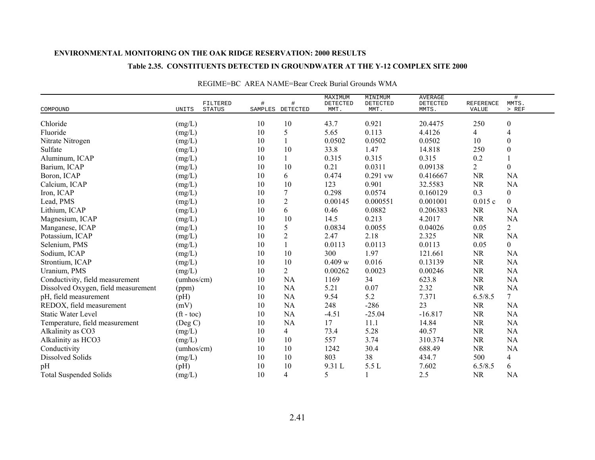### **Table 2.35. CONSTITUENTS DETECTED IN GROUNDWATER AT THE Y-12 COMPLEX SITE 2000**

| COMPOUND                            | UNITS                    | FILTERED<br><b>STATUS</b> | SAMPLES | #<br>DETECTED  | MAXIMUM<br>DETECTED<br>MMT. | MINIMUM<br>DETECTED<br>MMT. | <b>AVERAGE</b><br>DETECTED<br>MMTS. | <b>REFERENCE</b><br>VALUE | #<br>MMTS.<br>$>$ REF |
|-------------------------------------|--------------------------|---------------------------|---------|----------------|-----------------------------|-----------------------------|-------------------------------------|---------------------------|-----------------------|
| Chloride                            | (mg/L)                   |                           | 10      | 10             | 43.7                        | 0.921                       | 20.4475                             | 250                       | $\boldsymbol{0}$      |
| Fluoride                            | (mg/L)                   |                           | 10      | 5              | 5.65                        | 0.113                       | 4.4126                              | $\overline{4}$            | 4                     |
| Nitrate Nitrogen                    | (mg/L)                   |                           | 10      |                | 0.0502                      | 0.0502                      | 0.0502                              | 10                        | $\boldsymbol{0}$      |
| Sulfate                             | (mg/L)                   |                           | 10      | 10             | 33.8                        | 1.47                        | 14.818                              | 250                       | $\mathbf{0}$          |
| Aluminum, ICAP                      | (mg/L)                   |                           | 10      |                | 0.315                       | 0.315                       | 0.315                               | 0.2                       |                       |
| Barium, ICAP                        | (mg/L)                   |                           | 10      | 10             | 0.21                        | 0.0311                      | 0.09138                             | $\overline{2}$            | $\boldsymbol{0}$      |
| Boron, ICAP                         | (mg/L)                   |                           | 10      | 6              | 0.474                       | 0.291 vw                    | 0.416667                            | <b>NR</b>                 | <b>NA</b>             |
| Calcium, ICAP                       | (mg/L)                   |                           | 10      | 10             | 123                         | 0.901                       | 32.5583                             | <b>NR</b>                 | <b>NA</b>             |
| Iron, ICAP                          | (mg/L)                   |                           | 10      | 7              | 0.298                       | 0.0574                      | 0.160129                            | 0.3                       | $\overline{0}$        |
| Lead, PMS                           | (mg/L)                   |                           | 10      | $\overline{c}$ | 0.00145                     | 0.000551                    | 0.001001                            | 0.015c                    | $\theta$              |
| Lithium, ICAP                       | (mg/L)                   |                           | 10      | 6              | 0.46                        | 0.0882                      | 0.206383                            | <b>NR</b>                 | <b>NA</b>             |
| Magnesium, ICAP                     | (mg/L)                   |                           | 10      | 10             | 14.5                        | 0.213                       | 4.2017                              | <b>NR</b>                 | <b>NA</b>             |
| Manganese, ICAP                     | (mg/L)                   |                           | 10      | 5              | 0.0834                      | 0.0055                      | 0.04026                             | 0.05                      | $\overline{2}$        |
| Potassium, ICAP                     | (mg/L)                   |                           | 10      | $\overline{c}$ | 2.47                        | 2.18                        | 2.325                               | <b>NR</b>                 | <b>NA</b>             |
| Selenium, PMS                       | (mg/L)                   |                           | 10      |                | 0.0113                      | 0.0113                      | 0.0113                              | 0.05                      | $\overline{0}$        |
| Sodium, ICAP                        | (mg/L)                   |                           | 10      | 10             | 300                         | 1.97                        | 121.661                             | <b>NR</b>                 | NA                    |
| Strontium, ICAP                     | (mg/L)                   |                           | 10      | 10             | 0.409 w                     | 0.016                       | 0.13139                             | <b>NR</b>                 | <b>NA</b>             |
| Uranium, PMS                        | (mg/L)                   |                           | 10      | $\overline{2}$ | 0.00262                     | 0.0023                      | 0.00246                             | <b>NR</b>                 | <b>NA</b>             |
| Conductivity, field measurement     | (umbos/cm)               |                           | 10      | NA             | 1169                        | 34                          | 623.8                               | NR                        | <b>NA</b>             |
| Dissolved Oxygen, field measurement | (ppm)                    |                           | 10      | NA             | 5.21                        | 0.07                        | 2.32                                | <b>NR</b>                 | NA                    |
| pH, field measurement               | (pH)                     |                           | 10      | NA             | 9.54                        | 5.2                         | 7.371                               | 6.5/8.5                   | $\tau$                |
| REDOX, field measurement            | (mV)                     |                           | 10      | NA             | 248                         | $-286$                      | 23                                  | <b>NR</b>                 | NA                    |
| <b>Static Water Level</b>           | $({\rm ft} - {\rm toc})$ |                           | 10      | NA             | $-4.51$                     | $-25.04$                    | $-16.817$                           | <b>NR</b>                 | <b>NA</b>             |
| Temperature, field measurement      | $($ Deg C $)$            |                           | 10      | NA             | 17                          | 11.1                        | 14.84                               | NR                        | <b>NA</b>             |
| Alkalinity as CO3                   | (mg/L)                   |                           | 10      | 4              | 73.4                        | 5.28                        | 40.57                               | <b>NR</b>                 | <b>NA</b>             |
| Alkalinity as HCO3                  | (mg/L)                   |                           | 10      | 10             | 557                         | 3.74                        | 310.374                             | <b>NR</b>                 | <b>NA</b>             |
| Conductivity                        | (umbos/cm)               |                           | 10      | 10             | 1242                        | 30.4                        | 688.49                              | <b>NR</b>                 | <b>NA</b>             |
| <b>Dissolved Solids</b>             | (mg/L)                   |                           | 10      | 10             | 803                         | 38                          | 434.7                               | 500                       | 4                     |
| pH                                  | (pH)                     |                           | 10      | 10             | 9.31L                       | 5.5 L                       | 7.602                               | 6.5/8.5                   | 6                     |
| <b>Total Suspended Solids</b>       | (mg/L)                   |                           | 10      | 4              | 5                           |                             | 2.5                                 | <b>NR</b>                 | <b>NA</b>             |

### REGIME=BC AREA NAME=Bear Creek Burial Grounds WMA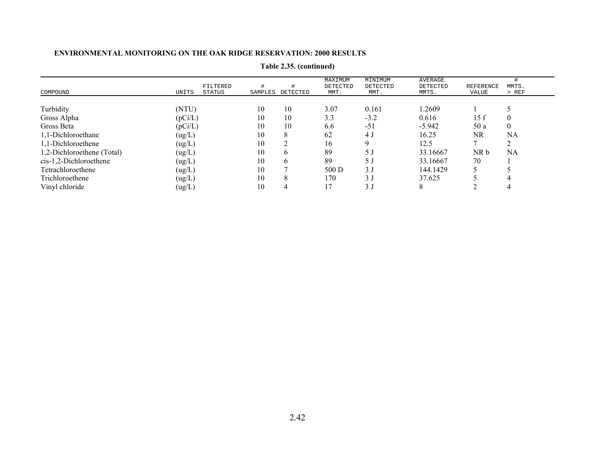| COMPOUND                   | FILTERED<br>UNITS<br>STATUS | SAMPLES | DETECTED | MAXIMUM<br>DETECTED<br>MMT. | MINIMUM<br>DETECTED<br>MMT. | AVERAGE<br>DETECTED<br>MMTS. | <b>REFERENCE</b><br>VALUE | MMTS.<br>$>$ REF |
|----------------------------|-----------------------------|---------|----------|-----------------------------|-----------------------------|------------------------------|---------------------------|------------------|
|                            |                             |         |          |                             |                             |                              |                           |                  |
| Turbidity                  | (NTU)                       | 10      | 10       | 3.07                        | 0.161                       | 1.2609                       |                           |                  |
| Gross Alpha                | (pCi/L)                     | 10      | 10       | 3.3                         | $-3.2$                      | 0.616                        | 15f                       | 0                |
| Gross Beta                 | (pCi/L)                     | 10      | 10       | 6.6                         | $-51$                       | $-5.942$                     | 50a                       | $\overline{0}$   |
| 1,1-Dichloroethane         | (ug/L)                      | 10      | 8        | 62                          | 4 J                         | 16.25                        | NR                        | NA               |
| 1,1-Dichloroethene         | (ug/L)                      | 10      | ◠        | 16                          |                             | 12.5                         |                           | $\sim$           |
| 1,2-Dichloroethene (Total) | (ug/L)                      | 10      | h        | 89                          | 5 J                         | 33.16667                     | NR b                      | NA               |
| cis-1,2-Dichloroethene     | (ug/L)                      | 10      | 6        | 89                          | 5 J                         | 33.16667                     | 70                        |                  |
| Tetrachloroethene          | (ug/L)                      | 10      |          | 500 D                       | 3 <sub>1</sub>              | 144.1429                     |                           |                  |
| Trichloroethene            | (ug/L)                      | 10      | 8        | 170                         | 3 <sub>1</sub>              | 37.625                       |                           |                  |
| Vinyl chloride             | (ug/L)                      | 10      | 4        |                             | 3 <sub>l</sub>              |                              |                           |                  |

## **Table 2.35. (continued)**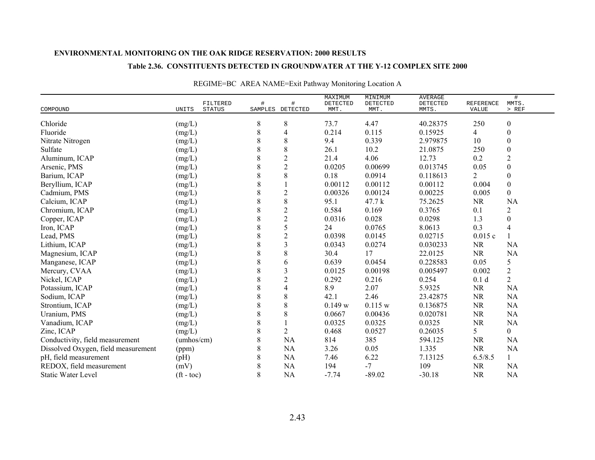#### **Table 2.36. CONSTITUENTS DETECTED IN GROUNDWATER AT THE Y-12 COMPLEX SITE 2000**

| COMPOUND                            | UNITS              | FILTERED<br><b>STATUS</b> | #       | SAMPLES DETECTED | MAXIMUM<br>DETECTED<br>MMT. | MINIMUM<br>DETECTED<br>MMT. | <b>AVERAGE</b><br><b>DETECTED</b><br>MMTS. | <b>REFERENCE</b><br>VALUE | $\#$<br>MMTS.<br>$>$ REF |
|-------------------------------------|--------------------|---------------------------|---------|------------------|-----------------------------|-----------------------------|--------------------------------------------|---------------------------|--------------------------|
| Chloride                            | (mg/L)             |                           | 8       | 8                | 73.7                        | 4.47                        | 40.28375                                   | 250                       | $\boldsymbol{0}$         |
| Fluoride                            | (mg/L)             |                           | 8       | 4                | 0.214                       | 0.115                       | 0.15925                                    | $\overline{4}$            | 0                        |
| Nitrate Nitrogen                    | (mg/L)             |                           | 8       | 8                | 9.4                         | 0.339                       | 2.979875                                   | 10                        | $\boldsymbol{0}$         |
| Sulfate                             | (mg/L)             |                           | 8       | 8                | 26.1                        | 10.2                        | 21.0875                                    | 250                       | $\mathbf{0}$             |
| Aluminum, ICAP                      | (mg/L)             |                           | 8       | $\overline{c}$   | 21.4                        | 4.06                        | 12.73                                      | 0.2                       | $\overline{c}$           |
| Arsenic, PMS                        | (mg/L)             |                           | 8       | $\overline{c}$   | 0.0205                      | 0.00699                     | 0.013745                                   | 0.05                      | $\boldsymbol{0}$         |
| Barium, ICAP                        | (mg/L)             |                           | 8       | 8                | 0.18                        | 0.0914                      | 0.118613                                   | $\overline{2}$            | $\boldsymbol{0}$         |
| Beryllium, ICAP                     | (mg/L)             |                           | 8       |                  | 0.00112                     | 0.00112                     | 0.00112                                    | 0.004                     | $\boldsymbol{0}$         |
| Cadmium, PMS                        | (mg/L)             |                           | 8       | $\overline{2}$   | 0.00326                     | 0.00124                     | 0.00225                                    | 0.005                     | $\overline{0}$           |
| Calcium, ICAP                       | (mg/L)             |                           | 8       | 8                | 95.1                        | 47.7 k                      | 75.2625                                    | <b>NR</b>                 | <b>NA</b>                |
| Chromium, ICAP                      | (mg/L)             |                           | 8       | $\overline{c}$   | 0.584                       | 0.169                       | 0.3765                                     | 0.1                       | $\overline{c}$           |
| Copper, ICAP                        | (mg/L)             |                           | 8       | $\overline{c}$   | 0.0316                      | 0.028                       | 0.0298                                     | 1.3                       | $\mathbf{0}$             |
| Iron, ICAP                          | (mg/L)             |                           | $\,8\,$ | 5                | 24                          | 0.0765                      | 8.0613                                     | 0.3                       | 4                        |
| Lead, PMS                           | (mg/L)             |                           | 8       | $\overline{c}$   | 0.0398                      | 0.0145                      | 0.02715                                    | 0.015c                    |                          |
| Lithium, ICAP                       | (mg/L)             |                           | 8       | 3                | 0.0343                      | 0.0274                      | 0.030233                                   | <b>NR</b>                 | NA                       |
| Magnesium, ICAP                     | (mg/L)             |                           | 8       | 8                | 30.4                        | 17                          | 22.0125                                    | NR                        | <b>NA</b>                |
| Manganese, ICAP                     | (mg/L)             |                           | 8       | 6                | 0.639                       | 0.0454                      | 0.228583                                   | 0.05                      | 5                        |
| Mercury, CVAA                       | (mg/L)             |                           | 8       | 3                | 0.0125                      | 0.00198                     | 0.005497                                   | 0.002                     | $\overline{c}$           |
| Nickel, ICAP                        | (mg/L)             |                           | 8       | $\overline{2}$   | 0.292                       | 0.216                       | 0.254                                      | 0.1 <sub>d</sub>          | $\overline{2}$           |
| Potassium, ICAP                     | (mg/L)             |                           | 8       | 4                | 8.9                         | 2.07                        | 5.9325                                     | <b>NR</b>                 | <b>NA</b>                |
| Sodium, ICAP                        | (mg/L)             |                           | 8       | 8                | 42.1                        | 2.46                        | 23.42875                                   | <b>NR</b>                 | NA                       |
| Strontium, ICAP                     | (mg/L)             |                           | 8       | 8                | 0.149 w                     | 0.115 w                     | 0.136875                                   | NR                        | NA                       |
| Uranium, PMS                        | (mg/L)             |                           | 8       | 8                | 0.0667                      | 0.00436                     | 0.020781                                   | <b>NR</b>                 | NA                       |
| Vanadium, ICAP                      | (mg/L)             |                           | 8       |                  | 0.0325                      | 0.0325                      | 0.0325                                     | <b>NR</b>                 | NA                       |
| Zinc, ICAP                          | (mg/L)             |                           | 8       | $\overline{2}$   | 0.468                       | 0.0527                      | 0.26035                                    | 5                         | $\overline{0}$           |
| Conductivity, field measurement     | (umhos/cm)         |                           | 8       | NA               | 814                         | 385                         | 594.125                                    | <b>NR</b>                 | NA                       |
| Dissolved Oxygen, field measurement | (ppm)              |                           | 8       | NA               | 3.26                        | 0.05                        | 1.335                                      | <b>NR</b>                 | NA                       |
| pH, field measurement               | (pH)               |                           | 8       | NA               | 7.46                        | 6.22                        | 7.13125                                    | 6.5/8.5                   |                          |
| REDOX, field measurement            | (mV)               |                           | 8       | <b>NA</b>        | 194                         | $-7$                        | 109                                        | <b>NR</b>                 | NA                       |
| <b>Static Water Level</b>           | $({\rm ft - toc})$ |                           | 8       | <b>NA</b>        | $-7.74$                     | $-89.02$                    | $-30.18$                                   | <b>NR</b>                 | <b>NA</b>                |

REGIME=BC AREA NAME=Exit Pathway Monitoring Location A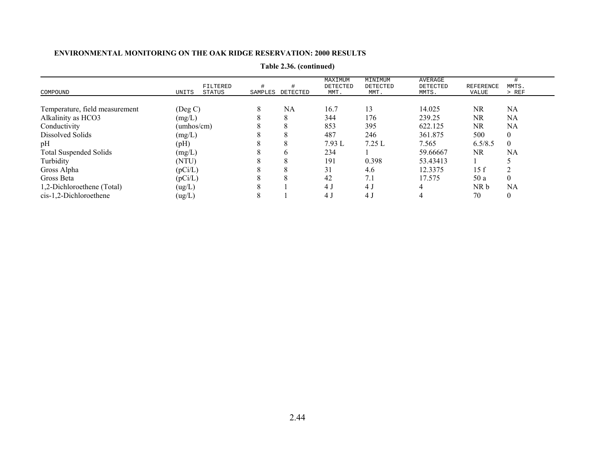|                                | FILTERED        |         |          | MAXIMUM<br>DETECTED | MINIMUM<br>DETECTED | AVERAGE<br>DETECTED | REFERENCE | MMTS.          |
|--------------------------------|-----------------|---------|----------|---------------------|---------------------|---------------------|-----------|----------------|
| COMPOUND                       | UNITS<br>STATUS | SAMPLES | DETECTED | MMT.                | MMT.                | MMTS.               | VALUE     | > REF          |
|                                |                 |         |          |                     |                     |                     |           |                |
| Temperature, field measurement | $($ Deg C $)$   | 8       | NA       | 16.7                | 13                  | 14.025              | <b>NR</b> | NA             |
| Alkalinity as HCO3             | (mg/L)          |         |          | 344                 | 176                 | 239.25              | <b>NR</b> | NA             |
| Conductivity                   | (umhos/cm)      |         |          | 853                 | 395                 | 622.125             | <b>NR</b> | NA             |
| Dissolved Solids               | (mg/L)          |         |          | 487                 | 246                 | 361.875             | 500       | 0              |
| pH                             | (pH)            |         | ◠        | 7.93L               | 7.25L               | 7.565               | 6.5/8.5   | $\theta$       |
| <b>Total Suspended Solids</b>  | (mg/L)          |         |          | 234                 |                     | 59.66667            | <b>NR</b> | NA             |
| Turbidity                      | (NTU)           |         | ◠        | 191                 | 0.398               | 53.43413            |           |                |
| Gross Alpha                    | (pCi/L)         |         |          | 31                  | 4.6                 | 12.3375             | 15 f      | ↑              |
| Gross Beta                     | (pCi/L)         |         |          | 42                  | 7.1                 | 17.575              | 50a       | $\overline{0}$ |
| 1,2-Dichloroethene (Total)     | (ug/L)          |         |          | 4 J                 | 4 J                 |                     | NR b      | NA             |
| cis-1,2-Dichloroethene         | (ug/L)          |         |          | 4 J                 | 4 J                 |                     | 70        | $\overline{0}$ |

**Table 2.36. (continued)**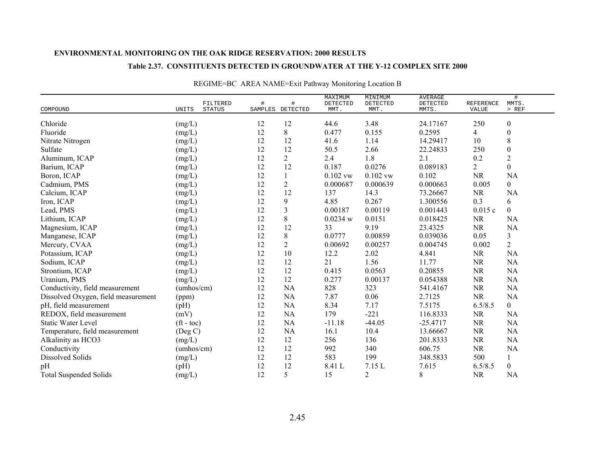#### **Table 2.37. CONSTITUENTS DETECTED IN GROUNDWATER AT THE Y-12 COMPLEX SITE 2000**

| COMPOUND                            | UNITS                    | FILTERED<br><b>STATUS</b> | SAMPLES | #<br>DETECTED  | MAXIMUM<br>DETECTED<br>MMT. | MINIMUM<br>DETECTED<br>MMT. | <b>AVERAGE</b><br>DETECTED<br>MMTS. | <b>REFERENCE</b><br>VALUE | #<br>MMTS.<br>$>$ REF |
|-------------------------------------|--------------------------|---------------------------|---------|----------------|-----------------------------|-----------------------------|-------------------------------------|---------------------------|-----------------------|
| Chloride                            | (mg/L)                   |                           | 12      | 12             | 44.6                        | 3.48                        | 24.17167                            | 250                       | $\boldsymbol{0}$      |
| Fluoride                            | (mg/L)                   |                           | 12      | 8              | 0.477                       | 0.155                       | 0.2595                              | $\overline{4}$            | $\boldsymbol{0}$      |
| Nitrate Nitrogen                    | (mg/L)                   |                           | 12      | 12             | 41.6                        | 1.14                        | 14.29417                            | 10                        | 8                     |
| Sulfate                             | (mg/L)                   |                           | 12      | 12             | 50.5                        | 2.66                        | 22.24833                            | 250                       | $\boldsymbol{0}$      |
| Aluminum, ICAP                      | (mg/L)                   |                           | 12      | $\overline{2}$ | 2.4                         | $1.8\,$                     | 2.1                                 | 0.2                       | $\overline{2}$        |
| Barium, ICAP                        | (mg/L)                   |                           | 12      | 12             | 0.187                       | 0.0276                      | 0.089183                            | $\overline{2}$            | $\overline{0}$        |
| Boron, ICAP                         | (mg/L)                   |                           | 12      |                | $0.102$ vw                  | $0.102$ vw                  | 0.102                               | <b>NR</b>                 | <b>NA</b>             |
| Cadmium, PMS                        | (mg/L)                   |                           | 12      | $\overline{2}$ | 0.000687                    | 0.000639                    | 0.000663                            | 0.005                     | $\overline{0}$        |
| Calcium, ICAP                       | (mg/L)                   |                           | 12      | 12             | 137                         | 14.3                        | 73.26667                            | <b>NR</b>                 | <b>NA</b>             |
| Iron, ICAP                          | (mg/L)                   |                           | 12      | 9              | 4.85                        | 0.267                       | 1.300556                            | 0.3                       | 6                     |
| Lead, PMS                           | (mg/L)                   |                           | 12      | $\overline{3}$ | 0.00187                     | 0.00119                     | 0.001443                            | 0.015c                    | $\overline{0}$        |
| Lithium, ICAP                       | (mg/L)                   |                           | 12      | 8              | 0.0234 w                    | 0.0151                      | 0.018425                            | <b>NR</b>                 | <b>NA</b>             |
| Magnesium, ICAP                     | (mg/L)                   |                           | 12      | 12             | 33                          | 9.19                        | 23.4325                             | <b>NR</b>                 | <b>NA</b>             |
| Manganese, ICAP                     | (mg/L)                   |                           | 12      | 8              | 0.0777                      | 0.00859                     | 0.039036                            | 0.05                      | 3                     |
| Mercury, CVAA                       | $(mg/L)$                 |                           | 12      | $\overline{c}$ | 0.00692                     | 0.00257                     | 0.004745                            | 0.002                     | $\sqrt{2}$            |
| Potassium, ICAP                     | (mg/L)                   |                           | 12      | 10             | 12.2                        | 2.02                        | 4.841                               | <b>NR</b>                 | NA                    |
| Sodium, ICAP                        | (mg/L)                   |                           | 12      | 12             | 21                          | 1.56                        | 11.77                               | <b>NR</b>                 | <b>NA</b>             |
| Strontium, ICAP                     | (mg/L)                   |                           | 12      | 12             | 0.415                       | 0.0563                      | 0.20855                             | <b>NR</b>                 | <b>NA</b>             |
| Uranium, PMS                        | (mg/L)                   |                           | 12      | 12             | 0.277                       | 0.00137                     | 0.054388                            | <b>NR</b>                 | <b>NA</b>             |
| Conductivity, field measurement     | (umbos/cm)               |                           | 12      | NA             | 828                         | 323                         | 541.4167                            | <b>NR</b>                 | <b>NA</b>             |
| Dissolved Oxygen, field measurement | (ppm)                    |                           | 12      | NA             | 7.87                        | 0.06                        | 2.7125                              | <b>NR</b>                 | <b>NA</b>             |
| pH, field measurement               | (pH)                     |                           | 12      | NA             | 8.34                        | 7.17                        | 7.5175                              | 6.5/8.5                   | $\overline{0}$        |
| REDOX, field measurement            | (mV)                     |                           | 12      | NA             | 179                         | $-221$                      | 116.8333                            | <b>NR</b>                 | <b>NA</b>             |
| <b>Static Water Level</b>           | $({\rm ft} - {\rm toc})$ |                           | 12      | NA             | $-11.18$                    | $-44.05$                    | $-25.4717$                          | NR                        | <b>NA</b>             |
| Temperature, field measurement      | $($ Deg C $)$            |                           | 12      | NA             | 16.1                        | 10.4                        | 13.66667                            | <b>NR</b>                 | <b>NA</b>             |
| Alkalinity as HCO3                  | (mg/L)                   |                           | 12      | 12             | 256                         | 136                         | 201.8333                            | <b>NR</b>                 | <b>NA</b>             |
| Conductivity                        | (umbos/cm)               |                           | 12      | 12             | 992                         | 340                         | 606.75                              | <b>NR</b>                 | <b>NA</b>             |
| <b>Dissolved Solids</b>             | (mg/L)                   |                           | 12      | 12             | 583                         | 199                         | 348.5833                            | 500                       | $\mathbf{1}$          |
| pH                                  | (pH)                     |                           | 12      | 12             | 8.41 L                      | 7.15 L                      | 7.615                               | 6.5/8.5                   | $\boldsymbol{0}$      |
| <b>Total Suspended Solids</b>       | (mg/L)                   |                           | 12      | 5              | 15                          | $\overline{2}$              | 8                                   | <b>NR</b>                 | <b>NA</b>             |

## REGIME=BC AREA NAME=Exit Pathway Monitoring Location B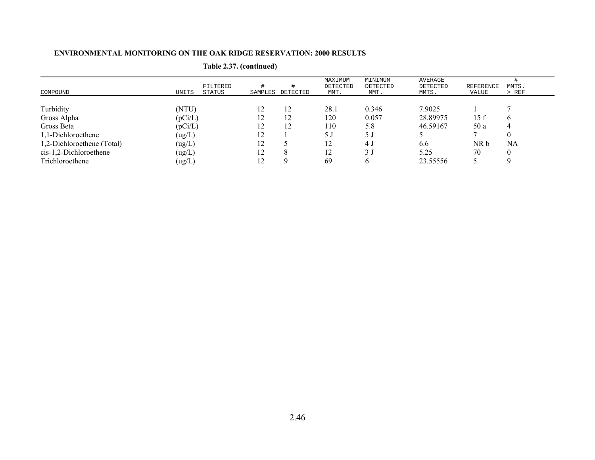| COMPOUND                   | FILTERED<br>UNITS<br>STATUS | SAMPLES | DETECTED | MAXIMUM<br>DETECTED<br>MMT. | MINIMUM<br>DETECTED<br>MMT. | AVERAGE<br>DETECTED<br>MMTS. | <b>REFERENCE</b><br>VALUE | MMTS.<br>> REF |
|----------------------------|-----------------------------|---------|----------|-----------------------------|-----------------------------|------------------------------|---------------------------|----------------|
| Turbidity                  | (NTU)                       | 12      | 12       | 28.1                        | 0.346                       | 7.9025                       |                           |                |
| Gross Alpha                | (pCi/L)                     | 12      | 12       | 120                         | 0.057                       | 28.89975                     | 15f                       | n              |
| Gross Beta                 | (pCi/L)                     | 12      | 12       | 110                         | 5.8                         | 46.59167                     | 50 a                      | 4              |
| 1,1-Dichloroethene         | (ug/L)                      | 12      |          | 5 J                         | 5 J                         |                              |                           |                |
| 1,2-Dichloroethene (Total) | (ug/L)                      | 12      |          | 12                          | 4 J                         | 6.6                          | NR b                      | NA             |
| $cis-1,2-Dichloroethene$   | (ug/L)                      | 12      |          | 12                          | 3 <sub>J</sub>              | 5.25                         | 70                        |                |
| Trichloroethene            | (ug/L)                      | 12      |          | 69                          |                             | 23.55556                     |                           |                |

## **Table 2.37. (continued)**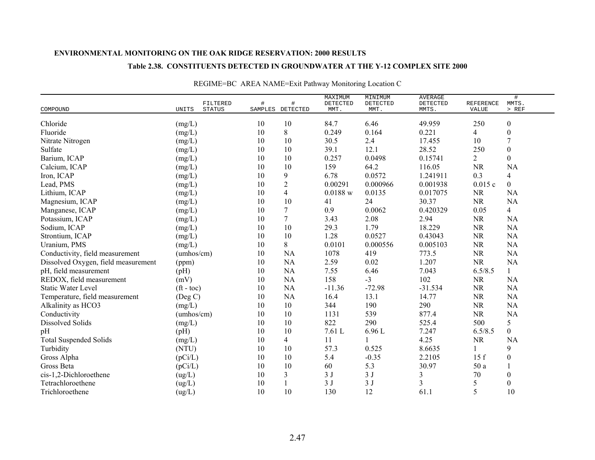### **Table 2.38. CONSTITUENTS DETECTED IN GROUNDWATER AT THE Y-12 COMPLEX SITE 2000**

| COMPOUND                            | UNITS              | FILTERED<br><b>STATUS</b> | #      | #<br>SAMPLES DETECTED | MAXIMUM<br>DETECTED<br>MMT. | MINIMUM<br>DETECTED<br>MMT. | <b>AVERAGE</b><br>DETECTED<br>MMTS. | <b>REFERENCE</b><br>VALUE | $\#$<br>MMTS.<br>$>$ REF |
|-------------------------------------|--------------------|---------------------------|--------|-----------------------|-----------------------------|-----------------------------|-------------------------------------|---------------------------|--------------------------|
|                                     |                    |                           |        |                       |                             |                             |                                     |                           |                          |
| Chloride                            | (mg/L)             |                           | 10     | 10                    | 84.7                        | 6.46                        | 49.959                              | 250                       | $\boldsymbol{0}$         |
| Fluoride                            | (mg/L)             |                           | 10     | 8                     | 0.249                       | 0.164                       | 0.221                               | 4                         | $\boldsymbol{0}$         |
| Nitrate Nitrogen                    | (mg/L)             |                           | 10     | 10                    | 30.5                        | 2.4                         | 17.455                              | 10                        | $\overline{7}$           |
| Sulfate                             | (mg/L)             |                           | 10     | $10\,$                | 39.1                        | 12.1                        | 28.52                               | 250                       | $\boldsymbol{0}$         |
| Barium, ICAP                        | (mg/L)             |                           | 10     | 10                    | 0.257                       | 0.0498                      | 0.15741                             | $\overline{2}$            | $\boldsymbol{0}$         |
| Calcium, ICAP                       | (mg/L)             |                           | $10\,$ | 10                    | 159                         | 64.2                        | 116.05                              | <b>NR</b>                 | <b>NA</b>                |
| Iron, ICAP                          | (mg/L)             |                           | 10     | 9                     | 6.78                        | 0.0572                      | 1.241911                            | 0.3                       | $\overline{4}$           |
| Lead, PMS                           | (mg/L)             |                           | 10     | $\overline{2}$        | 0.00291                     | 0.000966                    | 0.001938                            | 0.015c                    | $\mathbf{0}$             |
| Lithium, ICAP                       | (mg/L)             |                           | 10     | $\overline{4}$        | 0.0188 w                    | 0.0135                      | 0.017075                            | <b>NR</b>                 | <b>NA</b>                |
| Magnesium, ICAP                     | (mg/L)             |                           | 10     | 10                    | 41                          | 24                          | 30.37                               | <b>NR</b>                 | <b>NA</b>                |
| Manganese, ICAP                     | (mg/L)             |                           | 10     | $\overline{7}$        | 0.9                         | 0.0062                      | 0.420329                            | 0.05                      | $\overline{4}$           |
| Potassium, ICAP                     | (mg/L)             |                           | 10     | $\overline{7}$        | 3.43                        | 2.08                        | 2.94                                | <b>NR</b>                 | <b>NA</b>                |
| Sodium, ICAP                        | (mg/L)             |                           | 10     | 10                    | 29.3                        | 1.79                        | 18.229                              | <b>NR</b>                 | <b>NA</b>                |
| Strontium, ICAP                     | (mg/L)             |                           | 10     | 10                    | 1.28                        | 0.0527                      | 0.43043                             | <b>NR</b>                 | <b>NA</b>                |
| Uranium, PMS                        | (mg/L)             |                           | 10     | 8                     | 0.0101                      | 0.000556                    | 0.005103                            | <b>NR</b>                 | <b>NA</b>                |
| Conductivity, field measurement     | (umbos/cm)         |                           | 10     | NA                    | 1078                        | 419                         | 773.5                               | <b>NR</b>                 | NA                       |
| Dissolved Oxygen, field measurement | (ppm)              |                           | 10     | NA                    | 2.59                        | 0.02                        | 1.207                               | <b>NR</b>                 | <b>NA</b>                |
| pH, field measurement               | (pH)               |                           | 10     | NA                    | 7.55                        | 6.46                        | 7.043                               | 6.5/8.5                   | $\mathbf{1}$             |
| REDOX, field measurement            | (mV)               |                           | 10     | <b>NA</b>             | 158                         | $-3$                        | 102                                 | <b>NR</b>                 | <b>NA</b>                |
| <b>Static Water Level</b>           | $({\rm ft - toc})$ |                           | 10     | <b>NA</b>             | $-11.36$                    | $-72.98$                    | $-31.534$                           | <b>NR</b>                 | NA                       |
| Temperature, field measurement      | $($ Deg C $)$      |                           | 10     | NA                    | 16.4                        | 13.1                        | 14.77                               | <b>NR</b>                 | NA                       |
| Alkalinity as HCO3                  | (mg/L)             |                           | 10     | 10                    | 344                         | 190                         | 290                                 | <b>NR</b>                 | <b>NA</b>                |
| Conductivity                        | (umbos/cm)         |                           | 10     | 10                    | 1131                        | 539                         | 877.4                               | <b>NR</b>                 | <b>NA</b>                |
| Dissolved Solids                    | (mg/L)             |                           | 10     | 10                    | 822                         | 290                         | 525.4                               | 500                       | $\mathfrak{S}$           |
| pH                                  | (pH)               |                           | 10     | 10                    | 7.61 L                      | 6.96 L                      | 7.247                               | 6.5/8.5                   | $\boldsymbol{0}$         |
| <b>Total Suspended Solids</b>       | (mg/L)             |                           | 10     | $\overline{4}$        | 11                          |                             | 4.25                                | <b>NR</b>                 | <b>NA</b>                |
| Turbidity                           | (NTU)              |                           | 10     | 10                    | 57.3                        | 0.525                       | 8.6635                              | 1                         | 9                        |
| Gross Alpha                         | (pCi/L)            |                           | 10     | 10                    | 5.4                         | $-0.35$                     | 2.2105                              | 15f                       | $\boldsymbol{0}$         |
| Gross Beta                          | (pCi/L)            |                           | 10     | 10                    | 60                          | 5.3                         | 30.97                               | 50 a                      |                          |
| cis-1,2-Dichloroethene              | (ug/L)             |                           | 10     | 3                     | 3J                          | 3J                          | 3                                   | 70                        | $\boldsymbol{0}$         |
| Tetrachloroethene                   | (ug/L)             |                           | 10     |                       | 3J                          | 3J                          | 3                                   | 5                         | $\boldsymbol{0}$         |
| Trichloroethene                     | (ug/L)             |                           | 10     | 10                    | 130                         | 12                          | 61.1                                | 5                         | 10                       |

## REGIME=BC AREA NAME=Exit Pathway Monitoring Location C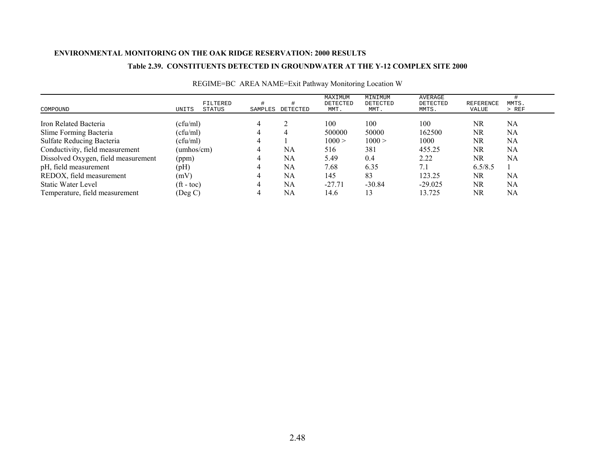### **Table 2.39. CONSTITUENTS DETECTED IN GROUNDWATER AT THE Y-12 COMPLEX SITE 2000**

| COMPOUND                            | UNITS                    | FILTERED<br>STATUS | SAMPLES | DETECTED | MAXIMUM<br>DETECTED<br>MMT. | MINIMUM<br>DETECTED<br>MMT. | AVERAGE<br>DETECTED<br>MMTS. | REFERENCE<br>VALUE | MMTS.<br>$>$ REF |
|-------------------------------------|--------------------------|--------------------|---------|----------|-----------------------------|-----------------------------|------------------------------|--------------------|------------------|
| Iron Related Bacteria               | (cfu/ml)                 |                    |         |          | 100                         | 100                         | 100                          | NR.                | NA               |
| Slime Forming Bacteria              | (cfu/ml)                 |                    |         | 4        | 500000                      | 50000                       | 162500                       | NR                 | NA               |
| Sulfate Reducing Bacteria           | (cfu/ml)                 |                    |         |          | 1000 >                      | 1000 >                      | 1000                         | NR                 | NA               |
| Conductivity, field measurement     | (umhos/cm)               |                    |         | NA       | 516                         | 381                         | 455.25                       | NR                 | NA               |
| Dissolved Oxygen, field measurement | (ppm)                    |                    |         | NA       | 5.49                        | 0.4                         | 2.22                         | NR                 | NA               |
| pH, field measurement               | (pH)                     |                    |         | NA       | 7.68                        | 6.35                        | 7.1                          | 6.5/8.5            |                  |
| REDOX, field measurement            | (mV)                     |                    |         | NA       | 145                         | 83                          | 123.25                       | NR                 | NA               |
| <b>Static Water Level</b>           | $({\rm ft} - {\rm toc})$ |                    |         | NA       | $-27.71$                    | $-30.84$                    | $-29.025$                    | NR.                | NA               |
| Temperature, field measurement      | (Deg C)                  |                    |         | NA       | 14.6                        | 13                          | 13.725                       | NR                 | NA               |

## REGIME=BC AREA NAME=Exit Pathway Monitoring Location W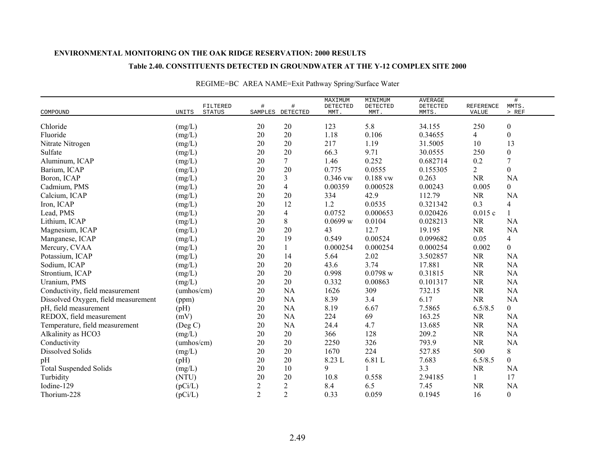### **Table 2.40. CONSTITUENTS DETECTED IN GROUNDWATER AT THE Y-12 COMPLEX SITE 2000**

|                                     |            | FILTERED      | #              | #                | MAXIMUM<br>DETECTED | MINIMUM<br>DETECTED | <b>AVERAGE</b><br>DETECTED | REFERENCE      | $\#$<br>MMTS.    |
|-------------------------------------|------------|---------------|----------------|------------------|---------------------|---------------------|----------------------------|----------------|------------------|
| COMPOUND                            | UNITS      | <b>STATUS</b> |                | SAMPLES DETECTED | MMT.                | MMT.                | MMTS.                      | VALUE          | $>$ REF          |
| Chloride                            | (mg/L)     |               | $20\,$         | 20               | 123                 | 5.8                 | 34.155                     | 250            | $\boldsymbol{0}$ |
| Fluoride                            | (mg/L)     |               | 20             | 20               | 1.18                | 0.106               | 0.34655                    | 4              | $\boldsymbol{0}$ |
| Nitrate Nitrogen                    | (mg/L)     |               | 20             | 20               | 217                 | 1.19                | 31.5005                    | 10             | 13               |
| Sulfate                             | (mg/L)     |               | $20\,$         | 20               | 66.3                | 9.71                | 30.0555                    | 250            | $\boldsymbol{0}$ |
| Aluminum, ICAP                      | (mg/L)     |               | 20             | $7\phantom{.}$   | 1.46                | 0.252               | 0.682714                   | 0.2            | $\overline{7}$   |
| Barium, ICAP                        | (mg/L)     |               | $20\,$         | 20               | 0.775               | 0.0555              | 0.155305                   | $\overline{2}$ | $\boldsymbol{0}$ |
| Boron, ICAP                         | (mg/L)     |               | 20             | 3                | 0.346 vw            | $0.188$ vw          | 0.263                      | <b>NR</b>      | <b>NA</b>        |
| Cadmium, PMS                        | (mg/L)     |               | 20             | 4                | 0.00359             | 0.000528            | 0.00243                    | 0.005          | $\mathbf{0}$     |
| Calcium, ICAP                       | (mg/L)     |               | 20             | 20               | 334                 | 42.9                | 112.79                     | <b>NR</b>      | <b>NA</b>        |
| Iron, ICAP                          | (mg/L)     |               | 20             | 12               | 1.2                 | 0.0535              | 0.321342                   | 0.3            | $\overline{4}$   |
| Lead, PMS                           | (mg/L)     |               | 20             | $\overline{4}$   | 0.0752              | 0.000653            | 0.020426                   | 0.015c         | $\mathbf{1}$     |
| Lithium, ICAP                       | (mg/L)     |               | 20             | 8                | 0.0699 w            | 0.0104              | 0.028213                   | <b>NR</b>      | <b>NA</b>        |
| Magnesium, ICAP                     | (mg/L)     |               | 20             | 20               | 43                  | 12.7                | 19.195                     | <b>NR</b>      | NA               |
| Manganese, ICAP                     | (mg/L)     |               | 20             | 19               | 0.549               | 0.00524             | 0.099682                   | 0.05           | 4                |
| Mercury, CVAA                       | (mg/L)     |               | 20             | $\mathbf{1}$     | 0.000254            | 0.000254            | 0.000254                   | 0.002          | $\boldsymbol{0}$ |
| Potassium, ICAP                     | (mg/L)     |               | $20\,$         | 14               | 5.64                | 2.02                | 3.502857                   | <b>NR</b>      | <b>NA</b>        |
| Sodium, ICAP                        | (mg/L)     |               | 20             | 20               | 43.6                | 3.74                | 17.881                     | <b>NR</b>      | <b>NA</b>        |
| Strontium, ICAP                     | (mg/L)     |               | 20             | $20\,$           | 0.998               | 0.0798 w            | 0.31815                    | <b>NR</b>      | <b>NA</b>        |
| Uranium, PMS                        | (mg/L)     |               | 20             | 20               | 0.332               | 0.00863             | 0.101317                   | <b>NR</b>      | <b>NA</b>        |
| Conductivity, field measurement     | (umbos/cm) |               | 20             | <b>NA</b>        | 1626                | 309                 | 732.15                     | <b>NR</b>      | NA               |
| Dissolved Oxygen, field measurement | (ppm)      |               | $20\,$         | <b>NA</b>        | 8.39                | 3.4                 | 6.17                       | <b>NR</b>      | <b>NA</b>        |
| pH, field measurement               | (pH)       |               | 20             | <b>NA</b>        | 8.19                | 6.67                | 7.5865                     | 6.5/8.5        | $\overline{0}$   |
| REDOX, field measurement            | (mV)       |               | 20             | NA               | 224                 | 69                  | 163.25                     | <b>NR</b>      | <b>NA</b>        |
| Temperature, field measurement      | (Deg C)    |               | 20             | <b>NA</b>        | 24.4                | 4.7                 | 13.685                     | <b>NR</b>      | <b>NA</b>        |
| Alkalinity as HCO3                  | (mg/L)     |               | 20             | $20\,$           | 366                 | 128                 | 209.2                      | <b>NR</b>      | <b>NA</b>        |
| Conductivity                        | (umbos/cm) |               | 20             | $20\,$           | 2250                | 326                 | 793.9                      | <b>NR</b>      | <b>NA</b>        |
| <b>Dissolved Solids</b>             | (mg/L)     |               | 20             | $20\,$           | 1670                | 224                 | 527.85                     | 500            | $8\,$            |
| pH                                  | (pH)       |               | 20             | $20\,$           | 8.23 L              | 6.81 L              | 7.683                      | 6.5/8.5        | $\mathbf{0}$     |
| <b>Total Suspended Solids</b>       | (mg/L)     |               | 20             | 10               | 9                   |                     | 3.3                        | <b>NR</b>      | <b>NA</b>        |
| Turbidity                           | (NTU)      |               | 20             | 20               | 10.8                | 0.558               | 2.94185                    | 1              | 17               |
| Iodine-129                          | (pCi/L)    |               | $\overline{c}$ | $\overline{c}$   | 8.4                 | 6.5                 | 7.45                       | <b>NR</b>      | <b>NA</b>        |
| Thorium-228                         | (pCi/L)    |               | $\overline{2}$ | $\overline{2}$   | 0.33                | 0.059               | 0.1945                     | 16             | $\boldsymbol{0}$ |

## REGIME=BC AREA NAME=Exit Pathway Spring/Surface Water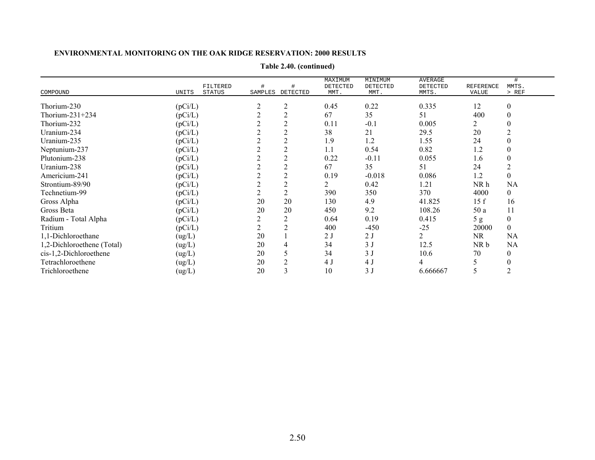|                            |                 |         |                | MINIMUM<br><b>AVERAGE</b><br>MAXIMUM |                 |          |                  |                  |  |
|----------------------------|-----------------|---------|----------------|--------------------------------------|-----------------|----------|------------------|------------------|--|
|                            | FILTERED        | #       | #              | DETECTED                             | <b>DETECTED</b> | DETECTED | <b>REFERENCE</b> | #<br>MMTS.       |  |
| COMPOUND                   | UNITS<br>STATUS | SAMPLES | DETECTED       | MMT.                                 | MMT.            | MMTS.    | <b>VALUE</b>     | > REF            |  |
| Thorium-230                | (pCi/L)         |         | 2              | 0.45                                 | 0.22            | 0.335    | 12               | 0                |  |
| Thorium- $231+234$         | (pCi/L)         |         |                | 67                                   | 35              | 51       | 400              |                  |  |
| Thorium-232                | (pCi/L)         |         | $\overline{c}$ | 0.11                                 | $-0.1$          | 0.005    |                  |                  |  |
| Uranium-234                | (pCi/L)         |         |                | 38                                   | 21              | 29.5     | 20               |                  |  |
| Uranium-235                | (pCi/L)         |         | $\overline{2}$ | 1.9                                  | 1.2             | 1.55     | 24               |                  |  |
| Neptunium-237              | (pCi/L)         |         |                | 1.1                                  | 0.54            | 0.82     | 1.2              |                  |  |
| Plutonium-238              | (pCi/L)         |         | $\overline{2}$ | 0.22                                 | $-0.11$         | 0.055    | 1.6              |                  |  |
| Uranium-238                | (pCi/L)         |         |                | 67                                   | 35              | 51       | 24               |                  |  |
| Americium-241              | (pCi/L)         |         |                | 0.19                                 | $-0.018$        | 0.086    | 1.2              |                  |  |
| Strontium-89/90            | (pCi/L)         |         |                | 2                                    | 0.42            | 1.21     | NR h             | NA               |  |
| Technetium-99              | (pCi/L)         |         | $\overline{2}$ | 390                                  | 350             | 370      | 4000             | $\boldsymbol{0}$ |  |
| Gross Alpha                | (pCi/L)         | 20      | 20             | 130                                  | 4.9             | 41.825   | 15f              | 16               |  |
| Gross Beta                 | (pCi/L)         | 20      | 20             | 450                                  | 9.2             | 108.26   | 50 a             | 11               |  |
| Radium - Total Alpha       | (pCi/L)         |         | $\overline{2}$ | 0.64                                 | 0.19            | 0.415    | 5g               | $\boldsymbol{0}$ |  |
| Tritium                    | (pCi/L)         |         | 2              | 400                                  | $-450$          | $-25$    | 20000            | $\overline{0}$   |  |
| 1,1-Dichloroethane         | (ug/L)          | 20      |                | 2J                                   | 2 <sub>J</sub>  | 2        | <b>NR</b>        | NA               |  |
| 1,2-Dichloroethene (Total) | (ug/L)          | 20      |                | 34                                   | 3J              | 12.5     | NR b             | NA               |  |
| cis-1,2-Dichloroethene     | (ug/L)          | 20      |                | 34                                   | 3J              | 10.6     | 70               | 0                |  |
| Tetrachloroethene          | (ug/L)          | 20      |                | 4 J                                  | 4 J             |          |                  |                  |  |
| Trichloroethene            | (ug/L)          | 20      |                | 10                                   | 3J              | 6.666667 |                  |                  |  |

**Table 2.40. (continued)**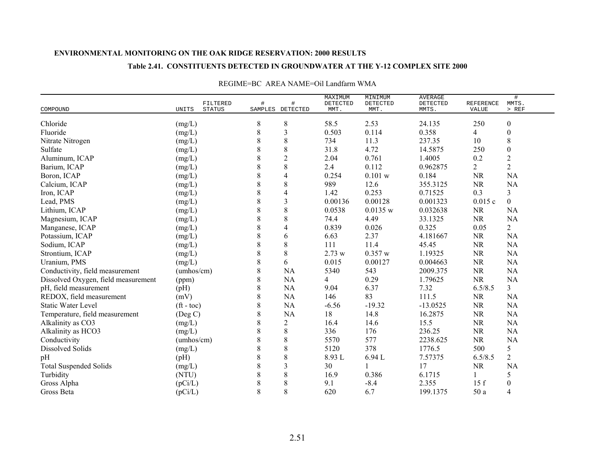### **Table 2.41. CONSTITUENTS DETECTED IN GROUNDWATER AT THE Y-12 COMPLEX SITE 2000**

|                                     | FILTERED                 | #     | #                | MAXIMUM<br>DETECTED | MINIMUM<br>DETECTED | <b>AVERAGE</b><br>DETECTED | <b>REFERENCE</b> | $\#$<br>MMTS.    |
|-------------------------------------|--------------------------|-------|------------------|---------------------|---------------------|----------------------------|------------------|------------------|
| COMPOUND                            | <b>STATUS</b><br>UNITS   |       | SAMPLES DETECTED | MMT.                | MMT.                | MMTS.                      | VALUE            | $>$ REF          |
| Chloride                            | (mg/L)                   | 8     | 8                | 58.5                | 2.53                | 24.135                     | 250              | $\boldsymbol{0}$ |
| Fluoride                            | (mg/L)                   | 8     | 3                | 0.503               | 0.114               | 0.358                      | 4                | $\boldsymbol{0}$ |
| Nitrate Nitrogen                    | (mg/L)                   | 8     | $\,$ 8 $\,$      | 734                 | 11.3                | 237.35                     | 10               | $\,8\,$          |
| Sulfate                             | (mg/L)                   | 8     | $\,$ 8 $\,$      | 31.8                | 4.72                | 14.5875                    | 250              | $\boldsymbol{0}$ |
| Aluminum, ICAP                      | (mg/L)                   | 8     | $\mathbf{2}$     | 2.04                | 0.761               | 1.4005                     | 0.2              | $\sqrt{2}$       |
| Barium, ICAP                        | (mg/L)                   | 8     | $\,8\,$          | 2.4                 | 0.112               | 0.962875                   | $\overline{2}$   | $\overline{2}$   |
| Boron, ICAP                         | (mg/L)                   | 8     | 4                | 0.254               | 0.101 w             | 0.184                      | NR               | <b>NA</b>        |
| Calcium, ICAP                       | (mg/L)                   | 8     | $8\,$            | 989                 | 12.6                | 355.3125                   | NR               | <b>NA</b>        |
| Iron, ICAP                          | (mg/L)                   | 8     | 4                | 1.42                | 0.253               | 0.71525                    | 0.3              | $\mathfrak{Z}$   |
| Lead, PMS                           | (mg/L)                   | 8     | 3                | 0.00136             | 0.00128             | 0.001323                   | 0.015c           | $\overline{0}$   |
| Lithium, ICAP                       | (mg/L)                   | 8     | $\,$ 8 $\,$      | 0.0538              | 0.0135 w            | 0.032638                   | <b>NR</b>        | <b>NA</b>        |
| Magnesium, ICAP                     | (mg/L)                   | 8     | 8                | 74.4                | 4.49                | 33.1325                    | <b>NR</b>        | NA               |
| Manganese, ICAP                     | (mg/L)                   | 8     | 4                | 0.839               | 0.026               | 0.325                      | 0.05             | $\overline{2}$   |
| Potassium, ICAP                     | (mg/L)                   | 8     | 6                | 6.63                | 2.37                | 4.181667                   | <b>NR</b>        | <b>NA</b>        |
| Sodium, ICAP                        | (mg/L)                   | 8     | $8\,$            | 111                 | 11.4                | 45.45                      | <b>NR</b>        | <b>NA</b>        |
| Strontium, ICAP                     | (mg/L)                   | 8     | $\,8\,$          | 2.73 w              | 0.357 w             | 1.19325                    | $\rm NR$         | <b>NA</b>        |
| Uranium, PMS                        | (mg/L)                   | 8     | 6                | 0.015               | 0.00127             | 0.004663                   | <b>NR</b>        | <b>NA</b>        |
| Conductivity, field measurement     | (umhos/cm)               | $8\,$ | <b>NA</b>        | 5340                | 543                 | 2009.375                   | <b>NR</b>        | NA               |
| Dissolved Oxygen, field measurement | (ppm)                    | 8     | NA               | 4                   | 0.29                | 1.79625                    | <b>NR</b>        | <b>NA</b>        |
| pH, field measurement               | (pH)                     | 8     | <b>NA</b>        | 9.04                | 6.37                | 7.32                       | 6.5/8.5          | $\overline{3}$   |
| REDOX, field measurement            | (mV)                     | 8     | NA               | 146                 | 83                  | 111.5                      | <b>NR</b>        | NA               |
| <b>Static Water Level</b>           | $({\rm ft} - {\rm toc})$ | 8     | NA               | $-6.56$             | $-19.32$            | $-13.0525$                 | <b>NR</b>        | <b>NA</b>        |
| Temperature, field measurement      | $($ Deg C $)$            | 8     | <b>NA</b>        | 18                  | 14.8                | 16.2875                    | NR               | <b>NA</b>        |
| Alkalinity as CO3                   | (mg/L)                   | 8     | $\overline{2}$   | 16.4                | 14.6                | 15.5                       | <b>NR</b>        | <b>NA</b>        |
| Alkalinity as HCO3                  | (mg/L)                   | 8     | $8\,$            | 336                 | 176                 | 236.25                     | <b>NR</b>        | <b>NA</b>        |
| Conductivity                        | (umbos/cm)               | 8     | $\,$ 8 $\,$      | 5570                | 577                 | 2238.625                   | <b>NR</b>        | <b>NA</b>        |
| Dissolved Solids                    | (mg/L)                   | 8     | 8                | 5120                | 378                 | 1776.5                     | 500              | $\mathfrak{S}$   |
| pH                                  | (pH)                     | 8     | $\,8\,$          | 8.93 L              | 6.94L               | 7.57375                    | 6.5/8.5          | $\overline{2}$   |
| <b>Total Suspended Solids</b>       | (mg/L)                   | 8     | 3                | 30                  |                     | 17                         | <b>NR</b>        | NA               |
| Turbidity                           | (NTU)                    | 8     | $8\,$            | 16.9                | 0.386               | 6.1715                     |                  | $\mathfrak{S}$   |
| Gross Alpha                         | (pCi/L)                  | 8     | $8\,$            | 9.1                 | $-8.4$              | 2.355                      | 15f              | $\boldsymbol{0}$ |
| Gross Beta                          | (pCi/L)                  | 8     | 8                | 620                 | 6.7                 | 199.1375                   | 50 a             | $\overline{4}$   |

### REGIME=BC AREA NAME=Oil Landfarm WMA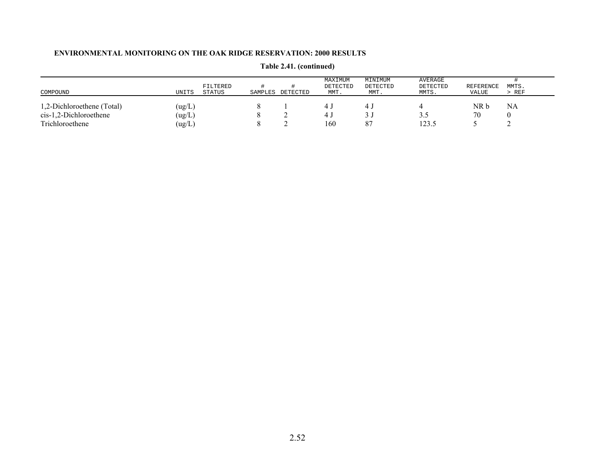| COMPOUND                   | UNITS                       | FILTERED<br>STATUS | SAMPLES | DETECTED | MAXIMUM<br>DETECTED<br>MMT. | MINIMUM<br>DETECTED<br>MMT. | AVERAGE<br>DETECTED<br>MMTS. | <b>REFERENCE</b><br>VALUE | MMTS.<br>> REF |
|----------------------------|-----------------------------|--------------------|---------|----------|-----------------------------|-----------------------------|------------------------------|---------------------------|----------------|
| 1,2-Dichloroethene (Total) | $\left( \text{ug/L}\right)$ |                    |         |          |                             |                             |                              | NR b                      | NA             |
| cis-1,2-Dichloroethene     | $\left( \text{ug/L}\right)$ |                    |         |          |                             |                             | ن. ب                         | 70                        |                |
| Trichloroethene            | ug/L)                       |                    |         |          | 160                         | 87                          | 123.5                        |                           |                |

# **Table 2.41. (continued)**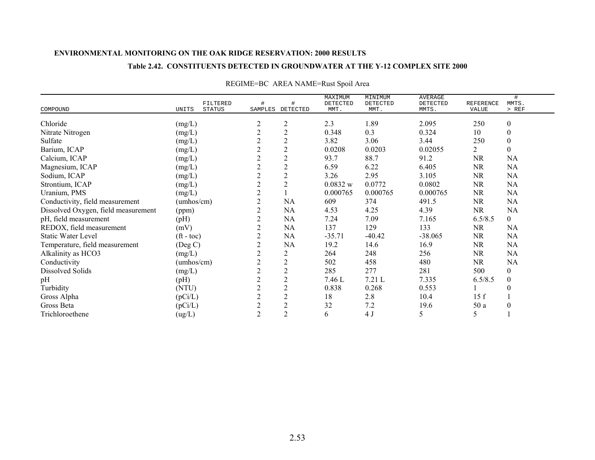### **Table 2.42. CONSTITUENTS DETECTED IN GROUNDWATER AT THE Y-12 COMPLEX SITE 2000**

|                                     |                                    |                  |                       | MAXIMUM          | MINIMUM          | <b>AVERAGE</b>    |                           | #                |
|-------------------------------------|------------------------------------|------------------|-----------------------|------------------|------------------|-------------------|---------------------------|------------------|
| COMPOUND                            | FILTERED<br><b>STATUS</b><br>UNITS | #                | #<br>SAMPLES DETECTED | DETECTED<br>MMT. | DETECTED<br>MMT. | DETECTED<br>MMTS. | <b>REFERENCE</b><br>VALUE | MMTS.<br>> REF   |
|                                     |                                    |                  |                       |                  |                  |                   |                           |                  |
| Chloride                            | (mg/L)                             | $\overline{c}$   | $\overline{c}$        | 2.3              | 1.89             | 2.095             | 250                       | $\boldsymbol{0}$ |
| Nitrate Nitrogen                    | (mg/L)                             | $\overline{2}$   | $\overline{2}$        | 0.348            | 0.3              | 0.324             | 10                        | $\boldsymbol{0}$ |
| Sulfate                             | (mg/L)                             | $\boldsymbol{2}$ | $\overline{c}$        | 3.82             | 3.06             | 3.44              | 250                       | $\boldsymbol{0}$ |
| Barium, ICAP                        | (mg/L)                             | $\overline{2}$   | $\overline{c}$        | 0.0208           | 0.0203           | 0.02055           | $\overline{2}$            | $\mathbf{0}$     |
| Calcium, ICAP                       | (mg/L)                             | $\sqrt{2}$       | $\overline{c}$        | 93.7             | 88.7             | 91.2              | <b>NR</b>                 | NA               |
| Magnesium, ICAP                     | (mg/L)                             | $\sqrt{2}$       | $\overline{c}$        | 6.59             | 6.22             | 6.405             | $\rm NR$                  | NA               |
| Sodium, ICAP                        | (mg/L)                             | $\overline{2}$   | $\overline{c}$        | 3.26             | 2.95             | 3.105             | <b>NR</b>                 | NA               |
| Strontium, ICAP                     | (mg/L)                             | $\sqrt{2}$       | 2                     | 0.0832 w         | 0.0772           | 0.0802            | <b>NR</b>                 | NA               |
| Uranium, PMS                        | (mg/L)                             | $\overline{2}$   |                       | 0.000765         | 0.000765         | 0.000765          | <b>NR</b>                 | NA               |
| Conductivity, field measurement     | $(\text{umbos/cm})$                | $\overline{2}$   | NA                    | 609              | 374              | 491.5             | <b>NR</b>                 | NA               |
| Dissolved Oxygen, field measurement | (ppm)                              | $\overline{2}$   | NA                    | 4.53             | 4.25             | 4.39              | NR                        | NA               |
| pH, field measurement               | (pH)                               | $\mathfrak{2}$   | NA                    | 7.24             | 7.09             | 7.165             | 6.5/8.5                   | $\overline{0}$   |
| REDOX, field measurement            | (mV)                               | $\overline{2}$   | NA                    | 137              | 129              | 133               | <b>NR</b>                 | NA               |
| <b>Static Water Level</b>           | $({\rm ft} - {\rm toc})$           | $\overline{c}$   | NA                    | $-35.71$         | $-40.42$         | $-38.065$         | <b>NR</b>                 | NA               |
| Temperature, field measurement      | (Deg C)                            | $\overline{2}$   | NA                    | 19.2             | 14.6             | 16.9              | <b>NR</b>                 | NA               |
| Alkalinity as HCO3                  | (mg/L)                             | $\mathfrak{2}$   | 2                     | 264              | 248              | 256               | NR                        | NA               |
| Conductivity                        | (umhos/cm)                         | $\sqrt{2}$       | $\overline{c}$        | 502              | 458              | 480               | NR                        | NA               |
| Dissolved Solids                    | (mg/L)                             | $\overline{2}$   | $\sqrt{2}$            | 285              | 277              | 281               | 500                       | $\boldsymbol{0}$ |
| pH                                  | (pH)                               | $\overline{2}$   | $\mathfrak{2}$        | 7.46 L           | 7.21 L           | 7.335             | 6.5/8.5                   | $\boldsymbol{0}$ |
| Turbidity                           | (NTU)                              | $\sqrt{2}$       | $\overline{c}$        | 0.838            | 0.268            | 0.553             |                           | $\theta$         |
| Gross Alpha                         | (pCi/L)                            | $\sqrt{2}$       | $\overline{c}$        | 18               | 2.8              | 10.4              | 15f                       |                  |
| Gross Beta                          | (pCi/L)                            | $\sqrt{2}$       | $\overline{c}$        | 32               | 7.2              | 19.6              | 50 a                      | $\theta$         |
| Trichloroethene                     | (ug/L)                             | $\overline{2}$   | $\overline{c}$        | 6                | 4 J              | 5                 | 5                         |                  |

# REGIME=BC AREA NAME=Rust Spoil Area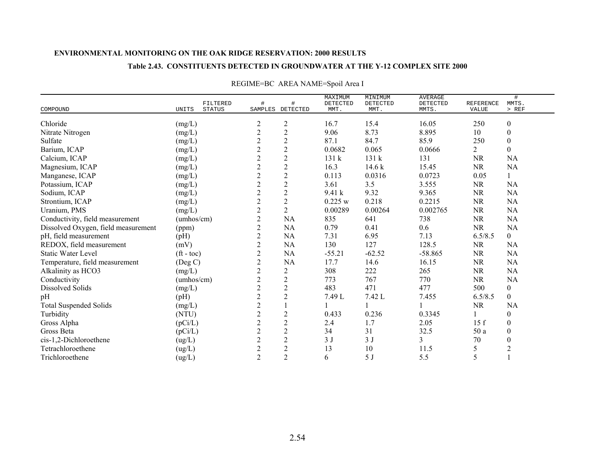### **Table 2.43. CONSTITUENTS DETECTED IN GROUNDWATER AT THE Y-12 COMPLEX SITE 2000**

|                                     |                          | FILTERED      |                  |                | MAXIMUM<br>DETECTED | MINIMUM<br>DETECTED | <b>AVERAGE</b><br>DETECTED | REFERENCE      | #<br>MMTS.       |
|-------------------------------------|--------------------------|---------------|------------------|----------------|---------------------|---------------------|----------------------------|----------------|------------------|
| COMPOUND                            | UNITS                    | <b>STATUS</b> | SAMPLES          | DETECTED       | MMT.                | MMT.                | MMTS.                      | <b>VALUE</b>   | $>$ REF          |
| Chloride                            | (mg/L)                   |               | $\overline{c}$   | $\overline{c}$ | 16.7                | 15.4                | 16.05                      | 250            | $\boldsymbol{0}$ |
| Nitrate Nitrogen                    | (mg/L)                   |               | $\sqrt{2}$       | $\sqrt{2}$     | 9.06                | 8.73                | 8.895                      | 10             | $\boldsymbol{0}$ |
| Sulfate                             | (mg/L)                   |               | $\overline{2}$   | $\sqrt{2}$     | 87.1                | 84.7                | 85.9                       | 250            | $\boldsymbol{0}$ |
| Barium, ICAP                        | (mg/L)                   |               | $\overline{c}$   | $\sqrt{2}$     | 0.0682              | 0.065               | 0.0666                     | $\overline{2}$ | $\boldsymbol{0}$ |
| Calcium, ICAP                       | (mg/L)                   |               | $\overline{2}$   | $\overline{2}$ | 131k                | 131 k               | 131                        | <b>NR</b>      | NA               |
| Magnesium, ICAP                     | (mg/L)                   |               | $\mathbf{2}$     | $\sqrt{2}$     | 16.3                | 14.6k               | 15.45                      | <b>NR</b>      | NA               |
| Manganese, ICAP                     | (mg/L)                   |               | $\sqrt{2}$       | $\overline{2}$ | 0.113               | 0.0316              | 0.0723                     | 0.05           |                  |
| Potassium, ICAP                     | (mg/L)                   |               | $\mathbf{2}$     | $\sqrt{2}$     | 3.61                | 3.5                 | 3.555                      | <b>NR</b>      | <b>NA</b>        |
| Sodium, ICAP                        | (mg/L)                   |               | $\mathbf{2}$     | $\overline{c}$ | 9.41k               | 9.32                | 9.365                      | $\rm NR$       | NA               |
| Strontium, ICAP                     | (mg/L)                   |               | $\mathbf{2}$     | $\mathbf{2}$   | 0.225 w             | 0.218               | 0.2215                     | <b>NR</b>      | <b>NA</b>        |
| Uranium, PMS                        | (mg/L)                   |               | $\overline{c}$   | $\overline{2}$ | 0.00289             | 0.00264             | 0.002765                   | <b>NR</b>      | NA               |
| Conductivity, field measurement     | (umhos/cm)               |               | $\mathbf{2}$     | NA             | 835                 | 641                 | 738                        | <b>NR</b>      | NA               |
| Dissolved Oxygen, field measurement | (ppm)                    |               | $\overline{2}$   | <b>NA</b>      | 0.79                | 0.41                | 0.6                        | <b>NR</b>      | <b>NA</b>        |
| pH, field measurement               | (pH)                     |               | $\overline{c}$   | <b>NA</b>      | 7.31                | 6.95                | 7.13                       | 6.5/8.5        | $\mathbf{0}$     |
| REDOX, field measurement            | (mV)                     |               | $\overline{2}$   | NA             | 130                 | 127                 | 128.5                      | <b>NR</b>      | <b>NA</b>        |
| <b>Static Water Level</b>           | $({\rm ft} - {\rm toc})$ |               | $\overline{2}$   | NA             | $-55.21$            | $-62.52$            | $-58.865$                  | <b>NR</b>      | <b>NA</b>        |
| Temperature, field measurement      | (Deg C)                  |               | $\boldsymbol{2}$ | NA             | 17.7                | 14.6                | 16.15                      | <b>NR</b>      | <b>NA</b>        |
| Alkalinity as HCO3                  | (mg/L)                   |               | $\overline{c}$   | $\overline{2}$ | 308                 | 222                 | 265                        | <b>NR</b>      | NA               |
| Conductivity                        | (umbos/cm)               |               | $\overline{c}$   | $\mathbf{2}$   | 773                 | 767                 | 770                        | <b>NR</b>      | NA               |
| <b>Dissolved Solids</b>             | (mg/L)                   |               | $\overline{c}$   | $\sqrt{2}$     | 483                 | 471                 | 477                        | 500            | $\boldsymbol{0}$ |
| pH                                  | (pH)                     |               | $\boldsymbol{2}$ | $\overline{2}$ | 7.49 L              | 7.42 L              | 7.455                      | 6.5/8.5        | $\boldsymbol{0}$ |
| <b>Total Suspended Solids</b>       | (mg/L)                   |               | $\overline{c}$   |                |                     |                     |                            | <b>NR</b>      | <b>NA</b>        |
| Turbidity                           | (NTU)                    |               | $\overline{c}$   | $\sqrt{2}$     | 0.433               | 0.236               | 0.3345                     |                | $\boldsymbol{0}$ |
| Gross Alpha                         | (pCi/L)                  |               | $\overline{2}$   | $\mathbf{2}$   | 2.4                 | 1.7                 | 2.05                       | 15f            | $\mathbf{0}$     |
| Gross Beta                          | (pCi/L)                  |               | $\overline{c}$   | $\sqrt{2}$     | 34                  | 31                  | 32.5                       | 50 a           | $\mathbf{0}$     |
| cis-1,2-Dichloroethene              | (ug/L)                   |               | $\mathbf{2}$     | $\overline{2}$ | 3J                  | 3J                  | 3                          | 70             | $\theta$         |
| Tetrachloroethene                   | (ug/L)                   |               | $\mathbf{2}$     | $\mathbf{2}$   | 13                  | 10                  | 11.5                       | 5              | $\overline{2}$   |
| Trichloroethene                     | (ug/L)                   |               | $\overline{2}$   | $\overline{2}$ | 6                   | 5 J                 | 5.5                        | 5              |                  |

## REGIME=BC AREA NAME=Spoil Area I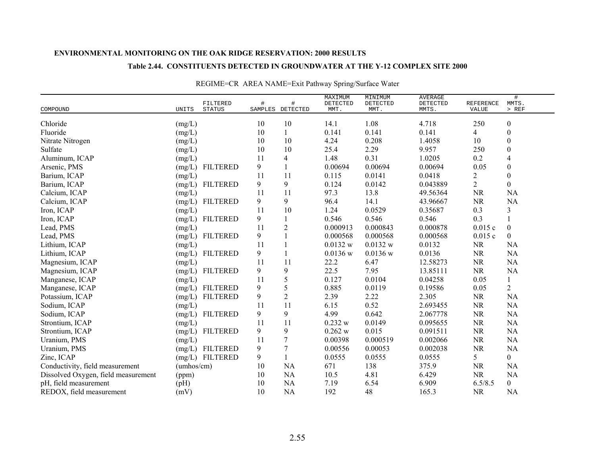#### **Table 2.44. CONSTITUENTS DETECTED IN GROUNDWATER AT THE Y-12 COMPLEX SITE 2000**

|                                               | FILTERED        |      |                          | MAXIMUM          | MINIMUM          | <b>AVERAGE</b>    |                    | $\#$             |
|-----------------------------------------------|-----------------|------|--------------------------|------------------|------------------|-------------------|--------------------|------------------|
| COMPOUND<br>UNITS                             | <b>STATUS</b>   | $\#$ | $\#$<br>SAMPLES DETECTED | DETECTED<br>MMT. | DETECTED<br>MMT. | DETECTED<br>MMTS. | REFERENCE<br>VALUE | MMTS.<br>$>$ REF |
| Chloride<br>(mg/L)                            |                 | 10   | 10                       | 14.1             | 1.08             | 4.718             | 250                | $\boldsymbol{0}$ |
| Fluoride                                      |                 | 10   |                          | 0.141            | 0.141            | 0.141             | 4                  | $\boldsymbol{0}$ |
| (mg/L)                                        |                 | 10   | 10                       | 4.24             | 0.208            | 1.4058            | 10                 | $\boldsymbol{0}$ |
| Nitrate Nitrogen<br>(mg/L)<br>Sulfate         |                 |      | 10                       |                  |                  |                   | 250                | $\boldsymbol{0}$ |
| (mg/L)                                        |                 | 10   |                          | 25.4             | 2.29             | 9.957             |                    |                  |
| Aluminum, ICAP<br>(mg/L)                      |                 | 11   | 4                        | 1.48             | 0.31             | 1.0205            | 0.2                | 4                |
| Arsenic, PMS<br>(mg/L)                        | <b>FILTERED</b> | 9    |                          | 0.00694          | 0.00694          | 0.00694           | 0.05               | $\boldsymbol{0}$ |
| Barium, ICAP<br>(mg/L)                        |                 | 11   | 11                       | 0.115            | 0.0141           | 0.0418            | 2                  | $\boldsymbol{0}$ |
| Barium, ICAP<br>(mg/L)                        | <b>FILTERED</b> | 9    | 9                        | 0.124            | 0.0142           | 0.043889          | $\overline{2}$     | $\boldsymbol{0}$ |
| Calcium, ICAP<br>(mg/L)                       |                 | 11   | 11                       | 97.3             | 13.8             | 49.56364          | <b>NR</b>          | <b>NA</b>        |
| Calcium, ICAP<br>(mg/L)                       | <b>FILTERED</b> | 9    | 9                        | 96.4             | 14.1             | 43.96667          | <b>NR</b>          | <b>NA</b>        |
| Iron, ICAP<br>(mg/L)                          |                 | 11   | 10                       | 1.24             | 0.0529           | 0.35687           | 0.3                | 3                |
| Iron, ICAP<br>(mg/L)                          | <b>FILTERED</b> | 9    |                          | 0.546            | 0.546            | 0.546             | 0.3                | 1                |
| Lead, PMS<br>(mg/L)                           |                 | 11   | $\overline{2}$           | 0.000913         | 0.000843         | 0.000878          | 0.015c             | $\boldsymbol{0}$ |
| (mg/L)<br>Lead, PMS                           | <b>FILTERED</b> | 9    |                          | 0.000568         | 0.000568         | 0.000568          | 0.015c             | $\overline{0}$   |
| Lithium, ICAP<br>(mg/L)                       |                 | 11   |                          | 0.0132 w         | 0.0132 w         | 0.0132            | <b>NR</b>          | <b>NA</b>        |
| Lithium, ICAP<br>(mg/L)                       | <b>FILTERED</b> | 9    |                          | $0.0136$ w       | $0.0136$ w       | 0.0136            | <b>NR</b>          | <b>NA</b>        |
| Magnesium, ICAP<br>(mg/L)                     |                 | 11   | 11                       | 22.2             | 6.47             | 12.58273          | <b>NR</b>          | <b>NA</b>        |
| Magnesium, ICAP<br>(mg/L)                     | <b>FILTERED</b> | 9    | 9                        | 22.5             | 7.95             | 13.85111          | <b>NR</b>          | <b>NA</b>        |
| Manganese, ICAP<br>(mg/L)                     |                 | 11   | 5                        | 0.127            | 0.0104           | 0.04258           | 0.05               | $\mathbf{1}$     |
| Manganese, ICAP<br>(mg/L)                     | <b>FILTERED</b> | 9    | 5                        | 0.885            | 0.0119           | 0.19586           | 0.05               | $\overline{2}$   |
| Potassium, ICAP<br>(mg/L)                     | <b>FILTERED</b> | 9    | $\overline{c}$           | 2.39             | 2.22             | 2.305             | <b>NR</b>          | NA               |
| Sodium, ICAP<br>(mg/L)                        |                 | 11   | 11                       | 6.15             | 0.52             | 2.693455          | <b>NR</b>          | <b>NA</b>        |
| Sodium, ICAP<br>(mg/L)                        | <b>FILTERED</b> | 9    | 9                        | 4.99             | 0.642            | 2.067778          | $\rm NR$           | <b>NA</b>        |
| Strontium, ICAP<br>(mg/L)                     |                 | 11   | 11                       | 0.232 w          | 0.0149           | 0.095655          | NR                 | NA               |
| Strontium, ICAP<br>(mg/L)                     | <b>FILTERED</b> | 9    | 9                        | 0.262 w          | 0.015            | 0.091511          | <b>NR</b>          | NA               |
| Uranium, PMS<br>(mg/L)                        |                 | 11   | 7                        | 0.00398          | 0.000519         | 0.002066          | <b>NR</b>          | <b>NA</b>        |
| Uranium, PMS                                  | (mg/L) FILTERED | 9    | 7                        | 0.00556          | 0.00053          | 0.002038          | <b>NR</b>          | NA               |
| Zinc, ICAP                                    | (mg/L) FILTERED | 9    |                          | 0.0555           | 0.0555           | 0.0555            | 5                  | $\overline{0}$   |
| Conductivity, field measurement<br>(umbos/cm) |                 | 10   | <b>NA</b>                | 671              | 138              | 375.9             | <b>NR</b>          | <b>NA</b>        |
| Dissolved Oxygen, field measurement<br>(ppm)  |                 | 10   | NA                       | 10.5             | 4.81             | 6.429             | <b>NR</b>          | <b>NA</b>        |
| pH, field measurement<br>(pH)                 |                 | 10   | <b>NA</b>                | 7.19             | 6.54             | 6.909             | 6.5/8.5            | $\overline{0}$   |
| (mV)<br>REDOX, field measurement              |                 | 10   | <b>NA</b>                | 192              | 48               | 165.3             | <b>NR</b>          | <b>NA</b>        |

## REGIME=CR AREA NAME=Exit Pathway Spring/Surface Water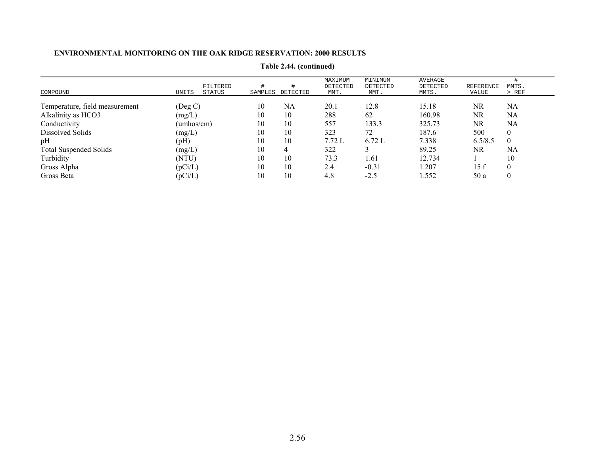| COMPOUND                       | UNITS               | FILTERED<br>STATUS | #<br>SAMPLES | DETECTED | MAXIMUM<br>DETECTED<br>MMT. | MINIMUM<br>DETECTED<br>MMT. | AVERAGE<br>DETECTED<br>MMTS. | <b>REFERENCE</b><br>VALUE | MMTS.<br>> REF   |
|--------------------------------|---------------------|--------------------|--------------|----------|-----------------------------|-----------------------------|------------------------------|---------------------------|------------------|
|                                |                     |                    |              |          |                             |                             |                              |                           |                  |
| Temperature, field measurement | (Deg C)             |                    | 10           | NA       | 20.1                        | 12.8                        | 15.18                        | NR                        | NA               |
| Alkalinity as HCO3             | (mg/L)              |                    | 10           | 10       | 288                         | 62                          | 160.98                       | NR                        | NA               |
| Conductivity                   | $(\text{umbos/cm})$ |                    | 10           | 10       | 557                         | 133.3                       | 325.73                       | NR.                       | NA               |
| Dissolved Solids               | (mg/L)              |                    | 10           | 10       | 323                         | 72                          | 187.6                        | 500                       | $\boldsymbol{0}$ |
| pH                             | (pH)                |                    | 10           | 10       | 7.72L                       | 6.72L                       | 7.338                        | 6.5/8.5                   | $\overline{0}$   |
| <b>Total Suspended Solids</b>  | (mg/L)              |                    | 10           |          | 322                         |                             | 89.25                        | NR.                       | NA               |
| Turbidity                      | (NTU)               |                    | 10           | 10       | 73.3                        | 1.61                        | 12.734                       |                           | 10               |
| Gross Alpha                    | (pCi/L)             |                    | 10           | 10       | 2.4                         | $-0.31$                     | 1.207                        | 15f                       | $\boldsymbol{0}$ |
| Gross Beta                     | (pCi/L)             |                    | 10           | 10       | 4.8                         | $-2.5$                      | 1.552                        | 50 a                      | $\theta$         |

**Table 2.44. (continued)**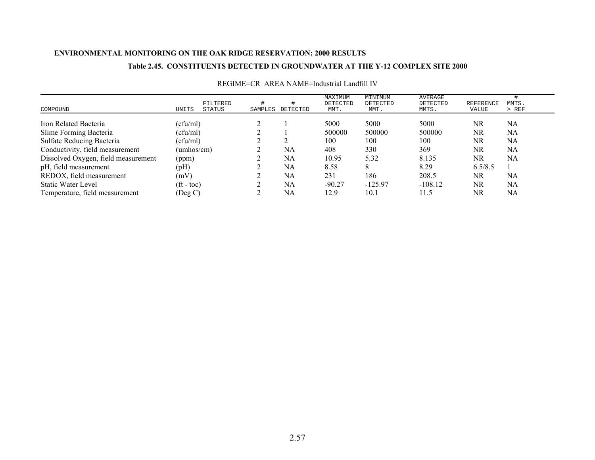### **Table 2.45. CONSTITUENTS DETECTED IN GROUNDWATER AT THE Y-12 COMPLEX SITE 2000**

| COMPOUND                            | UNITS                      | FILTERED<br>STATUS | SAMPLES | DETECTED | MAXIMUM<br>DETECTED<br>MMT. | MINIMUM<br>DETECTED<br>MMT. | AVERAGE<br>DETECTED<br>MMTS. | REFERENCE<br>VALUE | MMTS.<br>$>$ REF |
|-------------------------------------|----------------------------|--------------------|---------|----------|-----------------------------|-----------------------------|------------------------------|--------------------|------------------|
| Iron Related Bacteria               | (cfu/ml)                   |                    |         |          | 5000                        | 5000                        | 5000                         | NR                 | NA               |
| Slime Forming Bacteria              | (cfu/ml)                   |                    |         |          | 500000                      | 500000                      | 500000                       | NR                 | NA               |
| <b>Sulfate Reducing Bacteria</b>    | (cfu/ml)                   |                    |         |          | 100                         | 100                         | 100                          | NR                 | NA               |
| Conductivity, field measurement     | (umhos/cm)                 |                    |         | NA       | 408                         | 330                         | 369                          | NR                 | NA               |
| Dissolved Oxygen, field measurement | (ppm)                      |                    |         | NA       | 10.95                       | 5.32                        | 8.135                        | NR                 | NA               |
| pH, field measurement               | (pH)                       |                    |         | NA       | 8.58                        |                             | 8.29                         | 6.5/8.5            |                  |
| REDOX, field measurement            | (mV)                       |                    |         | NA       | 231                         | 186                         | 208.5                        | NR                 | NA               |
| Static Water Level                  | $({\rm ft -} \,{\rm toc})$ |                    |         | NA       | $-90.27$                    | $-125.97$                   | $-108.12$                    | NR                 | NA               |
| Temperature, field measurement      | (Deg C)                    |                    |         | NA       | 12.9                        | 10.1                        | 11.5                         | NR                 | NA               |

### REGIME=CR AREA NAME=Industrial Landfill IV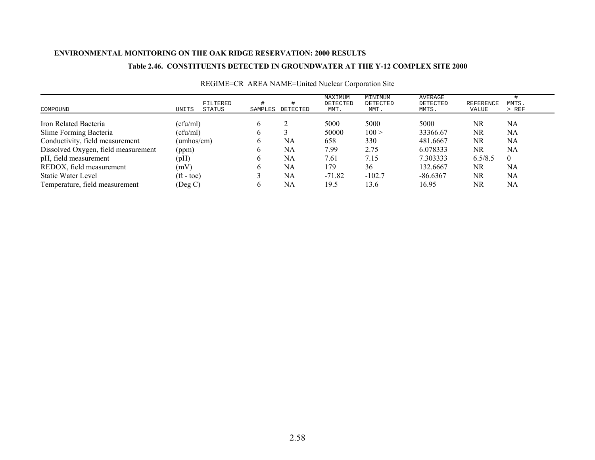### **Table 2.46. CONSTITUENTS DETECTED IN GROUNDWATER AT THE Y-12 COMPLEX SITE 2000**

| COMPOUND                            | UNITS                    | FILTERED<br>STATUS | SAMPLES      | DETECTED | MAXIMUM<br>DETECTED<br>MMT. | MINIMUM<br>DETECTED<br>MMT. | AVERAGE<br>DETECTED<br>MMTS. | <b>REFERENCE</b><br>VALUE | MMTS.<br>$>$ REF |
|-------------------------------------|--------------------------|--------------------|--------------|----------|-----------------------------|-----------------------------|------------------------------|---------------------------|------------------|
| Iron Related Bacteria               | (cfu/ml)                 |                    | <sub>b</sub> |          | 5000                        | 5000                        | 5000                         | NR                        | NA               |
| Slime Forming Bacteria              | (cfu/ml)                 |                    | 6            |          | 50000                       | 100 >                       | 33366.67                     | NR                        | NA               |
| Conductivity, field measurement     | $(\text{umbos/cm})$      |                    | 6            | NA       | 658                         | 330                         | 481.6667                     | NR.                       | NA               |
| Dissolved Oxygen, field measurement | (ppm)                    |                    | <sub>0</sub> | NA       | 7.99                        | 2.75                        | 6.078333                     | NR                        | NA               |
| pH, field measurement               | (pH)                     |                    | <sub>0</sub> | NA       | 7.61                        | 7.15                        | 7.303333                     | 6.5/8.5                   | $\theta$         |
| REDOX, field measurement            | (mV)                     |                    | h.           | NA       | 179                         | 36                          | 132.6667                     | NR.                       | NA               |
| Static Water Level                  | $({\rm ft} - {\rm toc})$ |                    |              | NA       | $-71.82$                    | $-102.7$                    | $-86.6367$                   | NR.                       | NA               |
| Temperature, field measurement      | (Deg C)                  |                    | b.           | NA       | 19.5                        | 13.6                        | 16.95                        | NR                        | NA               |

## REGIME=CR AREA NAME=United Nuclear Corporation Site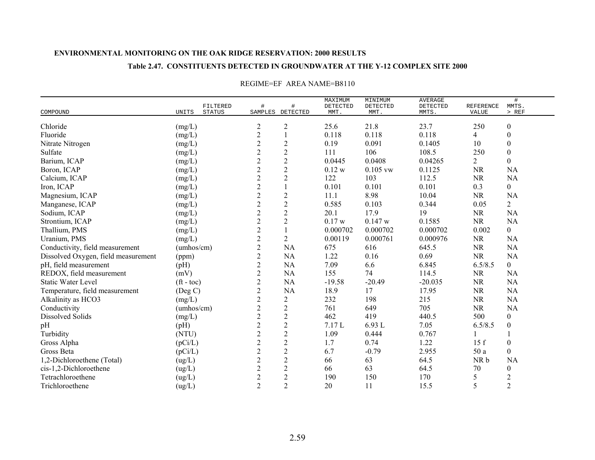### **Table 2.47. CONSTITUENTS DETECTED IN GROUNDWATER AT THE Y-12 COMPLEX SITE 2000**

|                                     |                    |                           |                |                       | MAXIMUM          | MINIMUM          | <b>AVERAGE</b>    |                           | $\#$             |
|-------------------------------------|--------------------|---------------------------|----------------|-----------------------|------------------|------------------|-------------------|---------------------------|------------------|
| COMPOUND                            | UNITS              | FILTERED<br><b>STATUS</b> | $\#$           | #<br>SAMPLES DETECTED | DETECTED<br>MMT. | DETECTED<br>MMT. | DETECTED<br>MMTS. | <b>REFERENCE</b><br>VALUE | MMTS.<br>$>$ REF |
|                                     |                    |                           |                |                       |                  |                  |                   |                           |                  |
| Chloride                            | (mg/L)             |                           | $\overline{c}$ | $\overline{c}$        | 25.6             | 21.8             | 23.7              | 250                       | $\boldsymbol{0}$ |
| Fluoride                            | (mg/L)             |                           | $\overline{c}$ |                       | 0.118            | 0.118            | 0.118             | 4                         | $\boldsymbol{0}$ |
| Nitrate Nitrogen                    | (mg/L)             |                           | $\sqrt{2}$     | $\mathbf{2}$          | 0.19             | 0.091            | 0.1405            | 10                        | $\boldsymbol{0}$ |
| Sulfate                             | (mg/L)             |                           | $\overline{c}$ | $\sqrt{2}$            | 111              | 106              | 108.5             | 250                       | $\boldsymbol{0}$ |
| Barium, ICAP                        | (mg/L)             |                           | $\overline{c}$ | $\overline{c}$        | 0.0445           | 0.0408           | 0.04265           | $\overline{2}$            | $\boldsymbol{0}$ |
| Boron, ICAP                         | (mg/L)             |                           | $\overline{c}$ | $\mathbf{2}$          | 0.12 w           | $0.105$ vw       | 0.1125            | <b>NR</b>                 | <b>NA</b>        |
| Calcium, ICAP                       | (mg/L)             |                           | $\sqrt{2}$     | $\overline{2}$        | 122              | 103              | 112.5             | <b>NR</b>                 | <b>NA</b>        |
| Iron, ICAP                          | (mg/L)             |                           | $\sqrt{2}$     | $\mathbf{1}$          | 0.101            | 0.101            | 0.101             | 0.3                       | $\overline{0}$   |
| Magnesium, ICAP                     | (mg/L)             |                           | $\overline{2}$ | $\sqrt{2}$            | 11.1             | 8.98             | 10.04             | <b>NR</b>                 | <b>NA</b>        |
| Manganese, ICAP                     | (mg/L)             |                           | $\overline{c}$ | $\overline{c}$        | 0.585            | 0.103            | 0.344             | 0.05                      | $\overline{2}$   |
| Sodium, ICAP                        | (mg/L)             |                           | $\overline{c}$ | $\mathbf{2}$          | 20.1             | 17.9             | 19                | <b>NR</b>                 | <b>NA</b>        |
| Strontium, ICAP                     | (mg/L)             |                           | $\overline{2}$ | $\overline{2}$        | 0.17 w           | 0.147 w          | 0.1585            | <b>NR</b>                 | <b>NA</b>        |
| Thallium, PMS                       | (mg/L)             |                           | $\sqrt{2}$     |                       | 0.000702         | 0.000702         | 0.000702          | 0.002                     | $\overline{0}$   |
| Uranium, PMS                        | (mg/L)             |                           | $\overline{2}$ | $\overline{2}$        | 0.00119          | 0.000761         | 0.000976          | <b>NR</b>                 | <b>NA</b>        |
| Conductivity, field measurement     | (umbos/cm)         |                           | $\overline{c}$ | NA                    | 675              | 616              | 645.5             | NR                        | <b>NA</b>        |
| Dissolved Oxygen, field measurement | (ppm)              |                           | $\overline{2}$ | NA                    | 1.22             | 0.16             | 0.69              | <b>NR</b>                 | NA               |
| pH, field measurement               | (pH)               |                           | $\mathbf{2}$   | NA                    | 7.09             | 6.6              | 6.845             | 6.5/8.5                   | $\overline{0}$   |
| REDOX, field measurement            | (mV)               |                           | $\mathbf{2}$   | NA                    | 155              | 74               | 114.5             | <b>NR</b>                 | <b>NA</b>        |
| <b>Static Water Level</b>           | $({\rm ft}$ - toc) |                           | $\overline{2}$ | NA                    | $-19.58$         | $-20.49$         | $-20.035$         | <b>NR</b>                 | <b>NA</b>        |
| Temperature, field measurement      | $($ Deg C $)$      |                           | $\overline{c}$ | NA                    | 18.9             | 17               | 17.95             | <b>NR</b>                 | <b>NA</b>        |
| Alkalinity as HCO3                  | (mg/L)             |                           | $\overline{c}$ | $\overline{2}$        | 232              | 198              | 215               | <b>NR</b>                 | <b>NA</b>        |
| Conductivity                        | (umbos/cm)         |                           | $\overline{2}$ | $\sqrt{2}$            | 761              | 649              | 705               | <b>NR</b>                 | <b>NA</b>        |
| <b>Dissolved Solids</b>             | (mg/L)             |                           | $\mathbf{2}$   | $\overline{2}$        | 462              | 419              | 440.5             | 500                       | $\boldsymbol{0}$ |
| pH                                  | (pH)               |                           | $\overline{c}$ | $\boldsymbol{2}$      | 7.17L            | 6.93 L           | 7.05              | 6.5/8.5                   | $\boldsymbol{0}$ |
| Turbidity                           | (NTU)              |                           | $\overline{c}$ | $\overline{c}$        | 1.09             | 0.444            | 0.767             |                           |                  |
| Gross Alpha                         | (pCi/L)            |                           | $\overline{c}$ | $\sqrt{2}$            | 1.7              | 0.74             | 1.22              | 15f                       | $\boldsymbol{0}$ |
| Gross Beta                          | (pCi/L)            |                           | $\overline{c}$ | $\boldsymbol{2}$      | 6.7              | $-0.79$          | 2.955             | 50 a                      | $\overline{0}$   |
| 1,2-Dichloroethene (Total)          | (ug/L)             |                           | $\mathbf{2}$   | $\overline{2}$        | 66               | 63               | 64.5              | NR b                      | <b>NA</b>        |
| cis-1,2-Dichloroethene              | (ug/L)             |                           | $\overline{c}$ | $\mathbf{2}$          | 66               | 63               | 64.5              | 70                        | $\boldsymbol{0}$ |
| Tetrachloroethene                   | (ug/L)             |                           | $\overline{c}$ | $\mathbf{2}$          | 190              | 150              | 170               | 5                         | $\overline{2}$   |
| Trichloroethene                     | (ug/L)             |                           | $\overline{2}$ | $\overline{2}$        | 20               | 11               | 15.5              | 5                         | $\overline{2}$   |

### REGIME=EF AREA NAME=B8110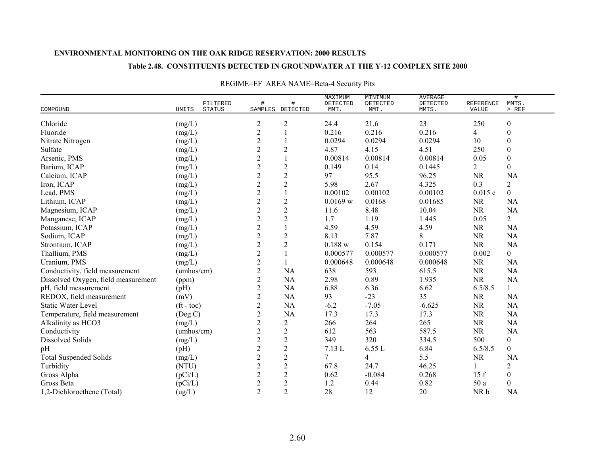### **Table 2.48. CONSTITUENTS DETECTED IN GROUNDWATER AT THE Y-12 COMPLEX SITE 2000**

|                                     | FILTERED                 | #                | #                | MAXIMUM<br>DETECTED | MINIMUM<br>DETECTED | <b>AVERAGE</b><br>DETECTED | REFERENCE      | $\#$<br>MMTS.    |
|-------------------------------------|--------------------------|------------------|------------------|---------------------|---------------------|----------------------------|----------------|------------------|
| COMPOUND                            | UNITS<br><b>STATUS</b>   | SAMPLES DETECTED |                  | MMT.                | MMT.                | MMTS.                      | VALUE          | $>$ REF          |
| Chloride                            | (mg/L)                   | $\overline{c}$   | $\overline{c}$   | 24.4                | 21.6                | 23                         | 250            | $\boldsymbol{0}$ |
| Fluoride                            | (mg/L)                   | $\overline{c}$   |                  | 0.216               | 0.216               | 0.216                      | $\overline{4}$ | $\boldsymbol{0}$ |
| Nitrate Nitrogen                    | (mg/L)                   | $\overline{c}$   |                  | 0.0294              | 0.0294              | 0.0294                     | 10             | $\boldsymbol{0}$ |
| Sulfate                             | (mg/L)                   | $\overline{c}$   | $\mathbf{2}$     | 4.87                | 4.15                | 4.51                       | 250            | $\boldsymbol{0}$ |
| Arsenic, PMS                        | (mg/L)                   | $\overline{2}$   |                  | 0.00814             | 0.00814             | 0.00814                    | 0.05           | $\boldsymbol{0}$ |
| Barium, ICAP                        | (mg/L)                   | $\overline{2}$   | $\mathbf{2}$     | 0.149               | 0.14                | 0.1445                     | 2              | $\boldsymbol{0}$ |
| Calcium, ICAP                       | (mg/L)                   | $\sqrt{2}$       | $\sqrt{2}$       | 97                  | 95.5                | 96.25                      | <b>NR</b>      | <b>NA</b>        |
| Iron, ICAP                          | (mg/L)                   | $\sqrt{2}$       | $\mathbf{2}$     | 5.98                | 2.67                | 4.325                      | 0.3            | $\overline{2}$   |
| Lead, PMS                           | (mg/L)                   | $\sqrt{2}$       |                  | 0.00102             | 0.00102             | 0.00102                    | 0.015c         | $\overline{0}$   |
| Lithium, ICAP                       | (mg/L)                   | $\sqrt{2}$       | $\mathbf{2}$     | 0.0169 w            | 0.0168              | 0.01685                    | <b>NR</b>      | <b>NA</b>        |
| Magnesium, ICAP                     | (mg/L)                   | $\overline{2}$   | $\overline{c}$   | 11.6                | 8.48                | 10.04                      | <b>NR</b>      | <b>NA</b>        |
| Manganese, ICAP                     | (mg/L)                   | $\sqrt{2}$       | $\overline{c}$   | 1.7                 | 1.19                | 1.445                      | 0.05           | $\overline{2}$   |
| Potassium, ICAP                     | (mg/L)                   | $\overline{c}$   |                  | 4.59                | 4.59                | 4.59                       | <b>NR</b>      | NA               |
| Sodium, ICAP                        | (mg/L)                   | $\sqrt{2}$       | $\mathbf{2}$     | 8.13                | 7.87                | 8                          | <b>NR</b>      | <b>NA</b>        |
| Strontium, ICAP                     | (mg/L)                   | $\overline{c}$   | $\sqrt{2}$       | $0.188$ w           | 0.154               | 0.171                      | <b>NR</b>      | <b>NA</b>        |
| Thallium, PMS                       | (mg/L)                   | $\overline{c}$   |                  | 0.000577            | 0.000577            | 0.000577                   | 0.002          | $\boldsymbol{0}$ |
| Uranium, PMS                        | (mg/L)                   | $\overline{2}$   |                  | 0.000648            | 0.000648            | 0.000648                   | <b>NR</b>      | <b>NA</b>        |
| Conductivity, field measurement     | (umbos/cm)               | $\sqrt{2}$       | NA               | 638                 | 593                 | 615.5                      | <b>NR</b>      | NA               |
| Dissolved Oxygen, field measurement | (ppm)                    | $\overline{2}$   | NA               | 2.98                | 0.89                | 1.935                      | <b>NR</b>      | <b>NA</b>        |
| pH, field measurement               | (pH)                     | $\overline{2}$   | NA               | 6.88                | 6.36                | 6.62                       | 6.5/8.5        | $\mathbf{1}$     |
| REDOX, field measurement            | (mV)                     | $\overline{c}$   | NA               | 93                  | $-23$               | 35                         | <b>NR</b>      | NA               |
| <b>Static Water Level</b>           | $({\rm ft} - {\rm toc})$ | $\overline{2}$   | NA               | $-6.2$              | $-7.05$             | $-6.625$                   | <b>NR</b>      | <b>NA</b>        |
| Temperature, field measurement      | (Deg C)                  | $\sqrt{2}$       | NA               | 17.3                | 17.3                | 17.3                       | <b>NR</b>      | <b>NA</b>        |
| Alkalinity as HCO3                  | (mg/L)                   | $\sqrt{2}$       | $\overline{c}$   | 266                 | 264                 | 265                        | <b>NR</b>      | NA               |
| Conductivity                        | (umhos/cm)               | $\overline{c}$   | $\overline{c}$   | 612                 | 563                 | 587.5                      | <b>NR</b>      | NA               |
| <b>Dissolved Solids</b>             | (mg/L)                   | $\overline{c}$   | $\overline{c}$   | 349                 | 320                 | 334.5                      | 500            | $\boldsymbol{0}$ |
| pH                                  | (pH)                     | $\overline{2}$   | $\overline{2}$   | 7.13 L              | 6.55 L              | 6.84                       | 6.5/8.5        | $\overline{0}$   |
| <b>Total Suspended Solids</b>       | (mg/L)                   | $\overline{2}$   | $\overline{c}$   | 7                   | 4                   | 5.5                        | <b>NR</b>      | NA               |
| Turbidity                           | (NTU)                    | $\overline{2}$   | $\overline{c}$   | 67.8                | 24.7                | 46.25                      | 1              | $\overline{2}$   |
| Gross Alpha                         | (pCi/L)                  | $\sqrt{2}$       | $\mathbf{2}$     | 0.62                | $-0.084$            | 0.268                      | 15f            | $\boldsymbol{0}$ |
| Gross Beta                          | (pCi/L)                  | $\sqrt{2}$       | $\boldsymbol{2}$ | 1.2                 | 0.44                | 0.82                       | 50 a           | $\boldsymbol{0}$ |
| 1,2-Dichloroethene (Total)          | (ug/L)                   | $\overline{2}$   | $\overline{2}$   | 28                  | 12                  | 20                         | NR b           | <b>NA</b>        |

## REGIME=EF AREA NAME=Beta-4 Security Pits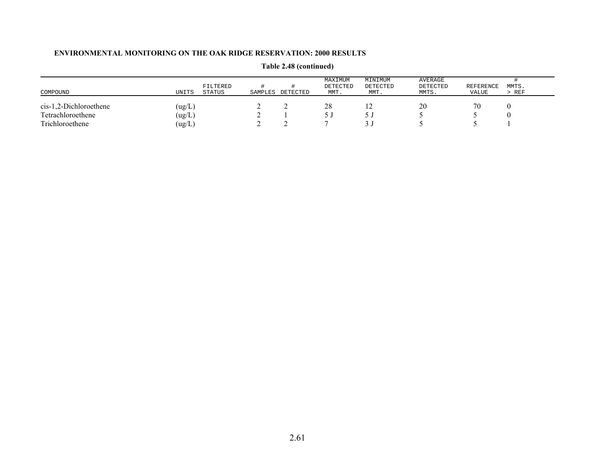| COMPOUND                 | UNITS  | FILTERED<br>STATUS | SAMPLES | DETECTED | MAXIMUM<br>DETECTED<br>MMT. | MINIMUM<br>DETECTED<br>MMT. | AVERAGE<br>DETECTED<br>MMTS. | REFERENCE<br>VALUE | MMTS.<br>> REF |
|--------------------------|--------|--------------------|---------|----------|-----------------------------|-----------------------------|------------------------------|--------------------|----------------|
| $cis-1,2-Dichloroethene$ | (ug/L) |                    | ∼       |          | 28                          | $\overline{1}$              | 20                           | 70                 |                |
| Tetrachloroethene        | (ug/L  |                    |         |          |                             |                             |                              |                    |                |
| Trichloroethene          | (ug/L  |                    |         |          |                             |                             |                              |                    |                |

**Table 2.48 (continued)**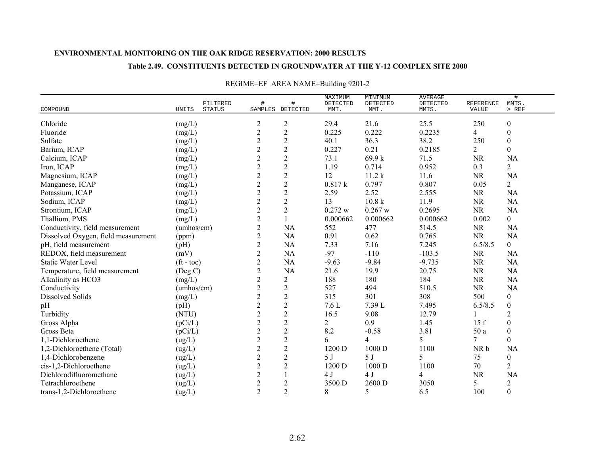### **Table 2.49. CONSTITUENTS DETECTED IN GROUNDWATER AT THE Y-12 COMPLEX SITE 2000**

| COMPOUND                            | FILTERED<br>STATUS<br>UNITS | #                | $\#$<br>SAMPLES DETECTED | MAXIMUM<br>DETECTED<br>MMT. | MINIMUM<br>DETECTED<br>MMT. | <b>AVERAGE</b><br>DETECTED<br>MMTS. | REFERENCE<br>VALUE | #<br>MMTS.<br>$>$ REF |
|-------------------------------------|-----------------------------|------------------|--------------------------|-----------------------------|-----------------------------|-------------------------------------|--------------------|-----------------------|
|                                     |                             |                  |                          |                             |                             |                                     |                    |                       |
| Chloride                            | (mg/L)                      | $\overline{c}$   | 2                        | 29.4                        | 21.6                        | 25.5                                | 250                | $\boldsymbol{0}$      |
| Fluoride                            | (mg/L)                      | $\overline{2}$   | $\overline{2}$           | 0.225                       | 0.222                       | 0.2235                              | 4                  | $\boldsymbol{0}$      |
| Sulfate                             | (mg/L)                      | $\overline{2}$   | $\sqrt{2}$               | 40.1                        | 36.3                        | 38.2                                | 250                | $\boldsymbol{0}$      |
| Barium, ICAP                        | (mg/L)                      | $\mathbf{2}$     | $\sqrt{2}$               | 0.227                       | 0.21                        | 0.2185                              | $\overline{2}$     | $\boldsymbol{0}$      |
| Calcium, ICAP                       | (mg/L)                      | $\overline{2}$   | $\overline{2}$           | 73.1                        | 69.9 k                      | 71.5                                | <b>NR</b>          | NA                    |
| Iron, ICAP                          | (mg/L)                      | $\overline{2}$   | $\overline{c}$           | 1.19                        | 0.714                       | 0.952                               | 0.3                | $\overline{c}$        |
| Magnesium, ICAP                     | (mg/L)                      | $\overline{2}$   | $\overline{2}$           | 12                          | 11.2 k                      | 11.6                                | <b>NR</b>          | <b>NA</b>             |
| Manganese, ICAP                     | (mg/L)                      | $\sqrt{2}$       | $\overline{c}$           | 0.817k                      | 0.797                       | 0.807                               | 0.05               | $\overline{2}$        |
| Potassium, ICAP                     | (mg/L)                      | $\boldsymbol{2}$ | $\sqrt{2}$               | 2.59                        | 2.52                        | 2.555                               | <b>NR</b>          | NA                    |
| Sodium, ICAP                        | (mg/L)                      | $\sqrt{2}$       | $\overline{2}$           | 13                          | 10.8 k                      | 11.9                                | <b>NR</b>          | <b>NA</b>             |
| Strontium, ICAP                     | (mg/L)                      | $\overline{2}$   | $\sqrt{2}$               | 0.272 w                     | 0.267 w                     | 0.2695                              | <b>NR</b>          | NA                    |
| Thallium, PMS                       | (mg/L)                      | $\sqrt{2}$       | $\mathbf{1}$             | 0.000662                    | 0.000662                    | 0.000662                            | 0.002              | $\overline{0}$        |
| Conductivity, field measurement     | (umbos/cm)                  | $\overline{2}$   | NA                       | 552                         | 477                         | 514.5                               | <b>NR</b>          | <b>NA</b>             |
| Dissolved Oxygen, field measurement | (ppm)                       | $\overline{2}$   | <b>NA</b>                | 0.91                        | 0.62                        | 0.765                               | <b>NR</b>          | <b>NA</b>             |
| pH, field measurement               | (pH)                        | $\overline{2}$   | NA                       | 7.33                        | 7.16                        | 7.245                               | 6.5/8.5            | $\overline{0}$        |
| REDOX, field measurement            | (mV)                        | $\sqrt{2}$       | NA                       | $-97$                       | $-110$                      | $-103.5$                            | <b>NR</b>          | NA                    |
| <b>Static Water Level</b>           | $({\rm ft} - {\rm toc})$    | $\sqrt{2}$       | NA                       | $-9.63$                     | $-9.84$                     | $-9.735$                            | <b>NR</b>          | NA                    |
| Temperature, field measurement      | $($ Deg C $)$               | $\overline{2}$   | NA                       | 21.6                        | 19.9                        | 20.75                               | <b>NR</b>          | NA                    |
| Alkalinity as HCO3                  | (mg/L)                      | $\overline{2}$   | $\overline{c}$           | 188                         | 180                         | 184                                 | <b>NR</b>          | <b>NA</b>             |
| Conductivity                        | (umbos/cm)                  | $\sqrt{2}$       | $\overline{2}$           | 527                         | 494                         | 510.5                               | NR                 | <b>NA</b>             |
| Dissolved Solids                    | (mg/L)                      | $\overline{2}$   | $\sqrt{2}$               | 315                         | 301                         | 308                                 | 500                | $\boldsymbol{0}$      |
| pH                                  | (pH)                        | $\overline{c}$   | $\sqrt{2}$               | 7.6L                        | 7.39 L                      | 7.495                               | 6.5/8.5            | $\boldsymbol{0}$      |
| Turbidity                           | (NTU)                       | $\overline{c}$   | $\sqrt{2}$               | 16.5                        | 9.08                        | 12.79                               |                    | $\overline{c}$        |
| Gross Alpha                         | (pCi/L)                     | $\sqrt{2}$       | $\boldsymbol{2}$         | $\overline{2}$              | 0.9                         | 1.45                                | 15f                | $\boldsymbol{0}$      |
| Gross Beta                          | (pCi/L)                     | $\sqrt{2}$       | $\sqrt{2}$               | 8.2                         | $-0.58$                     | 3.81                                | 50 a               | $\boldsymbol{0}$      |
| 1,1-Dichloroethene                  | (ug/L)                      | $\overline{2}$   | $\sqrt{2}$               | 6                           | 4                           | 5                                   | 7                  | $\overline{0}$        |
| 1,2-Dichloroethene (Total)          | (ug/L)                      | $\mathbf{2}$     | $\overline{2}$           | 1200 D                      | 1000 D                      | 1100                                | NR b               | <b>NA</b>             |
| 1,4-Dichlorobenzene                 | (ug/L)                      | $\overline{2}$   | $\sqrt{2}$               | 5 J                         | 5J                          | 5                                   | 75                 | $\boldsymbol{0}$      |
| cis-1,2-Dichloroethene              | (ug/L)                      | $\overline{2}$   | $\overline{2}$           | 1200 D                      | 1000 D                      | 1100                                | 70                 | $\overline{2}$        |
| Dichlorodifluoromethane             | (ug/L)                      | $\overline{c}$   |                          | 4J                          | 4J                          | $\overline{4}$                      | <b>NR</b>          | NA                    |
| Tetrachloroethene                   | (ug/L)                      | $\sqrt{2}$       | $\overline{c}$           | 3500 D                      | 2600 D                      | 3050                                | 5                  | $\overline{c}$        |
| trans-1,2-Dichloroethene            | (ug/L)                      | $\overline{2}$   | $\overline{2}$           | 8                           | 5                           | 6.5                                 | 100                | $\boldsymbol{0}$      |

# REGIME=EF AREA NAME=Building 9201-2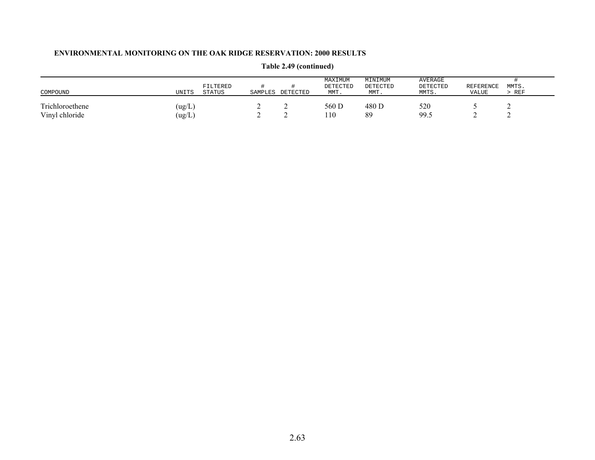| COMPOUND                          | UNITS           | FILTERED<br><b>STATUS</b> | SAMPLES | DETECTED | MAXIMUM<br>DETECTED<br>MMT. | MINIMUM<br>DETECTED<br>MMT. | AVERAGE<br>DETECTED<br>MMTS. | <b>REFERENCE</b><br>VALUE | MMTS.<br>REF |
|-----------------------------------|-----------------|---------------------------|---------|----------|-----------------------------|-----------------------------|------------------------------|---------------------------|--------------|
| Trichloroethene<br>Vinyl chloride | (ug/L)<br>ug/L) |                           | -       | ∼        | 560 D<br>110                | 480 D<br>89                 | 520<br>99.5                  |                           |              |

# **Table 2.49 (continued)**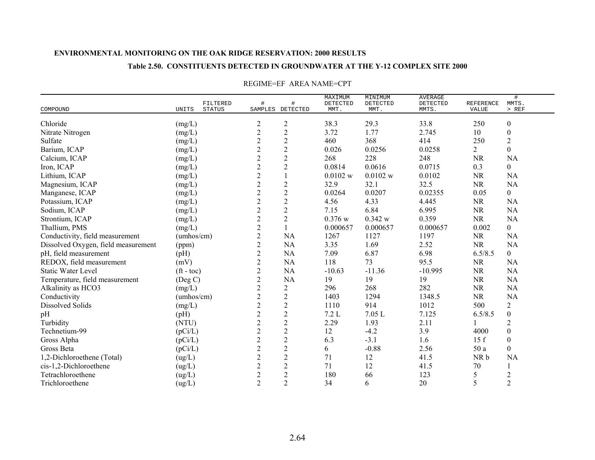### **Table 2.50. CONSTITUENTS DETECTED IN GROUNDWATER AT THE Y-12 COMPLEX SITE 2000**

| COMPOUND                            | UNITS                      | FILTERED<br><b>STATUS</b> | #              | #<br>SAMPLES DETECTED | MAXIMUM<br>DETECTED<br>MMT. | MINIMUM<br>DETECTED<br>MMT. | AVERAGE<br>DETECTED<br>MMTS. | <b>REFERENCE</b><br>VALUE | #<br>MMTS.<br>$>$ REF |
|-------------------------------------|----------------------------|---------------------------|----------------|-----------------------|-----------------------------|-----------------------------|------------------------------|---------------------------|-----------------------|
| Chloride                            | $(\mathrm{mg}/\mathrm{L})$ |                           | 2              | $\overline{2}$        | 38.3                        | 29.3                        | 33.8                         | 250                       | $\boldsymbol{0}$      |
| Nitrate Nitrogen                    | (mg/L)                     |                           | $\overline{c}$ | $\sqrt{2}$            | 3.72                        | 1.77                        | 2.745                        | 10                        | $\boldsymbol{0}$      |
| Sulfate                             | (mg/L)                     |                           | $\overline{c}$ | $\overline{2}$        | 460                         | 368                         | 414                          | 250                       | $\overline{2}$        |
| Barium, ICAP                        | (mg/L)                     |                           | $\overline{c}$ | $\sqrt{2}$            | 0.026                       | 0.0256                      | 0.0258                       | $\overline{2}$            | $\boldsymbol{0}$      |
| Calcium, ICAP                       | (mg/L)                     |                           | $\overline{c}$ | $\sqrt{2}$            | 268                         | 228                         | 248                          | <b>NR</b>                 | <b>NA</b>             |
| Iron, ICAP                          | (mg/L)                     |                           | $\overline{c}$ | $\sqrt{2}$            | 0.0814                      | 0.0616                      | 0.0715                       | 0.3                       | $\boldsymbol{0}$      |
| Lithium, ICAP                       | (mg/L)                     |                           | $\overline{c}$ | $\mathbf{1}$          | 0.0102 w                    | 0.0102 w                    | 0.0102                       | <b>NR</b>                 | <b>NA</b>             |
| Magnesium, ICAP                     | (mg/L)                     |                           | $\overline{c}$ | $\overline{2}$        | 32.9                        | 32.1                        | 32.5                         | <b>NR</b>                 | NA                    |
| Manganese, ICAP                     | (mg/L)                     |                           | $\overline{c}$ | $\sqrt{2}$            | 0.0264                      | 0.0207                      | 0.02355                      | 0.05                      | $\overline{0}$        |
| Potassium, ICAP                     | (mg/L)                     |                           | $\overline{c}$ | $\sqrt{2}$            | 4.56                        | 4.33                        | 4.445                        | <b>NR</b>                 | <b>NA</b>             |
| Sodium, ICAP                        | (mg/L)                     |                           | $\overline{c}$ | $\sqrt{2}$            | 7.15                        | 6.84                        | 6.995                        | <b>NR</b>                 | NA                    |
| Strontium, ICAP                     | (mg/L)                     |                           | $\overline{c}$ | $\overline{2}$        | 0.376 w                     | 0.342 w                     | 0.359                        | <b>NR</b>                 | <b>NA</b>             |
| Thallium, PMS                       | (mg/L)                     |                           | $\overline{2}$ | $\mathbf{1}$          | 0.000657                    | 0.000657                    | 0.000657                     | 0.002                     | $\boldsymbol{0}$      |
| Conductivity, field measurement     | (umbos/cm)                 |                           | $\overline{2}$ | <b>NA</b>             | 1267                        | 1127                        | 1197                         | <b>NR</b>                 | <b>NA</b>             |
| Dissolved Oxygen, field measurement | (ppm)                      |                           | $\overline{c}$ | <b>NA</b>             | 3.35                        | 1.69                        | 2.52                         | <b>NR</b>                 | <b>NA</b>             |
| pH, field measurement               | (pH)                       |                           | $\overline{2}$ | <b>NA</b>             | 7.09                        | 6.87                        | 6.98                         | 6.5/8.5                   | $\mathbf{0}$          |
| REDOX, field measurement            | (mV)                       |                           | $\overline{c}$ | <b>NA</b>             | 118                         | 73                          | 95.5                         | <b>NR</b>                 | <b>NA</b>             |
| <b>Static Water Level</b>           | $({\rm ft}$ - toc)         |                           | $\overline{c}$ | <b>NA</b>             | $-10.63$                    | $-11.36$                    | $-10.995$                    | <b>NR</b>                 | <b>NA</b>             |
| Temperature, field measurement      | (Deg C)                    |                           | $\overline{c}$ | <b>NA</b>             | 19                          | 19                          | 19                           | <b>NR</b>                 | NA                    |
| Alkalinity as HCO3                  | (mg/L)                     |                           | $\overline{c}$ | $\overline{2}$        | 296                         | 268                         | 282                          | <b>NR</b>                 | <b>NA</b>             |
| Conductivity                        | (umbos/cm)                 |                           | $\overline{c}$ | $\mathbf{2}$          | 1403                        | 1294                        | 1348.5                       | <b>NR</b>                 | <b>NA</b>             |
| <b>Dissolved Solids</b>             | (mg/L)                     |                           | $\overline{c}$ | $\sqrt{2}$            | 1110                        | 914                         | 1012                         | 500                       | $\sqrt{2}$            |
| pH                                  | (pH)                       |                           | $\overline{2}$ | $\overline{2}$        | 7.2L                        | 7.05L                       | 7.125                        | 6.5/8.5                   | $\boldsymbol{0}$      |
| Turbidity                           | (NTU)                      |                           | $\overline{c}$ | $\sqrt{2}$            | 2.29                        | 1.93                        | 2.11                         |                           | $\overline{2}$        |
| Technetium-99                       | (pCi/L)                    |                           | $\overline{c}$ | $\sqrt{2}$            | 12                          | $-4.2$                      | 3.9                          | 4000                      | $\boldsymbol{0}$      |
| Gross Alpha                         | (pCi/L)                    |                           | $\overline{c}$ | $\boldsymbol{2}$      | 6.3                         | $-3.1$                      | 1.6                          | 15f                       | $\boldsymbol{0}$      |
| Gross Beta                          | (pCi/L)                    |                           | $\overline{c}$ | $\sqrt{2}$            | 6                           | $-0.88$                     | 2.56                         | 50 a                      | $\boldsymbol{0}$      |
| 1,2-Dichloroethene (Total)          | $\left( ug/L\right)$       |                           | $\overline{c}$ | $\overline{2}$        | 71                          | 12                          | 41.5                         | NR b                      | <b>NA</b>             |
| cis-1,2-Dichloroethene              | (ug/L)                     |                           | $\overline{c}$ | $\sqrt{2}$            | 71                          | 12                          | 41.5                         | 70                        |                       |
| Tetrachloroethene                   | $\left( ug/L\right)$       |                           | $\overline{c}$ | $\overline{c}$        | 180                         | 66                          | 123                          | 5                         | $\overline{2}$        |
| Trichloroethene                     | (ug/L)                     |                           | $\overline{2}$ | $\overline{2}$        | 34                          | 6                           | 20                           | 5                         | $\overline{2}$        |

### REGIME=EF AREA NAME=CPT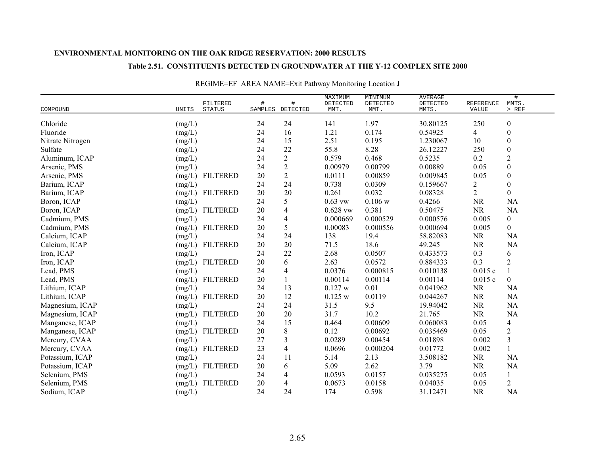### **Table 2.51. CONSTITUENTS DETECTED IN GROUNDWATER AT THE Y-12 COMPLEX SITE 2000**

|                  | FILTERED                    | #      | #                | MAXIMUM<br>DETECTED | MINIMUM<br>DETECTED | <b>AVERAGE</b><br>DETECTED | REFERENCE      | $\#$<br>MMTS.            |
|------------------|-----------------------------|--------|------------------|---------------------|---------------------|----------------------------|----------------|--------------------------|
| COMPOUND         | <b>STATUS</b><br>UNITS      |        | SAMPLES DETECTED | MMT.                | MMT.                | MMTS.                      | VALUE          | $>$ REF                  |
| Chloride         | (mg/L)                      | 24     | 24               | 141                 | 1.97                | 30.80125                   | 250            | $\boldsymbol{0}$         |
| Fluoride         | (mg/L)                      | 24     | 16               | 1.21                | 0.174               | 0.54925                    | 4              | $\boldsymbol{0}$         |
| Nitrate Nitrogen | (mg/L)                      | 24     | 15               | 2.51                | 0.195               | 1.230067                   | 10             | $\boldsymbol{0}$         |
| Sulfate          | (mg/L)                      | 24     | 22               | 55.8                | 8.28                | 26.12227                   | 250            | $\boldsymbol{0}$         |
| Aluminum, ICAP   | (mg/L)                      | 24     | $\overline{2}$   | 0.579               | 0.468               | 0.5235                     | 0.2            | $\overline{2}$           |
| Arsenic, PMS     | (mg/L)                      | 24     | $\overline{c}$   | 0.00979             | 0.00799             | 0.00889                    | 0.05           | $\boldsymbol{0}$         |
| Arsenic, PMS     | <b>FILTERED</b><br>(mg/L)   | 20     | $\overline{2}$   | 0.0111              | 0.00859             | 0.009845                   | 0.05           | $\boldsymbol{0}$         |
| Barium, ICAP     | (mg/L)                      | 24     | 24               | 0.738               | 0.0309              | 0.159667                   | $\overline{2}$ | $\boldsymbol{0}$         |
| Barium, ICAP     | <b>FILTERED</b><br>(mg/L)   | 20     | 20               | 0.261               | 0.032               | 0.08328                    | $\overline{2}$ | $\boldsymbol{0}$         |
| Boron, ICAP      | $(mg/L)$                    | 24     | 5                | $0.63$ vw           | 0.106 w             | 0.4266                     | <b>NR</b>      | <b>NA</b>                |
| Boron, ICAP      | <b>FILTERED</b><br>(mg/L)   | 20     | $\overline{4}$   | $0.628$ vw          | 0.381               | 0.50475                    | <b>NR</b>      | <b>NA</b>                |
| Cadmium, PMS     | (mg/L)                      | 24     | $\overline{4}$   | 0.000669            | 0.000529            | 0.000576                   | 0.005          | $\overline{0}$           |
| Cadmium, PMS     | <b>FILTERED</b><br>(mg/L)   | 20     | 5                | 0.00083             | 0.000556            | 0.000694                   | 0.005          | $\overline{0}$           |
| Calcium, ICAP    | $(mg/L)$                    | 24     | 24               | 138                 | 19.4                | 58.82083                   | <b>NR</b>      | <b>NA</b>                |
| Calcium, ICAP    | <b>FILTERED</b><br>(mg/L)   | 20     | 20               | 71.5                | 18.6                | 49.245                     | <b>NR</b>      | <b>NA</b>                |
| Iron, ICAP       | (mg/L)                      | 24     | 22               | 2.68                | 0.0507              | 0.433573                   | 0.3            | 6                        |
| Iron, ICAP       | $(mg/L)$<br><b>FILTERED</b> | 20     | 6                | 2.63                | 0.0572              | 0.884333                   | 0.3            | $\overline{2}$           |
| Lead, PMS        | $(mg/L)$                    | 24     | 4                | 0.0376              | 0.000815            | 0.010138                   | 0.015c         | 1                        |
| Lead, PMS        | <b>FILTERED</b><br>(mg/L)   | 20     |                  | 0.00114             | 0.00114             | 0.00114                    | 0.015c         | $\boldsymbol{0}$         |
| Lithium, ICAP    | (mg/L)                      | 24     | 13               | 0.127 w             | 0.01                | 0.041962                   | <b>NR</b>      | NA                       |
| Lithium, ICAP    | <b>FILTERED</b><br>(mg/L)   | 20     | 12               | 0.125 w             | 0.0119              | 0.044267                   | <b>NR</b>      | NA                       |
| Magnesium, ICAP  | (mg/L)                      | 24     | 24               | 31.5                | 9.5                 | 19.94042                   | <b>NR</b>      | <b>NA</b>                |
| Magnesium, ICAP  | <b>FILTERED</b><br>(mg/L)   | 20     | 20               | 31.7                | 10.2                | 21.765                     | <b>NR</b>      | <b>NA</b>                |
| Manganese, ICAP  | (mg/L)                      | 24     | 15               | 0.464               | 0.00609             | 0.060083                   | 0.05           | $\overline{\mathcal{L}}$ |
| Manganese, ICAP  | <b>FILTERED</b><br>(mg/L)   | 20     | 8                | 0.12                | 0.00692             | 0.035469                   | 0.05           | $\overline{2}$           |
| Mercury, CVAA    | (mg/L)                      | 27     | 3                | 0.0289              | 0.00454             | 0.01898                    | 0.002          | $\mathfrak{Z}$           |
| Mercury, CVAA    | <b>FILTERED</b><br>(mg/L)   | 23     | $\overline{4}$   | 0.0696              | 0.000204            | 0.01772                    | 0.002          | $\mathbf{1}$             |
| Potassium, ICAP  | (mg/L)                      | 24     | 11               | 5.14                | 2.13                | 3.508182                   | <b>NR</b>      | <b>NA</b>                |
| Potassium, ICAP  | (mg/L)<br><b>FILTERED</b>   | $20\,$ | 6                | 5.09                | 2.62                | 3.79                       | <b>NR</b>      | NA                       |
| Selenium, PMS    | (mg/L)                      | 24     | 4                | 0.0593              | 0.0157              | 0.035275                   | 0.05           | 1                        |
| Selenium, PMS    | <b>FILTERED</b><br>(mg/L)   | 20     | 4                | 0.0673              | 0.0158              | 0.04035                    | 0.05           | $\overline{2}$           |
| Sodium, ICAP     | (mg/L)                      | 24     | 24               | 174                 | 0.598               | 31.12471                   | <b>NR</b>      | <b>NA</b>                |

## REGIME=EF AREA NAME=Exit Pathway Monitoring Location J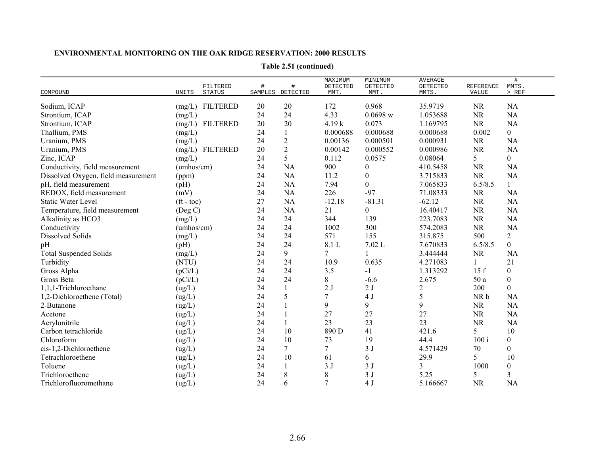| COMPOUND                            | FILTERED<br><b>UNITS</b><br><b>STATUS</b> | $\#$<br>SAMPLES | $\#$<br>DETECTED | MAXIMUM<br>DETECTED<br>MMT. | MINIMUM<br>DETECTED<br>MMT. | <b>AVERAGE</b><br>DETECTED<br>MMTS. | <b>REFERENCE</b><br>VALUE | #<br>MMTS.<br>$>$ REF |
|-------------------------------------|-------------------------------------------|-----------------|------------------|-----------------------------|-----------------------------|-------------------------------------|---------------------------|-----------------------|
| Sodium, ICAP                        | <b>FILTERED</b><br>(mg/L)                 | 20              | 20               | 172                         | 0.968                       | 35.9719                             | <b>NR</b>                 | <b>NA</b>             |
| Strontium, ICAP                     | (mg/L)                                    | 24              | 24               | 4.33                        | 0.0698 w                    | 1.053688                            | <b>NR</b>                 | NA                    |
| Strontium, ICAP                     | <b>FILTERED</b><br>(mg/L)                 | 20              | 20               | 4.19k                       | 0.073                       | 1.169795                            | <b>NR</b>                 | <b>NA</b>             |
| Thallium, PMS                       |                                           | 24              |                  | 0.000688                    | 0.000688                    | 0.000688                            | 0.002                     | $\boldsymbol{0}$      |
|                                     | (mg/L)                                    | 24              | $\overline{c}$   | 0.00136                     | 0.000501                    | 0.000931                            |                           | <b>NA</b>             |
| Uranium, PMS                        | (mg/L)<br><b>FILTERED</b>                 | 20              | $\overline{2}$   | 0.00142                     | 0.000552                    | 0.000986                            | <b>NR</b><br><b>NR</b>    | <b>NA</b>             |
| Uranium, PMS                        | (mg/L)                                    |                 |                  |                             |                             |                                     |                           |                       |
| Zinc, ICAP                          | (mg/L)                                    | 24              | 5                | 0.112                       | 0.0575                      | 0.08064                             | 5                         | $\boldsymbol{0}$      |
| Conductivity, field measurement     | (umbos/cm)                                | 24              | NA               | 900                         | 0                           | 410.5458                            | <b>NR</b>                 | <b>NA</b>             |
| Dissolved Oxygen, field measurement | (ppm)                                     | 24              | NA               | 11.2                        | $\theta$                    | 3.715833                            | NR                        | <b>NA</b>             |
| pH, field measurement               | (pH)                                      | 24              | NA               | 7.94                        | $\theta$                    | 7.065833                            | 6.5/8.5                   |                       |
| REDOX, field measurement            | (mV)                                      | 24              | NA               | 226                         | $-97$                       | 71.08333                            | <b>NR</b>                 | <b>NA</b>             |
| <b>Static Water Level</b>           | $({\rm ft - toc})$                        | 27              | NA               | $-12.18$                    | $-81.31$                    | $-62.12$                            | <b>NR</b>                 | <b>NA</b>             |
| Temperature, field measurement      | $($ Deg C $)$                             | 24              | NA               | 21                          | $\theta$                    | 16.40417                            | <b>NR</b>                 | <b>NA</b>             |
| Alkalinity as HCO3                  | (mg/L)                                    | 24              | 24               | 344                         | 139                         | 223.7083                            | <b>NR</b>                 | <b>NA</b>             |
| Conductivity                        | (umbos/cm)                                | 24              | 24               | 1002                        | 300                         | 574.2083                            | <b>NR</b>                 | <b>NA</b>             |
| Dissolved Solids                    | (mg/L)                                    | 24              | 24               | 571                         | 155                         | 315.875                             | 500                       | $\overline{c}$        |
| pH                                  | (pH)                                      | 24              | 24               | 8.1 L                       | 7.02 L                      | 7.670833                            | 6.5/8.5                   | $\overline{0}$        |
| <b>Total Suspended Solids</b>       | (mg/L)                                    | 24              | 9                | $\overline{7}$              |                             | 3.444444                            | <b>NR</b>                 | <b>NA</b>             |
| Turbidity                           | (NTU)                                     | 24              | 24               | 10.9                        | 0.635                       | 4.271083                            |                           | 21                    |
| Gross Alpha                         | (pCi/L)                                   | 24              | 24               | 3.5                         | $-1$                        | 1.313292                            | 15f                       | $\boldsymbol{0}$      |
| Gross Beta                          | (pCi/L)                                   | 24              | 24               | $\,$ 8 $\,$                 | $-6.6$                      | 2.675                               | 50 a                      | $\boldsymbol{0}$      |
| 1,1,1-Trichloroethane               | (ug/L)                                    | 24              | $\mathbf{1}$     | 2J                          | 2J                          | 2                                   | 200                       | $\boldsymbol{0}$      |
| 1,2-Dichloroethene (Total)          | (ug/L)                                    | 24              | 5                | 7                           | 4J                          | 5                                   | NR b                      | <b>NA</b>             |
| 2-Butanone                          | (ug/L)                                    | 24              |                  | 9                           | 9                           | 9                                   | <b>NR</b>                 | <b>NA</b>             |
| Acetone                             | (ug/L)                                    | 24              |                  | 27                          | 27                          | 27                                  | NR                        | <b>NA</b>             |
| Acrylonitrile                       | (ug/L)                                    | 24              |                  | 23                          | 23                          | 23                                  | <b>NR</b>                 | <b>NA</b>             |
| Carbon tetrachloride                | (ug/L)                                    | 24              | 10               | 890 D                       | 41                          | 421.6                               | 5                         | 10                    |
| Chloroform                          | (ug/L)                                    | 24              | 10               | 73                          | 19                          | 44.4                                | 100 i                     | $\boldsymbol{0}$      |
| cis-1,2-Dichloroethene              | (ug/L)                                    | 24              | $\overline{7}$   | $7\phantom{.0}$             | 3J                          | 4.571429                            | 70                        | $\boldsymbol{0}$      |
| Tetrachloroethene                   | (ug/L)                                    | 24              | 10               | 61                          | 6                           | 29.9                                | 5                         | 10                    |
| Toluene                             | (ug/L)                                    | 24              |                  | 3J                          | 3J                          | 3                                   | 1000                      | $\boldsymbol{0}$      |
| Trichloroethene                     | (ug/L)                                    | 24              | 8                | 8                           | 3J                          | 5.25                                | 5                         | 3                     |
| Trichlorofluoromethane              | (ug/L)                                    | 24              | 6                | $\overline{7}$              | 4J                          | 5.166667                            | <b>NR</b>                 | NA                    |

**Table 2.51 (continued)**

### **ENVIRONMENTAL MONITORING ON THE OAK RIDGE RESERVATION: 2000 RESULTS**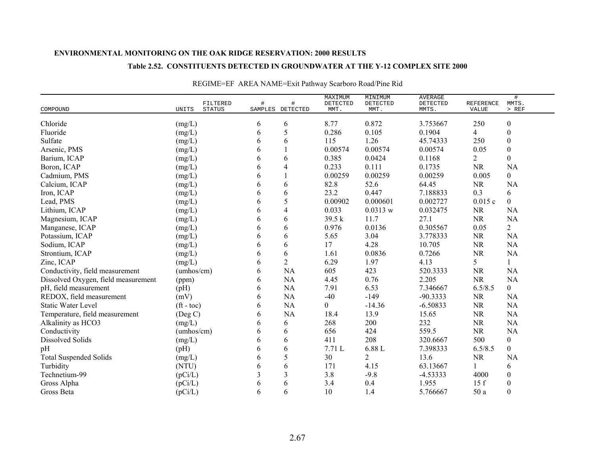### **Table 2.52. CONSTITUENTS DETECTED IN GROUNDWATER AT THE Y-12 COMPLEX SITE 2000**

| COMPOUND                            | UNITS                    | FILTERED<br><b>STATUS</b> | # | #<br>SAMPLES DETECTED | MAXIMUM<br>DETECTED<br>MMT. | MINIMUM<br>DETECTED<br>MMT. | <b>AVERAGE</b><br>DETECTED<br>MMTS. | REFERENCE<br>VALUE | $\#$<br>MMTS.<br>$>$ REF |
|-------------------------------------|--------------------------|---------------------------|---|-----------------------|-----------------------------|-----------------------------|-------------------------------------|--------------------|--------------------------|
|                                     |                          |                           |   |                       |                             |                             |                                     |                    |                          |
| Chloride                            | (mg/L)                   |                           | 6 | 6                     | 8.77                        | 0.872                       | 3.753667                            | 250                | $\boldsymbol{0}$         |
| Fluoride                            | (mg/L)                   |                           | 6 | 5                     | 0.286                       | 0.105                       | 0.1904                              | 4                  | $\boldsymbol{0}$         |
| Sulfate                             | (mg/L)                   |                           | 6 | 6                     | 115                         | 1.26                        | 45.74333                            | 250                | $\boldsymbol{0}$         |
| Arsenic, PMS                        | (mg/L)                   |                           | 6 |                       | 0.00574                     | 0.00574                     | 0.00574                             | 0.05               | $\boldsymbol{0}$         |
| Barium, ICAP                        | (mg/L)                   |                           | 6 | 6                     | 0.385                       | 0.0424                      | 0.1168                              | $\overline{2}$     | $\Omega$                 |
| Boron, ICAP                         | (mg/L)                   |                           | 6 | 4                     | 0.233                       | 0.111                       | 0.1735                              | <b>NR</b>          | <b>NA</b>                |
| Cadmium, PMS                        | (mg/L)                   |                           | 6 |                       | 0.00259                     | 0.00259                     | 0.00259                             | 0.005              | $\overline{0}$           |
| Calcium, ICAP                       | (mg/L)                   |                           | 6 | 6                     | 82.8                        | 52.6                        | 64.45                               | <b>NR</b>          | <b>NA</b>                |
| Iron, ICAP                          | (mg/L)                   |                           | 6 | 6                     | 23.2                        | 0.447                       | 7.188833                            | 0.3                | 6                        |
| Lead, PMS                           | (mg/L)                   |                           | 6 | 5                     | 0.00902                     | 0.000601                    | 0.002727                            | 0.015c             | $\overline{0}$           |
| Lithium, ICAP                       | (mg/L)                   |                           | 6 | 4                     | 0.033                       | 0.0313 w                    | 0.032475                            | <b>NR</b>          | <b>NA</b>                |
| Magnesium, ICAP                     | (mg/L)                   |                           | 6 | 6                     | 39.5 k                      | 11.7                        | 27.1                                | <b>NR</b>          | <b>NA</b>                |
| Manganese, ICAP                     | (mg/L)                   |                           | 6 | 6                     | 0.976                       | 0.0136                      | 0.305567                            | 0.05               | $\overline{2}$           |
| Potassium, ICAP                     | (mg/L)                   |                           | 6 | 6                     | 5.65                        | 3.04                        | 3.778333                            | <b>NR</b>          | <b>NA</b>                |
| Sodium, ICAP                        | (mg/L)                   |                           | 6 | 6                     | 17                          | 4.28                        | 10.705                              | <b>NR</b>          | <b>NA</b>                |
| Strontium, ICAP                     | (mg/L)                   |                           | 6 | 6                     | 1.61                        | 0.0836                      | 0.7266                              | <b>NR</b>          | <b>NA</b>                |
| Zinc, ICAP                          | (mg/L)                   |                           | 6 | $\overline{c}$        | 6.29                        | 1.97                        | 4.13                                | 5                  | 1                        |
| Conductivity, field measurement     | (umbos/cm)               |                           | 6 | NA                    | 605                         | 423                         | 520.3333                            | <b>NR</b>          | <b>NA</b>                |
| Dissolved Oxygen, field measurement | (ppm)                    |                           | 6 | NA                    | 4.45                        | 0.76                        | 2.205                               | <b>NR</b>          | <b>NA</b>                |
| pH, field measurement               | (pH)                     |                           | 6 | NA                    | 7.91                        | 6.53                        | 7.346667                            | 6.5/8.5            | $\boldsymbol{0}$         |
| REDOX, field measurement            | (mV)                     |                           | 6 | NA                    | $-40$                       | $-149$                      | $-90.3333$                          | <b>NR</b>          | NA                       |
| <b>Static Water Level</b>           | $({\rm ft} - {\rm toc})$ |                           | 6 | NA                    | $\boldsymbol{0}$            | $-14.36$                    | $-6.50833$                          | <b>NR</b>          | <b>NA</b>                |
| Temperature, field measurement      | $($ Deg C $)$            |                           | 6 | NA                    | 18.4                        | 13.9                        | 15.65                               | NR                 | <b>NA</b>                |
| Alkalinity as HCO3                  | (mg/L)                   |                           | 6 | 6                     | 268                         | 200                         | 232                                 | $\rm NR$           | <b>NA</b>                |
| Conductivity                        | (umbos/cm)               |                           | 6 | 6                     | 656                         | 424                         | 559.5                               | <b>NR</b>          | <b>NA</b>                |
| Dissolved Solids                    | (mg/L)                   |                           | 6 | 6                     | 411                         | 208                         | 320.6667                            | 500                | $\overline{0}$           |
| pH                                  | (pH)                     |                           | 6 | 6                     | 7.71L                       | 6.88 L                      | 7.398333                            | 6.5/8.5            | $\overline{0}$           |
| <b>Total Suspended Solids</b>       | (mg/L)                   |                           | 6 | 5                     | 30                          | $\overline{2}$              | 13.6                                | <b>NR</b>          | <b>NA</b>                |
| Turbidity                           | (NTU)                    |                           | 6 | 6                     | 171                         | 4.15                        | 63.13667                            |                    | 6                        |
| Technetium-99                       | (pCi/L)                  |                           | 3 | 3                     | 3.8                         | $-9.8$                      | $-4.53333$                          | 4000               | $\boldsymbol{0}$         |
| Gross Alpha                         | (pCi/L)                  |                           | 6 | 6                     | 3.4                         | 0.4                         | 1.955                               | 15f                | $\boldsymbol{0}$         |
| Gross Beta                          | (pCi/L)                  |                           | 6 | 6                     | 10                          | 1.4                         | 5.766667                            | 50 a               | $\boldsymbol{0}$         |

## REGIME=EF AREA NAME=Exit Pathway Scarboro Road/Pine Rid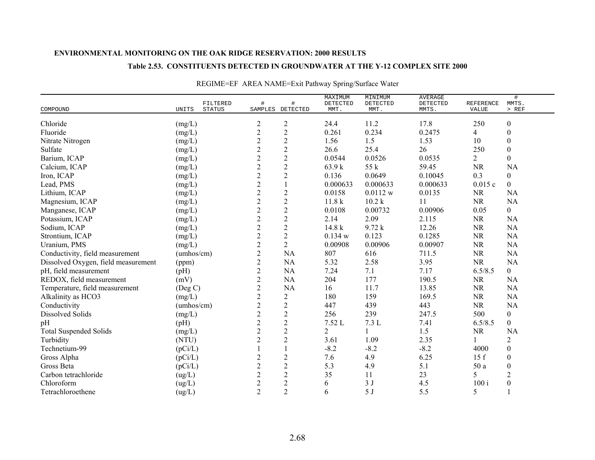### **Table 2.53. CONSTITUENTS DETECTED IN GROUNDWATER AT THE Y-12 COMPLEX SITE 2000**

|                                     |                                    |                |                       | MAXIMUM          | MINIMUM          | <b>AVERAGE</b>    |                    | $\#$             |
|-------------------------------------|------------------------------------|----------------|-----------------------|------------------|------------------|-------------------|--------------------|------------------|
| COMPOUND                            | FILTERED<br>UNITS<br><b>STATUS</b> | #              | #<br>SAMPLES DETECTED | DETECTED<br>MMT. | DETECTED<br>MMT. | DETECTED<br>MMTS. | REFERENCE<br>VALUE | MMTS.<br>$>$ REF |
|                                     |                                    |                |                       |                  |                  |                   |                    |                  |
| Chloride                            | (mg/L)                             | $\overline{c}$ | $\mathbf{2}$          | 24.4             | 11.2             | 17.8              | 250                | $\boldsymbol{0}$ |
| Fluoride                            | (mg/L)                             | $\sqrt{2}$     | $\boldsymbol{2}$      | 0.261            | 0.234            | 0.2475            | 4                  | $\boldsymbol{0}$ |
| Nitrate Nitrogen                    | (mg/L)                             | $\mathbf{2}$   | $\sqrt{2}$            | 1.56             | 1.5              | 1.53              | 10                 | $\boldsymbol{0}$ |
| Sulfate                             | (mg/L)                             | $\overline{2}$ | $\overline{2}$        | 26.6             | 25.4             | 26                | 250                | $\boldsymbol{0}$ |
| Barium, ICAP                        | (mg/L)                             | $\overline{2}$ | $\sqrt{2}$            | 0.0544           | 0.0526           | 0.0535            | $\overline{2}$     | $\boldsymbol{0}$ |
| Calcium, ICAP                       | (mg/L)                             | $\overline{2}$ | $\overline{2}$        | 63.9 k           | 55 k             | 59.45             | <b>NR</b>          | <b>NA</b>        |
| Iron, ICAP                          | (mg/L)                             | $\overline{c}$ | $\boldsymbol{2}$      | 0.136            | 0.0649           | 0.10045           | 0.3                | $\boldsymbol{0}$ |
| Lead, PMS                           | (mg/L)                             | $\mathbf{2}$   | $\mathbf{1}$          | 0.000633         | 0.000633         | 0.000633          | 0.015c             | $\mathbf{0}$     |
| Lithium, ICAP                       | (mg/L)                             | $\sqrt{2}$     | $\sqrt{2}$            | 0.0158           | 0.0112 w         | 0.0135            | <b>NR</b>          | <b>NA</b>        |
| Magnesium, ICAP                     | (mg/L)                             | $\mathbf{2}$   | $\boldsymbol{2}$      | 11.8k            | 10.2 k           | 11                | <b>NR</b>          | <b>NA</b>        |
| Manganese, ICAP                     | (mg/L)                             | $\overline{2}$ | $\sqrt{2}$            | 0.0108           | 0.00732          | 0.00906           | 0.05               | $\theta$         |
| Potassium, ICAP                     | (mg/L)                             | $\sqrt{2}$     | $\overline{2}$        | 2.14             | 2.09             | 2.115             | <b>NR</b>          | <b>NA</b>        |
| Sodium, ICAP                        | (mg/L)                             | $\sqrt{2}$     | $\overline{2}$        | 14.8 k           | 9.72 k           | 12.26             | NR                 | NA               |
| Strontium, ICAP                     | (mg/L)                             | $\overline{c}$ | $\mathbf{2}$          | 0.134 w          | 0.123            | 0.1285            | <b>NR</b>          | <b>NA</b>        |
| Uranium, PMS                        | (mg/L)                             | $\overline{c}$ | $\overline{2}$        | 0.00908          | 0.00906          | 0.00907           | NR                 | <b>NA</b>        |
| Conductivity, field measurement     | (umbos/cm)                         | $\overline{c}$ | NA                    | 807              | 616              | 711.5             | <b>NR</b>          | <b>NA</b>        |
| Dissolved Oxygen, field measurement | (ppm)                              | $\overline{2}$ | NA                    | 5.32             | 2.58             | 3.95              | <b>NR</b>          | <b>NA</b>        |
| pH, field measurement               | (pH)                               | $\mathbf{2}$   | <b>NA</b>             | 7.24             | 7.1              | 7.17              | 6.5/8.5            | $\mathbf{0}$     |
| REDOX, field measurement            | (mV)                               | $\overline{2}$ | NA                    | 204              | 177              | 190.5             | <b>NR</b>          | <b>NA</b>        |
| Temperature, field measurement      | $($ Deg C $)$                      | $\sqrt{2}$     | <b>NA</b>             | 16               | 11.7             | 13.85             | <b>NR</b>          | <b>NA</b>        |
| Alkalinity as HCO3                  | (mg/L)                             | $\sqrt{2}$     | $\overline{2}$        | 180              | 159              | 169.5             | <b>NR</b>          | NA               |
| Conductivity                        | (umbos/cm)                         | $\overline{c}$ | $\mathbf{2}$          | 447              | 439              | 443               | <b>NR</b>          | <b>NA</b>        |
| Dissolved Solids                    | (mg/L)                             | $\overline{c}$ | $\overline{c}$        | 256              | 239              | 247.5             | 500                | $\boldsymbol{0}$ |
| pH                                  | (pH)                               | $\overline{c}$ | $\sqrt{2}$            | $7.52\ {\rm L}$  | 7.3L             | 7.41              | 6.5/8.5            | $\mathbf{0}$     |
| <b>Total Suspended Solids</b>       | (mg/L)                             | $\overline{c}$ | $\mathbf{2}$          | $\overline{2}$   |                  | 1.5               | <b>NR</b>          | <b>NA</b>        |
| Turbidity                           | (NTU)                              | $\sqrt{2}$     | $\mathbf{2}$          | 3.61             | 1.09             | 2.35              |                    | $\sqrt{2}$       |
| Technetium-99                       | (pCi/L)                            |                | $\mathbf{1}$          | $-8.2$           | $-8.2$           | $-8.2$            | 4000               | $\boldsymbol{0}$ |
| Gross Alpha                         | (pCi/L)                            | $\overline{2}$ | $\sqrt{2}$            | 7.6              | 4.9              | 6.25              | 15f                | $\boldsymbol{0}$ |
| Gross Beta                          | (pCi/L)                            | $\overline{c}$ | $\mathbf{2}$          | 5.3              | 4.9              | 5.1               | 50 a               | $\boldsymbol{0}$ |
| Carbon tetrachloride                | (ug/L)                             | $\overline{c}$ | $\boldsymbol{2}$      | 35               | 11               | 23                | 5                  | $\overline{2}$   |
| Chloroform                          | (ug/L)                             | $\mathbf{2}$   | $\boldsymbol{2}$      | 6                | 3J               | 4.5               | 100 i              | $\boldsymbol{0}$ |
| Tetrachloroethene                   | (ug/L)                             | $\overline{2}$ | $\overline{2}$        | 6                | 5J               | 5.5               | 5                  | $\mathbf{1}$     |

## REGIME=EF AREA NAME=Exit Pathway Spring/Surface Water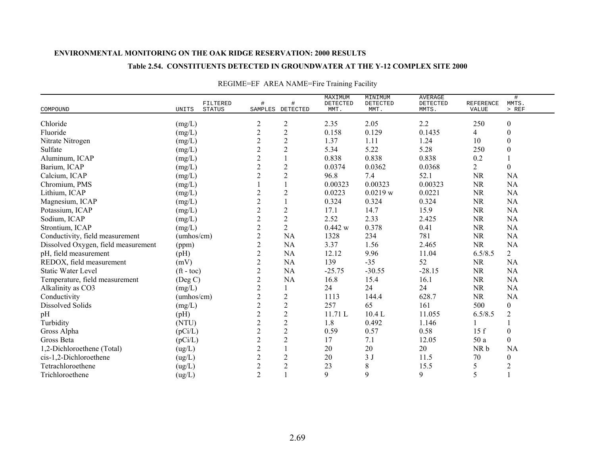### **Table 2.54. CONSTITUENTS DETECTED IN GROUNDWATER AT THE Y-12 COMPLEX SITE 2000**

|                                     | FILTERED                      |                  |                  | MAXIMUM<br>DETECTED | MINIMUM<br>DETECTED | <b>AVERAGE</b><br>DETECTED | REFERENCE | $\#$<br>MMTS.    |
|-------------------------------------|-------------------------------|------------------|------------------|---------------------|---------------------|----------------------------|-----------|------------------|
| COMPOUND                            | <b>UNITS</b><br><b>STATUS</b> |                  | SAMPLES DETECTED | MMT.                | MMT.                | MMTS.                      | VALUE     | $>$ REF          |
| Chloride                            | (mg/L)                        | $\overline{c}$   | $\overline{c}$   | 2.35                | 2.05                | 2.2                        | 250       | $\boldsymbol{0}$ |
| Fluoride                            | (mg/L)                        | $\overline{c}$   | $\overline{c}$   | 0.158               | 0.129               | 0.1435                     | 4         | $\boldsymbol{0}$ |
| Nitrate Nitrogen                    | (mg/L)                        | $\overline{c}$   | $\overline{2}$   | 1.37                | 1.11                | 1.24                       | 10        | $\boldsymbol{0}$ |
| Sulfate                             | (mg/L)                        | $\boldsymbol{2}$ | $\overline{c}$   | 5.34                | 5.22                | 5.28                       | 250       | $\boldsymbol{0}$ |
| Aluminum, ICAP                      | (mg/L)                        | $\overline{2}$   |                  | 0.838               | 0.838               | 0.838                      | 0.2       |                  |
| Barium, ICAP                        | (mg/L)                        | $\overline{c}$   | $\boldsymbol{2}$ | 0.0374              | 0.0362              | 0.0368                     | 2         | $\mathbf{0}$     |
| Calcium, ICAP                       | (mg/L)                        | $\mathbf{2}$     | $\mathbf{2}$     | 96.8                | 7.4                 | 52.1                       | <b>NR</b> | NA               |
| Chromium, PMS                       | (mg/L)                        |                  |                  | 0.00323             | 0.00323             | 0.00323                    | <b>NR</b> | <b>NA</b>        |
| Lithium, ICAP                       | (mg/L)                        | $\overline{2}$   | $\overline{2}$   | 0.0223              | 0.0219 w            | 0.0221                     | <b>NR</b> | <b>NA</b>        |
| Magnesium, ICAP                     | (mg/L)                        | $\overline{c}$   |                  | 0.324               | 0.324               | 0.324                      | <b>NR</b> | NA               |
| Potassium, ICAP                     | (mg/L)                        | $\overline{2}$   | $\overline{2}$   | 17.1                | 14.7                | 15.9                       | <b>NR</b> | NA               |
| Sodium, ICAP                        | (mg/L)                        | $\sqrt{2}$       | $\mathbf{2}$     | 2.52                | 2.33                | 2.425                      | <b>NR</b> | <b>NA</b>        |
| Strontium, ICAP                     | (mg/L)                        | $\mathbf{2}$     | $\overline{2}$   | 0.442 w             | 0.378               | 0.41                       | <b>NR</b> | NA               |
| Conductivity, field measurement     | (umbos/cm)                    | $\sqrt{2}$       | <b>NA</b>        | 1328                | 234                 | 781                        | <b>NR</b> | <b>NA</b>        |
| Dissolved Oxygen, field measurement | (ppm)                         | $\overline{c}$   | NA               | 3.37                | 1.56                | 2.465                      | <b>NR</b> | NA               |
| pH, field measurement               | (pH)                          | $\boldsymbol{2}$ | NA               | 12.12               | 9.96                | 11.04                      | 6.5/8.5   | $\overline{2}$   |
| REDOX, field measurement            | (mV)                          | $\overline{2}$   | <b>NA</b>        | 139                 | $-35$               | 52                         | <b>NR</b> | NA               |
| <b>Static Water Level</b>           | $({\rm ft} - {\rm toc})$      | $\overline{c}$   | <b>NA</b>        | $-25.75$            | $-30.55$            | $-28.15$                   | <b>NR</b> | <b>NA</b>        |
| Temperature, field measurement      | $($ Deg C $)$                 | $\overline{2}$   | NA               | 16.8                | 15.4                | 16.1                       | <b>NR</b> | NA               |
| Alkalinity as CO3                   | (mg/L)                        | $\overline{2}$   |                  | 24                  | 24                  | 24                         | <b>NR</b> | NA               |
| Conductivity                        | (umbos/cm)                    | $\sqrt{2}$       | $\mathbf{2}$     | 1113                | 144.4               | 628.7                      | <b>NR</b> | <b>NA</b>        |
| Dissolved Solids                    | (mg/L)                        | $\overline{2}$   | $\mathbf{2}$     | 257                 | 65                  | 161                        | 500       | $\boldsymbol{0}$ |
| pH                                  | (pH)                          | $\overline{c}$   | $\overline{2}$   | 11.71L              | 10.4L               | 11.055                     | 6.5/8.5   | $\overline{2}$   |
| Turbidity                           | (NTU)                         | $\sqrt{2}$       | $\sqrt{2}$       | 1.8                 | 0.492               | 1.146                      |           |                  |
| Gross Alpha                         | (pCi/L)                       | $\overline{2}$   | $\overline{2}$   | 0.59                | 0.57                | 0.58                       | 15f       | $\boldsymbol{0}$ |
| Gross Beta                          | (pCi/L)                       | $\overline{c}$   | $\mathbf{2}$     | 17                  | 7.1                 | 12.05                      | 50 a      | $\boldsymbol{0}$ |
| 1,2-Dichloroethene (Total)          | (ug/L)                        | $\boldsymbol{2}$ |                  | 20                  | 20                  | $20\,$                     | NR b      | <b>NA</b>        |
| cis-1,2-Dichloroethene              | (ug/L)                        | $\sqrt{2}$       | $\mathbf{2}$     | 20                  | 3J                  | 11.5                       | 70        | $\boldsymbol{0}$ |
| Tetrachloroethene                   | (ug/L)                        | $\mathbf{2}$     | $\mathbf{2}$     | 23                  | 8                   | 15.5                       | 5         | $\overline{c}$   |
| Trichloroethene                     | (ug/L)                        | $\overline{2}$   |                  | 9                   | 9                   | 9                          | 5         |                  |

## REGIME=EF AREA NAME=Fire Training Facility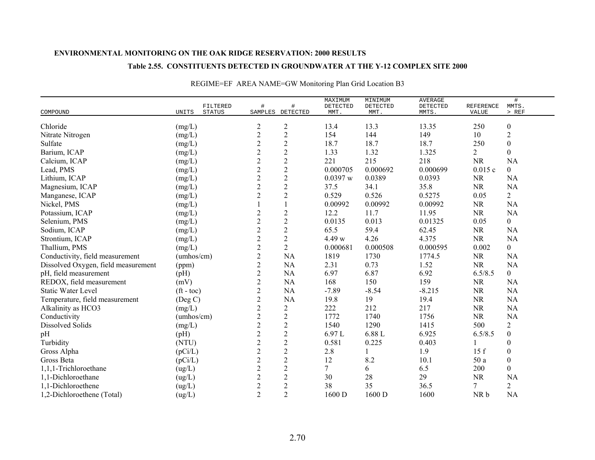### **Table 2.55. CONSTITUENTS DETECTED IN GROUNDWATER AT THE Y-12 COMPLEX SITE 2000**

|                                     |                          |                           |                |                       | MAXIMUM          | MINIMUM          | <b>AVERAGE</b>    |                           | $\#$             |
|-------------------------------------|--------------------------|---------------------------|----------------|-----------------------|------------------|------------------|-------------------|---------------------------|------------------|
| COMPOUND                            | UNITS                    | FILTERED<br><b>STATUS</b> | #              | #<br>SAMPLES DETECTED | DETECTED<br>MMT. | DETECTED<br>MMT. | DETECTED<br>MMTS. | <b>REFERENCE</b><br>VALUE | MMTS.<br>$>$ REF |
|                                     |                          |                           |                |                       |                  |                  |                   |                           |                  |
| Chloride                            | (mg/L)                   |                           | $\overline{c}$ | $\boldsymbol{2}$      | 13.4             | 13.3             | 13.35             | 250                       | $\boldsymbol{0}$ |
| Nitrate Nitrogen                    | (mg/L)                   |                           | $\overline{c}$ | $\boldsymbol{2}$      | 154              | 144              | 149               | 10                        | $\sqrt{2}$       |
| Sulfate                             | (mg/L)                   |                           | $\overline{c}$ | $\sqrt{2}$            | 18.7             | 18.7             | 18.7              | 250                       | $\boldsymbol{0}$ |
| Barium, ICAP                        | (mg/L)                   |                           | $\overline{2}$ | $\sqrt{2}$            | 1.33             | 1.32             | 1.325             | $\overline{2}$            | $\boldsymbol{0}$ |
| Calcium, ICAP                       | (mg/L)                   |                           | $\overline{c}$ | $\overline{2}$        | 221              | 215              | 218               | <b>NR</b>                 | <b>NA</b>        |
| Lead, PMS                           | (mg/L)                   |                           | $\overline{2}$ | $\overline{2}$        | 0.000705         | 0.000692         | 0.000699          | 0.015c                    | $\overline{0}$   |
| Lithium, ICAP                       | (mg/L)                   |                           | $\overline{c}$ | $\overline{2}$        | 0.0397 w         | 0.0389           | 0.0393            | <b>NR</b>                 | <b>NA</b>        |
| Magnesium, ICAP                     | (mg/L)                   |                           | $\overline{c}$ | $\overline{c}$        | 37.5             | 34.1             | 35.8              | <b>NR</b>                 | <b>NA</b>        |
| Manganese, ICAP                     | (mg/L)                   |                           | $\overline{2}$ | $\overline{2}$        | 0.529            | 0.526            | 0.5275            | 0.05                      | $\overline{2}$   |
| Nickel, PMS                         | (mg/L)                   |                           |                |                       | 0.00992          | 0.00992          | 0.00992           | $\rm NR$                  | <b>NA</b>        |
| Potassium, ICAP                     | (mg/L)                   |                           | $\overline{c}$ | $\sqrt{2}$            | 12.2             | 11.7             | 11.95             | <b>NR</b>                 | <b>NA</b>        |
| Selenium, PMS                       | (mg/L)                   |                           | $\overline{c}$ | $\overline{2}$        | 0.0135           | 0.013            | 0.01325           | 0.05                      | $\overline{0}$   |
| Sodium, ICAP                        | (mg/L)                   |                           | $\overline{c}$ | $\boldsymbol{2}$      | 65.5             | 59.4             | 62.45             | <b>NR</b>                 | <b>NA</b>        |
| Strontium, ICAP                     | (mg/L)                   |                           | $\overline{c}$ | $\overline{2}$        | 4.49 w           | 4.26             | 4.375             | <b>NR</b>                 | <b>NA</b>        |
| Thallium, PMS                       | (mg/L)                   |                           | $\overline{c}$ | $\overline{2}$        | 0.000681         | 0.000508         | 0.000595          | 0.002                     | $\overline{0}$   |
| Conductivity, field measurement     | (umbos/cm)               |                           | $\overline{2}$ | NA                    | 1819             | 1730             | 1774.5            | <b>NR</b>                 | <b>NA</b>        |
| Dissolved Oxygen, field measurement | (ppm)                    |                           | $\overline{c}$ | NA                    | 2.31             | 0.73             | 1.52              | NR                        | <b>NA</b>        |
| pH, field measurement               | (pH)                     |                           | $\overline{c}$ | <b>NA</b>             | 6.97             | 6.87             | 6.92              | 6.5/8.5                   | $\overline{0}$   |
| REDOX, field measurement            | (mV)                     |                           | $\overline{c}$ | <b>NA</b>             | 168              | 150              | 159               | <b>NR</b>                 | <b>NA</b>        |
| <b>Static Water Level</b>           | $({\rm ft} - {\rm toc})$ |                           | $\overline{c}$ | <b>NA</b>             | $-7.89$          | $-8.54$          | $-8.215$          | <b>NR</b>                 | <b>NA</b>        |
| Temperature, field measurement      | $($ Deg C $)$            |                           | $\overline{c}$ | <b>NA</b>             | 19.8             | 19               | 19.4              | <b>NR</b>                 | <b>NA</b>        |
| Alkalinity as HCO3                  | (mg/L)                   |                           | $\overline{c}$ | $\overline{c}$        | 222              | 212              | 217               | <b>NR</b>                 | <b>NA</b>        |
| Conductivity                        | (umhos/cm)               |                           | $\overline{c}$ | $\overline{2}$        | 1772             | 1740             | 1756              | <b>NR</b>                 | NA               |
| Dissolved Solids                    | (mg/L)                   |                           | $\overline{c}$ | $\sqrt{2}$            | 1540             | 1290             | 1415              | 500                       | $\overline{2}$   |
| pH                                  | (pH)                     |                           | $\overline{c}$ | $\sqrt{2}$            | 6.97L            | 6.88 L           | 6.925             | 6.5/8.5                   | $\mathbf{0}$     |
| Turbidity                           | (NTU)                    |                           | $\overline{c}$ | $\sqrt{2}$            | 0.581            | 0.225            | 0.403             |                           | $\boldsymbol{0}$ |
| Gross Alpha                         | (pCi/L)                  |                           | $\overline{c}$ | $\sqrt{2}$            | 2.8              |                  | 1.9               | 15f                       | $\boldsymbol{0}$ |
| Gross Beta                          | (pCi/L)                  |                           | $\overline{c}$ | $\sqrt{2}$            | 12               | 8.2              | 10.1              | 50 a                      | $\boldsymbol{0}$ |
| 1,1,1-Trichloroethane               | (ug/L)                   |                           | $\overline{c}$ | $\sqrt{2}$            | $\overline{7}$   | 6                | 6.5               | 200                       | $\overline{0}$   |
| 1,1-Dichloroethane                  | (ug/L)                   |                           | $\overline{c}$ | $\overline{2}$        | 30               | 28               | 29                | <b>NR</b>                 | <b>NA</b>        |
| 1,1-Dichloroethene                  | (ug/L)                   |                           | $\overline{c}$ | $\mathbf{2}$          | 38               | 35               | 36.5              | 7                         | $\overline{2}$   |
| 1,2-Dichloroethene (Total)          | (ug/L)                   |                           | $\overline{2}$ | $\overline{2}$        | 1600 D           | 1600 D           | 1600              | NR b                      | <b>NA</b>        |

# REGIME=EF AREA NAME=GW Monitoring Plan Grid Location B3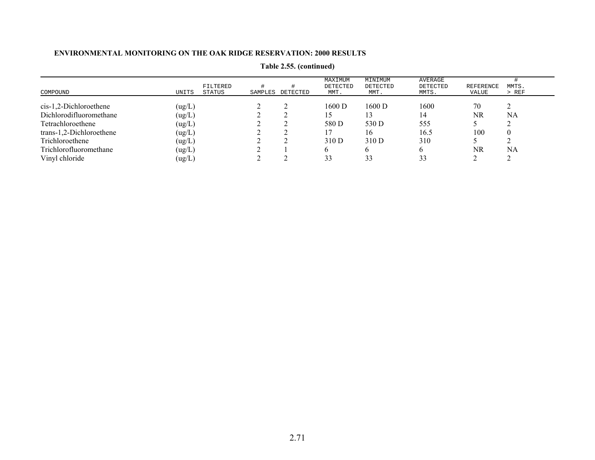|                          |                             |         |          | MAXIMUM          | MINIMUM          | AVERAGE           |                    |                  |
|--------------------------|-----------------------------|---------|----------|------------------|------------------|-------------------|--------------------|------------------|
| COMPOUND                 | FILTERED<br>STATUS<br>UNITS | SAMPLES | DETECTED | DETECTED<br>MMT. | DETECTED<br>MMT. | DETECTED<br>MMTS. | REFERENCE<br>VALUE | MMTS.<br>$>$ REF |
| $cis-1,2-Dichloroethene$ | (ug/L)                      |         |          | 1600 D           | 1600 D           | 1600              | 70                 |                  |
| Dichlorodifluoromethane  | (ug/L)                      |         |          | 15.              |                  | 14                | NR                 | NA               |
| Tetrachloroethene        | (ug/L)                      |         |          | 580 D            | 530 D            | 555               |                    |                  |
| trans-1,2-Dichloroethene | (ug/L)                      |         |          |                  | 16               | 16.5              | 100                | $\theta$         |
| Trichloroethene          | (ug/L)                      |         |          | 310 D            | 310 D            | 310               |                    |                  |
| Trichlorofluoromethane   | (ug/L)                      |         |          |                  |                  | h.                | NR                 | NA               |
| Vinyl chloride           | (ug/L)                      |         |          | 33               | 33               | 33                |                    |                  |

**Table 2.55. (continued)**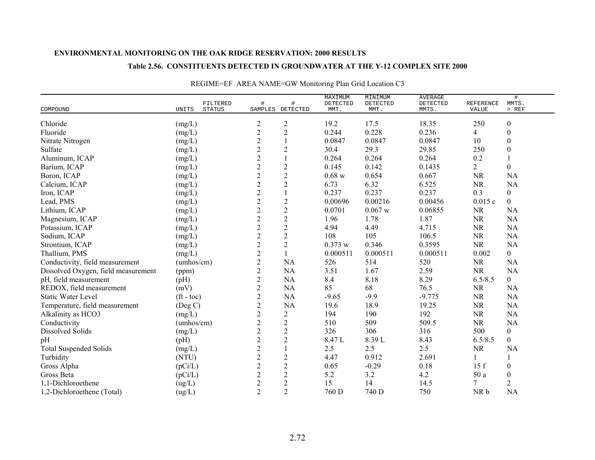#### **Table 2.56. CONSTITUENTS DETECTED IN GROUNDWATER AT THE Y-12 COMPLEX SITE 2000**

|                                     |                                    |                  |                       | MAXIMUM          | MINIMUM          | <b>AVERAGE</b>    |                           | $\#$             |
|-------------------------------------|------------------------------------|------------------|-----------------------|------------------|------------------|-------------------|---------------------------|------------------|
| COMPOUND                            | FILTERED<br>UNITS<br><b>STATUS</b> | #                | #<br>SAMPLES DETECTED | DETECTED<br>MMT. | DETECTED<br>MMT. | DETECTED<br>MMTS. | REFERENCE<br><b>VALUE</b> | MMTS.<br>$>$ REF |
|                                     |                                    |                  |                       |                  |                  |                   |                           |                  |
| Chloride                            | (mg/L)                             | $\boldsymbol{2}$ | $\overline{c}$        | 19.2             | 17.5             | 18.35             | 250                       | $\boldsymbol{0}$ |
| Fluoride                            | (mg/L)                             | $\sqrt{2}$       | $\overline{c}$        | 0.244            | 0.228            | 0.236             | 4                         | $\boldsymbol{0}$ |
| Nitrate Nitrogen                    | (mg/L)                             | $\sqrt{2}$       |                       | 0.0847           | 0.0847           | 0.0847            | 10                        | $\boldsymbol{0}$ |
| Sulfate                             | (mg/L)                             | $\overline{c}$   | $\mathbf{2}$          | 30.4             | 29.3             | 29.85             | 250                       | $\boldsymbol{0}$ |
| Aluminum, ICAP                      | (mg/L)                             | $\overline{2}$   |                       | 0.264            | 0.264            | 0.264             | 0.2                       |                  |
| Barium, ICAP                        | (mg/L)                             | $\overline{2}$   | $\mathbf{2}$          | 0.145            | 0.142            | 0.1435            | $\overline{2}$            | $\overline{0}$   |
| Boron, ICAP                         | (mg/L)                             | $\boldsymbol{2}$ | $\sqrt{2}$            | 0.68 w           | 0.654            | 0.667             | <b>NR</b>                 | <b>NA</b>        |
| Calcium, ICAP                       | (mg/L)                             | $\sqrt{2}$       | $\mathbf{2}$          | 6.73             | 6.32             | 6.525             | <b>NR</b>                 | <b>NA</b>        |
| Iron, ICAP                          | (mg/L)                             | $\sqrt{2}$       |                       | 0.237            | 0.237            | 0.237             | 0.3                       | $\overline{0}$   |
| Lead, PMS                           | $(mg/L)$                           | $\overline{c}$   | $\mathbf{2}$          | 0.00696          | 0.00216          | 0.00456           | 0.015c                    | $\overline{0}$   |
| Lithium, ICAP                       | (mg/L)                             | $\overline{2}$   | $\overline{c}$        | 0.0701           | $0.067$ w        | 0.06855           | <b>NR</b>                 | <b>NA</b>        |
| Magnesium, ICAP                     | (mg/L)                             | $\boldsymbol{2}$ | $\overline{c}$        | 1.96             | 1.78             | 1.87              | <b>NR</b>                 | NA               |
| Potassium, ICAP                     | (mg/L)                             | $\boldsymbol{2}$ | $\overline{c}$        | 4.94             | 4.49             | 4.715             | <b>NR</b>                 | <b>NA</b>        |
| Sodium, ICAP                        | (mg/L)                             | $\overline{c}$   | $\sqrt{2}$            | 108              | 105              | 106.5             | <b>NR</b>                 | <b>NA</b>        |
| Strontium, ICAP                     | (mg/L)                             | $\overline{c}$   | $\overline{2}$        | 0.373 w          | 0.346            | 0.3595            | <b>NR</b>                 | <b>NA</b>        |
| Thallium, PMS                       | (mg/L)                             | $\overline{c}$   |                       | 0.000511         | 0.000511         | 0.000511          | 0.002                     | $\boldsymbol{0}$ |
| Conductivity, field measurement     | (umbos/cm)                         | $\sqrt{2}$       | NA                    | 526              | 514              | 520               | <b>NR</b>                 | <b>NA</b>        |
| Dissolved Oxygen, field measurement | (ppm)                              | $\sqrt{2}$       | NA                    | 3.51             | 1.67             | 2.59              | <b>NR</b>                 | <b>NA</b>        |
| pH, field measurement               | (pH)                               | $\boldsymbol{2}$ | NA                    | 8.4              | 8.18             | 8.29              | 6.5/8.5                   | $\overline{0}$   |
| REDOX, field measurement            | (mV)                               | $\overline{2}$   | NA                    | 85               | 68               | 76.5              | <b>NR</b>                 | <b>NA</b>        |
| <b>Static Water Level</b>           | $({\rm ft - toc})$                 | $\overline{c}$   | <b>NA</b>             | $-9.65$          | $-9.9$           | $-9.775$          | <b>NR</b>                 | NA               |
| Temperature, field measurement      | $($ Deg C $)$                      | $\overline{2}$   | NA                    | 19.6             | 18.9             | 19.25             | <b>NR</b>                 | <b>NA</b>        |
| Alkalinity as HCO3                  | (mg/L)                             | $\boldsymbol{2}$ | $\overline{c}$        | 194              | 190              | 192               | <b>NR</b>                 | NA               |
| Conductivity                        | (umbos/cm)                         | $\overline{c}$   | $\mathbf{2}$          | 510              | 509              | 509.5             | $\rm NR$                  | <b>NA</b>        |
| Dissolved Solids                    | (mg/L)                             | $\overline{2}$   | $\overline{2}$        | 326              | 306              | 316               | 500                       | $\overline{0}$   |
| pH                                  | (pH)                               | $\overline{2}$   | $\overline{c}$        | 8.47L            | 8.39L            | 8.43              | 6.5/8.5                   | $\overline{0}$   |
| <b>Total Suspended Solids</b>       | (mg/L)                             | $\boldsymbol{2}$ |                       | 2.5              | 2.5              | 2.5               | <b>NR</b>                 | <b>NA</b>        |
| Turbidity                           | (NTU)                              | $\overline{2}$   | $\overline{2}$        | 4.47             | 0.912            | 2.691             |                           |                  |
| Gross Alpha                         | (pCi/L)                            | $\boldsymbol{2}$ | $\mathbf{2}$          | 0.65             | $-0.29$          | 0.18              | 15f                       | $\boldsymbol{0}$ |
| Gross Beta                          | (pCi/L)                            | $\boldsymbol{2}$ | $\mathbf{2}$          | 5.2              | 3.2              | 4.2               | 50 a                      | $\boldsymbol{0}$ |
| 1,1-Dichloroethene                  | (ug/L)                             | $\boldsymbol{2}$ | $\boldsymbol{2}$      | 15               | 14               | 14.5              | 7                         | $\overline{2}$   |
| 1,2-Dichloroethene (Total)          | (ug/L)                             | $\overline{2}$   | $\overline{2}$        | 760 D            | 740 D            | 750               | NR b                      | <b>NA</b>        |

# REGIME=EF AREA NAME=GW Monitoring Plan Grid Location C3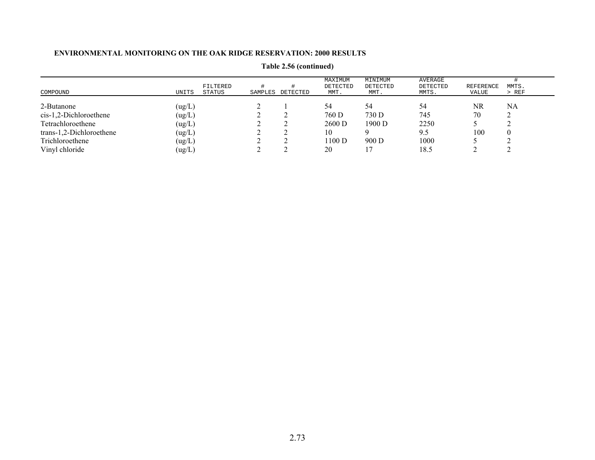| COMPOUND                 | UNITS  | FILTERED<br>STATUS | SAMPLES | DETECTED | MAXIMUM<br>DETECTED<br>MMT. | MINIMUM<br>DETECTED<br>MMT. | AVERAGE<br>DETECTED<br>MMTS. | REFERENCE<br>VALUE | MMTS.<br>$>$ REF |
|--------------------------|--------|--------------------|---------|----------|-----------------------------|-----------------------------|------------------------------|--------------------|------------------|
| 2-Butanone               | (ug/L) |                    |         |          | 54                          | 54                          | 54                           | NR                 | NA               |
| $cis-1,2-Dichloroethene$ | (ug/L) |                    |         |          | 760 D                       | 730 D                       | 745                          | 70                 |                  |
| Tetrachloroethene        | (ug/L) |                    |         |          | 2600 D                      | 1900 D                      | 2250                         |                    |                  |
| trans-1,2-Dichloroethene | (ug/L) |                    |         |          | 10                          |                             | 9.5                          | 100                |                  |
| Trichloroethene          | (ug/L) |                    |         |          | 1100 D                      | 900D                        | 1000                         |                    |                  |
| Vinyl chloride           | (ug/L) |                    |         |          | 20                          |                             | 18.5                         |                    |                  |

**Table 2.56 (continued)**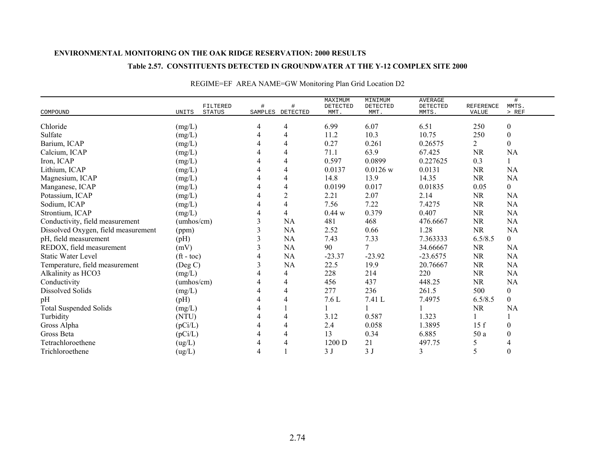### **Table 2.57. CONSTITUENTS DETECTED IN GROUNDWATER AT THE Y-12 COMPLEX SITE 2000**

| COMPOUND                            | UNITS                    | FILTERED<br><b>STATUS</b> | #<br>SAMPLES | DETECTED       | MAXIMUM<br><b>DETECTED</b><br>MMT. | MINIMUM<br>DETECTED<br>MMT. | <b>AVERAGE</b><br>DETECTED<br>MMTS. | <b>REFERENCE</b><br>VALUE | #<br>MMTS.<br>> REF |
|-------------------------------------|--------------------------|---------------------------|--------------|----------------|------------------------------------|-----------------------------|-------------------------------------|---------------------------|---------------------|
| Chloride                            | (mg/L)                   |                           | 4            | 4              | 6.99                               | 6.07                        | 6.51                                | 250                       | $\boldsymbol{0}$    |
| Sulfate                             | (mg/L)                   |                           | 4            | 4              | 11.2                               | 10.3                        | 10.75                               | 250                       | $\boldsymbol{0}$    |
| Barium, ICAP                        | (mg/L)                   |                           | 4            | 4              | 0.27                               | 0.261                       | 0.26575                             | $\overline{2}$            | $\boldsymbol{0}$    |
| Calcium, ICAP                       | (mg/L)                   |                           |              | 4              | 71.1                               | 63.9                        | 67.425                              | <b>NR</b>                 | NA                  |
| Iron, ICAP                          | (mg/L)                   |                           | 4            | 4              | 0.597                              | 0.0899                      | 0.227625                            | 0.3                       |                     |
| Lithium, ICAP                       | (mg/L)                   |                           | 4            | 4              | 0.0137                             | $0.0126$ w                  | 0.0131                              | <b>NR</b>                 | <b>NA</b>           |
| Magnesium, ICAP                     | (mg/L)                   |                           | 4            | 4              | 14.8                               | 13.9                        | 14.35                               | <b>NR</b>                 | NA                  |
| Manganese, ICAP                     | (mg/L)                   |                           |              | 4              | 0.0199                             | 0.017                       | 0.01835                             | 0.05                      | $\overline{0}$      |
| Potassium, ICAP                     | (mg/L)                   |                           |              | $\overline{2}$ | 2.21                               | 2.07                        | 2.14                                | $\rm NR$                  | NA                  |
| Sodium, ICAP                        | (mg/L)                   |                           | 4            | 4              | 7.56                               | 7.22                        | 7.4275                              | NR                        | <b>NA</b>           |
| Strontium, ICAP                     | (mg/L)                   |                           | 4            | 4              | 0.44 w                             | 0.379                       | 0.407                               | <b>NR</b>                 | NA                  |
| Conductivity, field measurement     | (umhos/cm)               |                           | 3            | <b>NA</b>      | 481                                | 468                         | 476.6667                            | <b>NR</b>                 | NA                  |
| Dissolved Oxygen, field measurement | (ppm)                    |                           | 3            | NA             | 2.52                               | 0.66                        | 1.28                                | <b>NR</b>                 | NA                  |
| pH, field measurement               | (pH)                     |                           | 3            | NA             | 7.43                               | 7.33                        | 7.363333                            | 6.5/8.5                   | $\overline{0}$      |
| REDOX, field measurement            | (mV)                     |                           | 3            | NA             | 90                                 | 7                           | 34.66667                            | <b>NR</b>                 | <b>NA</b>           |
| <b>Static Water Level</b>           | $({\rm ft} - {\rm toc})$ |                           | 4            | NA             | $-23.37$                           | $-23.92$                    | $-23.6575$                          | <b>NR</b>                 | NA                  |
| Temperature, field measurement      | (Deg C)                  |                           | 3            | NA             | 22.5                               | 19.9                        | 20.76667                            | <b>NR</b>                 | <b>NA</b>           |
| Alkalinity as HCO3                  | (mg/L)                   |                           | 4            | 4              | 228                                | 214                         | 220                                 | <b>NR</b>                 | <b>NA</b>           |
| Conductivity                        | (umhos/cm)               |                           | 4            | 4              | 456                                | 437                         | 448.25                              | $\rm NR$                  | NA                  |
| <b>Dissolved Solids</b>             | (mg/L)                   |                           | 4            | 4              | 277                                | 236                         | 261.5                               | 500                       | $\boldsymbol{0}$    |
| pH                                  | (pH)                     |                           |              |                | $7.6 L$                            | 7.41 L                      | 7.4975                              | 6.5/8.5                   | $\mathbf{0}$        |
| <b>Total Suspended Solids</b>       | (mg/L)                   |                           | 4            |                |                                    |                             |                                     | <b>NR</b>                 | NA                  |
| Turbidity                           | (NTU)                    |                           |              |                | 3.12                               | 0.587                       | 1.323                               |                           |                     |
| Gross Alpha                         | (pCi/L)                  |                           | 4            | 4              | 2.4                                | 0.058                       | 1.3895                              | 15f                       | $\mathbf{0}$        |
| Gross Beta                          | (pCi/L)                  |                           |              | 4              | 13                                 | 0.34                        | 6.885                               | 50 a                      | $\theta$            |
| Tetrachloroethene                   | (ug/L)                   |                           | 4            | 4              | 1200 D                             | 21                          | 497.75                              |                           |                     |
| Trichloroethene                     | (ug/L)                   |                           |              |                | 3J                                 | 3J                          | 3                                   | 5                         | $\theta$            |

# REGIME=EF AREA NAME=GW Monitoring Plan Grid Location D2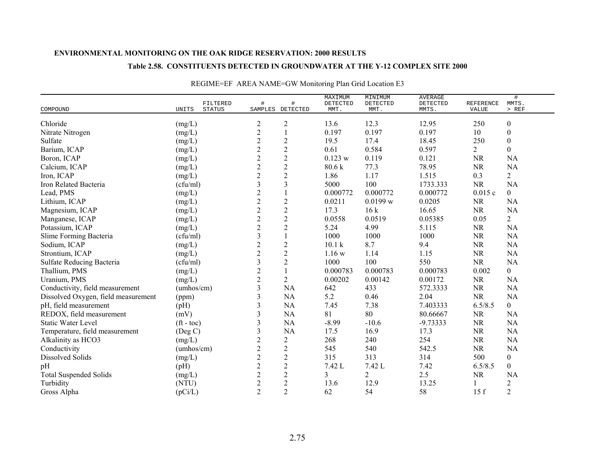#### **Table 2.58. CONSTITUENTS DETECTED IN GROUNDWATER AT THE Y-12 COMPLEX SITE 2000**

|                                     |                                    |                |                       | MAXIMUM           | MINIMUM          | <b>AVERAGE</b>    |                    | $\#$             |
|-------------------------------------|------------------------------------|----------------|-----------------------|-------------------|------------------|-------------------|--------------------|------------------|
| COMPOUND                            | FILTERED<br>UNITS<br><b>STATUS</b> | $\#$           | #<br>SAMPLES DETECTED | DETECTED<br>MMT.  | DETECTED<br>MMT. | DETECTED<br>MMTS. | REFERENCE<br>VALUE | MMTS.<br>$>$ REF |
|                                     |                                    |                |                       |                   |                  |                   |                    |                  |
| Chloride                            | (mg/L)                             | $\overline{c}$ | $\overline{c}$        | 13.6              | 12.3             | 12.95             | 250                | $\boldsymbol{0}$ |
| Nitrate Nitrogen                    | (mg/L)                             | $\overline{c}$ | $\mathbf{1}$          | 0.197             | 0.197            | 0.197             | 10                 | $\boldsymbol{0}$ |
| Sulfate                             | (mg/L)                             | $\overline{c}$ | $\sqrt{2}$            | 19.5              | 17.4             | 18.45             | 250                | $\boldsymbol{0}$ |
| Barium, ICAP                        | (mg/L)                             | $\overline{c}$ | $\sqrt{2}$            | 0.61              | 0.584            | 0.597             | $\overline{2}$     | $\boldsymbol{0}$ |
| Boron, ICAP                         | (mg/L)                             | $\overline{2}$ | $\overline{2}$        | 0.123 w           | 0.119            | 0.121             | <b>NR</b>          | <b>NA</b>        |
| Calcium, ICAP                       | (mg/L)                             | $\overline{c}$ | $\overline{2}$        | 80.6 k            | 77.3             | 78.95             | <b>NR</b>          | <b>NA</b>        |
| Iron, ICAP                          | (mg/L)                             | $\overline{c}$ | $\sqrt{2}$            | 1.86              | 1.17             | 1.515             | 0.3                | $\overline{2}$   |
| Iron Related Bacteria               | (cfu/ml)                           | 3              | 3                     | 5000              | 100              | 1733.333          | <b>NR</b>          | <b>NA</b>        |
| Lead, PMS                           | (mg/L)                             | $\overline{c}$ |                       | 0.000772          | 0.000772         | 0.000772          | 0.015c             | $\overline{0}$   |
| Lithium, ICAP                       | (mg/L)                             | $\overline{c}$ | $\sqrt{2}$            | 0.0211            | 0.0199 w         | 0.0205            | <b>NR</b>          | <b>NA</b>        |
| Magnesium, ICAP                     | (mg/L)                             | $\overline{c}$ | $\overline{2}$        | 17.3              | 16k              | 16.65             | <b>NR</b>          | NA               |
| Manganese, ICAP                     | (mg/L)                             | $\overline{c}$ | $\sqrt{2}$            | 0.0558            | 0.0519           | 0.05385           | 0.05               | $\overline{2}$   |
| Potassium, ICAP                     | (mg/L)                             | $\overline{c}$ | $\overline{2}$        | 5.24              | 4.99             | 5.115             | <b>NR</b>          | <b>NA</b>        |
| Slime Forming Bacteria              | (cfu/ml)                           | 3              |                       | 1000              | 1000             | 1000              | <b>NR</b>          | <b>NA</b>        |
| Sodium, ICAP                        | (mg/L)                             | $\overline{c}$ | $\sqrt{2}$            | 10.1 <sub>k</sub> | 8.7              | 9.4               | <b>NR</b>          | <b>NA</b>        |
| Strontium, ICAP                     | (mg/L)                             | $\overline{c}$ | $\sqrt{2}$            | 1.16 w            | 1.14             | 1.15              | <b>NR</b>          | <b>NA</b>        |
| Sulfate Reducing Bacteria           | (cfu/ml)                           | 3              | $\overline{2}$        | 1000              | 100              | 550               | <b>NR</b>          | <b>NA</b>        |
| Thallium, PMS                       | $(mg/L)$                           | $\mathbf{2}$   |                       | 0.000783          | 0.000783         | 0.000783          | 0.002              | $\boldsymbol{0}$ |
| Uranium, PMS                        | (mg/L)                             | $\overline{c}$ | $\overline{2}$        | 0.00202           | 0.00142          | 0.00172           | <b>NR</b>          | <b>NA</b>        |
| Conductivity, field measurement     | (umhos/cm)                         | 3              | <b>NA</b>             | 642               | 433              | 572.3333          | <b>NR</b>          | <b>NA</b>        |
| Dissolved Oxygen, field measurement | (ppm)                              | 3              | <b>NA</b>             | 5.2               | 0.46             | 2.04              | <b>NR</b>          | NA               |
| pH, field measurement               | (pH)                               | 3              | <b>NA</b>             | 7.45              | 7.38             | 7.403333          | 6.5/8.5            | $\overline{0}$   |
| REDOX, field measurement            | (mV)                               | 3              | NA                    | 81                | 80               | 80.66667          | <b>NR</b>          | <b>NA</b>        |
| <b>Static Water Level</b>           | $({\rm ft} - {\rm toc})$           | 3              | NA                    | $-8.99$           | $-10.6$          | $-9.73333$        | <b>NR</b>          | <b>NA</b>        |
| Temperature, field measurement      | (Deg C)                            | 3              | <b>NA</b>             | 17.5              | 16.9             | 17.3              | <b>NR</b>          | <b>NA</b>        |
| Alkalinity as HCO3                  | (mg/L)                             | $\overline{c}$ | $\sqrt{2}$            | 268               | 240              | 254               | <b>NR</b>          | <b>NA</b>        |
| Conductivity                        | (umbos/cm)                         | $\overline{c}$ | $\overline{2}$        | 545               | 540              | 542.5             | <b>NR</b>          | NA               |
| Dissolved Solids                    | (mg/L)                             | $\overline{2}$ | $\overline{2}$        | 315               | 313              | 314               | 500                | $\boldsymbol{0}$ |
| pH                                  | (pH)                               | $\overline{c}$ | $\overline{2}$        | 7.42 L            | 7.42 L           | 7.42              | 6.5/8.5            | $\overline{0}$   |
| <b>Total Suspended Solids</b>       | (mg/L)                             | $\overline{c}$ | $\sqrt{2}$            | 3                 | $\overline{2}$   | 2.5               | <b>NR</b>          | <b>NA</b>        |
| Turbidity                           | (NTU)                              | $\overline{c}$ | $\overline{c}$        | 13.6              | 12.9             | 13.25             |                    | $\sqrt{2}$       |
| Gross Alpha                         | (pCi/L)                            | $\overline{2}$ | $\overline{2}$        | 62                | 54               | 58                | 15f                | $\overline{2}$   |

# REGIME=EF AREA NAME=GW Monitoring Plan Grid Location E3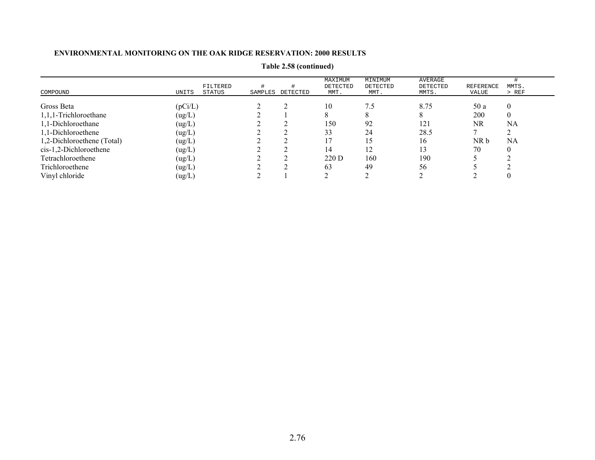| COMPOUND                   | FILTERED<br>UNITS<br>STATUS | SAMPLES | DETECTED | MAXIMUM<br>DETECTED<br>MMT. | MINIMUM<br>DETECTED<br>MMT. | AVERAGE<br>DETECTED<br>MMTS. | <b>REFERENCE</b><br>VALUE | MMTS.<br>$>$ REF |  |
|----------------------------|-----------------------------|---------|----------|-----------------------------|-----------------------------|------------------------------|---------------------------|------------------|--|
| Gross Beta                 | (pCi/L)                     |         |          | 10                          | 7.5                         | 8.75                         | 50 a                      | $\theta$         |  |
| 1,1,1-Trichloroethane      | (ug/L)                      |         |          |                             |                             |                              | 200                       | $\overline{0}$   |  |
| 1,1-Dichloroethane         | (ug/L)                      |         |          | 150                         | 92                          | 121                          | NR                        | NA               |  |
| 1,1-Dichloroethene         | (ug/L)                      |         |          | 33                          | 24                          | 28.5                         |                           |                  |  |
| 1,2-Dichloroethene (Total) | (ug/L)                      |         |          |                             | 15                          | 16                           | NR b                      | NA               |  |
| $cis-1,2-Dichloroethene$   | (ug/L)                      |         |          | 14                          | 12                          | 13                           | 70                        |                  |  |
| Tetrachloroethene          | (ug/L)                      |         |          | 220 D                       | 160                         | 190                          |                           |                  |  |
| Trichloroethene            | (ug/L)                      |         |          | 63                          | 49                          | 56                           |                           |                  |  |
| Vinyl chloride             | (ug/L)                      |         |          |                             |                             |                              |                           |                  |  |

**Table 2.58 (continued)**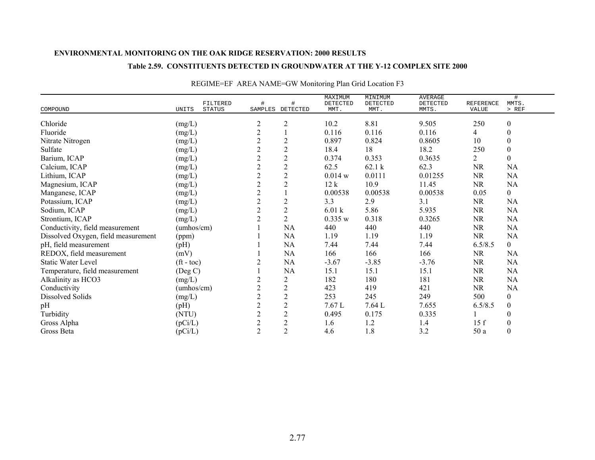### **Table 2.59. CONSTITUENTS DETECTED IN GROUNDWATER AT THE Y-12 COMPLEX SITE 2000**

|                                     |                                    |                |                       | MAXIMUM            | MINIMUM            | <b>AVERAGE</b>    |                           | #                |
|-------------------------------------|------------------------------------|----------------|-----------------------|--------------------|--------------------|-------------------|---------------------------|------------------|
| COMPOUND                            | FILTERED<br>UNITS<br><b>STATUS</b> | #              | #<br>SAMPLES DETECTED | DETECTED<br>MMT.   | DETECTED<br>MMT.   | DETECTED<br>MMTS. | <b>REFERENCE</b><br>VALUE | MMTS.<br>> REF   |
|                                     |                                    |                |                       |                    |                    |                   |                           |                  |
| Chloride                            | (mg/L)                             | $\overline{c}$ | $\overline{c}$        | 10.2               | 8.81               | 9.505             | 250                       | $\boldsymbol{0}$ |
| Fluoride                            | (mg/L)                             | $\overline{2}$ |                       | 0.116              | 0.116              | 0.116             | 4                         | $\mathbf{0}$     |
| Nitrate Nitrogen                    | (mg/L)                             | $\overline{c}$ | $\mathfrak{2}$        | 0.897              | 0.824              | 0.8605            | 10                        | $\boldsymbol{0}$ |
| Sulfate                             | (mg/L)                             | $\overline{c}$ | $\mathbf{2}$          | 18.4               | 18                 | 18.2              | 250                       | $\boldsymbol{0}$ |
| Barium, ICAP                        | (mg/L)                             | $\overline{c}$ | $\overline{c}$        | 0.374              | 0.353              | 0.3635            | 2                         | $\theta$         |
| Calcium, ICAP                       | (mg/L)                             | $\sqrt{2}$     | $\sqrt{2}$            | 62.5               | 62.1 k             | 62.3              | <b>NR</b>                 | NA               |
| Lithium, ICAP                       | (mg/L)                             | $\overline{2}$ | $\mathbf{2}$          | $0.014$ w          | 0.0111             | 0.01255           | $\rm NR$                  | NA               |
| Magnesium, ICAP                     | (mg/L)                             | $\overline{c}$ | $\overline{2}$        | 12k                | 10.9               | 11.45             | <b>NR</b>                 | NA               |
| Manganese, ICAP                     | (mg/L)                             | $\sqrt{2}$     |                       | 0.00538            | 0.00538            | 0.00538           | 0.05                      | $\mathbf{0}$     |
| Potassium, ICAP                     | (mg/L)                             | $\mathbf{2}$   | $\mathfrak{2}$        | 3.3                | 2.9                | 3.1               | <b>NR</b>                 | NA               |
| Sodium, ICAP                        | (mg/L)                             | $\overline{2}$ | $\overline{2}$        | 6.01 k             | 5.86               | 5.935             | <b>NR</b>                 | NA               |
| Strontium, ICAP                     | (mg/L)                             | $\overline{2}$ | $\overline{2}$        | 0.335 w            | 0.318              | 0.3265            | <b>NR</b>                 | <b>NA</b>        |
| Conductivity, field measurement     | (umhos/cm)                         |                | NA                    | 440                | 440                | 440               | <b>NR</b>                 | NA               |
| Dissolved Oxygen, field measurement | (ppm)                              |                | NA                    | 1.19               | 1.19               | 1.19              | <b>NR</b>                 | NA               |
| pH, field measurement               | (pH)                               |                | NA                    | 7.44               | 7.44               | 7.44              | 6.5/8.5                   | $\mathbf{0}$     |
| REDOX, field measurement            | (mV)                               |                | NA                    | 166                | 166                | 166               | <b>NR</b>                 | <b>NA</b>        |
| <b>Static Water Level</b>           | $({\rm ft}$ - toc)                 |                | NA                    | $-3.67$            | $-3.85$            | $-3.76$           | NR                        | NA               |
| Temperature, field measurement      | (Deg C)                            |                | NA                    | 15.1               | 15.1               | 15.1              | <b>NR</b>                 | <b>NA</b>        |
| Alkalinity as HCO3                  | (mg/L)                             | $\overline{c}$ | $\overline{2}$        | 182                | 180                | 181               | <b>NR</b>                 | <b>NA</b>        |
| Conductivity                        | (umbos/cm)                         | $\overline{2}$ | $\mathbf{2}$          | 423                | 419                | 421               | <b>NR</b>                 | NA               |
| Dissolved Solids                    | (mg/L)                             | $\overline{c}$ | $\sqrt{2}$            | 253                | 245                | 249               | 500                       | $\boldsymbol{0}$ |
| pH                                  | (pH)                               | $\overline{c}$ | $\overline{2}$        | $7.67\,\mathrm{L}$ | $7.64 \mathrm{~L}$ | 7.655             | 6.5/8.5                   | $\boldsymbol{0}$ |
| Turbidity                           | (NTU)                              | $\overline{c}$ | $\sqrt{2}$            | 0.495              | 0.175              | 0.335             |                           | $\theta$         |
| Gross Alpha                         | (pCi/L)                            | $\overline{c}$ | $\sqrt{2}$            | 1.6                | 1.2                | 1.4               | 15f                       | $\mathbf{0}$     |
| Gross Beta                          | (pCi/L)                            | $\overline{2}$ | $\overline{2}$        | 4.6                | 1.8                | 3.2               | 50 a                      | $\boldsymbol{0}$ |

# REGIME=EF AREA NAME=GW Monitoring Plan Grid Location F3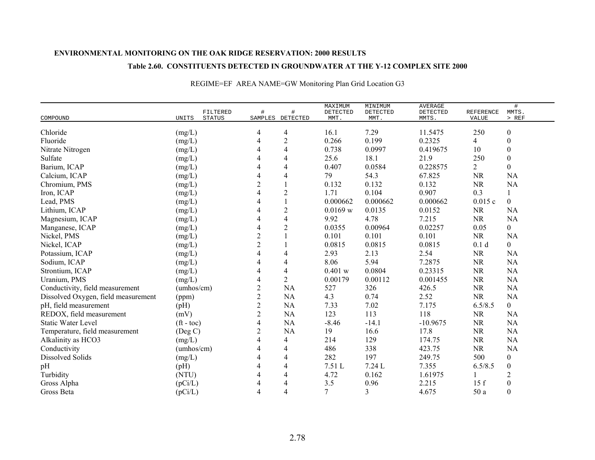### **Table 2.60. CONSTITUENTS DETECTED IN GROUNDWATER AT THE Y-12 COMPLEX SITE 2000**

|                                     |                          | FILTERED      | $\#$             |                          | MAXIMUM<br>DETECTED | MINIMUM<br>DETECTED | <b>AVERAGE</b><br>DETECTED | <b>REFERENCE</b> | #<br>MMTS.       |
|-------------------------------------|--------------------------|---------------|------------------|--------------------------|---------------------|---------------------|----------------------------|------------------|------------------|
| COMPOUND                            | UNITS                    | <b>STATUS</b> |                  | SAMPLES DETECTED         | MMT.                | MMT.                | MMTS.                      | VALUE            | $>$ REF          |
| Chloride                            | (mg/L)                   |               | 4                | 4                        | 16.1                | 7.29                | 11.5475                    | 250              | $\boldsymbol{0}$ |
| Fluoride                            | (mg/L)                   |               | 4                | $\overline{2}$           | 0.266               | 0.199               | 0.2325                     | 4                | $\boldsymbol{0}$ |
| Nitrate Nitrogen                    | (mg/L)                   |               | 4                | 4                        | 0.738               | 0.0997              | 0.419675                   | 10               | $\boldsymbol{0}$ |
| Sulfate                             | (mg/L)                   |               |                  | $\overline{4}$           | 25.6                | 18.1                | 21.9                       | 250              | $\boldsymbol{0}$ |
| Barium, ICAP                        | (mg/L)                   |               | 4                | 4                        | 0.407               | 0.0584              | 0.228575                   | $\overline{2}$   | $\overline{0}$   |
| Calcium, ICAP                       | (mg/L)                   |               | 4                | 4                        | 79                  | 54.3                | 67.825                     | <b>NR</b>        | NA               |
| Chromium, PMS                       | (mg/L)                   |               | 2                |                          | 0.132               | 0.132               | 0.132                      | <b>NR</b>        | NA               |
| Iron, ICAP                          | (mg/L)                   |               | 4                | $\overline{2}$           | 1.71                | 0.104               | 0.907                      | 0.3              |                  |
| Lead, PMS                           | (mg/L)                   |               | 4                |                          | 0.000662            | 0.000662            | 0.000662                   | 0.015c           | $\overline{0}$   |
| Lithium, ICAP                       | (mg/L)                   |               | 4                | $\overline{2}$           | 0.0169 w            | 0.0135              | 0.0152                     | <b>NR</b>        | <b>NA</b>        |
| Magnesium, ICAP                     | (mg/L)                   |               | 4                | $\overline{\mathcal{A}}$ | 9.92                | 4.78                | 7.215                      | <b>NR</b>        | <b>NA</b>        |
| Manganese, ICAP                     | (mg/L)                   |               | 4                | $\overline{2}$           | 0.0355              | 0.00964             | 0.02257                    | 0.05             | $\overline{0}$   |
| Nickel, PMS                         | (mg/L)                   |               | $\sqrt{2}$       |                          | 0.101               | 0.101               | 0.101                      | <b>NR</b>        | <b>NA</b>        |
| Nickel, ICAP                        | (mg/L)                   |               | $\overline{c}$   |                          | 0.0815              | 0.0815              | 0.0815                     | 0.1 <sub>d</sub> | $\boldsymbol{0}$ |
| Potassium, ICAP                     | (mg/L)                   |               | 4                |                          | 2.93                | 2.13                | 2.54                       | <b>NR</b>        | <b>NA</b>        |
| Sodium, ICAP                        | (mg/L)                   |               |                  | 4                        | 8.06                | 5.94                | 7.2875                     | <b>NR</b>        | <b>NA</b>        |
| Strontium, ICAP                     | (mg/L)                   |               | 4                | $\overline{4}$           | 0.401 w             | 0.0804              | 0.23315                    | <b>NR</b>        | NA               |
| Uranium, PMS                        | $(mg/L)$                 |               | 4                | $\overline{2}$           | 0.00179             | 0.00112             | 0.001455                   | <b>NR</b>        | NA               |
| Conductivity, field measurement     | (umbos/cm)               |               | $\boldsymbol{2}$ | <b>NA</b>                | 527                 | 326                 | 426.5                      | <b>NR</b>        | NA               |
| Dissolved Oxygen, field measurement | (ppm)                    |               | $\overline{c}$   | <b>NA</b>                | 4.3                 | 0.74                | 2.52                       | <b>NR</b>        | <b>NA</b>        |
| pH, field measurement               | (pH)                     |               | $\boldsymbol{2}$ | <b>NA</b>                | 7.33                | $7.02\,$            | 7.175                      | 6.5/8.5          | $\mathbf{0}$     |
| REDOX, field measurement            | (mV)                     |               | $\sqrt{2}$       | <b>NA</b>                | 123                 | 113                 | 118                        | <b>NR</b>        | <b>NA</b>        |
| <b>Static Water Level</b>           | $({\rm ft} - {\rm toc})$ |               | $\overline{4}$   | <b>NA</b>                | $-8.46$             | $-14.1$             | $-10.9675$                 | <b>NR</b>        | <b>NA</b>        |
| Temperature, field measurement      | $($ Deg C $)$            |               | $\overline{c}$   | <b>NA</b>                | 19                  | 16.6                | 17.8                       | <b>NR</b>        | NA               |
| Alkalinity as HCO3                  | (mg/L)                   |               | 4                | 4                        | 214                 | 129                 | 174.75                     | <b>NR</b>        | <b>NA</b>        |
| Conductivity                        | (umbos/cm)               |               | 4                | 4                        | 486                 | 338                 | 423.75                     | $\rm NR$         | <b>NA</b>        |
| <b>Dissolved Solids</b>             | (mg/L)                   |               | 4                | 4                        | 282                 | 197                 | 249.75                     | 500              | $\boldsymbol{0}$ |
| pH                                  | (pH)                     |               | 4                | $\overline{4}$           | 7.51 L              | 7.24 L              | 7.355                      | 6.5/8.5          | $\boldsymbol{0}$ |
| Turbidity                           | (NTU)                    |               | 4                | 4                        | 4.72                | 0.162               | 1.61975                    |                  | $\overline{2}$   |
| Gross Alpha                         | (pCi/L)                  |               | 4                | 4                        | 3.5                 | 0.96                | 2.215                      | 15f              | $\boldsymbol{0}$ |
| Gross Beta                          | (pCi/L)                  |               | 4                | 4                        | $\overline{7}$      | 3                   | 4.675                      | 50 a             | $\theta$         |

# REGIME=EF AREA NAME=GW Monitoring Plan Grid Location G3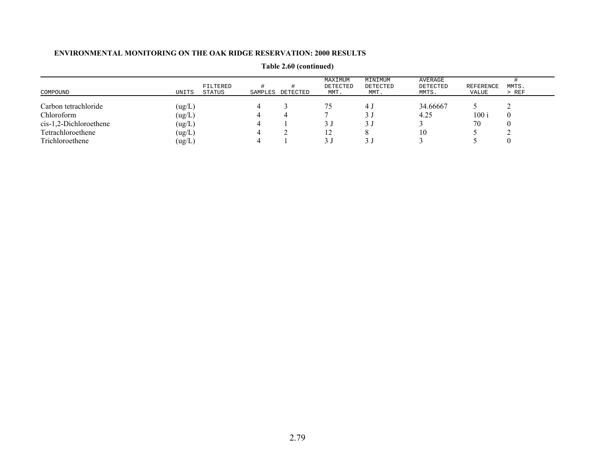| COMPOUND                 | UNITS  | FILTERED<br>STATUS | SAMPLES | DETECTED | MAXIMUM<br>DETECTED<br>MMT. | MINIMUM<br>DETECTED<br>MMT. | AVERAGE<br>DETECTED<br>MMTS. | REFERENCE<br>VALUE | MMTS.<br>$>$ REF |
|--------------------------|--------|--------------------|---------|----------|-----------------------------|-----------------------------|------------------------------|--------------------|------------------|
| Carbon tetrachloride     | (ug/L) |                    |         |          |                             | د 4                         | 34.66667                     |                    |                  |
| Chloroform               | (ug/L) |                    |         |          |                             |                             | 4.25                         | 100i               |                  |
| $cis-1,2-Dichloroethene$ | (ug/L) |                    | 4       |          |                             |                             |                              | 70                 |                  |
| Tetrachloroethene        | (ug/L) |                    |         |          | 12                          |                             | 10                           |                    |                  |
| Trichloroethene          | (ug/L) |                    |         |          | 3 J                         |                             |                              |                    |                  |

**Table 2.60 (continued)**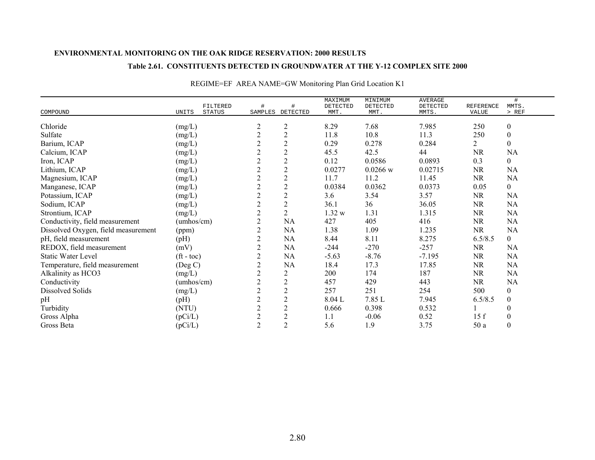### **Table 2.61. CONSTITUENTS DETECTED IN GROUNDWATER AT THE Y-12 COMPLEX SITE 2000**

|                                     |                        |                |                | MAXIMUM  | MINIMUM    | <b>AVERAGE</b> |           | #                |
|-------------------------------------|------------------------|----------------|----------------|----------|------------|----------------|-----------|------------------|
|                                     | FILTERED               | $\#$           | #              | DETECTED | DETECTED   | DETECTED       | REFERENCE | MMTS.            |
| COMPOUND                            | UNITS<br><b>STATUS</b> | SAMPLES        | DETECTED       | MMT.     | MMT.       | MMTS.          | VALUE     | $>$ REF          |
| Chloride                            | (mg/L)                 | 2              | $\overline{2}$ | 8.29     | 7.68       | 7.985          | 250       | $\boldsymbol{0}$ |
| Sulfate                             | (mg/L)                 | $\overline{c}$ | $\overline{c}$ | 11.8     | 10.8       | 11.3           | 250       | $\boldsymbol{0}$ |
| Barium, ICAP                        | (mg/L)                 | $\overline{c}$ | $\overline{c}$ | 0.29     | 0.278      | 0.284          | 2         | $\boldsymbol{0}$ |
| Calcium, ICAP                       | (mg/L)                 | $\overline{c}$ | $\overline{2}$ | 45.5     | 42.5       | 44             | <b>NR</b> | NA               |
| Iron, ICAP                          | (mg/L)                 | $\overline{c}$ | $\sqrt{2}$     | 0.12     | 0.0586     | 0.0893         | 0.3       | $\overline{0}$   |
| Lithium, ICAP                       | (mg/L)                 | $\overline{c}$ | $\overline{2}$ | 0.0277   | $0.0266$ w | 0.02715        | <b>NR</b> | NA               |
| Magnesium, ICAP                     | (mg/L)                 | $\overline{c}$ | $\mathbf{2}$   | 11.7     | 11.2       | 11.45          | $\rm NR$  | NA               |
| Manganese, ICAP                     | (mg/L)                 | $\overline{c}$ | $\overline{c}$ | 0.0384   | 0.0362     | 0.0373         | 0.05      | $\boldsymbol{0}$ |
| Potassium, ICAP                     | (mg/L)                 | $\overline{2}$ | $\sqrt{2}$     | 3.6      | 3.54       | 3.57           | <b>NR</b> | NA               |
| Sodium, ICAP                        | (mg/L)                 | $\overline{c}$ | $\sqrt{2}$     | 36.1     | 36         | 36.05          | $\rm NR$  | NA               |
| Strontium, ICAP                     | (mg/L)                 | $\overline{c}$ | $\overline{2}$ | 1.32 w   | 1.31       | 1.315          | <b>NR</b> | NA               |
| Conductivity, field measurement     | (umhos/cm)             | $\overline{c}$ | NA             | 427      | 405        | 416            | <b>NR</b> | NA               |
| Dissolved Oxygen, field measurement | (ppm)                  | $\overline{2}$ | NA             | 1.38     | 1.09       | 1.235          | <b>NR</b> | NA               |
| pH, field measurement               | (pH)                   | $\overline{c}$ | NA             | 8.44     | 8.11       | 8.275          | 6.5/8.5   | $\overline{0}$   |
| REDOX, field measurement            | (mV)                   | $\overline{2}$ | NA             | $-244$   | $-270$     | $-257$         | <b>NR</b> | NA               |
| <b>Static Water Level</b>           | $({\rm ft}$ - toc)     | $\overline{c}$ | NA             | $-5.63$  | $-8.76$    | $-7.195$       | <b>NR</b> | NA               |
| Temperature, field measurement      | $($ Deg C $)$          | $\overline{2}$ | NA             | 18.4     | 17.3       | 17.85          | <b>NR</b> | NA               |
| Alkalinity as HCO3                  | (mg/L)                 | $\overline{c}$ | $\overline{c}$ | 200      | 174        | 187            | <b>NR</b> | NA               |
| Conductivity                        | (umhos/cm)             | $\overline{c}$ | $\mathbf{2}$   | 457      | 429        | 443            | $\rm NR$  | NA               |
| Dissolved Solids                    | (mg/L)                 | $\overline{c}$ | $\overline{c}$ | 257      | 251        | 254            | 500       | $\boldsymbol{0}$ |
| pH                                  | (pH)                   | $\overline{c}$ | $\overline{2}$ | 8.04L    | 7.85 L     | 7.945          | 6.5/8.5   | $\boldsymbol{0}$ |
| Turbidity                           | (NTU)                  | $\overline{c}$ | $\sqrt{2}$     | 0.666    | 0.398      | 0.532          |           | $\mathbf{0}$     |
| Gross Alpha                         | (pCi/L)                | $\overline{c}$ | $\overline{c}$ | 1.1      | $-0.06$    | 0.52           | 15f       | $\boldsymbol{0}$ |
| Gross Beta                          | (pCi/L)                | $\overline{2}$ | $\overline{2}$ | 5.6      | 1.9        | 3.75           | 50a       | $\boldsymbol{0}$ |

# REGIME=EF AREA NAME=GW Monitoring Plan Grid Location K1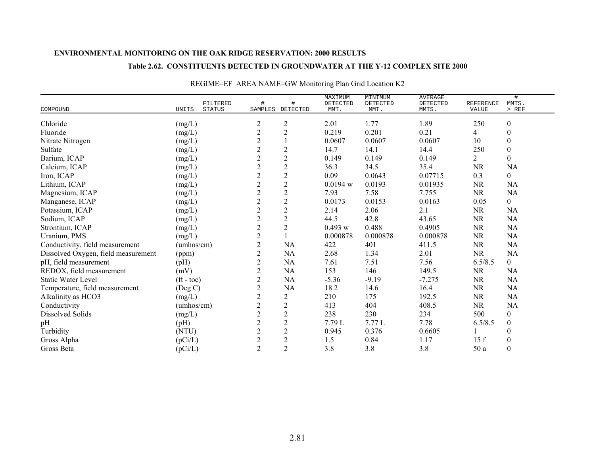### **Table 2.62. CONSTITUENTS DETECTED IN GROUNDWATER AT THE Y-12 COMPLEX SITE 2000**

| COMPOUND                            | FILTERED<br>UNITS<br><b>STATUS</b> | #<br>SAMPLES   | #<br>DETECTED  | MAXIMUM<br>DETECTED<br>MMT. | MINIMUM<br>DETECTED<br>MMT. | <b>AVERAGE</b><br>DETECTED<br>MMTS. | REFERENCE<br>VALUE | #<br>MMTS.<br>> REF |
|-------------------------------------|------------------------------------|----------------|----------------|-----------------------------|-----------------------------|-------------------------------------|--------------------|---------------------|
| Chloride                            | (mg/L)                             | $\overline{c}$ | $\overline{c}$ | 2.01                        | 1.77                        | 1.89                                | 250                | $\boldsymbol{0}$    |
| Fluoride                            | (mg/L)                             | $\overline{c}$ | $\sqrt{2}$     | 0.219                       | 0.201                       | 0.21                                | 4                  | $\boldsymbol{0}$    |
| Nitrate Nitrogen                    | (mg/L)                             | $\overline{2}$ |                | 0.0607                      | 0.0607                      | 0.0607                              | 10                 | $\boldsymbol{0}$    |
| Sulfate                             | (mg/L)                             | $\overline{2}$ | $\sqrt{2}$     | 14.7                        | 14.1                        | 14.4                                | 250                | $\boldsymbol{0}$    |
| Barium, ICAP                        | (mg/L)                             | $\overline{2}$ | $\mathbf{2}$   | 0.149                       | 0.149                       | 0.149                               | 2                  | $\theta$            |
| Calcium, ICAP                       | (mg/L)                             | $\sqrt{2}$     | $\overline{c}$ | 36.3                        | 34.5                        | 35.4                                | <b>NR</b>          | NA                  |
| Iron, ICAP                          | (mg/L)                             | $\overline{2}$ | $\sqrt{2}$     | 0.09                        | 0.0643                      | 0.07715                             | 0.3                | $\boldsymbol{0}$    |
| Lithium, ICAP                       | (mg/L)                             | $\mathbf{2}$   | $\mathbf{2}$   | 0.0194 w                    | 0.0193                      | 0.01935                             | <b>NR</b>          | NA                  |
| Magnesium, ICAP                     | (mg/L)                             | $\sqrt{2}$     | $\sqrt{2}$     | 7.93                        | 7.58                        | 7.755                               | <b>NR</b>          | <b>NA</b>           |
| Manganese, ICAP                     | (mg/L)                             | $\overline{c}$ | $\mathbf{2}$   | 0.0173                      | 0.0153                      | 0.0163                              | 0.05               | $\boldsymbol{0}$    |
| Potassium, ICAP                     | (mg/L)                             | $\sqrt{2}$     | $\sqrt{2}$     | 2.14                        | 2.06                        | 2.1                                 | $\rm NR$           | NA                  |
| Sodium, ICAP                        | (mg/L)                             | $\mathbf{2}$   | $\mathbf{2}$   | 44.5                        | 42.8                        | 43.65                               | <b>NR</b>          | NA                  |
| Strontium, ICAP                     | (mg/L)                             | $\overline{c}$ | $\sqrt{2}$     | 0.493 w                     | 0.488                       | 0.4905                              | $\rm NR$           | NA                  |
| Uranium, PMS                        | (mg/L)                             | $\overline{c}$ |                | 0.000878                    | 0.000878                    | 0.000878                            | $\rm NR$           | <b>NA</b>           |
| Conductivity, field measurement     | (umbos/cm)                         | $\sqrt{2}$     | NA             | 422                         | 401                         | 411.5                               | $\rm NR$           | NA                  |
| Dissolved Oxygen, field measurement | (ppm)                              | $\mathbf{2}$   | NA             | 2.68                        | 1.34                        | 2.01                                | <b>NR</b>          | NA                  |
| pH, field measurement               | (pH)                               | $\overline{c}$ | NA             | 7.61                        | 7.51                        | 7.56                                | 6.5/8.5            | $\mathbf{0}$        |
| REDOX, field measurement            | (mV)                               | $\overline{2}$ | NA             | 153                         | 146                         | 149.5                               | <b>NR</b>          | NA                  |
| <b>Static Water Level</b>           | $({\rm ft - toc})$                 | $\overline{c}$ | NA             | $-5.36$                     | $-9.19$                     | $-7.275$                            | $\rm NR$           | NA                  |
| Temperature, field measurement      | (Deg C)                            | $\mathbf{2}$   | NA             | 18.2                        | 14.6                        | 16.4                                | $\rm NR$           | NA                  |
| Alkalinity as HCO3                  | (mg/L)                             | $\overline{c}$ | $\overline{c}$ | 210                         | 175                         | 192.5                               | $\rm NR$           | NA                  |
| Conductivity                        | (umbos/cm)                         | $\mathbf{2}$   | $\mathbf{2}$   | 413                         | 404                         | 408.5                               | NR                 | NA                  |
| <b>Dissolved Solids</b>             | (mg/L)                             | $\overline{c}$ | $\overline{c}$ | 238                         | 230                         | 234                                 | 500                | $\boldsymbol{0}$    |
| pH                                  | (pH)                               | $\overline{2}$ | $\overline{2}$ | 7.79L                       | 7.77L                       | 7.78                                | 6.5/8.5            | $\boldsymbol{0}$    |
| Turbidity                           | (NTU)                              | $\overline{c}$ | $\sqrt{2}$     | 0.945                       | 0.376                       | 0.6605                              |                    | $\mathbf{0}$        |
| Gross Alpha                         | (pCi/L)                            | $\mathbf{2}$   | $\mathbf{2}$   | 1.5                         | 0.84                        | 1.17                                | 15f                | $\boldsymbol{0}$    |
| Gross Beta                          | (pCi/L)                            | $\overline{2}$ | $\overline{2}$ | 3.8                         | 3.8                         | 3.8                                 | 50 a               | $\boldsymbol{0}$    |

# REGIME=EF AREA NAME=GW Monitoring Plan Grid Location K2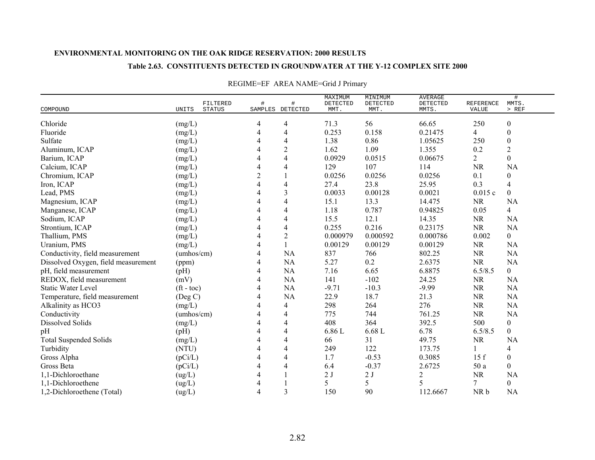### **Table 2.63. CONSTITUENTS DETECTED IN GROUNDWATER AT THE Y-12 COMPLEX SITE 2000**

| COMPOUND                            | UNITS                | FILTERED<br><b>STATUS</b> | #              | #<br>SAMPLES DETECTED | MAXIMUM<br>DETECTED<br>MMT. | MINIMUM<br>DETECTED<br>MMT. | <b>AVERAGE</b><br>DETECTED<br>MMTS. | <b>REFERENCE</b><br>VALUE | $\#$<br>MMTS.<br>$>$ REF |
|-------------------------------------|----------------------|---------------------------|----------------|-----------------------|-----------------------------|-----------------------------|-------------------------------------|---------------------------|--------------------------|
|                                     |                      |                           |                |                       |                             |                             |                                     |                           |                          |
| Chloride                            | (mg/L)               |                           | 4              | 4                     | 71.3                        | 56                          | 66.65                               | 250                       | $\boldsymbol{0}$         |
| Fluoride                            | (mg/L)               |                           | 4              | 4                     | 0.253                       | 0.158                       | 0.21475                             | 4                         | $\boldsymbol{0}$         |
| Sulfate                             | (mg/L)               |                           | 4              | 4                     | 1.38                        | 0.86                        | 1.05625                             | 250                       | $\boldsymbol{0}$         |
| Aluminum, ICAP                      | (mg/L)               |                           | 4              | $\overline{c}$        | 1.62                        | 1.09                        | 1.355                               | 0.2                       | $\sqrt{2}$               |
| Barium, ICAP                        | (mg/L)               |                           | 4              | $\overline{4}$        | 0.0929                      | 0.0515                      | 0.06675                             | $\overline{2}$            | $\overline{0}$           |
| Calcium, ICAP                       | (mg/L)               |                           | 4              | 4                     | 129                         | 107                         | 114                                 | <b>NR</b>                 | NA                       |
| Chromium, ICAP                      | (mg/L)               |                           | $\overline{2}$ |                       | 0.0256                      | 0.0256                      | 0.0256                              | 0.1                       | $\boldsymbol{0}$         |
| Iron, ICAP                          | (mg/L)               |                           | 4              | 4                     | 27.4                        | 23.8                        | 25.95                               | 0.3                       | $\overline{4}$           |
| Lead, PMS                           | (mg/L)               |                           | 4              | 3                     | 0.0033                      | 0.00128                     | 0.0021                              | 0.015c                    | $\mathbf{0}$             |
| Magnesium, ICAP                     | (mg/L)               |                           | 4              | 4                     | 15.1                        | 13.3                        | 14.475                              | <b>NR</b>                 | NA                       |
| Manganese, ICAP                     | (mg/L)               |                           |                | 4                     | 1.18                        | 0.787                       | 0.94825                             | 0.05                      | $\overline{4}$           |
| Sodium, ICAP                        | (mg/L)               |                           | 4              | 4                     | 15.5                        | 12.1                        | 14.35                               | <b>NR</b>                 | NA                       |
| Strontium, ICAP                     | (mg/L)               |                           | 4              | 4                     | 0.255                       | 0.216                       | 0.23175                             | <b>NR</b>                 | <b>NA</b>                |
| Thallium, PMS                       | (mg/L)               |                           | 4              | $\overline{2}$        | 0.000979                    | 0.000592                    | 0.000786                            | 0.002                     | $\mathbf{0}$             |
| Uranium, PMS                        | (mg/L)               |                           | 4              |                       | 0.00129                     | 0.00129                     | 0.00129                             | <b>NR</b>                 | <b>NA</b>                |
| Conductivity, field measurement     | (umbos/cm)           |                           | 4              | NA                    | 837                         | 766                         | 802.25                              | <b>NR</b>                 | <b>NA</b>                |
| Dissolved Oxygen, field measurement | (ppm)                |                           | 4              | <b>NA</b>             | 5.27                        | 0.2                         | 2.6375                              | <b>NR</b>                 | NA                       |
| pH, field measurement               | (pH)                 |                           | 4              | NA                    | 7.16                        | 6.65                        | 6.8875                              | 6.5/8.5                   | $\overline{0}$           |
| REDOX, field measurement            | (mV)                 |                           | 4              | <b>NA</b>             | 141                         | $-102$                      | 24.25                               | <b>NR</b>                 | <b>NA</b>                |
| <b>Static Water Level</b>           | $({\rm ft - toc})$   |                           | 4              | NA                    | $-9.71$                     | $-10.3$                     | $-9.99$                             | <b>NR</b>                 | NA                       |
| Temperature, field measurement      | (Deg C)              |                           | 4              | <b>NA</b>             | 22.9                        | 18.7                        | 21.3                                | <b>NR</b>                 | NA                       |
| Alkalinity as HCO3                  | (mg/L)               |                           | 4              | 4                     | 298                         | 264                         | 276                                 | <b>NR</b>                 | NA                       |
| Conductivity                        | (umbos/cm)           |                           | 4              | 4                     | 775                         | 744                         | 761.25                              | <b>NR</b>                 | <b>NA</b>                |
| <b>Dissolved Solids</b>             | (mg/L)               |                           | 4              | 4                     | 408                         | 364                         | 392.5                               | 500                       | $\boldsymbol{0}$         |
| pH                                  | (pH)                 |                           | 4              | 4                     | 6.86 L                      | $6.68$ L                    | 6.78                                | 6.5/8.5                   | $\overline{0}$           |
| <b>Total Suspended Solids</b>       | (mg/L)               |                           | 4              | 4                     | 66                          | 31                          | 49.75                               | <b>NR</b>                 | <b>NA</b>                |
| Turbidity                           | (NTU)                |                           | 4              | 4                     | 249                         | 122                         | 173.75                              | 1                         | $\overline{4}$           |
| Gross Alpha                         | (pCi/L)              |                           | 4              | 4                     | 1.7                         | $-0.53$                     | 0.3085                              | 15f                       | $\overline{0}$           |
| Gross Beta                          | (pCi/L)              |                           | 4              | 4                     | 6.4                         | $-0.37$                     | 2.6725                              | 50 a                      | $\boldsymbol{0}$         |
| 1,1-Dichloroethane                  | $\left( ug/L\right)$ |                           | 4              |                       | 2J                          | 2J                          | $\overline{c}$                      | <b>NR</b>                 | NA                       |
| 1,1-Dichloroethene                  | (ug/L)               |                           | 4              |                       | 5                           | 5                           | 5                                   | 7                         | $\boldsymbol{0}$         |
| 1,2-Dichloroethene (Total)          | (ug/L)               |                           | $\overline{4}$ | 3                     | 150                         | 90                          | 112.6667                            | NR b                      | <b>NA</b>                |

# REGIME=EF AREA NAME=Grid J Primary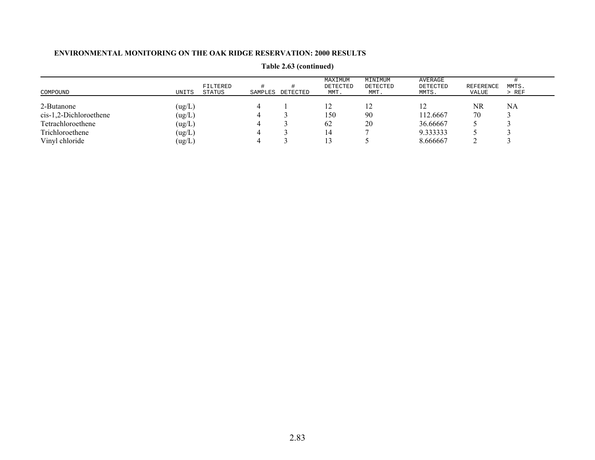| COMPOUND                 | UNITS  | FILTERED<br>STATUS | SAMPLES | DETECTED | MAXIMUM<br>DETECTED<br>MMT. | MINIMUM<br>DETECTED<br>MMT. | AVERAGE<br>DETECTED<br>MMTS. | <b>REFERENCE</b><br>VALUE | MMTS.<br>$>$ REF |
|--------------------------|--------|--------------------|---------|----------|-----------------------------|-----------------------------|------------------------------|---------------------------|------------------|
| 2-Butanone               | (ug/L) |                    | 4       |          |                             |                             |                              | NR                        | NA               |
| $cis-1,2-Dichloroethene$ | (ug/L) |                    |         |          | 150                         | 90                          | 112.6667                     | 70                        |                  |
| Tetrachloroethene        | (ug/L) |                    | 4       |          | 62                          | 20                          | 36.66667                     |                           |                  |
| Trichloroethene          | (ug/L) |                    |         |          | 14                          |                             | 9.333333                     |                           |                  |
| Vinyl chloride           | (ug/L) |                    | 4       |          |                             |                             | 8.666667                     |                           |                  |

**Table 2.63 (continued)**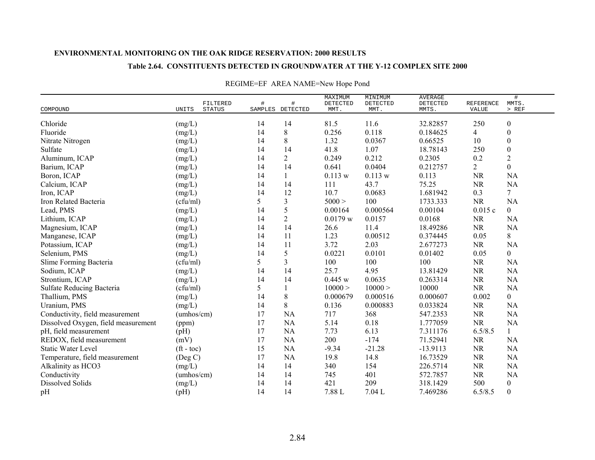#### **Table 2.64. CONSTITUENTS DETECTED IN GROUNDWATER AT THE Y-12 COMPLEX SITE 2000**

|                                     |                          | FILTERED | #  | $\#$             | MAXIMUM<br>DETECTED | MINIMUM<br>DETECTED | <b>AVERAGE</b><br>DETECTED | REFERENCE      | #<br>MMTS.       |
|-------------------------------------|--------------------------|----------|----|------------------|---------------------|---------------------|----------------------------|----------------|------------------|
| COMPOUND                            | UNITS                    | STATUS   |    | SAMPLES DETECTED | MMT.                | MMT.                | MMTS.                      | VALUE          | $>$ REF          |
| Chloride                            | (mg/L)                   |          | 14 | 14               | 81.5                | 11.6                | 32.82857                   | 250            | $\boldsymbol{0}$ |
| Fluoride                            | (mg/L)                   |          | 14 | 8                | 0.256               | 0.118               | 0.184625                   | $\overline{4}$ | $\boldsymbol{0}$ |
| Nitrate Nitrogen                    | (mg/L)                   |          | 14 | 8                | 1.32                | 0.0367              | 0.66525                    | 10             | $\boldsymbol{0}$ |
| Sulfate                             | (mg/L)                   |          | 14 | 14               | 41.8                | 1.07                | 18.78143                   | 250            | $\boldsymbol{0}$ |
| Aluminum, ICAP                      | (mg/L)                   |          | 14 | $\overline{2}$   | 0.249               | 0.212               | 0.2305                     | 0.2            | $\overline{2}$   |
| Barium, ICAP                        | (mg/L)                   |          | 14 | 14               | 0.641               | 0.0404              | 0.212757                   | $\overline{2}$ | $\overline{0}$   |
| Boron, ICAP                         | (mg/L)                   |          | 14 | $\mathbf{1}$     | 0.113 w             | 0.113 w             | 0.113                      | <b>NR</b>      | <b>NA</b>        |
| Calcium, ICAP                       | (mg/L)                   |          | 14 | 14               | 111                 | 43.7                | 75.25                      | <b>NR</b>      | NA               |
| Iron, ICAP                          | (mg/L)                   |          | 14 | 12               | 10.7                | 0.0683              | 1.681942                   | 0.3            | $\overline{7}$   |
| Iron Related Bacteria               | (cfu/ml)                 |          | 5  | 3                | 5000 >              | 100                 | 1733.333                   | NR             | NA               |
| Lead, PMS                           | (mg/L)                   |          | 14 | 5                | 0.00164             | 0.000564            | 0.00104                    | 0.015c         | $\overline{0}$   |
| Lithium, ICAP                       | (mg/L)                   |          | 14 | $\overline{c}$   | 0.0179 w            | 0.0157              | 0.0168                     | <b>NR</b>      | <b>NA</b>        |
| Magnesium, ICAP                     | (mg/L)                   |          | 14 | 14               | 26.6                | 11.4                | 18.49286                   | <b>NR</b>      | NA               |
| Manganese, ICAP                     | (mg/L)                   |          | 14 | 11               | 1.23                | 0.00512             | 0.374445                   | 0.05           | 8                |
| Potassium, ICAP                     | (mg/L)                   |          | 14 | 11               | 3.72                | 2.03                | 2.677273                   | <b>NR</b>      | <b>NA</b>        |
| Selenium, PMS                       | (mg/L)                   |          | 14 | 5                | 0.0221              | 0.0101              | 0.01402                    | 0.05           | $\overline{0}$   |
| Slime Forming Bacteria              | (cfu/ml)                 |          | 5  | 3                | 100                 | 100                 | 100                        | <b>NR</b>      | <b>NA</b>        |
| Sodium, ICAP                        | (mg/L)                   |          | 14 | 14               | 25.7                | 4.95                | 13.81429                   | <b>NR</b>      | NA               |
| Strontium, ICAP                     | (mg/L)                   |          | 14 | 14               | 0.445 w             | 0.0635              | 0.263314                   | <b>NR</b>      | <b>NA</b>        |
| Sulfate Reducing Bacteria           | (cfu/ml)                 |          | 5  | 1                | 10000 >             | 10000 >             | 10000                      | <b>NR</b>      | <b>NA</b>        |
| Thallium, PMS                       | (mg/L)                   |          | 14 | 8                | 0.000679            | 0.000516            | 0.000607                   | 0.002          | $\overline{0}$   |
| Uranium, PMS                        | (mg/L)                   |          | 14 | 8                | 0.136               | 0.000883            | 0.033824                   | <b>NR</b>      | NA               |
| Conductivity, field measurement     | (umbos/cm)               |          | 17 | <b>NA</b>        | 717                 | 368                 | 547.2353                   | <b>NR</b>      | <b>NA</b>        |
| Dissolved Oxygen, field measurement | (ppm)                    |          | 17 | NA               | 5.14                | 0.18                | 1.777059                   | <b>NR</b>      | NA               |
| pH, field measurement               | (pH)                     |          | 17 | <b>NA</b>        | 7.73                | 6.13                | 7.311176                   | 6.5/8.5        | $\mathbf{1}$     |
| REDOX, field measurement            | (mV)                     |          | 17 | NA               | 200                 | $-174$              | 71.52941                   | <b>NR</b>      | NA               |
| <b>Static Water Level</b>           | $({\rm ft} - {\rm toc})$ |          | 15 | NA               | $-9.34$             | $-21.28$            | $-13.9113$                 | <b>NR</b>      | <b>NA</b>        |
| Temperature, field measurement      | $($ Deg C $)$            |          | 17 | <b>NA</b>        | 19.8                | 14.8                | 16.73529                   | <b>NR</b>      | NA               |
| Alkalinity as HCO3                  | (mg/L)                   |          | 14 | 14               | 340                 | 154                 | 226.5714                   | <b>NR</b>      | <b>NA</b>        |
| Conductivity                        | (umbos/cm)               |          | 14 | 14               | 745                 | 401                 | 572.7857                   | <b>NR</b>      | <b>NA</b>        |
| <b>Dissolved Solids</b>             | (mg/L)                   |          | 14 | 14               | 421                 | 209                 | 318.1429                   | 500            | $\boldsymbol{0}$ |
| pH                                  | (pH)                     |          | 14 | 14               | 7.88 L              | 7.04L               | 7.469286                   | 6.5/8.5        | $\theta$         |

## REGIME=EF AREA NAME=New Hope Pond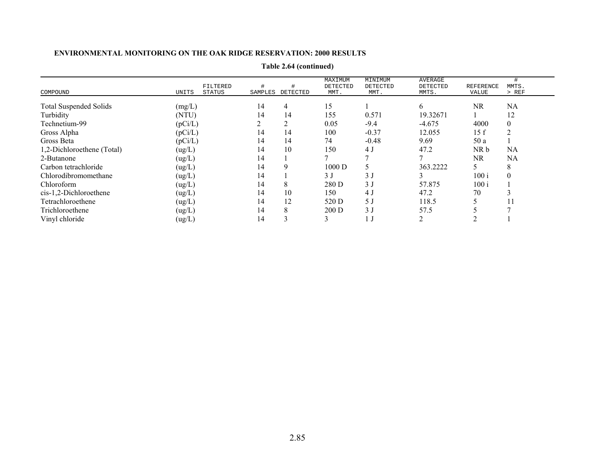|                               |         |          |         |               | MAXIMUM  | MINIMUM        | AVERAGE  |           |              |
|-------------------------------|---------|----------|---------|---------------|----------|----------------|----------|-----------|--------------|
|                               |         | FILTERED | #       |               | DETECTED | DETECTED       | DETECTED | REFERENCE | MMTS.        |
| COMPOUND                      | UNITS   | STATUS   | SAMPLES | DETECTED      | MMT.     | MMT.           | MMTS.    | VALUE     | > REF        |
|                               |         |          | 14      |               | 15       |                |          | NR        |              |
| <b>Total Suspended Solids</b> | (mg/L)  |          |         | 4             |          |                | 6        |           | NA           |
| Turbidity                     | (NTU)   |          | 14      | 14            | 155      | 0.571          | 19.32671 |           | 12           |
| Technetium-99                 | (pCi/L) |          |         | ◠             | 0.05     | $-9.4$         | $-4.675$ | 4000      | $\mathbf{0}$ |
| Gross Alpha                   | (pCi/L) |          | 14      | 14            | 100      | $-0.37$        | 12.055   | 15f       | 2            |
| Gross Beta                    | (pCi/L) |          | 14      | 14            | 74       | $-0.48$        | 9.69     | 50 a      |              |
| 1,2-Dichloroethene (Total)    | (ug/L)  |          | 14      | 10            | 150      | 4 J            | 47.2     | NR b      | NA           |
| 2-Butanone                    | (ug/L)  |          | 14      |               |          |                |          | NR        | NA           |
| Carbon tetrachloride          | (ug/L)  |          | 14      | 9             | 1000 D   |                | 363.2222 |           | 8            |
| Chlorodibromomethane          | (ug/L)  |          | 14      |               | 3J       | 3J             |          | 100i      | $\theta$     |
| Chloroform                    | (ug/L)  |          | 14      | 8             | 280 D    | 3 <sub>J</sub> | 57.875   | 100 i     |              |
| cis-1,2-Dichloroethene        | (ug/L)  |          | 14      | 10            | 150      | 4 <sub>0</sub> | 47.2     | 70        |              |
| Tetrachloroethene             | (ug/L)  |          | 14      | 12            | 520 D    | 5 J            | 118.5    |           | 11           |
| Trichloroethene               | (ug/L)  |          | 14      | 8             | 200 D    | 3J             | 57.5     |           |              |
| Vinyl chloride                | (ug/L)  |          | 14      | $\rightarrow$ |          |                |          |           |              |

**Table 2.64 (continued)**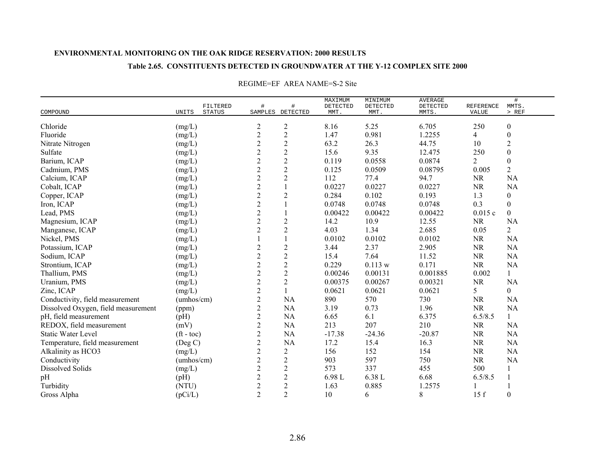## **Table 2.65. CONSTITUENTS DETECTED IN GROUNDWATER AT THE Y-12 COMPLEX SITE 2000**

|                                     |                          |          |                 | #                | MAXIMUM          | MINIMUM          | <b>AVERAGE</b>    |                           | $\#$             |  |
|-------------------------------------|--------------------------|----------|-----------------|------------------|------------------|------------------|-------------------|---------------------------|------------------|--|
| COMPOUND                            | <b>STATUS</b><br>UNITS   | FILTERED | $\#$<br>SAMPLES | DETECTED         | DETECTED<br>MMT. | DETECTED<br>MMT. | DETECTED<br>MMTS. | <b>REFERENCE</b><br>VALUE | MMTS.<br>$>$ REF |  |
|                                     |                          |          |                 |                  |                  |                  |                   |                           |                  |  |
| Chloride                            | (mg/L)                   |          | $\overline{c}$  | $\overline{c}$   | 8.16             | 5.25             | 6.705             | 250                       | $\boldsymbol{0}$ |  |
| Fluoride                            | (mg/L)                   |          | $\mathbf{2}$    | $\sqrt{2}$       | 1.47             | 0.981            | 1.2255            | $\overline{4}$            | $\boldsymbol{0}$ |  |
| Nitrate Nitrogen                    | (mg/L)                   |          | $\overline{c}$  | $\sqrt{2}$       | 63.2             | 26.3             | 44.75             | 10                        | $\sqrt{2}$       |  |
| Sulfate                             | (mg/L)                   |          | $\sqrt{2}$      | $\overline{c}$   | 15.6             | 9.35             | 12.475            | 250                       | $\boldsymbol{0}$ |  |
| Barium, ICAP                        | (mg/L)                   |          | $\overline{2}$  | $\overline{2}$   | 0.119            | 0.0558           | 0.0874            | $\overline{2}$            | $\boldsymbol{0}$ |  |
| Cadmium, PMS                        | (mg/L)                   |          | $\overline{2}$  | $\overline{c}$   | 0.125            | 0.0509           | 0.08795           | 0.005                     | $\overline{2}$   |  |
| Calcium, ICAP                       | (mg/L)                   |          | $\overline{2}$  | $\overline{2}$   | 112              | 77.4             | 94.7              | <b>NR</b>                 | <b>NA</b>        |  |
| Cobalt, ICAP                        | (mg/L)                   |          | $\overline{2}$  |                  | 0.0227           | 0.0227           | 0.0227            | NR                        | <b>NA</b>        |  |
| Copper, ICAP                        | (mg/L)                   |          | $\mathbf{2}$    | $\overline{c}$   | 0.284            | 0.102            | 0.193             | 1.3                       | $\boldsymbol{0}$ |  |
| Iron, ICAP                          | (mg/L)                   |          | $\sqrt{2}$      |                  | 0.0748           | 0.0748           | 0.0748            | 0.3                       | $\boldsymbol{0}$ |  |
| Lead, PMS                           | (mg/L)                   |          | $\overline{2}$  |                  | 0.00422          | 0.00422          | 0.00422           | 0.015c                    | $\overline{0}$   |  |
| Magnesium, ICAP                     | (mg/L)                   |          | $\overline{2}$  | $\overline{c}$   | 14.2             | 10.9             | 12.55             | <b>NR</b>                 | <b>NA</b>        |  |
| Manganese, ICAP                     | (mg/L)                   |          | $\overline{2}$  | $\overline{2}$   | 4.03             | 1.34             | 2.685             | 0.05                      | $\overline{2}$   |  |
| Nickel, PMS                         | (mg/L)                   |          |                 |                  | 0.0102           | 0.0102           | 0.0102            | <b>NR</b>                 | <b>NA</b>        |  |
| Potassium, ICAP                     | (mg/L)                   |          | $\overline{c}$  | $\boldsymbol{2}$ | 3.44             | 2.37             | 2.905             | <b>NR</b>                 | <b>NA</b>        |  |
| Sodium, ICAP                        | (mg/L)                   |          | $\mathbf{2}$    | $\overline{c}$   | 15.4             | 7.64             | 11.52             | <b>NR</b>                 | <b>NA</b>        |  |
| Strontium, ICAP                     | (mg/L)                   |          | $\sqrt{2}$      | $\sqrt{2}$       | 0.229            | 0.113 w          | 0.171             | NR                        | <b>NA</b>        |  |
| Thallium, PMS                       | (mg/L)                   |          | $\overline{2}$  | $\boldsymbol{2}$ | 0.00246          | 0.00131          | 0.001885          | 0.002                     | $\mathbf{1}$     |  |
| Uranium, PMS                        | (mg/L)                   |          | $\overline{2}$  | $\overline{c}$   | 0.00375          | 0.00267          | 0.00321           | NR                        | <b>NA</b>        |  |
| Zinc, ICAP                          | (mg/L)                   |          | $\overline{c}$  |                  | 0.0621           | 0.0621           | 0.0621            | 5                         | $\overline{0}$   |  |
| Conductivity, field measurement     | (umbos/cm)               |          | $\mathbf{2}$    | NA               | 890              | 570              | 730               | NR                        | <b>NA</b>        |  |
| Dissolved Oxygen, field measurement | (ppm)                    |          | $\sqrt{2}$      | NA               | 3.19             | 0.73             | 1.96              | <b>NR</b>                 | <b>NA</b>        |  |
| pH, field measurement               | (pH)                     |          | $\overline{c}$  | NA               | 6.65             | 6.1              | 6.375             | 6.5/8.5                   | $\mathbf{1}$     |  |
| REDOX, field measurement            | (mV)                     |          | $\sqrt{2}$      | NA               | 213              | 207              | 210               | $\rm NR$                  | NA               |  |
| <b>Static Water Level</b>           | $({\rm ft} - {\rm toc})$ |          | $\sqrt{2}$      | NA               | $-17.38$         | $-24.36$         | $-20.87$          | <b>NR</b>                 | <b>NA</b>        |  |
| Temperature, field measurement      | $($ Deg C $)$            |          | $\sqrt{2}$      | <b>NA</b>        | 17.2             | 15.4             | 16.3              | $\rm NR$                  | <b>NA</b>        |  |
| Alkalinity as HCO3                  | (mg/L)                   |          | $\mathbf{2}$    | $\overline{2}$   | 156              | 152              | 154               | <b>NR</b>                 | <b>NA</b>        |  |
| Conductivity                        | (umbos/cm)               |          | $\overline{c}$  | $\overline{c}$   | 903              | 597              | 750               | NR                        | <b>NA</b>        |  |
| Dissolved Solids                    | (mg/L)                   |          | $\overline{c}$  | $\overline{c}$   | 573              | 337              | 455               | 500                       | 1                |  |
| pH                                  | (pH)                     |          | $\overline{c}$  | $\overline{c}$   | 6.98 L           | 6.38 L           | 6.68              | 6.5/8.5                   | 1                |  |
| Turbidity                           | (NTU)                    |          | $\sqrt{2}$      | $\mathbf{2}$     | 1.63             | 0.885            | 1.2575            |                           |                  |  |
| Gross Alpha                         | (pCi/L)                  |          | $\overline{2}$  | $\overline{2}$   | 10               | 6                | 8                 | 15f                       | $\boldsymbol{0}$ |  |

#### REGIME=EF AREA NAME=S-2 Site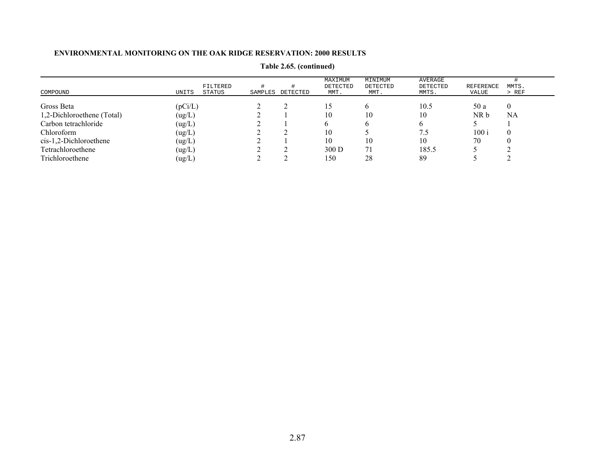| COMPOUND                   | FILTERED<br>UNITS<br>STATUS | SAMPLES | DETECTED | MAXIMUM<br>DETECTED<br>MMT. | MINIMUM<br>DETECTED<br>MMT. | AVERAGE<br>DETECTED<br>MMTS. | REFERENCE<br>VALUE | MMTS.<br>$>$ REF |
|----------------------------|-----------------------------|---------|----------|-----------------------------|-----------------------------|------------------------------|--------------------|------------------|
| Gross Beta                 | (pCi/L)                     |         |          |                             |                             | 10.5                         | 50 a               |                  |
| 1,2-Dichloroethene (Total) | (ug/L)                      |         |          | 10                          | 10                          | 10                           | NR b               | NA               |
| Carbon tetrachloride       | (ug/L)                      |         |          |                             |                             |                              |                    |                  |
| Chloroform                 | (ug/L)                      |         |          | 10                          |                             |                              | 100 i              |                  |
| $cis-1,2-Dichloroethene$   | (ug/L)                      |         |          | 10                          | 10                          | 10                           | 70                 |                  |
| Tetrachloroethene          | (ug/L)                      |         |          | 300 D                       | 71                          | 185.5                        |                    |                  |
| Trichloroethene            | (ug/L)                      |         |          | 150                         | 28                          | 89                           |                    |                  |

**Table 2.65. (continued)**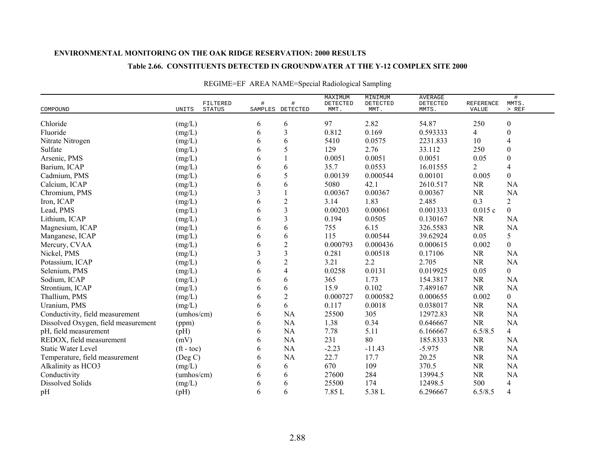### **Table 2.66. CONSTITUENTS DETECTED IN GROUNDWATER AT THE Y-12 COMPLEX SITE 2000**

|                                     | FILTERED                 | # | #                       | MAXIMUM<br>DETECTED | MINIMUM<br>DETECTED | <b>AVERAGE</b><br>DETECTED | REFERENCE | $\#$<br>MMTS.    |  |
|-------------------------------------|--------------------------|---|-------------------------|---------------------|---------------------|----------------------------|-----------|------------------|--|
| COMPOUND                            | UNITS<br><b>STATUS</b>   |   | SAMPLES DETECTED        | MMT.                | MMT.                | MMTS.                      | VALUE     | $>$ REF          |  |
| Chloride                            | (mg/L)                   | 6 | 6                       | 97                  | 2.82                | 54.87                      | 250       | $\boldsymbol{0}$ |  |
| Fluoride                            | (mg/L)                   | 6 | 3                       | 0.812               | 0.169               | 0.593333                   | 4         | $\boldsymbol{0}$ |  |
| Nitrate Nitrogen                    | (mg/L)                   | 6 | 6                       | 5410                | 0.0575              | 2231.833                   | 10        | 4                |  |
| Sulfate                             | (mg/L)                   | 6 | 5                       | 129                 | 2.76                | 33.112                     | 250       | $\boldsymbol{0}$ |  |
| Arsenic, PMS                        | (mg/L)                   | 6 |                         | 0.0051              | 0.0051              | 0.0051                     | 0.05      | $\boldsymbol{0}$ |  |
| Barium, ICAP                        | (mg/L)                   | 6 | 6                       | 35.7                | 0.0553              | 16.01555                   | 2         | $\overline{4}$   |  |
| Cadmium, PMS                        | (mg/L)                   | 6 | 5                       | 0.00139             | 0.000544            | 0.00101                    | 0.005     | $\boldsymbol{0}$ |  |
| Calcium, ICAP                       | (mg/L)                   | 6 | 6                       | 5080                | 42.1                | 2610.517                   | <b>NR</b> | <b>NA</b>        |  |
| Chromium, PMS                       | (mg/L)                   | 3 |                         | 0.00367             | 0.00367             | 0.00367                    | NR        | <b>NA</b>        |  |
| Iron, ICAP                          | (mg/L)                   | 6 | $\mathbf{2}$            | 3.14                | 1.83                | 2.485                      | 0.3       | $\overline{c}$   |  |
| Lead, PMS                           | (mg/L)                   | 6 | 3                       | 0.00203             | 0.00061             | 0.001333                   | 0.015c    | $\overline{0}$   |  |
| Lithium, ICAP                       | (mg/L)                   | 6 | $\overline{3}$          | 0.194               | 0.0505              | 0.130167                   | <b>NR</b> | NA               |  |
| Magnesium, ICAP                     | (mg/L)                   | 6 | 6                       | 755                 | 6.15                | 326.5583                   | <b>NR</b> | NA               |  |
| Manganese, ICAP                     | (mg/L)                   | 6 | 6                       | 115                 | 0.00544             | 39.62924                   | 0.05      | 5                |  |
| Mercury, CVAA                       | (mg/L)                   | 6 | $\overline{c}$          | 0.000793            | 0.000436            | 0.000615                   | 0.002     | $\boldsymbol{0}$ |  |
| Nickel, PMS                         | (mg/L)                   | 3 | 3                       | 0.281               | 0.00518             | 0.17106                    | NR        | <b>NA</b>        |  |
| Potassium, ICAP                     | (mg/L)                   | 6 | $\overline{2}$          | 3.21                | 2.2                 | 2.705                      | <b>NR</b> | NA               |  |
| Selenium, PMS                       | (mg/L)                   | 6 | $\overline{\mathbf{4}}$ | 0.0258              | 0.0131              | 0.019925                   | 0.05      | $\boldsymbol{0}$ |  |
| Sodium, ICAP                        | (mg/L)                   | 6 | 6                       | 365                 | 1.73                | 154.3817                   | NR        | <b>NA</b>        |  |
| Strontium, ICAP                     | (mg/L)                   | 6 | 6                       | 15.9                | 0.102               | 7.489167                   | <b>NR</b> | NA               |  |
| Thallium, PMS                       | (mg/L)                   | 6 | $\boldsymbol{2}$        | 0.000727            | 0.000582            | 0.000655                   | 0.002     | $\mathbf{0}$     |  |
| Uranium, PMS                        | (mg/L)                   | 6 | 6                       | 0.117               | 0.0018              | 0.038017                   | <b>NR</b> | <b>NA</b>        |  |
| Conductivity, field measurement     | (umbos/cm)               | 6 | NA                      | 25500               | 305                 | 12972.83                   | <b>NR</b> | NA               |  |
| Dissolved Oxygen, field measurement | (ppm)                    | 6 | NA                      | 1.38                | 0.34                | 0.646667                   | <b>NR</b> | NA               |  |
| pH, field measurement               | (pH)                     | 6 | NA                      | 7.78                | 5.11                | 6.166667                   | 6.5/8.5   | $\overline{4}$   |  |
| REDOX, field measurement            | (mV)                     | 6 | NA                      | 231                 | 80                  | 185.8333                   | <b>NR</b> | <b>NA</b>        |  |
| <b>Static Water Level</b>           | $({\rm ft} - {\rm toc})$ | 6 | NA                      | $-2.23$             | $-11.43$            | $-5.975$                   | <b>NR</b> | NA               |  |
| Temperature, field measurement      | $($ Deg C $)$            | 6 | NA                      | 22.7                | 17.7                | 20.25                      | <b>NR</b> | <b>NA</b>        |  |
| Alkalinity as HCO3                  | (mg/L)                   | 6 | 6                       | 670                 | 109                 | 370.5                      | <b>NR</b> | NA               |  |
| Conductivity                        | (umbos/cm)               | 6 | 6                       | 27600               | 284                 | 13994.5                    | <b>NR</b> | <b>NA</b>        |  |
| <b>Dissolved Solids</b>             | (mg/L)                   | 6 | 6                       | 25500               | 174                 | 12498.5                    | 500       | $\overline{4}$   |  |
| pH                                  | (pH)                     | 6 | 6                       | 7.85 L              | 5.38 L              | 6.296667                   | 6.5/8.5   | $\overline{4}$   |  |

# REGIME=EF AREA NAME=Special Radiological Sampling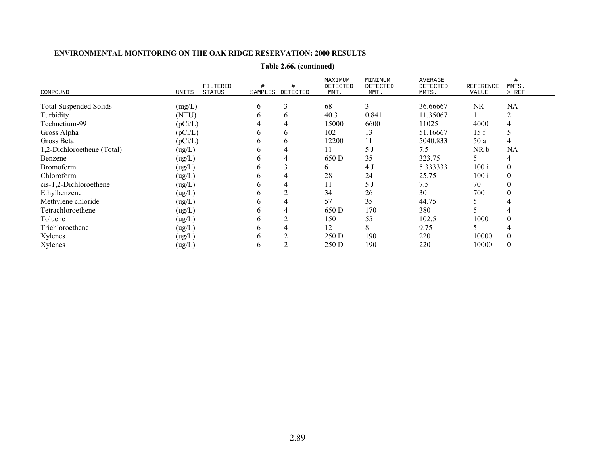| COMPOUND                      | UNITS   | FILTERED<br><b>STATUS</b> | #<br>SAMPLES | DETECTED | MAXIMUM<br>DETECTED<br>MMT. | MINIMUM<br>DETECTED<br>MMT. | <b>AVERAGE</b><br>DETECTED<br>MMTS. | REFERENCE<br>VALUE | MMTS.<br>$>$ REF |
|-------------------------------|---------|---------------------------|--------------|----------|-----------------------------|-----------------------------|-------------------------------------|--------------------|------------------|
|                               |         |                           |              |          |                             |                             |                                     |                    |                  |
| <b>Total Suspended Solids</b> | (mg/L)  |                           | 6            | 3        | 68                          | 3                           | 36.66667                            | <b>NR</b>          | NA               |
| Turbidity                     | (NTU)   |                           | 6            | b        | 40.3                        | 0.841                       | 11.35067                            |                    |                  |
| Technetium-99                 | (pCi/L) |                           |              |          | 15000                       | 6600                        | 11025                               | 4000               |                  |
| Gross Alpha                   | (pCi/L) |                           | h.           | 6        | 102                         | 13                          | 51.16667                            | 15f                | C                |
| Gross Beta                    | (pCi/L) |                           | h.           | O        | 12200                       | 11                          | 5040.833                            | 50 a               | 4                |
| 1,2-Dichloroethene (Total)    | (ug/L)  |                           |              |          |                             | 5 J                         | 7.5                                 | NR b               | <b>NA</b>        |
| Benzene                       | (ug/L)  |                           | h.           |          | 650 D                       | 35                          | 323.75                              |                    | 4                |
| <b>Bromoform</b>              | (ug/L)  |                           | h.           |          | O                           | 4 J                         | 5.333333                            | 100i               | 0                |
| Chloroform                    | (ug/L)  |                           |              |          | 28                          | 24                          | 25.75                               | 100i               | 0                |
| cis-1,2-Dichloroethene        | (ug/L)  |                           |              |          |                             | 5 J                         | 7.5                                 | 70                 | $_{0}$           |
| Ethylbenzene                  | (ug/L)  |                           | h            |          | 34                          | 26                          | 30                                  | 700                |                  |
| Methylene chloride            | (ug/L)  |                           |              |          | 57                          | 35                          | 44.75                               |                    |                  |
| Tetrachloroethene             | (ug/L)  |                           |              |          | 650 D                       | 170                         | 380                                 |                    |                  |
| Toluene                       | (ug/L)  |                           | h.           |          | 150                         | 55                          | 102.5                               | 1000               |                  |
| Trichloroethene               | (ug/L)  |                           | h            |          | 12                          | 8                           | 9.75                                |                    |                  |
| Xylenes                       | (ug/L)  |                           | b            |          | 250 D                       | 190                         | 220                                 | 10000              |                  |
| Xylenes                       | (ug/L)  |                           | b            |          | 250 D                       | 190                         | 220                                 | 10000              | $^{(1)}$         |

**Table 2.66. (continued)**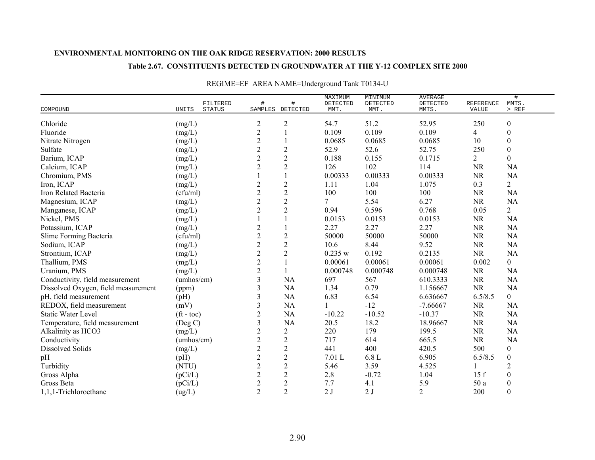### **Table 2.67. CONSTITUENTS DETECTED IN GROUNDWATER AT THE Y-12 COMPLEX SITE 2000**

|                                     | FILTERED               | $\#$             | $\#$             | MAXIMUM<br>${\tt DETECTED}$ | MINIMUM<br>DETECTED | <b>AVERAGE</b><br>DETECTED | <b>REFERENCE</b> | $\#$<br>MMTS.    |  |
|-------------------------------------|------------------------|------------------|------------------|-----------------------------|---------------------|----------------------------|------------------|------------------|--|
| COMPOUND                            | UNITS<br><b>STATUS</b> |                  | SAMPLES DETECTED | MMT.                        | MMT.                | MMTS.                      | VALUE            | $>$ REF          |  |
| Chloride                            | (mg/L)                 | $\overline{c}$   | $\boldsymbol{2}$ | 54.7                        | 51.2                | 52.95                      | 250              | $\boldsymbol{0}$ |  |
| Fluoride                            | (mg/L)                 | $\sqrt{2}$       |                  | 0.109                       | 0.109               | 0.109                      | 4                | $\boldsymbol{0}$ |  |
| Nitrate Nitrogen                    | (mg/L)                 | $\mathbf{2}$     |                  | 0.0685                      | 0.0685              | 0.0685                     | 10               | $\boldsymbol{0}$ |  |
| Sulfate                             | (mg/L)                 | $\overline{c}$   | $\overline{c}$   | 52.9                        | 52.6                | 52.75                      | 250              | $\boldsymbol{0}$ |  |
| Barium, ICAP                        | (mg/L)                 | $\overline{2}$   | $\overline{2}$   | 0.188                       | 0.155               | 0.1715                     | 2                | $\boldsymbol{0}$ |  |
| Calcium, ICAP                       | (mg/L)                 | $\overline{2}$   | $\overline{2}$   | 126                         | 102                 | 114                        | NR               | NA               |  |
| Chromium, PMS                       | (mg/L)                 |                  |                  | 0.00333                     | 0.00333             | 0.00333                    | <b>NR</b>        | <b>NA</b>        |  |
| Iron, ICAP                          | (mg/L)                 | $\overline{c}$   | $\overline{c}$   | 1.11                        | 1.04                | 1.075                      | 0.3              | $\overline{2}$   |  |
| Iron Related Bacteria               | (cfu/ml)               | $\boldsymbol{2}$ | $\mathbf{2}$     | 100                         | 100                 | 100                        | NR               | <b>NA</b>        |  |
| Magnesium, ICAP                     | (mg/L)                 | $\overline{2}$   | $\mathbf{2}$     | 7                           | 5.54                | 6.27                       | <b>NR</b>        | <b>NA</b>        |  |
| Manganese, ICAP                     | (mg/L)                 | $\overline{2}$   | $\overline{2}$   | 0.94                        | 0.596               | 0.768                      | 0.05             | $\overline{2}$   |  |
| Nickel, PMS                         | (mg/L)                 |                  |                  | 0.0153                      | 0.0153              | 0.0153                     | <b>NR</b>        | NA               |  |
| Potassium, ICAP                     | (mg/L)                 | $\overline{c}$   |                  | 2.27                        | 2.27                | 2.27                       | <b>NR</b>        | <b>NA</b>        |  |
| Slime Forming Bacteria              | (cfu/ml)               | $\overline{c}$   | $\sqrt{2}$       | 50000                       | 50000               | 50000                      | <b>NR</b>        | <b>NA</b>        |  |
| Sodium, ICAP                        | (mg/L)                 | $\overline{c}$   | $\mathbf{2}$     | 10.6                        | 8.44                | 9.52                       | $\rm NR$         | <b>NA</b>        |  |
| Strontium, ICAP                     | (mg/L)                 | $\overline{c}$   | $\overline{2}$   | 0.235 w                     | 0.192               | 0.2135                     | $\rm NR$         | <b>NA</b>        |  |
| Thallium, PMS                       | (mg/L)                 | $\overline{c}$   |                  | 0.00061                     | 0.00061             | 0.00061                    | 0.002            | $\overline{0}$   |  |
| Uranium, PMS                        | (mg/L)                 | $\sqrt{2}$       |                  | 0.000748                    | 0.000748            | 0.000748                   | <b>NR</b>        | <b>NA</b>        |  |
| Conductivity, field measurement     | (umhos/cm)             | 3                | NA               | 697                         | 567                 | 610.3333                   | <b>NR</b>        | NA               |  |
| Dissolved Oxygen, field measurement | (ppm)                  | 3                | <b>NA</b>        | 1.34                        | 0.79                | 1.156667                   | <b>NR</b>        | <b>NA</b>        |  |
| pH, field measurement               | (pH)                   | 3                | NA               | 6.83                        | 6.54                | 6.636667                   | 6.5/8.5          | $\overline{0}$   |  |
| REDOX, field measurement            | (mV)                   | 3                | NA               |                             | $-12$               | $-7.66667$                 | <b>NR</b>        | NA               |  |
| <b>Static Water Level</b>           | $({\rm ft - toc})$     | $\overline{c}$   | NA               | $-10.22$                    | $-10.52$            | $-10.37$                   | <b>NR</b>        | NA               |  |
| Temperature, field measurement      | $($ Deg C $)$          | $\mathfrak{Z}$   | NA               | 20.5                        | 18.2                | 18.96667                   | NR               | NA               |  |
| Alkalinity as HCO3                  | (mg/L)                 | $\sqrt{2}$       | $\overline{2}$   | 220                         | 179                 | 199.5                      | <b>NR</b>        | <b>NA</b>        |  |
| Conductivity                        | (umbos/cm)             | $\overline{2}$   | $\sqrt{2}$       | 717                         | 614                 | 665.5                      | <b>NR</b>        | <b>NA</b>        |  |
| Dissolved Solids                    | (mg/L)                 | $\overline{2}$   | $\mathbf{2}$     | 441                         | 400                 | 420.5                      | 500              | $\boldsymbol{0}$ |  |
| pH                                  | (pH)                   | $\overline{2}$   | $\overline{2}$   | 7.01 L                      | 6.8L                | 6.905                      | 6.5/8.5          | $\boldsymbol{0}$ |  |
| Turbidity                           | (NTU)                  | $\overline{2}$   | $\mathbf{2}$     | 5.46                        | 3.59                | 4.525                      |                  | $\overline{c}$   |  |
| Gross Alpha                         | (pCi/L)                | $\mathbf{2}$     | $\boldsymbol{2}$ | 2.8                         | $-0.72$             | 1.04                       | 15f              | $\boldsymbol{0}$ |  |
| Gross Beta                          | (pCi/L)                | $\overline{c}$   | $\mathbf{2}$     | 7.7                         | 4.1                 | 5.9                        | 50 a             | $\boldsymbol{0}$ |  |
| 1,1,1-Trichloroethane               | (ug/L)                 | $\overline{2}$   | $\overline{2}$   | 2J                          | 2J                  | $\overline{2}$             | 200              | $\boldsymbol{0}$ |  |

# REGIME=EF AREA NAME=Underground Tank T0134-U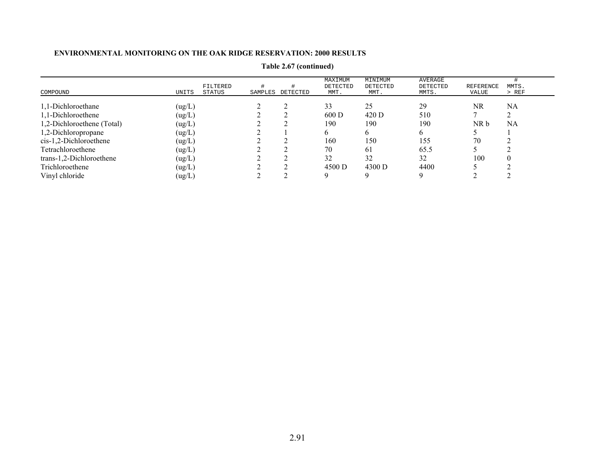| COMPOUND                   | UNITS  | FILTERED<br>STATUS | SAMPLES | DETECTED | MAXIMUM<br>DETECTED<br>MMT. | MINIMUM<br>DETECTED<br>MMT. | AVERAGE<br>DETECTED<br>MMTS. | <b>REFERENCE</b><br>VALUE | MMTS.<br>$>$ REF |
|----------------------------|--------|--------------------|---------|----------|-----------------------------|-----------------------------|------------------------------|---------------------------|------------------|
| 1,1-Dichloroethane         | (ug/L) |                    |         |          | 33                          | 25                          | 29                           | NR                        | NA               |
| 1,1-Dichloroethene         | (ug/L) |                    |         |          | 600 D                       | 420 D                       | 510                          |                           |                  |
| 1,2-Dichloroethene (Total) | (ug/L) |                    |         |          | 190                         | 190                         | 190                          | NR b                      | NA               |
| 1,2-Dichloropropane        | (ug/L) |                    |         |          | O.                          |                             | <sub>b</sub>                 |                           |                  |
| $cis-1,2-Dichloroethene$   | (ug/L) |                    |         |          | 160                         | 150                         | 155                          | 70                        |                  |
| Tetrachloroethene          | (ug/L) |                    |         |          | 70                          | 61                          | 65.5                         |                           |                  |
| trans-1,2-Dichloroethene   | (ug/L) |                    |         |          | 32                          | 32                          | 32                           | 100                       |                  |
| Trichloroethene            | (ug/L) |                    |         |          | 4500 D                      | 4300 D                      | 4400                         |                           |                  |
| Vinyl chloride             | (ug/L) |                    |         |          |                             |                             |                              |                           |                  |

**Table 2.67 (continued)**

#### **ENVIRONMENTAL MONITORING ON THE OAK RIDGE RESERVATION: 2000 RESULTS**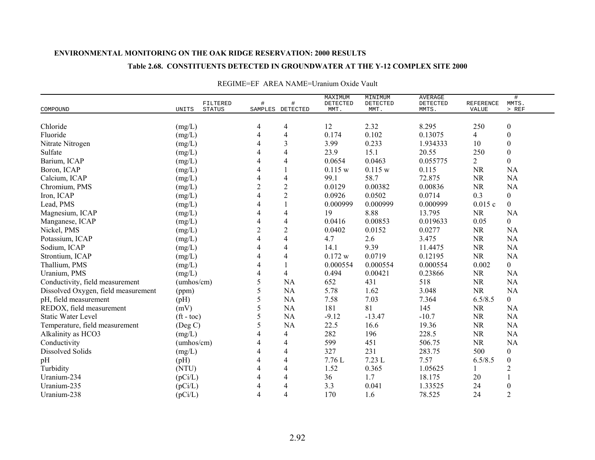### **Table 2.68. CONSTITUENTS DETECTED IN GROUNDWATER AT THE Y-12 COMPLEX SITE 2000**

|                                     |                    | FILTERED      | #              | #                | MAXIMUM<br>DETECTED | MINIMUM<br>DETECTED | <b>AVERAGE</b><br>DETECTED | <b>REFERENCE</b> | #<br>MMTS.       |
|-------------------------------------|--------------------|---------------|----------------|------------------|---------------------|---------------------|----------------------------|------------------|------------------|
| COMPOUND                            | UNITS              | <b>STATUS</b> |                | SAMPLES DETECTED | MMT.                | MMT.                | MMTS.                      | VALUE            | $>$ REF          |
| Chloride                            | (mg/L)             |               | 4              | 4                | 12                  | 2.32                | 8.295                      | 250              | $\boldsymbol{0}$ |
| Fluoride                            | (mg/L)             |               | 4              | 4                | 0.174               | 0.102               | 0.13075                    | 4                | $\boldsymbol{0}$ |
| Nitrate Nitrogen                    | (mg/L)             |               | 4              | 3                | 3.99                | 0.233               | 1.934333                   | 10               | $\boldsymbol{0}$ |
| Sulfate                             | (mg/L)             |               | 4              | 4                | 23.9                | 15.1                | 20.55                      | 250              | $\boldsymbol{0}$ |
| Barium, ICAP                        | (mg/L)             |               | $\overline{4}$ | 4                | 0.0654              | 0.0463              | 0.055775                   | $\overline{2}$   | $\overline{0}$   |
| Boron, ICAP                         | (mg/L)             |               | 4              |                  | 0.115 w             | 0.115 w             | 0.115                      | <b>NR</b>        | <b>NA</b>        |
| Calcium, ICAP                       | (mg/L)             |               | 4              | $\overline{4}$   | 99.1                | 58.7                | 72.875                     | <b>NR</b>        | <b>NA</b>        |
| Chromium, PMS                       | (mg/L)             |               | $\overline{2}$ | $\sqrt{2}$       | 0.0129              | 0.00382             | 0.00836                    | <b>NR</b>        | NA               |
| Iron, ICAP                          | (mg/L)             |               | 4              | $\mathbf{2}$     | 0.0926              | 0.0502              | 0.0714                     | 0.3              | $\overline{0}$   |
| Lead, PMS                           | (mg/L)             |               | 4              |                  | 0.000999            | 0.000999            | 0.000999                   | 0.015c           | $\overline{0}$   |
| Magnesium, ICAP                     | (mg/L)             |               | 4              | 4                | 19                  | 8.88                | 13.795                     | <b>NR</b>        | <b>NA</b>        |
| Manganese, ICAP                     | (mg/L)             |               | 4              | 4                | 0.0416              | 0.00853             | 0.019633                   | 0.05             | $\overline{0}$   |
| Nickel, PMS                         | (mg/L)             |               | $\overline{c}$ | $\overline{c}$   | 0.0402              | 0.0152              | 0.0277                     | <b>NR</b>        | <b>NA</b>        |
| Potassium, ICAP                     | (mg/L)             |               | 4              | 4                | 4.7                 | 2.6                 | 3.475                      | $\rm NR$         | <b>NA</b>        |
| Sodium, ICAP                        | (mg/L)             |               | 4              | 4                | 14.1                | 9.39                | 11.4475                    | $\rm NR$         | <b>NA</b>        |
| Strontium, ICAP                     | (mg/L)             |               | 4              | 4                | 0.172 w             | 0.0719              | 0.12195                    | <b>NR</b>        | <b>NA</b>        |
| Thallium, PMS                       | (mg/L)             |               | 4              |                  | 0.000554            | 0.000554            | 0.000554                   | 0.002            | $\boldsymbol{0}$ |
| Uranium, PMS                        | (mg/L)             |               | 4              | 4                | 0.494               | 0.00421             | 0.23866                    | <b>NR</b>        | NA               |
| Conductivity, field measurement     | (umbos/cm)         |               | 5              | NA               | 652                 | 431                 | 518                        | <b>NR</b>        | <b>NA</b>        |
| Dissolved Oxygen, field measurement | (ppm)              |               | 5              | NA               | 5.78                | 1.62                | 3.048                      | <b>NR</b>        | <b>NA</b>        |
| pH, field measurement               | (pH)               |               | 5              | NA               | 7.58                | 7.03                | 7.364                      | 6.5/8.5          | $\overline{0}$   |
| REDOX, field measurement            | (mV)               |               | 5              | <b>NA</b>        | 181                 | 81                  | 145                        | <b>NR</b>        | NA               |
| <b>Static Water Level</b>           | $({\rm ft - toc})$ |               | 5              | NA               | $-9.12$             | $-13.47$            | $-10.7$                    | <b>NR</b>        | NA               |
| Temperature, field measurement      | (Deg C)            |               | 5              | <b>NA</b>        | 22.5                | 16.6                | 19.36                      | <b>NR</b>        | NA               |
| Alkalinity as HCO3                  | (mg/L)             |               | 4              | 4                | 282                 | 196                 | 228.5                      | <b>NR</b>        | <b>NA</b>        |
| Conductivity                        | (umbos/cm)         |               | 4              | 4                | 599                 | 451                 | 506.75                     | NR               | <b>NA</b>        |
| Dissolved Solids                    | (mg/L)             |               | 4              | 4                | 327                 | 231                 | 283.75                     | 500              | $\boldsymbol{0}$ |
| pH                                  | (pH)               |               | 4              | 4                | 7.76L               | 7.23 L              | 7.57                       | 6.5/8.5          | $\boldsymbol{0}$ |
| Turbidity                           | (NTU)              |               | 4              | 4                | 1.52                | 0.365               | 1.05625                    |                  | $\overline{2}$   |
| Uranium-234                         | (pCi/L)            |               | 4              | 4                | 36                  | 1.7                 | 18.175                     | 20               |                  |
| Uranium-235                         | (pCi/L)            |               | 4              | 4                | 3.3                 | 0.041               | 1.33525                    | 24               | $\boldsymbol{0}$ |
| Uranium-238                         | (pCi/L)            |               | 4              | 4                | 170                 | 1.6                 | 78.525                     | 24               | $\overline{2}$   |

#### REGIME=EF AREA NAME=Uranium Oxide Vault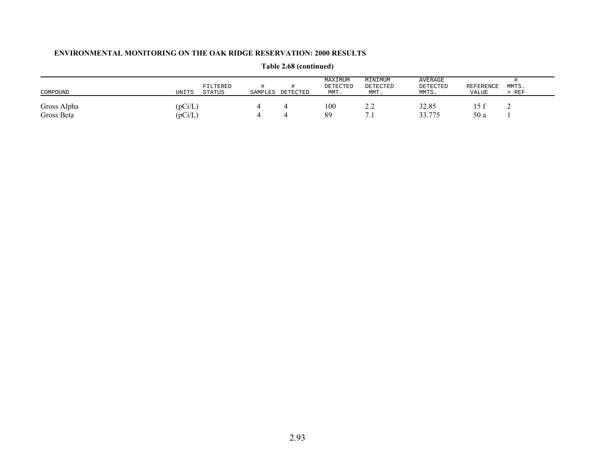| COMPOUND                  | UNITS              | FILTERED<br><b>STATUS</b> | SAMPLES | DETECTED | MAXIMUM<br>DETECTED<br>MMT. | MINIMUM<br>DETECTED<br>MMT. | AVERAGE<br>DETECTED<br>MMTS. | REFERENCE<br>VALUE | MMTS.<br>REF |
|---------------------------|--------------------|---------------------------|---------|----------|-----------------------------|-----------------------------|------------------------------|--------------------|--------------|
| Gross Alpha<br>Gross Beta | (pCi/L)<br>(pCi/L) |                           |         |          | 100<br>89                   | 4.L<br>.                    | 32.85<br>33.775              | 15 f<br>50 a       | ∼            |

# **Table 2.68 (continued)**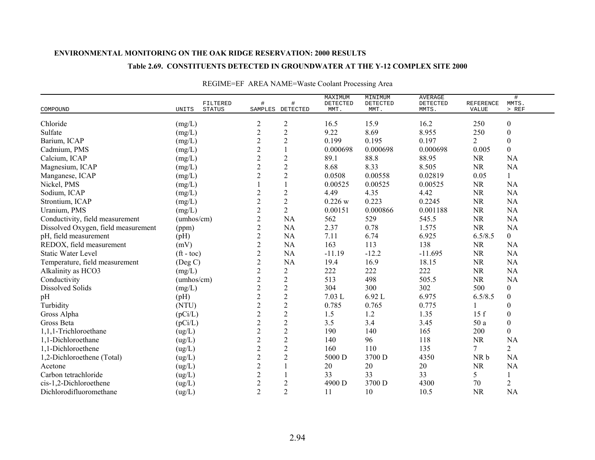### **Table 2.69. CONSTITUENTS DETECTED IN GROUNDWATER AT THE Y-12 COMPLEX SITE 2000**

| COMPOUND                            | FILTERED<br>STATUS<br>UNITS | #              | #<br>SAMPLES DETECTED | MAXIMUM<br>DETECTED<br>MMT. | MINIMUM<br>DETECTED<br>MMT. | <b>AVERAGE</b><br>DETECTED<br>MMTS. | <b>REFERENCE</b><br>VALUE | $\#$<br>MMTS.<br>$>$ REF |
|-------------------------------------|-----------------------------|----------------|-----------------------|-----------------------------|-----------------------------|-------------------------------------|---------------------------|--------------------------|
|                                     |                             |                |                       |                             |                             |                                     |                           |                          |
| Chloride                            | (mg/L)                      | $\overline{c}$ | $\overline{c}$        | 16.5                        | 15.9                        | 16.2                                | 250                       | $\boldsymbol{0}$         |
| Sulfate                             | (mg/L)                      | $\overline{2}$ | $\overline{2}$        | 9.22                        | 8.69                        | 8.955                               | 250                       | $\boldsymbol{0}$         |
| Barium, ICAP                        | (mg/L)                      | $\sqrt{2}$     | $\boldsymbol{2}$      | 0.199                       | 0.195                       | 0.197                               | $\overline{2}$            | $\boldsymbol{0}$         |
| Cadmium, PMS                        | (mg/L)                      | $\mathbf{2}$   | $\mathbf{1}$          | 0.000698                    | 0.000698                    | 0.000698                            | 0.005                     | $\boldsymbol{0}$         |
| Calcium, ICAP                       | (mg/L)                      | $\sqrt{2}$     | $\overline{c}$        | 89.1                        | 88.8                        | 88.95                               | <b>NR</b>                 | NA                       |
| Magnesium, ICAP                     | (mg/L)                      | $\overline{c}$ | $\sqrt{2}$            | 8.68                        | 8.33                        | 8.505                               | <b>NR</b>                 | NA                       |
| Manganese, ICAP                     | (mg/L)                      | $\overline{2}$ | $\overline{2}$        | 0.0508                      | 0.00558                     | 0.02819                             | 0.05                      | 1                        |
| Nickel, PMS                         | (mg/L)                      |                |                       | 0.00525                     | 0.00525                     | 0.00525                             | NR                        | <b>NA</b>                |
| Sodium, ICAP                        | (mg/L)                      | $\overline{c}$ | $\overline{2}$        | 4.49                        | 4.35                        | 4.42                                | <b>NR</b>                 | <b>NA</b>                |
| Strontium, ICAP                     | (mg/L)                      | $\mathbf{2}$   | $\mathbf{2}$          | 0.226 w                     | 0.223                       | 0.2245                              | <b>NR</b>                 | <b>NA</b>                |
| Uranium, PMS                        | (mg/L)                      | $\sqrt{2}$     | $\overline{2}$        | 0.00151                     | 0.000866                    | 0.001188                            | <b>NR</b>                 | <b>NA</b>                |
| Conductivity, field measurement     | (umbos/cm)                  | $\mathbf{2}$   | NA                    | 562                         | 529                         | 545.5                               | <b>NR</b>                 | <b>NA</b>                |
| Dissolved Oxygen, field measurement | (ppm)                       | $\sqrt{2}$     | NA                    | 2.37                        | 0.78                        | 1.575                               | NR                        | NA                       |
| pH, field measurement               | (pH)                        | $\overline{2}$ | <b>NA</b>             | 7.11                        | 6.74                        | 6.925                               | 6.5/8.5                   | $\overline{0}$           |
| REDOX, field measurement            | (mV)                        | $\overline{c}$ | NA                    | 163                         | 113                         | 138                                 | <b>NR</b>                 | <b>NA</b>                |
| <b>Static Water Level</b>           | $({\rm ft} - {\rm toc})$    | $\sqrt{2}$     | NA                    | $-11.19$                    | $-12.2$                     | $-11.695$                           | <b>NR</b>                 | <b>NA</b>                |
| Temperature, field measurement      | (Deg C)                     | $\sqrt{2}$     | NA                    | 19.4                        | 16.9                        | 18.15                               | <b>NR</b>                 | <b>NA</b>                |
| Alkalinity as HCO3                  | (mg/L)                      | $\overline{2}$ | $\overline{c}$        | 222                         | 222                         | 222                                 | <b>NR</b>                 | NA                       |
| Conductivity                        | (umbos/cm)                  | $\mathbf{2}$   | $\overline{2}$        | 513                         | 498                         | 505.5                               | <b>NR</b>                 | <b>NA</b>                |
| <b>Dissolved Solids</b>             | (mg/L)                      | $\mathbf{2}$   | $\overline{2}$        | 304                         | 300                         | 302                                 | 500                       | $\boldsymbol{0}$         |
| pH                                  | (pH)                        | $\overline{c}$ | $\sqrt{2}$            | 7.03L                       | 6.92 L                      | 6.975                               | 6.5/8.5                   | $\boldsymbol{0}$         |
| Turbidity                           | (NTU)                       | $\overline{c}$ | $\overline{2}$        | 0.785                       | 0.765                       | 0.775                               |                           | $\boldsymbol{0}$         |
| Gross Alpha                         | (pCi/L)                     | $\overline{c}$ | $\overline{c}$        | 1.5                         | 1.2                         | 1.35                                | 15f                       | $\boldsymbol{0}$         |
| Gross Beta                          | (pCi/L)                     | $\overline{c}$ | $\mathbf{2}$          | 3.5                         | 3.4                         | 3.45                                | 50a                       | $\boldsymbol{0}$         |
| 1,1,1-Trichloroethane               | (ug/L)                      | $\sqrt{2}$     | $\sqrt{2}$            | 190                         | 140                         | 165                                 | 200                       | $\boldsymbol{0}$         |
| 1,1-Dichloroethane                  | (ug/L)                      | $\sqrt{2}$     | $\sqrt{2}$            | 140                         | 96                          | 118                                 | <b>NR</b>                 | <b>NA</b>                |
| 1,1-Dichloroethene                  | (ug/L)                      | $\mathbf{2}$   | $\overline{2}$        | 160                         | 110                         | 135                                 | $\tau$                    | $\overline{2}$           |
| 1,2-Dichloroethene (Total)          | (ug/L)                      | $\mathbf{2}$   | $\overline{2}$        | 5000 D                      | 3700 D                      | 4350                                | NR b                      | <b>NA</b>                |
| Acetone                             |                             | $\overline{c}$ | $\mathbf{1}$          | 20                          | 20                          | 20                                  | <b>NR</b>                 | <b>NA</b>                |
| Carbon tetrachloride                | (ug/L)                      | $\overline{c}$ |                       | 33                          | 33                          | 33                                  | 5                         | $\mathbf{1}$             |
|                                     | (ug/L)                      |                |                       | 4900 D                      | 3700 D                      | 4300                                | 70                        | $\sqrt{2}$               |
| cis-1,2-Dichloroethene              | (ug/L)                      | $\sqrt{2}$     | $\overline{c}$        |                             |                             |                                     |                           |                          |
| Dichlorodifluoromethane             | (ug/L)                      | $\overline{2}$ | $\overline{2}$        | 11                          | 10                          | 10.5                                | <b>NR</b>                 | <b>NA</b>                |

# REGIME=EF AREA NAME=Waste Coolant Processing Area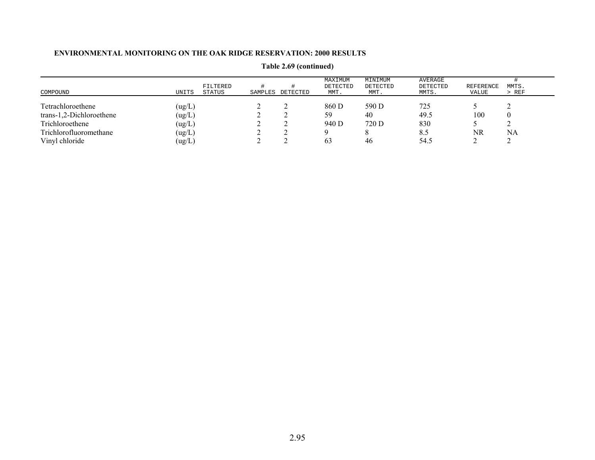| COMPOUND                 | UNITS                       | FILTERED<br>STATUS | SAMPLES DETECTED | MAXIMUM<br>DETECTED<br>MMT. | MINIMUM<br>DETECTED<br>MMT. | AVERAGE<br>DETECTED<br>MMTS. | REFERENCE<br>VALUE | MMTS.<br>$>$ REF |
|--------------------------|-----------------------------|--------------------|------------------|-----------------------------|-----------------------------|------------------------------|--------------------|------------------|
| Tetrachloroethene        | (ug/L)                      |                    |                  | 860 D                       | 590 D                       | 725                          |                    |                  |
| trans-1,2-Dichloroethene | (ug/L)                      |                    |                  | 59                          | 40                          | 49.5                         | 100                |                  |
| Trichloroethene          | (ug/L)                      |                    |                  | 940 D                       | 720 D                       | 830                          |                    |                  |
| Trichlorofluoromethane   | (ug/L)                      |                    |                  |                             |                             | 8.5                          | NR                 | NA               |
| Vinyl chloride           | $\left( \text{ug/L}\right)$ |                    |                  | 63                          | 46                          | 54.5                         |                    |                  |

**Table 2.69 (continued)**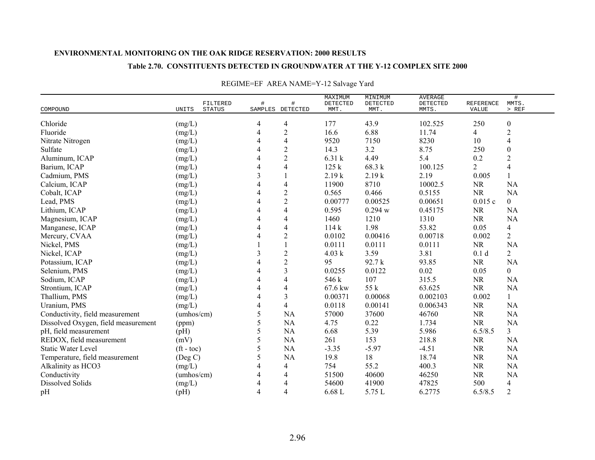### **Table 2.70. CONSTITUENTS DETECTED IN GROUNDWATER AT THE Y-12 COMPLEX SITE 2000**

|                                     |                                    |                |                       | MAXIMUM          | MINIMUM          | <b>AVERAGE</b>    |                    | $\#$             |
|-------------------------------------|------------------------------------|----------------|-----------------------|------------------|------------------|-------------------|--------------------|------------------|
| COMPOUND                            | FILTERED<br>UNITS<br><b>STATUS</b> | #              | #<br>SAMPLES DETECTED | DETECTED<br>MMT. | DETECTED<br>MMT. | DETECTED<br>MMTS. | REFERENCE<br>VALUE | MMTS.<br>$>$ REF |
|                                     |                                    |                |                       |                  |                  |                   |                    |                  |
| Chloride                            | (mg/L)                             | 4              | 4                     | 177              | 43.9             | 102.525           | 250                | $\boldsymbol{0}$ |
| Fluoride                            | (mg/L)                             | 4              | $\overline{c}$        | 16.6             | 6.88             | 11.74             | 4                  | $\overline{c}$   |
| Nitrate Nitrogen                    | (mg/L)                             |                | $\overline{4}$        | 9520             | 7150             | 8230              | 10                 | 4                |
| Sulfate                             | (mg/L)                             |                | $\overline{2}$        | 14.3             | 3.2              | 8.75              | 250                | $\boldsymbol{0}$ |
| Aluminum, ICAP                      | (mg/L)                             | 4              | $\sqrt{2}$            | 6.31 k           | 4.49             | 5.4               | 0.2                | $\overline{2}$   |
| Barium, ICAP                        | (mg/L)                             |                | $\overline{4}$        | 125k             | 68.3 k           | 100.125           | $\overline{2}$     | $\overline{4}$   |
| Cadmium, PMS                        | (mg/L)                             | 3              |                       | 2.19k            | 2.19k            | 2.19              | 0.005              |                  |
| Calcium, ICAP                       | (mg/L)                             |                | 4                     | 11900            | 8710             | 10002.5           | NR                 | NA               |
| Cobalt, ICAP                        | (mg/L)                             |                | $\sqrt{2}$            | 0.565            | 0.466            | 0.5155            | NR                 | NA               |
| Lead, PMS                           | (mg/L)                             |                | $\overline{2}$        | 0.00777          | 0.00525          | 0.00651           | 0.015c             | $\overline{0}$   |
| Lithium, ICAP                       | (mg/L)                             |                | 4                     | 0.595            | 0.294 w          | 0.45175           | <b>NR</b>          | <b>NA</b>        |
| Magnesium, ICAP                     | (mg/L)                             |                | $\overline{4}$        | 1460             | 1210             | 1310              | <b>NR</b>          | <b>NA</b>        |
| Manganese, ICAP                     | (mg/L)                             | 4              | 4                     | 114k             | 1.98             | 53.82             | 0.05               | 4                |
| Mercury, CVAA                       | (mg/L)                             |                | 2                     | 0.0102           | 0.00416          | 0.00718           | 0.002              | $\overline{2}$   |
| Nickel, PMS                         | (mg/L)                             |                |                       | 0.0111           | 0.0111           | 0.0111            | <b>NR</b>          | <b>NA</b>        |
| Nickel, ICAP                        | (mg/L)                             | 3              | $\overline{c}$        | 4.03 k           | 3.59             | 3.81              | 0.1 <sub>d</sub>   | $\overline{2}$   |
| Potassium, ICAP                     | (mg/L)                             | 4              | $\sqrt{2}$            | 95               | 92.7 k           | 93.85             | <b>NR</b>          | <b>NA</b>        |
| Selenium, PMS                       | (mg/L)                             |                | 3                     | 0.0255           | 0.0122           | 0.02              | 0.05               | $\boldsymbol{0}$ |
| Sodium, ICAP                        | (mg/L)                             |                | 4                     | 546 k            | 107              | 315.5             | NR                 | NA               |
| Strontium, ICAP                     | (mg/L)                             |                | 4                     | 67.6 kw          | 55 k             | 63.625            | <b>NR</b>          | <b>NA</b>        |
| Thallium, PMS                       | (mg/L)                             | 4              | 3                     | 0.00371          | 0.00068          | 0.002103          | 0.002              | $\mathbf{1}$     |
| Uranium, PMS                        | (mg/L)                             | 4              | 4                     | 0.0118           | 0.00141          | 0.006343          | <b>NR</b>          | <b>NA</b>        |
| Conductivity, field measurement     | (umhos/cm)                         | 5              | NA                    | 57000            | 37600            | 46760             | <b>NR</b>          | NA               |
| Dissolved Oxygen, field measurement | (ppm)                              | 5              | <b>NA</b>             | 4.75             | 0.22             | 1.734             | <b>NR</b>          | <b>NA</b>        |
| pH, field measurement               | (pH)                               | 5              | <b>NA</b>             | 6.68             | 5.39             | 5.986             | 6.5/8.5            | $\overline{3}$   |
| REDOX, field measurement            | (mV)                               | 5              | NA                    | 261              | 153              | 218.8             | <b>NR</b>          | NA               |
| <b>Static Water Level</b>           | $({\rm ft} - {\rm toc})$           | 5              | NA                    | $-3.35$          | $-5.97$          | $-4.51$           | <b>NR</b>          | NA               |
| Temperature, field measurement      | (Deg C)                            | 5              | NA                    | 19.8             | 18               | 18.74             | <b>NR</b>          | <b>NA</b>        |
| Alkalinity as HCO3                  | (mg/L)                             |                | 4                     | 754              | 55.2             | 400.3             | <b>NR</b>          | NA               |
| Conductivity                        | (umhos/cm)                         | 4              | 4                     | 51500            | 40600            | 46250             | <b>NR</b>          | <b>NA</b>        |
| Dissolved Solids                    | (mg/L)                             | 4              | 4                     | 54600            | 41900            | 47825             | 500                | $\overline{4}$   |
| pH                                  | (pH)                               | $\overline{4}$ | 4                     | 6.68L            | 5.75 L           | 6.2775            | 6.5/8.5            | $\overline{2}$   |

# REGIME=EF AREA NAME=Y-12 Salvage Yard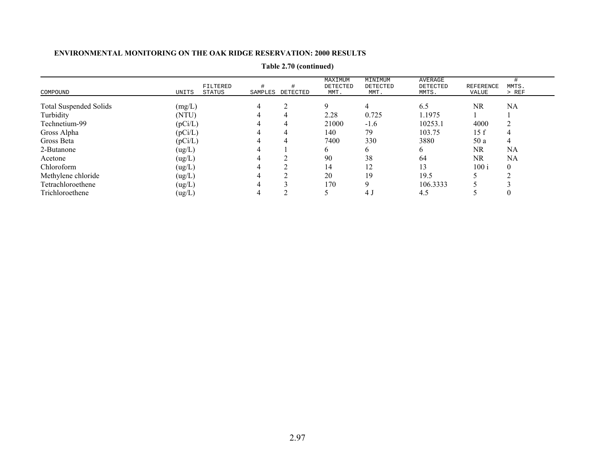|                               |         |                    |         |          | MAXIMUM          | MINIMUM          | AVERAGE           |                    |                |
|-------------------------------|---------|--------------------|---------|----------|------------------|------------------|-------------------|--------------------|----------------|
| COMPOUND                      | UNITS   | FILTERED<br>STATUS | SAMPLES | DETECTED | DETECTED<br>MMT. | DETECTED<br>MMT. | DETECTED<br>MMTS. | REFERENCE<br>VALUE | MMTS.<br>> REF |
|                               |         |                    |         |          |                  |                  |                   |                    |                |
| <b>Total Suspended Solids</b> | (mg/L)  |                    |         |          | 9                | 4                | 6.5               | NR                 | <b>NA</b>      |
| Turbidity                     | (NTU)   |                    |         |          | 2.28             | 0.725            | 1.1975            |                    |                |
| Technetium-99                 | (pCi/L) |                    |         | 4        | 21000            | $-1.6$           | 10253.1           | 4000               |                |
| Gross Alpha                   | (pCi/L) |                    |         | 4        | 140              | 79               | 103.75            | 15 f               | 4              |
| Gross Beta                    | (pCi/L) |                    |         |          | 7400             | 330              | 3880              | 50 a               | 4              |
| 2-Butanone                    | (ug/L)  |                    |         |          | 6                | b.               | 6                 | NR                 | NA             |
| Acetone                       | (ug/L)  |                    |         |          | 90               | 38               | 64                | NR.                | NA             |
| Chloroform                    | (ug/L)  |                    |         |          | 14               | 12               | 13                | 100 i              | $\Omega$       |
| Methylene chloride            | (ug/L)  |                    |         |          | 20               | 19               | 19.5              |                    |                |
| Tetrachloroethene             | (ug/L)  |                    |         |          | 170              |                  | 106.3333          |                    |                |
| Trichloroethene               | (ug/L)  |                    |         |          |                  | 4 J              | 4.5               |                    |                |

**Table 2.70 (continued)**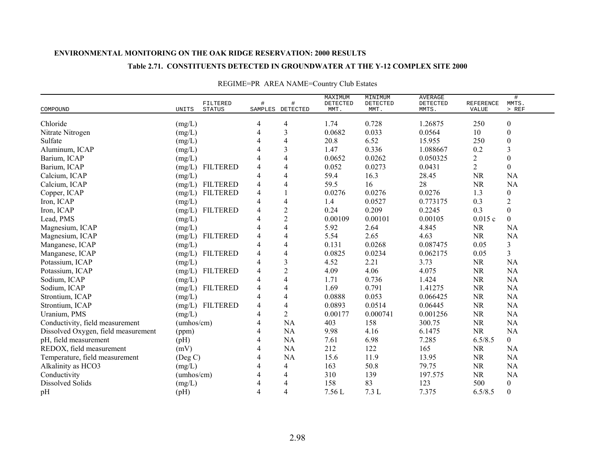### **Table 2.71. CONSTITUENTS DETECTED IN GROUNDWATER AT THE Y-12 COMPLEX SITE 2000**

|                                     |               | FILTERED        | $\#$                     | #                | MAXIMUM<br>DETECTED | MINIMUM<br>DETECTED | <b>AVERAGE</b><br>DETECTED | <b>REFERENCE</b> | $\#$<br>MMTS.           |
|-------------------------------------|---------------|-----------------|--------------------------|------------------|---------------------|---------------------|----------------------------|------------------|-------------------------|
| COMPOUND                            | UNITS         | <b>STATUS</b>   |                          | SAMPLES DETECTED | MMT.                | MMT.                | MMTS.                      | VALUE            | $>$ REF                 |
| Chloride                            | (mg/L)        |                 | 4                        | 4                | 1.74                | 0.728               | 1.26875                    | 250              | $\boldsymbol{0}$        |
| Nitrate Nitrogen                    | (mg/L)        |                 | 4                        | 3                | 0.0682              | 0.033               | 0.0564                     | 10               | $\boldsymbol{0}$        |
| Sulfate                             | (mg/L)        |                 | 4                        | 4                | 20.8                | 6.52                | 15.955                     | 250              | $\boldsymbol{0}$        |
| Aluminum, ICAP                      | (mg/L)        |                 | 4                        | 3                | 1.47                | 0.336               | 1.088667                   | 0.2              | 3                       |
| Barium, ICAP                        | (mg/L)        |                 | $\overline{4}$           | 4                | 0.0652              | 0.0262              | 0.050325                   | 2                | $\theta$                |
| Barium, ICAP                        | (mg/L)        | <b>FILTERED</b> | 4                        | 4                | 0.052               | 0.0273              | 0.0431                     | $\overline{2}$   | $\overline{0}$          |
| Calcium, ICAP                       | (mg/L)        |                 | 4                        | 4                | 59.4                | 16.3                | 28.45                      | <b>NR</b>        | <b>NA</b>               |
| Calcium, ICAP                       |               | (mg/L) FILTERED | 4                        | 4                | 59.5                | 16                  | 28                         | <b>NR</b>        | <b>NA</b>               |
| Copper, ICAP                        | (mg/L)        | <b>FILTERED</b> | 4                        |                  | 0.0276              | 0.0276              | 0.0276                     | 1.3              | $\boldsymbol{0}$        |
| Iron, ICAP                          | (mg/L)        |                 | 4                        | 4                | 1.4                 | 0.0527              | 0.773175                   | 0.3              | $\overline{2}$          |
| Iron, ICAP                          | (mg/L)        | <b>FILTERED</b> | 4                        | $\overline{c}$   | 0.24                | 0.209               | 0.2245                     | 0.3              | $\boldsymbol{0}$        |
| Lead, PMS                           | (mg/L)        |                 | $\overline{\mathcal{A}}$ | $\overline{c}$   | 0.00109             | 0.00101             | 0.00105                    | 0.015c           | $\overline{0}$          |
| Magnesium, ICAP                     | (mg/L)        |                 | $\overline{\mathcal{A}}$ | 4                | 5.92                | 2.64                | 4.845                      | <b>NR</b>        | <b>NA</b>               |
| Magnesium, ICAP                     | (mg/L)        | <b>FILTERED</b> | 4                        | 4                | 5.54                | 2.65                | 4.63                       | <b>NR</b>        | <b>NA</b>               |
| Manganese, ICAP                     | (mg/L)        |                 | $\overline{4}$           | 4                | 0.131               | 0.0268              | 0.087475                   | 0.05             | $\mathfrak{Z}$          |
| Manganese, ICAP                     | (mg/L)        | <b>FILTERED</b> | 4                        | 4                | 0.0825              | 0.0234              | 0.062175                   | 0.05             | $\overline{\mathbf{3}}$ |
| Potassium, ICAP                     | (mg/L)        |                 | 4                        | 3                | 4.52                | 2.21                | 3.73                       | <b>NR</b>        | <b>NA</b>               |
| Potassium, ICAP                     | (mg/L)        | <b>FILTERED</b> | 4                        | $\overline{2}$   | 4.09                | 4.06                | 4.075                      | <b>NR</b>        | <b>NA</b>               |
| Sodium, ICAP                        | (mg/L)        |                 | 4                        | 4                | 1.71                | 0.736               | 1.424                      | <b>NR</b>        | <b>NA</b>               |
| Sodium, ICAP                        | (mg/L)        | <b>FILTERED</b> | $\overline{4}$           | 4                | 1.69                | 0.791               | 1.41275                    | <b>NR</b>        | <b>NA</b>               |
| Strontium, ICAP                     | (mg/L)        |                 | 4                        | 4                | 0.0888              | 0.053               | 0.066425                   | <b>NR</b>        | <b>NA</b>               |
| Strontium, ICAP                     | (mg/L)        | <b>FILTERED</b> | 4                        | 4                | 0.0893              | 0.0514              | 0.06445                    | <b>NR</b>        | <b>NA</b>               |
| Uranium, PMS                        | (mg/L)        |                 | $\overline{4}$           | 2                | 0.00177             | 0.000741            | 0.001256                   | <b>NR</b>        | <b>NA</b>               |
| Conductivity, field measurement     | (umbos/cm)    |                 | $\overline{4}$           | NA               | 403                 | 158                 | 300.75                     | $\rm NR$         | <b>NA</b>               |
| Dissolved Oxygen, field measurement | (ppm)         |                 | $\overline{4}$           | NA               | 9.98                | 4.16                | 6.1475                     | <b>NR</b>        | <b>NA</b>               |
| pH, field measurement               | (pH)          |                 | $\overline{4}$           | <b>NA</b>        | 7.61                | 6.98                | 7.285                      | 6.5/8.5          | $\overline{0}$          |
| REDOX, field measurement            | (mV)          |                 | 4                        | <b>NA</b>        | 212                 | 122                 | 165                        | <b>NR</b>        | <b>NA</b>               |
| Temperature, field measurement      | $($ Deg C $)$ |                 | 4                        | <b>NA</b>        | 15.6                | 11.9                | 13.95                      | <b>NR</b>        | <b>NA</b>               |
| Alkalinity as HCO3                  | (mg/L)        |                 | $\overline{4}$           | 4                | 163                 | 50.8                | 79.75                      | <b>NR</b>        | <b>NA</b>               |
| Conductivity                        | (umbos/cm)    |                 | $\overline{4}$           | 4                | 310                 | 139                 | 197.575                    | <b>NR</b>        | <b>NA</b>               |
| Dissolved Solids                    | (mg/L)        |                 | $\overline{4}$           | 4                | 158                 | 83                  | 123                        | 500              | $\boldsymbol{0}$        |
| pH                                  | (pH)          |                 | 4                        | 4                | 7.56 L              | 7.3L                | 7.375                      | 6.5/8.5          | $\boldsymbol{0}$        |

# REGIME=PR AREA NAME=Country Club Estates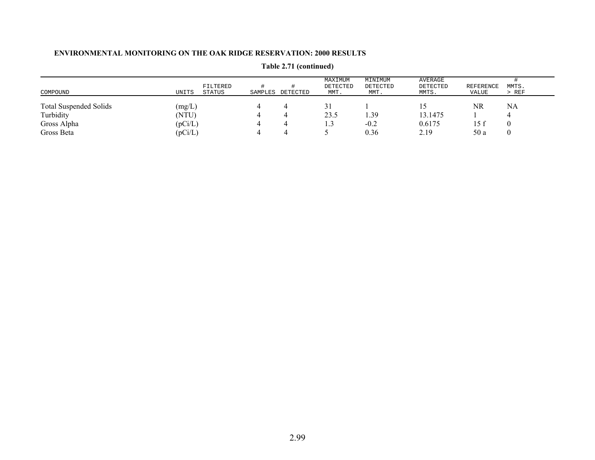| COMPOUND                      | UNITS   | FILTERED<br>STATUS | SAMPLES | DETECTED | MAXIMUM<br>DETECTED<br>MMT. | MINIMUM<br>DETECTED<br>MMT. | AVERAGE<br>DETECTED<br>MMTS. | REFERENCE<br>VALUE | MMTS.<br>$>$ REF |
|-------------------------------|---------|--------------------|---------|----------|-----------------------------|-----------------------------|------------------------------|--------------------|------------------|
| <b>Total Suspended Solids</b> | (mg/L)  |                    |         |          |                             |                             |                              | NR                 | NA               |
| Turbidity                     | (NTU)   |                    |         |          | 23.5                        | . 39                        | 13.1475                      |                    |                  |
| Gross Alpha                   | (pCi/L) |                    |         |          | 1.3                         | $-0.2$                      | 0.6175                       | 15 f               |                  |
| Gross Beta                    | (pCi/L) |                    |         |          |                             | 0.36                        | 2.19                         | 50 a               |                  |

**Table 2.71 (continued)**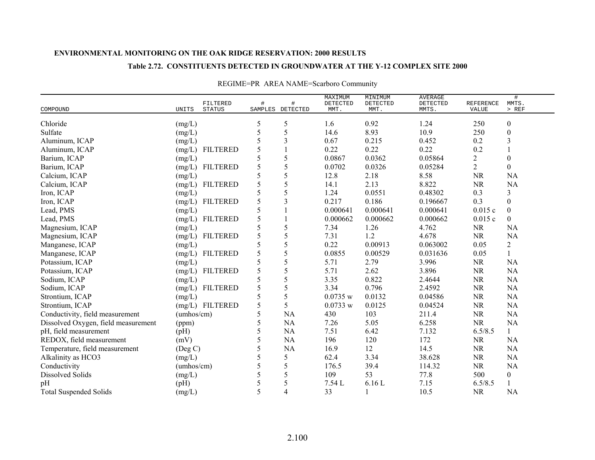### **Table 2.72. CONSTITUENTS DETECTED IN GROUNDWATER AT THE Y-12 COMPLEX SITE 2000**

|                                     |                                    |      |                       | MAXIMUM          | MINIMUM          | <b>AVERAGE</b>    |                           | $\#$             |
|-------------------------------------|------------------------------------|------|-----------------------|------------------|------------------|-------------------|---------------------------|------------------|
| COMPOUND                            | FILTERED<br><b>STATUS</b><br>UNITS | $\#$ | #<br>SAMPLES DETECTED | DETECTED<br>MMT. | DETECTED<br>MMT. | DETECTED<br>MMTS. | <b>REFERENCE</b><br>VALUE | MMTS.<br>$>$ REF |
|                                     |                                    |      |                       |                  |                  |                   |                           |                  |
| Chloride                            | (mg/L)                             | 5    | 5                     | 1.6              | 0.92             | 1.24              | 250                       | $\boldsymbol{0}$ |
| Sulfate                             | (mg/L)                             | 5    | 5                     | 14.6             | 8.93             | 10.9              | 250                       | $\boldsymbol{0}$ |
| Aluminum, ICAP                      | (mg/L)                             | 5    | 3                     | 0.67             | 0.215            | 0.452             | 0.2                       | 3                |
| Aluminum, ICAP                      | <b>FILTERED</b><br>(mg/L)          | 5    |                       | 0.22             | 0.22             | 0.22              | 0.2                       |                  |
| Barium, ICAP                        | (mg/L)                             | 5    | 5                     | 0.0867           | 0.0362           | 0.05864           | 2                         | $\boldsymbol{0}$ |
| Barium, ICAP                        | <b>FILTERED</b><br>(mg/L)          | 5    | 5                     | 0.0702           | 0.0326           | 0.05284           | $\overline{2}$            | $\overline{0}$   |
| Calcium, ICAP                       | (mg/L)                             | 5    | 5                     | 12.8             | 2.18             | 8.58              | <b>NR</b>                 | <b>NA</b>        |
| Calcium, ICAP                       | <b>FILTERED</b><br>(mg/L)          | 5    | 5                     | 14.1             | 2.13             | 8.822             | <b>NR</b>                 | <b>NA</b>        |
| Iron, ICAP                          | (mg/L)                             | 5    | 5                     | 1.24             | 0.0551           | 0.48302           | 0.3                       | 3                |
| Iron, ICAP                          | <b>FILTERED</b><br>(mg/L)          | 5    | 3                     | 0.217            | 0.186            | 0.196667          | 0.3                       | $\boldsymbol{0}$ |
| Lead, PMS                           | (mg/L)                             | 5    |                       | 0.000641         | 0.000641         | 0.000641          | 0.015c                    | $\boldsymbol{0}$ |
| Lead, PMS                           | <b>FILTERED</b><br>(mg/L)          | 5    |                       | 0.000662         | 0.000662         | 0.000662          | 0.015c                    | $\Omega$         |
| Magnesium, ICAP                     | (mg/L)                             | 5    | 5                     | 7.34             | 1.26             | 4.762             | <b>NR</b>                 | <b>NA</b>        |
| Magnesium, ICAP                     | <b>FILTERED</b><br>(mg/L)          | 5    | 5                     | 7.31             | 1.2              | 4.678             | <b>NR</b>                 | <b>NA</b>        |
| Manganese, ICAP                     | (mg/L)                             | 5    | 5                     | 0.22             | 0.00913          | 0.063002          | 0.05                      | $\sqrt{2}$       |
| Manganese, ICAP                     | <b>FILTERED</b><br>(mg/L)          | 5    | 5                     | 0.0855           | 0.00529          | 0.031636          | 0.05                      |                  |
| Potassium, ICAP                     | (mg/L)                             | 5    | 5                     | 5.71             | 2.79             | 3.996             | <b>NR</b>                 | <b>NA</b>        |
| Potassium, ICAP                     | <b>FILTERED</b><br>(mg/L)          | 5    | 5                     | 5.71             | 2.62             | 3.896             | <b>NR</b>                 | <b>NA</b>        |
| Sodium, ICAP                        | (mg/L)                             | 5    | 5                     | 3.35             | 0.822            | 2.4644            | <b>NR</b>                 | <b>NA</b>        |
| Sodium, ICAP                        | <b>FILTERED</b><br>(mg/L)          | 5    | 5                     | 3.34             | 0.796            | 2.4592            | <b>NR</b>                 | <b>NA</b>        |
| Strontium, ICAP                     | (mg/L)                             | 5    | 5                     | 0.0735 w         | 0.0132           | 0.04586           | <b>NR</b>                 | <b>NA</b>        |
| Strontium, ICAP                     | (mg/L) FILTERED                    | 5    | 5                     | 0.0733 w         | 0.0125           | 0.04524           | <b>NR</b>                 | <b>NA</b>        |
| Conductivity, field measurement     | (umbos/cm)                         | 5    | NA                    | 430              | 103              | 211.4             | <b>NR</b>                 | <b>NA</b>        |
| Dissolved Oxygen, field measurement | (ppm)                              | 5    | NA                    | 7.26             | 5.05             | 6.258             | <b>NR</b>                 | <b>NA</b>        |
| pH, field measurement               | (pH)                               | 5    | NA                    | 7.51             | 6.42             | 7.132             | 6.5/8.5                   | $\mathbf{1}$     |
| REDOX, field measurement            | (mV)                               | 5    | <b>NA</b>             | 196              | 120              | 172               | <b>NR</b>                 | <b>NA</b>        |
| Temperature, field measurement      | (Deg C)                            | 5    | <b>NA</b>             | 16.9             | 12               | 14.5              | <b>NR</b>                 | <b>NA</b>        |
| Alkalinity as HCO3                  | (mg/L)                             | 5    | 5                     | 62.4             | 3.34             | 38.628            | <b>NR</b>                 | <b>NA</b>        |
| Conductivity                        | (umbos/cm)                         | 5    | 5                     | 176.5            | 39.4             | 114.32            | <b>NR</b>                 | <b>NA</b>        |
| <b>Dissolved Solids</b>             | (mg/L)                             | 5    | 5                     | 109              | 53               | 77.8              | 500                       | $\boldsymbol{0}$ |
| pH                                  | (pH)                               | 5    | 5                     | 7.54 L           | 6.16L            | 7.15              | 6.5/8.5                   |                  |
| <b>Total Suspended Solids</b>       | (mg/L)                             | 5    | 4                     | 33               |                  | 10.5              | <b>NR</b>                 | <b>NA</b>        |

# REGIME=PR AREA NAME=Scarboro Community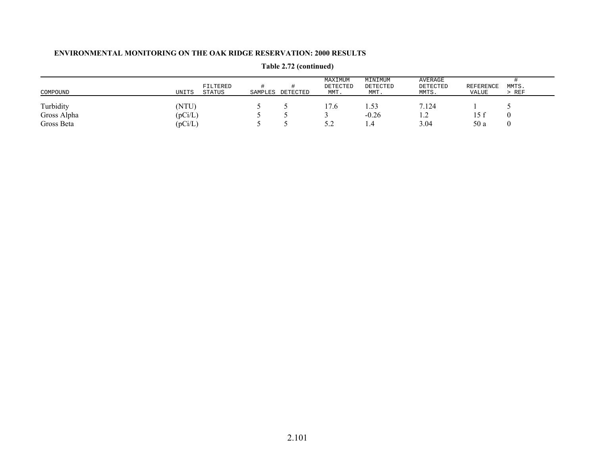| COMPOUND    | UNITS   | FILTERED<br><b>STATUS</b> | SAMPLES | DETECTED | MAXIMUM<br>DETECTED<br>MMT. | MINIMUM<br>DETECTED<br>MMT. | AVERAGE<br>DETECTED<br>MMTS. | <b>REFERENCE</b><br>VALUE | MMTS.<br>> REF |
|-------------|---------|---------------------------|---------|----------|-----------------------------|-----------------------------|------------------------------|---------------------------|----------------|
| Turbidity   | (NTU)   |                           |         |          | 17.6                        | 1.53                        | 7.124                        |                           |                |
| Gross Alpha | (pCi/L) |                           |         |          |                             | $-0.26$                     | $\overline{1}$ .             |                           |                |
| Gross Beta  | (pCi/L) |                           |         |          | J.L                         | .                           | 3.04                         | 50 a                      |                |

**Table 2.72 (continued)**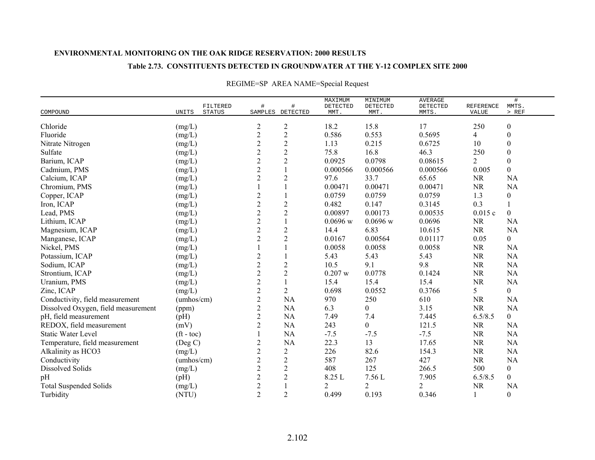### **Table 2.73. CONSTITUENTS DETECTED IN GROUNDWATER AT THE Y-12 COMPLEX SITE 2000**

| COMPOUND                            | UNITS              | FILTERED<br><b>STATUS</b> | #              | #<br>SAMPLES DETECTED          | MAXIMUM<br>DETECTED<br>MMT. | MINIMUM<br>DETECTED<br>MMT. | <b>AVERAGE</b><br>DETECTED<br>MMTS. | <b>REFERENCE</b><br>VALUE | $\#$<br>MMTS.<br>$>$ REF |
|-------------------------------------|--------------------|---------------------------|----------------|--------------------------------|-----------------------------|-----------------------------|-------------------------------------|---------------------------|--------------------------|
|                                     |                    |                           |                |                                |                             |                             | 17                                  |                           |                          |
| Chloride                            | $(mg/L)$           |                           | 2              | $\boldsymbol{2}$<br>$\sqrt{2}$ | 18.2                        | 15.8                        | 0.5695                              | 250                       | $\boldsymbol{0}$         |
| Fluoride                            | (mg/L)             |                           | $\overline{c}$ |                                | 0.586                       | 0.553                       |                                     | 4                         | $\boldsymbol{0}$         |
| Nitrate Nitrogen                    | (mg/L)             |                           | $\overline{c}$ | $\sqrt{2}$                     | 1.13                        | 0.215                       | 0.6725                              | 10                        | $\boldsymbol{0}$         |
| Sulfate                             | (mg/L)             |                           | $\overline{c}$ | $\sqrt{2}$                     | 75.8                        | 16.8                        | 46.3                                | 250                       | $\boldsymbol{0}$         |
| Barium, ICAP                        | (mg/L)             |                           | $\overline{c}$ | $\overline{2}$                 | 0.0925                      | 0.0798                      | 0.08615                             | 2                         | $\mathbf{0}$             |
| Cadmium, PMS                        | (mg/L)             |                           | $\overline{2}$ | $\mathbf{1}$                   | 0.000566                    | 0.000566                    | 0.000566                            | 0.005                     | $\boldsymbol{0}$         |
| Calcium, ICAP                       | (mg/L)             |                           | $\overline{2}$ | $\overline{c}$                 | 97.6                        | 33.7                        | 65.65                               | <b>NR</b>                 | <b>NA</b>                |
| Chromium, PMS                       | (mg/L)             |                           |                |                                | 0.00471                     | 0.00471                     | 0.00471                             | <b>NR</b>                 | <b>NA</b>                |
| Copper, ICAP                        | (mg/L)             |                           | $\overline{c}$ |                                | 0.0759                      | 0.0759                      | 0.0759                              | 1.3                       | $\boldsymbol{0}$         |
| Iron, ICAP                          | (mg/L)             |                           | $\overline{c}$ | $\overline{2}$                 | 0.482                       | 0.147                       | 0.3145                              | 0.3                       |                          |
| Lead, PMS                           | (mg/L)             |                           | $\overline{c}$ | $\sqrt{2}$                     | 0.00897                     | 0.00173                     | 0.00535                             | 0.015c                    | $\mathbf{0}$             |
| Lithium, ICAP                       | (mg/L)             |                           | $\overline{c}$ | $\mathbf{1}$                   | $0.0696$ w                  | $0.0696$ w                  | 0.0696                              | <b>NR</b>                 | <b>NA</b>                |
| Magnesium, ICAP                     | (mg/L)             |                           | $\overline{c}$ | $\sqrt{2}$                     | 14.4                        | 6.83                        | 10.615                              | <b>NR</b>                 | <b>NA</b>                |
| Manganese, ICAP                     | (mg/L)             |                           | $\overline{2}$ | $\overline{2}$                 | 0.0167                      | 0.00564                     | 0.01117                             | 0.05                      | $\overline{0}$           |
| Nickel, PMS                         | (mg/L)             |                           |                |                                | 0.0058                      | 0.0058                      | 0.0058                              | <b>NR</b>                 | <b>NA</b>                |
| Potassium, ICAP                     | (mg/L)             |                           | $\overline{c}$ |                                | 5.43                        | 5.43                        | 5.43                                | <b>NR</b>                 | <b>NA</b>                |
| Sodium, ICAP                        | (mg/L)             |                           | $\overline{c}$ | $\sqrt{2}$                     | 10.5                        | 9.1                         | 9.8                                 | <b>NR</b>                 | <b>NA</b>                |
| Strontium, ICAP                     | (mg/L)             |                           | $\overline{c}$ | $\overline{2}$                 | 0.207 w                     | 0.0778                      | 0.1424                              | <b>NR</b>                 | <b>NA</b>                |
| Uranium, PMS                        | (mg/L)             |                           | $\overline{c}$ | $\mathbf{1}$                   | 15.4                        | 15.4                        | 15.4                                | <b>NR</b>                 | <b>NA</b>                |
| Zinc, ICAP                          | (mg/L)             |                           | $\overline{c}$ | $\overline{2}$                 | 0.698                       | 0.0552                      | 0.3766                              | 5                         | $\boldsymbol{0}$         |
| Conductivity, field measurement     | (umbos/cm)         |                           | $\overline{2}$ | <b>NA</b>                      | 970                         | 250                         | 610                                 | <b>NR</b>                 | <b>NA</b>                |
| Dissolved Oxygen, field measurement | (ppm)              |                           | $\overline{2}$ | <b>NA</b>                      | 6.3                         | $\boldsymbol{0}$            | 3.15                                | <b>NR</b>                 | <b>NA</b>                |
| pH, field measurement               | (pH)               |                           | $\overline{c}$ | <b>NA</b>                      | 7.49                        | 7.4                         | 7.445                               | 6.5/8.5                   | $\overline{0}$           |
| REDOX, field measurement            | (mV)               |                           | $\overline{2}$ | <b>NA</b>                      | 243                         | $\overline{0}$              | 121.5                               | <b>NR</b>                 | <b>NA</b>                |
| <b>Static Water Level</b>           | $({\rm ft - toc})$ |                           |                | <b>NA</b>                      | $-7.5$                      | $-7.5$                      | $-7.5$                              | <b>NR</b>                 | <b>NA</b>                |
| Temperature, field measurement      | $($ Deg C $)$      |                           | $\overline{c}$ | <b>NA</b>                      | 22.3                        | 13                          | 17.65                               | <b>NR</b>                 | <b>NA</b>                |
| Alkalinity as HCO3                  | (mg/L)             |                           | $\overline{c}$ | $\overline{c}$                 | 226                         | 82.6                        | 154.3                               | <b>NR</b>                 | <b>NA</b>                |
| Conductivity                        | (umbos/cm)         |                           | $\overline{c}$ | $\overline{2}$                 | 587                         | 267                         | 427                                 | <b>NR</b>                 | NA                       |
| <b>Dissolved Solids</b>             | (mg/L)             |                           | $\overline{c}$ | $\overline{2}$                 | 408                         | 125                         | 266.5                               | 500                       | $\boldsymbol{0}$         |
| pH                                  | (pH)               |                           | $\overline{c}$ | $\overline{c}$                 | 8.25 L                      | 7.56L                       | 7.905                               | 6.5/8.5                   | $\boldsymbol{0}$         |
| <b>Total Suspended Solids</b>       | (mg/L)             |                           | $\overline{c}$ |                                | $\overline{2}$              | $\overline{2}$              | $\overline{c}$                      | <b>NR</b>                 | <b>NA</b>                |
| Turbidity                           | (NTU)              |                           | $\overline{2}$ | $\overline{2}$                 | 0.499                       | 0.193                       | 0.346                               | 1                         | $\boldsymbol{0}$         |

# REGIME=SP AREA NAME=Special Request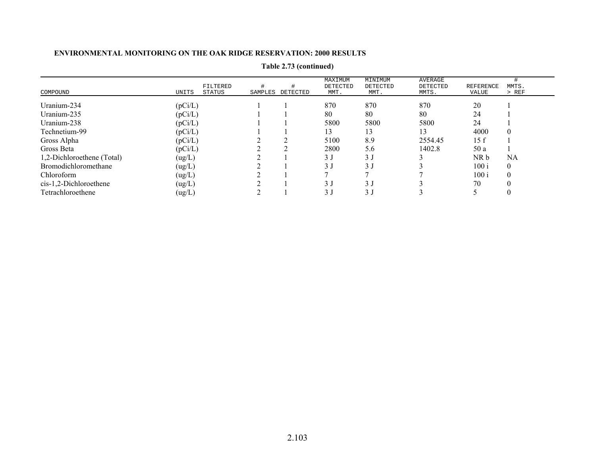|                            |         |                    |                  | MAXIMUM          | MINIMUM                       | AVERAGE           |                    |                |
|----------------------------|---------|--------------------|------------------|------------------|-------------------------------|-------------------|--------------------|----------------|
| COMPOUND                   | UNITS   | FILTERED<br>STATUS | SAMPLES DETECTED | DETECTED<br>MMT. | DETECTED<br>MMT.              | DETECTED<br>MMTS. | REFERENCE<br>VALUE | MMTS.<br>> REF |
|                            |         |                    |                  |                  |                               |                   |                    |                |
| Uranium-234                | (pCi/L) |                    |                  | 870              | 870                           | 870               | 20                 |                |
| Uranium-235                | (pCi/L) |                    |                  | 80               | 80                            | 80                | 24                 |                |
| Uranium-238                | (pCi/L) |                    |                  | 5800             | 5800                          | 5800              | 24                 |                |
| Technetium-99              | (pCi/L) |                    |                  | 13               | 13                            | 13                | 4000               | $\theta$       |
| Gross Alpha                | (pCi/L) |                    |                  | 5100             | 8.9                           | 2554.45           | 15 f               |                |
| Gross Beta                 | (pCi/L) |                    |                  | 2800             | 5.6                           | 1402.8            | 50 a               |                |
| 1,2-Dichloroethene (Total) | (ug/L)  |                    |                  | 3 J              | 3 <sub>1</sub>                |                   | NR b               | NA             |
| Bromodichloromethane       | (ug/L)  |                    |                  |                  | $\overline{3}$ $\overline{1}$ |                   | 100i               | $\theta$       |
| Chloroform                 | (ug/L)  |                    |                  |                  |                               |                   | 100i               | $\theta$       |
| $cis-1,2-Dichloroethene$   | (ug/L)  |                    |                  |                  |                               |                   | 70                 |                |
| Tetrachloroethene          | (ug/L)  |                    |                  |                  |                               |                   |                    |                |

# **Table 2.73 (continued)**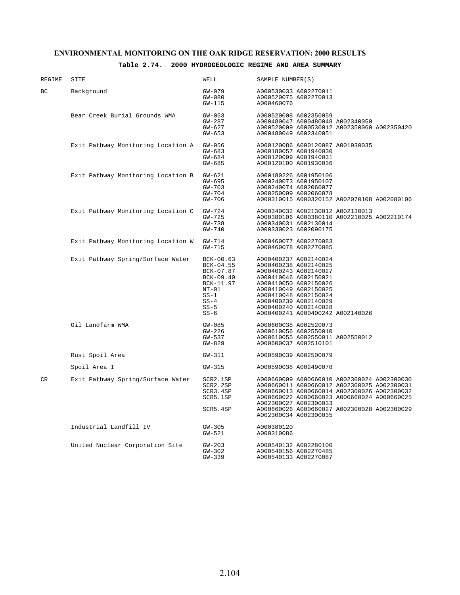### **Table 2.74. 2000 HYDROGEOLOGIC REGIME AND AREA SUMMARY**

| REGIME | SITE                               | WELL                                                                                                               | SAMPLE NUMBER(S)                                                                                                                                                                                                                                                                          |
|--------|------------------------------------|--------------------------------------------------------------------------------------------------------------------|-------------------------------------------------------------------------------------------------------------------------------------------------------------------------------------------------------------------------------------------------------------------------------------------|
| ВC     | Background                         | GW-079<br>$GW - 080$<br>$GW-115$                                                                                   | A000530033 A002270011<br>A000520075 A002270013<br>A000460076                                                                                                                                                                                                                              |
|        | Bear Creek Burial Grounds WMA      | $GW-053$<br>$GW-287$<br>$GW-627$<br>$GW-653$                                                                       | A000520008 A002350059<br>A000480047 A000480048 A002340050<br>A000520009 A000530012 A002350060 A002350420<br>A000480049 A002340051                                                                                                                                                         |
|        | Exit Pathway Monitoring Location A | $GW-056$<br>$GW-683$<br>$GW - 684$<br>$GW - 685$                                                                   | A000120086 A000120087 A001930035<br>A000180057 A001940030<br>A000120099 A001940031<br>A000120100 A001930036                                                                                                                                                                               |
|        | Exit Pathway Monitoring Location B | GW-621<br>$GW-695$<br>$GW-703$<br>GW-704<br>GW-706                                                                 | A000180226 A001950106<br>A000240073 A001950107<br>A000240074 A002060077<br>A000250009 A002060078<br>A000310015 A000320152 A002070108 A002080106                                                                                                                                           |
|        | Exit Pathway Monitoring Location C | GW-724<br>GW-725<br>$GW-738$<br>$GW - 740$                                                                         | A000340032 A002130012 A002130013<br>A000380106 A000380110 A002210025 A002210174<br>A000340031 A002130014<br>A000330023 A002090175                                                                                                                                                         |
|        | Exit Pathway Monitoring Location W | GW-714<br>GW-715                                                                                                   | A000460077 A002270083<br>A000460078 A002270085                                                                                                                                                                                                                                            |
|        | Exit Pathway Spring/Surface Water  | $BCK-00.63$<br>$BCK-04.55$<br>BCK-07.87<br>BCK-09.40<br>BCK-11.97<br>NT-01<br>$SS-1$<br>$SS-4$<br>$SS-5$<br>$SS-6$ | A000400237 A002140024<br>A000400238 A002140025<br>A000400243 A002140027<br>A000410046 A002150021<br>A000410050 A002150026<br>A000410049 A002150025<br>A000410048 A002150024<br>A000400239 A002140029<br>A000400240 A002140028<br>A000400241 A000400242 A002140026                         |
|        | Oil Landfarm WMA                   | $GW-085$<br>GW-226<br>GW-537<br>GW-829                                                                             | A000600038 A002520073<br>A000610056 A002550010<br>A000610055 A002550011 A002550012<br>A000600037 A002510101                                                                                                                                                                               |
|        | Rust Spoil Area                    | GW-311                                                                                                             | A000590039 A002500079                                                                                                                                                                                                                                                                     |
|        | Spoil Area I                       | GW-315                                                                                                             | A000590038 A002490078                                                                                                                                                                                                                                                                     |
| CR     | Exit Pathway Spring/Surface Water  | SCR2.1SP<br>SCR2.2SP<br>SCR3.4SP<br>SCR5.1SP<br>SCR5.4SP                                                           | A000660009 A000660010 A002300024 A002300030<br>A000660011 A000660012 A002300025 A002300031<br>A000660013 A000660014 A002300026 A002300032<br>A000660022 A000660023 A000660024 A000660025<br>A002300027 A002300033<br>A000660026 A000660027 A002300028 A002300029<br>A002300034 A002300035 |
|        | Industrial Landfill IV             | $GW-305$<br>$GW-521$                                                                                               | A000380120<br>A000310086                                                                                                                                                                                                                                                                  |
|        | United Nuclear Corporation Site    | GW-203<br>$GW-302$<br>$GW-339$                                                                                     | A000540132 A002280100<br>A000540156 A002270485<br>A000540133 A002270087                                                                                                                                                                                                                   |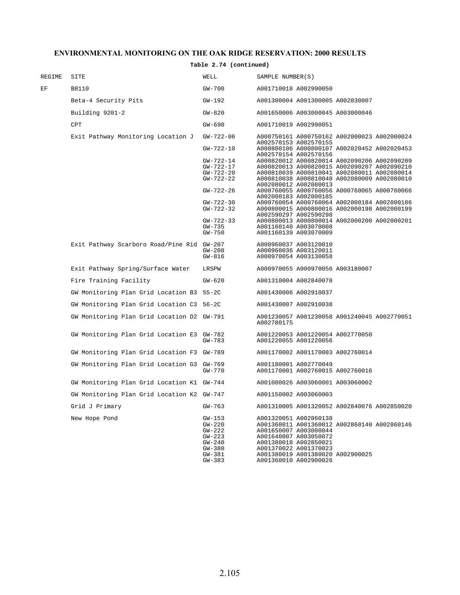### **Table 2.74 (continued)**

| REGIME | SITE                                       | WELL            | SAMPLE NUMBER(S)                                                     |
|--------|--------------------------------------------|-----------------|----------------------------------------------------------------------|
| ΕF     | B8110                                      | GW-700          | A001710018 A002990050                                                |
|        | Beta-4 Security Pits                       | GW-192          | A001300004 A001300005 A002830007                                     |
|        | Building 9201-2                            | $GW-820$        | A001650006 A003000045 A003000046                                     |
|        | <b>CPT</b>                                 | $GW-690$        | A001710019 A002990051                                                |
|        | Exit Pathway Monitoring Location J         | GW-722-06       | A000750161 A000750162 A002000023 A002000024<br>A002570153 A002570155 |
|        |                                            | $GW - 722 - 10$ | A000800106 A000800107 A002020452 A002020453<br>A002570154 A002570156 |
|        |                                            | $GW-722-14$     | A000820012 A000820014 A002090206 A002090209                          |
|        |                                            | GW-722-17       | A000820013 A000820015 A002090207 A002090210                          |
|        |                                            | $GW-722-20$     | A000810039 A000810041 A002080011 A002080014                          |
|        |                                            | $GW-722-22$     | A000810038 A000810040 A002080009 A002080010                          |
|        |                                            |                 | A002080012 A002080013                                                |
|        |                                            | $GW-722-26$     | A000760055 A000760056 A000760065 A000760066                          |
|        |                                            |                 | A002000183 A002000185                                                |
|        |                                            | $GW-722-30$     |                                                                      |
|        |                                            |                 | A000760054 A000760064 A002000184 A002000186                          |
|        |                                            | $GW-722-32$     | A000800015 A000800016 A002000198 A002000199                          |
|        |                                            |                 | A002590297 A002590298                                                |
|        |                                            | $GW-722-33$     | A000800013 A000800014 A002000200 A002000201                          |
|        |                                            | GW-735          | A001160140 A003070008                                                |
|        |                                            | GW-750          | A001160139 A003070009                                                |
|        |                                            |                 |                                                                      |
|        | Exit Pathway Scarboro Road/Pine Rid GW-207 |                 | A000960037 A003120010                                                |
|        |                                            | $GW-208$        | A000960036 A003120011                                                |
|        |                                            | GW-816          | A000970054 A003130058                                                |
|        | Exit Pathway Spring/Surface Water          | LRSPW           | A000970055 A000970056 A003180007                                     |
|        | Fire Training Facility                     | GW-620          | A001310004 A002840078                                                |
|        | GW Monitoring Plan Grid Location B3 55-2C  |                 | A001430006 A002910037                                                |
|        | GW Monitoring Plan Grid Location C3 56-2C  |                 | A001430007 A002910038                                                |
|        | GW Monitoring Plan Grid Location D2 GW-791 |                 | A001230057 A001230058 A001240045 A002770051<br>A002780175            |
|        | GW Monitoring Plan Grid Location E3 GW-782 |                 | A001220053 A001220054 A002770050                                     |
|        |                                            | GW-783          | A001220055 A001220056                                                |
|        | GW Monitoring Plan Grid Location F3 GW-789 |                 | A001170002 A001170003 A002760014                                     |
|        |                                            |                 |                                                                      |
|        | GW Monitoring Plan Grid Location G3 GW-769 | GW-770          | A001180001 A002770049<br>A001170001 A002760015 A002760016            |
|        |                                            |                 |                                                                      |
|        | GW Monitoring Plan Grid Location K1 GW-744 |                 | A001080026 A003060001 A003060002                                     |
|        | GW Monitoring Plan Grid Location K2 GW-747 |                 | A001150002 A003060003                                                |
|        | Grid J Primary                             | GW-763          | A001310005 A001320052 A002840076 A002850020                          |
|        | New Hope Pond                              | GW-153          | A001320051 A002860138                                                |
|        |                                            | $GW-220$        | A001360011 A001360012 A002860140 A002860146                          |
|        |                                            | $GW-222$        | A001650007 A003000044                                                |
|        |                                            | GW-223          | A001640007 A003050072                                                |
|        |                                            |                 | A001380018 A002850021                                                |
|        |                                            | $GW-240$        |                                                                      |
|        |                                            | $GW-380$        | A001370022 A001370023                                                |
|        |                                            | $GW-381$        | A001380019 A001380020 A002900025                                     |
|        |                                            | $GW-383$        | A001360010 A002900026                                                |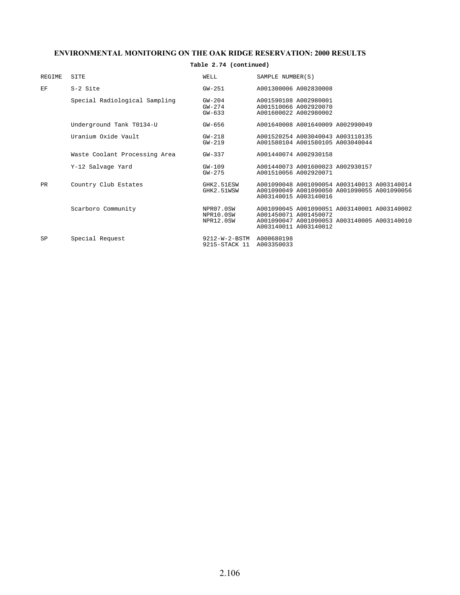## **Table 2.74 (continued)**

| <b>REGIME</b> | SITE                          | WELL                                                 | SAMPLE NUMBER(S)                                                                                                                             |
|---------------|-------------------------------|------------------------------------------------------|----------------------------------------------------------------------------------------------------------------------------------------------|
| EF            | S-2 Site                      | $GW-251$                                             | A001300006 A002830008                                                                                                                        |
|               | Special Radiological Sampling | $GW-204$<br>$GW-274$<br>$GW - 633$                   | A001590108 A002980001<br>A001510066 A002920070<br>A001600022 A002980002                                                                      |
|               | Underground Tank T0134-U      | $GW - 656$                                           | A001640008 A001640009 A002990049                                                                                                             |
|               | Uranium Oxide Vault           | $GW - 218$<br>$GW-219$                               | A001520254 A003040043 A003110135<br>A001580104 A001580105 A003040044                                                                         |
|               | Waste Coolant Processing Area | GW-337                                               | A001440074 A002930158                                                                                                                        |
|               | Y-12 Salvage Yard             | $GW-109$<br>$GW - 275$                               | A001440073 A001600023 A002930157<br>A001510056 A002920071                                                                                    |
| PR            | Country Club Estates          | GHK2.51ESW<br>GHK2.51WSW                             | A001090048 A001090054 A003140013 A003140014<br>A001090049 A001090050 A001090055 A001090056<br>A003140015 A003140016                          |
|               | Scarboro Community            | NPR07.0SW<br>NPR10.0SW<br>NPR12.0SW                  | A001090045 A001090051 A003140001 A003140002<br>A001450071 A001450072<br>A001090047 A001090053 A003140005 A003140010<br>A003140011 A003140012 |
| SP            | Special Request               | 9212-W-2-BSTM A000680198<br>9215-STACK 11 A003350033 |                                                                                                                                              |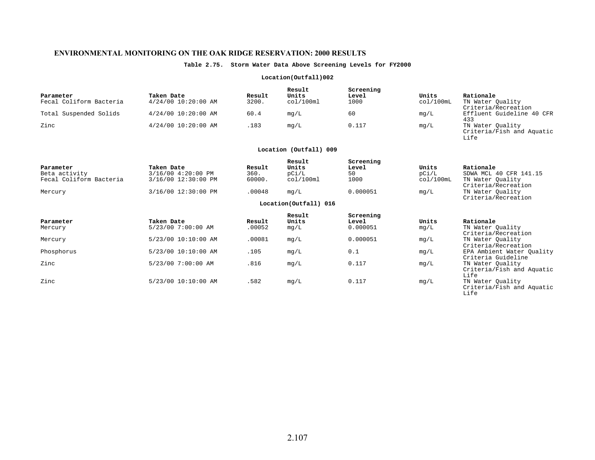#### **Table 2.75. Storm Water Data Above Screening Levels for FY2000**

#### **Location(Outfall)002**

| Parameter<br>Fecal Coliform Bacteria | Taken Date<br>$4/24/00$ 10:20:00 AM | Result<br>3200. | Result<br>Units<br>col/100ml | Screening<br>Level<br>1000 | Units<br>col/100mL | Rationale<br>TN Water Ouality<br>Criteria/Recreation |
|--------------------------------------|-------------------------------------|-----------------|------------------------------|----------------------------|--------------------|------------------------------------------------------|
| Total Suspended Solids               | $4/24/00$ 10:20:00 AM               | 60.4            | mq/L                         | 60                         | mq/L               | Effluent Guideline 40 CFR<br>433                     |
| Zinc                                 | 4/24/00 10:20:00 AM                 | .183            | mq/L                         | 0.117                      | mg/L               | TN Water Ouality<br>Criteria/Fish and Aquatic        |

#### **Location (Outfall) 009**

Life

| Parameter<br>Beta activity<br>Fecal Coliform Bacteria | Taken Date<br>3/16/00 4:20:00 PM<br>3/16/00 12:30:00 PM | Result<br>360.<br>60000. | Result<br>Units<br>pCi/L<br>col/100ml | Screening<br>Level<br>50<br>1000 | Units<br>pCi/L<br>col/100mL | Rationale<br>SDWA MCL 40 CFR 141.15<br>TN Water Ouality<br>Criteria/Recreation |
|-------------------------------------------------------|---------------------------------------------------------|--------------------------|---------------------------------------|----------------------------------|-----------------------------|--------------------------------------------------------------------------------|
| Mercury                                               | 3/16/00 12:30:00 PM                                     | .00048                   | mq/L                                  | 0.000051                         | mg/L                        | TN Water Ouality<br>Criteria/Recreation                                        |
|                                                       |                                                         |                          | Location(Outfall) 016                 |                                  |                             |                                                                                |
|                                                       |                                                         |                          | Result                                | Screening                        |                             |                                                                                |
| Parameter<br>Mercury                                  | Taken Date<br>5/23/00 7:00:00 AM                        | Result<br>.00052         | Units<br>mq/L                         | Level<br>0.000051                | Units<br>mq/L               | Rationale<br>TN Water Ouality<br>Criteria/Recreation                           |
| Mercury                                               | 5/23/00 10:10:00 AM                                     | .00081                   | mg/L                                  | 0.000051                         | mg/L                        | TN Water Ouality<br>Criteria/Recreation                                        |
| Phosphorus                                            | 5/23/00 10:10:00 AM                                     | .105                     | mg/L                                  | 0.1                              | mg/L                        | EPA Ambient Water Ouality<br>Criteria Guideline                                |
| Zinc                                                  | 5/23/00 7:00:00 AM                                      | .816                     | mg/L                                  | 0.117                            | mg/L                        | TN Water Ouality<br>Criteria/Fish and Aquatic<br>Life                          |
| Zinc                                                  | 5/23/00 10:10:00 AM                                     | .582                     | mg/L                                  | 0.117                            | mg/L                        | TN Water Quality<br>Criteria/Fish and Aquatic<br>Life                          |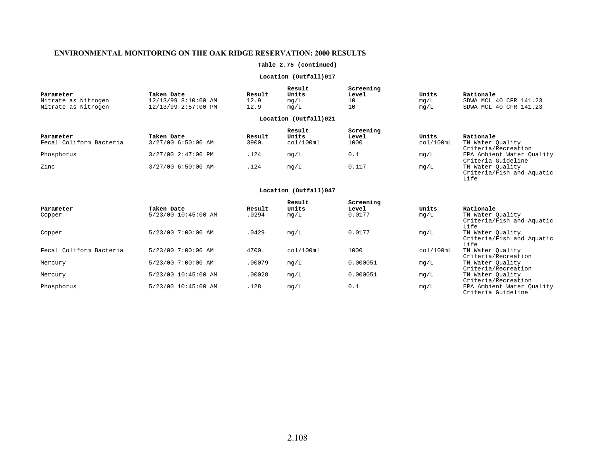#### **Table 2.75 (continued)**

#### **Location (Outfall)017**

| Parameter                                  | Taken Date                                 | Result       | Result<br>Units       | Screening<br>Level | Units        | Rationale                                        |
|--------------------------------------------|--------------------------------------------|--------------|-----------------------|--------------------|--------------|--------------------------------------------------|
| Nitrate as Nitrogen<br>Nitrate as Nitrogen | 12/13/99 8:10:00 AM<br>12/13/99 2:57:00 PM | 12.9<br>12.9 | mg/L<br>ma/L          | 10<br>10           | mq/L<br>mq/L | SDWA MCL 40 CFR 141.23<br>SDWA MCL 40 CFR 141.23 |
|                                            |                                            |              | Location (Outfall)021 |                    |              |                                                  |

| Parameter               | Taken Date         | Result | Result<br>Units | Screening<br>Level | Units     | Rationale                                       |
|-------------------------|--------------------|--------|-----------------|--------------------|-----------|-------------------------------------------------|
| Fecal Coliform Bacteria | 3/27/00 6:50:00 AM | 3900.  | col/100ml       | 1000               | col/100mL | TN Water Ouality<br>Criteria/Recreation         |
| Phosphorus              | 3/27/00 2:47:00 PM | .124   | mq/L            | 0.1                | mg/L      | EPA Ambient Water Ouality<br>Criteria Guideline |
| Zinc                    | 3/27/00 6:50:00 AM | .124   | mq/L            | 0.117              | mg/L      | TN Water Ouality<br>Criteria/Fish and Aquatic   |

#### **Location (Outfall)047**

Life

|                         |                     |        | Result    | Screening |           |                           |
|-------------------------|---------------------|--------|-----------|-----------|-----------|---------------------------|
| Parameter               | Taken Date          | Result | Units     | Level     | Units     | Rationale                 |
| Copper                  | 5/23/00 10:45:00 AM | .0294  | mg/L      | 0.0177    | mq/L      | TN Water Ouality          |
|                         |                     |        |           |           |           | Criteria/Fish and Aquatic |
|                         |                     |        |           |           |           | Life                      |
| Copper                  | 5/23/00 7:00:00 AM  | .0429  | mq/L      | 0.0177    | mg/L      | TN Water Ouality          |
|                         |                     |        |           |           |           | Criteria/Fish and Aquatic |
|                         |                     |        |           |           |           | Life                      |
| Fecal Coliform Bacteria | 5/23/00 7:00:00 AM  | 4700.  | col/100ml | 1000      | col/100mL | TN Water Ouality          |
|                         |                     |        |           |           |           | Criteria/Recreation       |
| Mercury                 | 5/23/00 7:00:00 AM  | .00079 | mg/L      | 0.000051  | mg/L      | TN Water Ouality          |
|                         |                     |        |           |           |           | Criteria/Recreation       |
| Mercury                 | 5/23/00 10:45:00 AM | .00028 | mq/L      | 0.000051  | mq/L      | TN Water Ouality          |
|                         |                     |        |           |           |           | Criteria/Recreation       |
| Phosphorus              | 5/23/00 10:45:00 AM | .128   | mg/L      | 0.1       | mg/L      | EPA Ambient Water Ouality |
|                         |                     |        |           |           |           | Criteria Guideline        |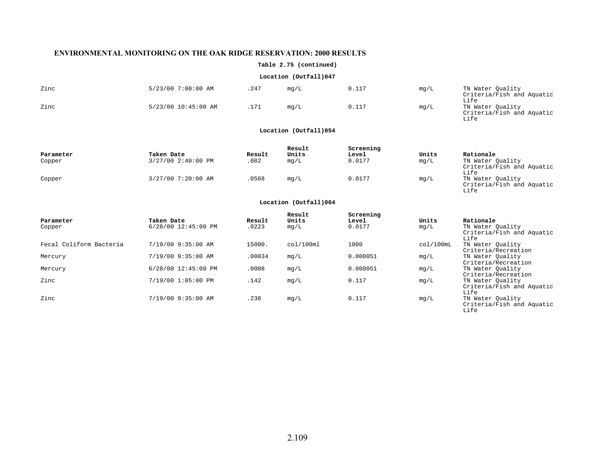#### **Table 2.75 (continued)**

#### **Location (Outfall)047**

| Zinc | 5/23/00 7:00:00 AM  | . 247 | mq/L | 0.117 | mg/L | TN Water Quality<br>Criteria/Fish and Aquatic                 |
|------|---------------------|-------|------|-------|------|---------------------------------------------------------------|
| Zinc | 5/23/00 10:45:00 AM |       | mq/L | 0.117 | mg/L | Life<br>TN Water Ouality<br>Criteria/Fish and Aquatic<br>Life |

#### **Location (Outfall)054**

|           |                    |        | Result | Screening |       |                           |
|-----------|--------------------|--------|--------|-----------|-------|---------------------------|
| Parameter | Taken Date         | Result | Units  | Level     | Units | Rationale                 |
| Copper    | 3/27/00 2:40:00 PM | 082    | mq/L   | 0.0177    | mg/L  | TN Water Ouality          |
|           |                    |        |        |           |       | Criteria/Fish and Aquatic |
|           |                    |        |        |           |       | Life                      |
| Copper    | 3/27/00 7:20:00 AM | 0568   | mg/L   | 0.0177    | mg/L  | TN Water Ouality          |
|           |                    |        |        |           |       | Criteria/Fish and Aquatic |

#### **Location (Outfall)064**

Life

Life

| Parameter               | Taken Date          | Result | Result<br>Units | Screening<br>Level | Units     | Rationale                                                      |
|-------------------------|---------------------|--------|-----------------|--------------------|-----------|----------------------------------------------------------------|
| Copper                  | 6/28/00 12:45:00 PM | .0223  | mg/L            | 0.0177             | mg/L      | TN Water Ouality<br>Criteria/Fish and Aquatic                  |
| Fecal Coliform Bacteria | 7/19/00 9:35:00 AM  | 15000. | col/100ml       | 1000               | col/100mL | Life<br>TN Water Ouality                                       |
|                         |                     |        |                 |                    |           | Criteria/Recreation                                            |
| Mercury                 | 7/19/00 9:35:00 AM  | .00034 | mq/L            | 0.000051           | mq/L      | TN Water Quality                                               |
| Mercury                 | 6/28/00 12:45:00 PM | .0008  | mg/L            | 0.000051           | mq/L      | Criteria/Recreation<br>TN Water Ouality<br>Criteria/Recreation |
| Zinc                    | 7/19/00 1:05:00 PM  | .142   | mg/L            | 0.117              | mg/L      | TN Water Ouality<br>Criteria/Fish and Aquatic                  |
| Zinc                    | 7/19/00 9:35:00 AM  | .238   | mg/L            | 0.117              | mg/L      | Life<br>TN Water Ouality<br>Criteria/Fish and Aquatic          |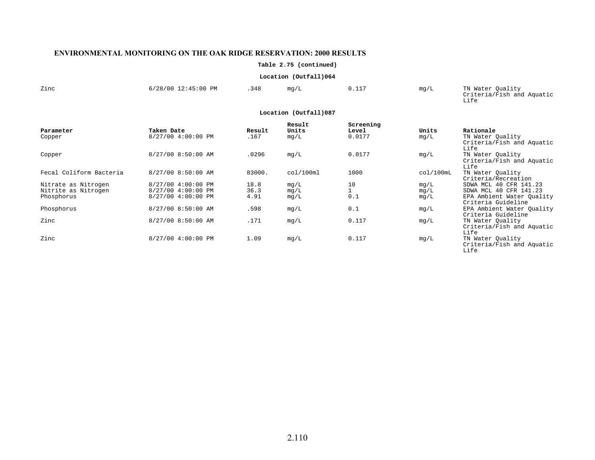**Table 2.75 (continued)**

#### **Location (Outfall)064**

| Zinc | 6/28/00 12:45:00 PM | .348 | mq/L                  | 0.117 | mq/L | TN Water Quality<br>Criteria/Fish and Aquatic<br>⊥ife |
|------|---------------------|------|-----------------------|-------|------|-------------------------------------------------------|
|      |                     |      | Location (Outfall)087 |       |      |                                                       |

#### **Location (Outfall)087**

|                         |                    |        | Result    | Screening |           |                                   |
|-------------------------|--------------------|--------|-----------|-----------|-----------|-----------------------------------|
| Parameter               | Taken Date         | Result | Units     | Level     | Units     | Rationale                         |
| Copper                  | 8/27/00 4:00:00 PM | .167   | mq/L      | 0.0177    | mq/L      | TN Water Quality                  |
|                         |                    |        |           |           |           | Criteria/Fish and Aquatic<br>Life |
| Copper                  | 8/27/00 8:50:00 AM | .0296  | mq/L      | 0.0177    | mg/L      | TN Water Ouality                  |
|                         |                    |        |           |           |           | Criteria/Fish and Aquatic<br>Life |
| Fecal Coliform Bacteria | 8/27/00 8:50:00 AM | 83000. | col/100ml | 1000      | col/100mL | TN Water Ouality                  |
|                         |                    |        |           |           |           | Criteria/Recreation               |
| Nitrate as Nitrogen     | 8/27/00 4:00:00 PM | 18.8   | mg/L      | 10        | mq/L      | SDWA MCL 40 CFR 141.23            |
| Nitrite as Nitrogen     | 8/27/00 4:00:00 PM | 36.3   | mg/L      |           | mq/L      | SDWA MCL 40 CFR 141.23            |
| Phosphorus              | 8/27/00 4:00:00 PM | 4.91   | mg/L      | 0.1       | mg/L      | EPA Ambient Water Ouality         |
|                         |                    |        |           |           |           | Criteria Guideline                |
| Phosphorus              | 8/27/00 8:50:00 AM | .598   | mg/L      | 0.1       | mg/L      | EPA Ambient Water Ouality         |
|                         |                    |        |           |           |           | Criteria Guideline                |
| Zinc                    | 8/27/00 8:50:00 AM | .171   | mg/L      | 0.117     | mg/L      | TN Water Ouality                  |
|                         |                    |        |           |           |           | Criteria/Fish and Aquatic         |
|                         |                    |        |           |           |           | Life                              |
| Zinc                    | 8/27/00 4:00:00 PM | 1.09   | mq/L      | 0.117     | mg/L      | TN Water Ouality                  |
|                         |                    |        |           |           |           | Criteria/Fish and Aquatic         |
|                         |                    |        |           |           |           | Life                              |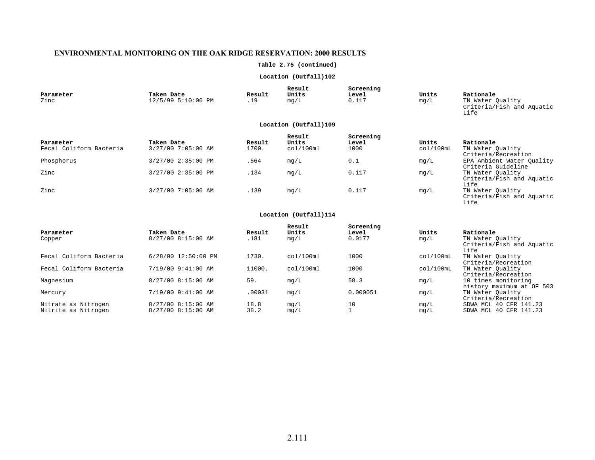## **Table 2.75 (continued)**

## **Location (Outfall)102**

| Parameter<br>Zinc                    | Taken Date<br>12/5/99 5:10:00 PM | Result<br>.19   | Result<br>Units<br>mg/L      | Screening<br>Level<br>0.117 | Units<br>mg/L      | Rationale<br>TN Water Quality<br>Criteria/Fish and Aquatic<br>Life |  |  |  |
|--------------------------------------|----------------------------------|-----------------|------------------------------|-----------------------------|--------------------|--------------------------------------------------------------------|--|--|--|
| Location (Outfall)109                |                                  |                 |                              |                             |                    |                                                                    |  |  |  |
| Parameter<br>Fecal Coliform Bacteria | Taken Date<br>3/27/00 7:05:00 AM | Result<br>1700. | Result<br>Units<br>col/100ml | Screening<br>Level<br>1000  | Units<br>col/100mL | Rationale<br>TN Water Ouality<br>Criteria/Recreation               |  |  |  |
| Phosphorus                           | 3/27/00 2:35:00 PM               | .564            | mg/L                         | 0.1                         | mg/L               | EPA Ambient Water Ouality<br>Criteria Guideline                    |  |  |  |
| Zinc                                 | 3/27/00 2:35:00 PM               | .134            | mg/L                         | 0.117                       | mg/L               | TN Water Quality<br>Criteria/Fish and Aquatic<br>Life              |  |  |  |
| Zinc                                 | 3/27/00 7:05:00 AM               | .139            | mq/L                         | 0.117                       | mg/L               | TN Water Ouality                                                   |  |  |  |

#### **Location (Outfall)114**

Criteria/Fish and Aquatic Life

| Parameter<br>Copper                        | Taken Date<br>8/27/00 8:15:00 AM         | Result<br>.181 | Result<br>Units<br>mq/L | Screening<br>Level<br>0.0177 | Units<br>mg/L | Rationale<br>TN Water Quality<br>Criteria/Fish and Aquatic              |
|--------------------------------------------|------------------------------------------|----------------|-------------------------|------------------------------|---------------|-------------------------------------------------------------------------|
| Fecal Coliform Bacteria                    | 6/28/00 12:50:00 PM                      | 1730.          | col/100ml               | 1000                         | col/100mL     | Life<br>TN Water Ouality<br>Criteria/Recreation                         |
| Fecal Coliform Bacteria                    | 7/19/00 9:41:00 AM                       | 11000.         | col/100ml               | 1000                         | col/100mL     | TN Water Ouality                                                        |
| Magnesium                                  | 8/27/00 8:15:00 AM                       | 59.            | mq/L                    | 58.3                         | mg/L          | Criteria/Recreation<br>10 times monitoring<br>history maximum at OF 503 |
| Mercury                                    | 7/19/00 9:41:00 AM                       | .00031         | mq/L                    | 0.000051                     | mq/L          | TN Water Quality                                                        |
| Nitrate as Nitrogen<br>Nitrite as Nitrogen | 8/27/00 8:15:00 AM<br>8/27/00 8:15:00 AM | 18.8<br>38.2   | mg/L<br>mq/L            | 10                           | mq/L<br>mq/L  | Criteria/Recreation<br>SDWA MCL 40 CFR 141.23<br>SDWA MCL 40 CFR 141.23 |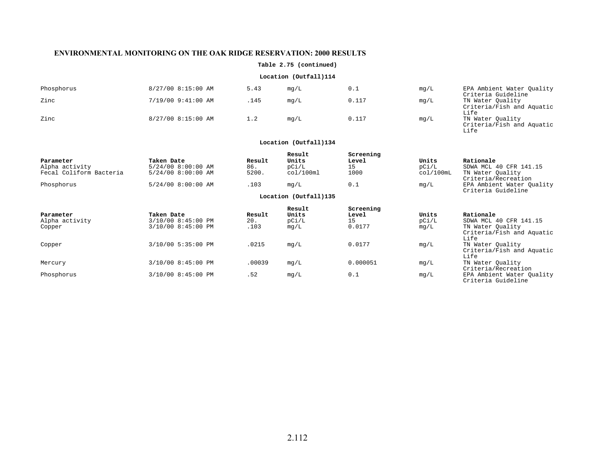## **Table 2.75 (continued)**

## **Location (Outfall)114**

| Phosphorus | 8/27/00 8:15:00 AM | 5.43 | mq/L | 0.1   | mq/L | EPA Ambient Water Ouality<br>Criteria Guideline       |
|------------|--------------------|------|------|-------|------|-------------------------------------------------------|
| Zinc       | 7/19/00 9:41:00 AM | .145 | mq/L | 0.117 | mg/L | TN Water Ouality<br>Criteria/Fish and Aquatic<br>Life |
| Zinc       | 8/27/00 8:15:00 AM |      | mq/L | 0.117 | mg/L | TN Water Quality<br>Criteria/Fish and Aquatic<br>Life |

| Parameter               | Taken Date         | Result | Result<br>Units       | Screening<br>Level | Units     | Rationale                                             |
|-------------------------|--------------------|--------|-----------------------|--------------------|-----------|-------------------------------------------------------|
| Alpha activity          | 5/24/00 8:00:00 AM | 86.    | pCi/L                 | 15                 | pCi/L     | SDWA MCL 40 CFR 141.15                                |
| Fecal Coliform Bacteria | 5/24/00 8:00:00 AM | 5200.  | col/100ml             | 1000               | col/100mL | TN Water Quality<br>Criteria/Recreation               |
| Phosphorus              | 5/24/00 8:00:00 AM | .103   | mg/L                  | 0.1                | mg/L      | EPA Ambient Water Ouality<br>Criteria Guideline       |
|                         |                    |        | Location (Outfall)135 |                    |           |                                                       |
|                         |                    |        | Result                | Screening          |           |                                                       |
| Parameter               | Taken Date         | Result | Units                 | Level              | Units     | Rationale                                             |
| Alpha activity          | 3/10/00 8:45:00 PM | 20.    | pCi/L                 | 15                 | pCi/L     | SDWA MCL 40 CFR 141.15                                |
| Copper                  | 3/10/00 8:45:00 PM | .103   | mq/L                  | 0.0177             | mq/L      | TN Water Ouality<br>Criteria/Fish and Aquatic<br>Life |
| Copper                  | 3/10/00 5:35:00 PM | .0215  | mq/L                  | 0.0177             | mq/L      | TN Water Ouality<br>Criteria/Fish and Aquatic<br>Life |
| Mercury                 | 3/10/00 8:45:00 PM | .00039 | mg/L                  | 0.000051           | mg/L      | TN Water Ouality<br>Criteria/Recreation               |
| Phosphorus              | 3/10/00 8:45:00 PM | .52    | mg/L                  | 0.1                | mg/L      | EPA Ambient Water Ouality<br>Criteria Guideline       |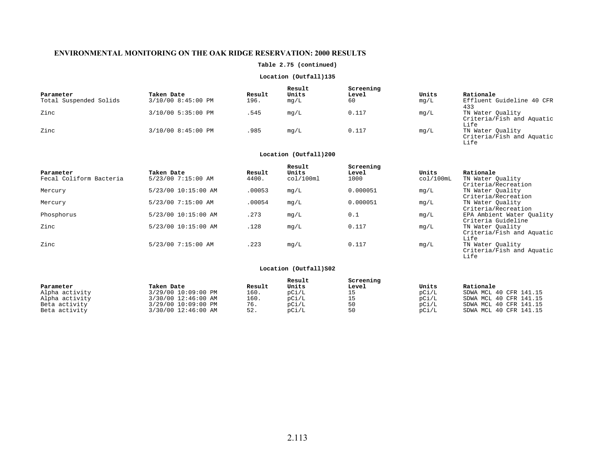## **Table 2.75 (continued)**

## **Location (Outfall)135**

| Parameter<br>Total Suspended Solids | Taken Date<br>3/10/00 8:45:00 PM | Result<br>196. | Result<br>Units<br>mq/L | Screening<br><b>Level</b><br>60 | Units<br>mg/L | Rationale<br>Effluent Guideline 40 CFR                |
|-------------------------------------|----------------------------------|----------------|-------------------------|---------------------------------|---------------|-------------------------------------------------------|
| Zinc                                | 3/10/00 5:35:00 PM               | . 545          | mq/L                    | 0.117                           | mq/L          | 433<br>TN Water Ouality<br>Criteria/Fish and Aquatic  |
| Zinc                                | 3/10/00 8:45:00 PM               | .985           | mq/L                    | 0.117                           | mg/L          | Life<br>TN Water Quality<br>Criteria/Fish and Aquatic |

## **Location (Outfall)200**

Life

| Parameter<br>Fecal Coliform Bacteria | Taken Date<br>5/23/00 7:15:00 AM | Result<br>4400. | Result<br>Units<br>col/100ml | Screening<br>Level<br>1000 | Units<br>col/100mL | Rationale<br>TN Water Quality                                          |
|--------------------------------------|----------------------------------|-----------------|------------------------------|----------------------------|--------------------|------------------------------------------------------------------------|
|                                      |                                  |                 |                              |                            |                    | Criteria/Recreation                                                    |
| Mercury                              | 5/23/00 10:15:00 AM              | .00053          | mq/L                         | 0.000051                   | mg/L               | TN Water Ouality<br>Criteria/Recreation                                |
| Mercury                              | 5/23/00 7:15:00 AM               | .00054          | mq/L                         | 0.000051                   | mq/L               | TN Water Ouality                                                       |
| Phosphorus                           | 5/23/00 10:15:00 AM              | .273            | mg/L                         | 0.1                        | mg/L               | Criteria/Recreation<br>EPA Ambient Water Ouality<br>Criteria Guideline |
| Zinc                                 | 5/23/00 10:15:00 AM              | .128            | mg/L                         | 0.117                      | mg/L               | TN Water Ouality<br>Criteria/Fish and Aquatic<br>Life                  |
| Zinc                                 | 5/23/00 7:15:00 AM               | .223            | mq/L                         | 0.117                      | mg/L               | TN Water Ouality<br>Criteria/Fish and Aquatic<br>Life                  |

|                |                     |        | Result | Screening |       |                        |
|----------------|---------------------|--------|--------|-----------|-------|------------------------|
| Parameter      | Taken Date          | Result | Units  | Level     | Units | Rationale              |
| Alpha activity | 3/29/00 10:09:00 PM | 160.   | pci/L  |           | pCi/L | SDWA MCL 40 CFR 141.15 |
| Alpha activity | 3/30/00 12:46:00 AM | 160.   | pCi/L  |           | pCi/L | SDWA MCL 40 CFR 141.15 |
| Beta activity  | 3/29/00 10:09:00 PM | 76.    | pCi/L  | 50        | pCi/L | SDWA MCL 40 CFR 141.15 |
| Beta activity  | 3/30/00 12:46:00 AM | 52.    | pCi/L  | 50        | pci/L | SDWA MCL 40 CFR 141.15 |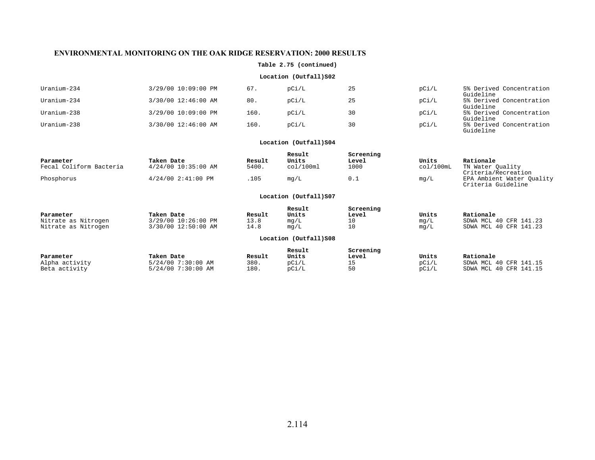## **Table 2.75 (continued)**

## **Location (Outfall)S02**

| Uranium-234 | 3/29/00 10:09:00 PM | 67.  | pCi/L | 25 | pCi/L | 5% Derived Concentration<br>Guideline |
|-------------|---------------------|------|-------|----|-------|---------------------------------------|
| Uranium-234 | 3/30/00 12:46:00 AM | 80.  | pCi/L | 25 | pCi/L | 5% Derived Concentration<br>Guideline |
| Uranium-238 | 3/29/00 10:09:00 PM | 160. | pCi/L | 30 | pCi/L | 5% Derived Concentration<br>Guideline |
| Uranium-238 | 3/30/00 12:46:00 AM | 160. | pCi/L | 30 | pCi/L | 5% Derived Concentration<br>Guideline |

## **Location (Outfall)S04**

| Parameter<br>Fecal Coliform Bacteria | Taken Date<br>$4/24/00$ 10:35:00 AM | Result | Result<br>Units<br>col/100ml | Screening<br>Level | Units<br>col/100mL | Rationale                                       |
|--------------------------------------|-------------------------------------|--------|------------------------------|--------------------|--------------------|-------------------------------------------------|
|                                      |                                     | 5400.  |                              | 1000               |                    | TN Water Ouality<br>Criteria/Recreation         |
| Phosphorus                           | $4/24/00$ 2:41:00 PM                | .105   | mq/L                         | 0.1                | mq/L               | EPA Ambient Water Ouality<br>Criteria Guideline |

| Parameter           | Taken Date          | Result | Result<br>Units       | Screening<br>Level | Units | Rationale              |
|---------------------|---------------------|--------|-----------------------|--------------------|-------|------------------------|
| Nitrate as Nitrogen | 3/29/00 10:26:00 PM | 13.8   | mq/L                  | $\pm 0$            | mg/L  | SDWA MCL 40 CFR 141.23 |
| Nitrate as Nitrogen | 3/30/00 12:50:00 AM | 14.8   | mq/L                  | 10                 | mq/L  | SDWA MCL 40 CFR 141.23 |
|                     |                     |        | Location (Outfall)S08 |                    |       |                        |

| Parameter      | Taken Date         | Result | Result<br>Units | Screening<br>Level | Units | Rationale              |
|----------------|--------------------|--------|-----------------|--------------------|-------|------------------------|
| Alpha activity | 5/24/00 7:30:00 AM | 380.   | pCi/L           | ᅩ                  | pCi/L | SDWA MCL 40 CFR 141.15 |
| Beta activity  | 5/24/00 7:30:00 AM | 180.   | pCi/L           | 50                 | pCi/L | SDWA MCL 40 CFR 141.15 |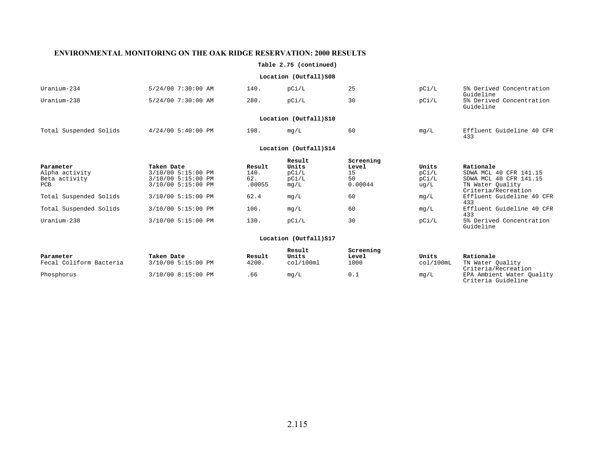## **Table 2.75 (continued)**

## **Location (Outfall)S08**

| Uranium-234            | 5/24/00 7:30:00 AM     | 140. | pCi/L | 25 | pCi/L | 5% Derived Concentration<br>Guideline |  |  |  |  |
|------------------------|------------------------|------|-------|----|-------|---------------------------------------|--|--|--|--|
| Uranium-238            | 5/24/00 7:30:00 AM     | 280. | pCi/L | 30 | pCi/L | 5% Derived Concentration<br>Guideline |  |  |  |  |
|                        | Location (Outfall) S10 |      |       |    |       |                                       |  |  |  |  |
| Total Suspended Solids | $4/24/00$ 5:40:00 PM   | 198. | mg/L  | 60 | mg/L  | Effluent Guideline 40 CFR<br>433      |  |  |  |  |

## Location (Outfall) S14

|                        |                    |        | Result | Screening |       |                           |
|------------------------|--------------------|--------|--------|-----------|-------|---------------------------|
| Parameter              | Taken Date         | Result | Units  | Level     | Units | Rationale                 |
| Alpha activity         | 3/10/00 5:15:00 PM | 140.   | pCi/L  | 15        | pCi/L | SDWA MCL 40 CFR 141.15    |
| Beta activity          | 3/10/00 5:15:00 PM | 62.    | pCi/L  | 50        | pCi/L | SDWA MCL 40 CFR 141.15    |
| PCB                    | 3/10/00 5:15:00 PM | .00055 | mq/L   | 0.00044   | uq/L  | TN Water Ouality          |
|                        |                    |        |        |           |       | Criteria/Recreation       |
| Total Suspended Solids | 3/10/00 5:15:00 PM | 62.4   | mq/L   | 60        | mg/L  | Effluent Guideline 40 CFR |
|                        |                    |        |        |           |       | 433                       |
| Total Suspended Solids | 3/10/00 5:15:00 PM | 106.   | mq/L   | 60        | mg/L  | Effluent Guideline 40 CFR |
|                        |                    |        |        |           |       | 433                       |
| Uranium-238            | 3/10/00 5:15:00 PM | 130.   | pCi/L  | 30        | pCi/L | 5% Derived Concentration  |
|                        |                    |        |        |           |       | Guideline                 |

| Parameter<br>Fecal Coliform Bacteria | Taken Date<br>3/10/00 5:15:00 PM | Result<br>4200. | Result<br>Units<br>col/100ml | Screening<br>Level<br>1000 | Units<br>col/100mL | Rationale<br>TN Water Ouality                                          |
|--------------------------------------|----------------------------------|-----------------|------------------------------|----------------------------|--------------------|------------------------------------------------------------------------|
| Phosphorus                           | 3/10/00 8:15:00 PM               | . 66            | mq/L                         | 0.1                        | mg/L               | Criteria/Recreation<br>EPA Ambient Water Ouality<br>Criteria Guideline |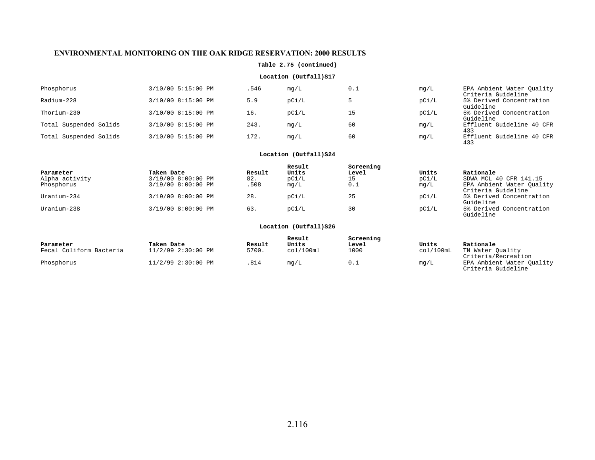## **Table 2.75 (continued)**

## **Location (Outfall)S17**

| Phosphorus             | 3/10/00 5:15:00 PM | .546 | mq/L  | 0.1 | mg/L  | EPA Ambient Water Ouality<br>Criteria Guideline |
|------------------------|--------------------|------|-------|-----|-------|-------------------------------------------------|
| Radium-228             | 3/10/00 8:15:00 PM | 5.9  | pCi/L |     | pCi/L | 5% Derived Concentration<br>Guideline           |
| Thorium-230            | 3/10/00 8:15:00 PM | 16.  | pCi/L | 15  | pCi/L | 5% Derived Concentration<br>Guideline           |
| Total Suspended Solids | 3/10/00 8:15:00 PM | 243. | mq/L  | 60  | mq/L  | Effluent Guideline 40 CFR<br>433                |
| Total Suspended Solids | 3/10/00 5:15:00 PM | 172. | mq/L  | 60  | mg/L  | Effluent Guideline 40 CFR<br>433                |

## **Location (Outfall)S24**

|                |                    |        | Result | Screening |       |                                                 |
|----------------|--------------------|--------|--------|-----------|-------|-------------------------------------------------|
| Parameter      | Taken Date         | Result | Units  | Level     | Units | Rationale                                       |
| Alpha activity | 3/19/00 8:00:00 PM | 82.    | pCi/L  |           | pCi/L | SDWA MCL 40 CFR 141.15                          |
| Phosphorus     | 3/19/00 8:00:00 PM | 508.   | mg/L   | 0.1       | mg/L  | EPA Ambient Water Quality<br>Criteria Guideline |
| Uranium-234    | 3/19/00 8:00:00 PM | 28.    | pCi/L  | 25        | pCi/L | 5% Derived Concentration<br>Guideline           |
| Uranium-238    | 3/19/00 8:00:00 PM | 63.    | pCi/L  | 30        | pCi/L | 5% Derived Concentration<br>Guideline           |

| Parameter               | Taken Date         | Result | Result<br>Units | Screening<br>Level | Units     | Rationale                                       |
|-------------------------|--------------------|--------|-----------------|--------------------|-----------|-------------------------------------------------|
| Fecal Coliform Bacteria | 11/2/99 2:30:00 PM | 5700.  | col/100ml       | 1000               | col/100mL | TN Water Ouality<br>Criteria/Recreation         |
| Phosphorus              | 11/2/99 2:30:00 PM | .814   | mq/L            | 0.1                | mg/L      | EPA Ambient Water Ouality<br>Criteria Guideline |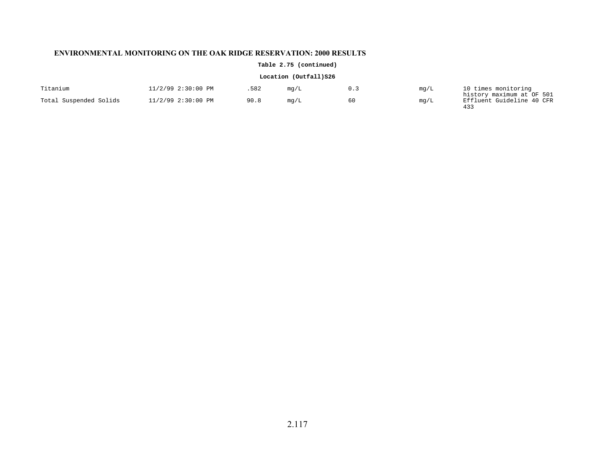## **Table 2.75 (continued)**

| Titanium               | 11/2/99 2:30:00 PM | 582  | mg/L | mg/L | 10 times monitoring                                    |
|------------------------|--------------------|------|------|------|--------------------------------------------------------|
| Total Suspended Solids | 11/2/99 2:30:00 PM | 90.8 | mg/L | mg/L | history maximum at OF 501<br>Effluent Guideline 40 CFR |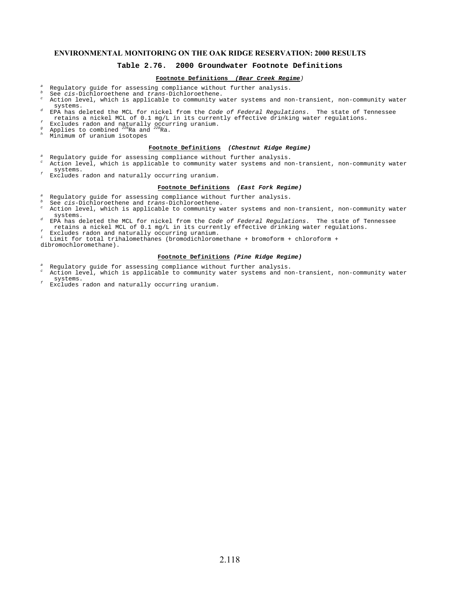## **Table 2.76. 2000 Groundwater Footnote Definitions**

## **Footnote Definitions (Bear Creek Regime**)

- a A Regulatory guide for assessing compliance without further analysis.<br>
See cis-Dichloroethene and trans-Dichloroethene.<br>
See cis-Dichloroethene and trans-Dichloroethene and the actions and the b
- 
- $\degree$  Action level, which is applicable to community water systems and non-transient, non-community water systems.
- EPA has deleted the MCL for nickel from the Code of Federal Regulations. The state of Tennessee retains a nickel MCL of 0.1 mg/L in its currently effective drinking water regulations.
- Excludes radon and naturally occurring uranium.<br>  $\frac{q}{r}$  Applies to combined <sup>228</sup>Ra and <sup>228</sup>Ra.<br>
A Minimum of uranium isotatand
- g
- h Minimum of uranium isotopes

dibromochloromethane).

#### **Footnote Definitions (Chestnut Ridge Regime)**

- a Regulatory guide for assessing compliance without further analysis. c Action level, which is applicable to community water systems and non-transient, non-community water
- systems. Excludes radon and naturally occurring uranium.

#### **Footnote Definitions (East Fork Regime)**

- a Regulatory guide for assessing compliance without further analysis.
- b
- $^\mathrm{\tiny b}$  See *cis-*Dichloroethene and *trans-*Dichloroethene.<br> $^\mathrm{\tiny c}$  Action level, which is applicable to community water systems and non-transient, non-community water systems.
- EPA has deleted the MCL for nickel from the Code of Federal Regulations. The state of Tennessee retains a nickel MCL of 0.1 mg/L in its currently effective drinking water regulations.<br>
Excludes radon and naturally occurring uranium.
- 

i Limit for total trihalomethanes (bromodichloromethane + bromoform + chloroform +

#### **Footnote Definitions (Pine Ridge Regime)**

- a Regulatory guide for assessing compliance without further analysis.
- c Action level, which is applicable to community water systems and non-transient, non-community water systems.
- Excludes radon and naturally occurring uranium.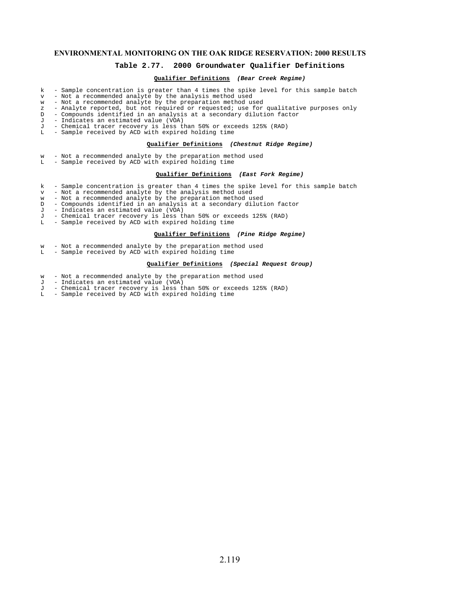## **Table 2.77. 2000 Groundwater Qualifier Definitions**

## **Qualifier Definitions (Bear Creek Regime)**

- $k$  Sample concentration is greater than 4 times the spike level for this sample batch<br> $v = Not a recommended analytic by the analysis method used$
- 
- v Not a recommended analyte by the analysis method used w Not a recommended analyte by the preparation method used
- z Analyte reported, but not required or requested; use for qualitative purposes only D Compounds identified in an analysis at a secondary dilution factor
- 
- J Indicates an estimated value (VOA)
- J Chemical tracer recovery is less than 50% or exceeds 125% (RAD) L Sample received by ACD with expired holding time
- 

## **Qualifier Definitions (Chestnut Ridge Regime)**

- w Not a recommended analyte by the preparation method used<br>L Sample received by ACD with expired holding time
- Sample received by ACD with expired holding time

#### **Qualifier Definitions (East Fork Regime)**

- k Sample concentration is greater than 4 times the spike level for this sample batch
- v Not a recommended analyte by the analysis method used w Not a recommended analyte by the preparation method used
- 
- D Compounds identified in an analysis at a secondary dilution factor  $J$  Indicates an estimated value (VOA)
- J Indicates an estimated value (VOA)
- J Chemical tracer recovery is less than 50% or exceeds 125% (RAD)
	- Sample received by ACD with expired holding time

## **Qualifier Definitions (Pine Ridge Regime)**

- w Not a recommended analyte by the preparation method used
- L Sample received by ACD with expired holding time

## **Qualifier Definitions (Special Request Group)**

- w Not a recommended analyte by the preparation method used  $J In$  diates an estimated value (VOA)
- Indicates an estimated value (VOA)
- J Chemical tracer recovery is less than 50% or exceeds 125% (RAD)
- L Sample received by ACD with expired holding time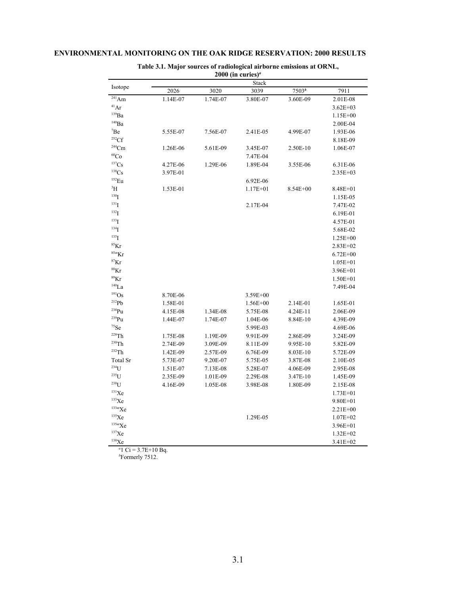| 2000 (in curies) <sup><math>a</math></sup> |          |          |              |              |              |  |  |  |  |  |  |  |
|--------------------------------------------|----------|----------|--------------|--------------|--------------|--|--|--|--|--|--|--|
|                                            | Stack    |          |              |              |              |  |  |  |  |  |  |  |
| Isotope                                    | 2026     | 3020     | 3039         | $7503^{b}$   | 7911         |  |  |  |  |  |  |  |
| $\frac{241}{\text{Am}}$                    | 1.14E-07 | 1.74E-07 | 3.80E-07     | 3.60E-09     | 2.01E-08     |  |  |  |  |  |  |  |
| 41Ar                                       |          |          |              |              | $3.62E + 03$ |  |  |  |  |  |  |  |
| $^{139}Ba$                                 |          |          |              |              | $1.15E + 00$ |  |  |  |  |  |  |  |
| $140$ Ba                                   |          |          |              |              | 2.00E-04     |  |  |  |  |  |  |  |
| $\mathrm{^7Be}$                            | 5.55E-07 | 7.56E-07 | 2.41E-05     | 4.99E-07     | 1.93E-06     |  |  |  |  |  |  |  |
| 252 <sub>CF</sub>                          |          |          |              |              | 8.18E-09     |  |  |  |  |  |  |  |
| $244$ Cm                                   | 1.26E-06 | 5.61E-09 | 3.45E-07     | 2.50E-10     | 1.06E-07     |  |  |  |  |  |  |  |
| ${}^{60}Co$                                |          |          | 7.47E-04     |              |              |  |  |  |  |  |  |  |
| $^{137}Cs$                                 | 4.27E-06 | 1.29E-06 | 1.89E-04     | 3.55E-06     | 6.31E-06     |  |  |  |  |  |  |  |
| ${}^{138}\mathrm{Cs}$                      | 3.97E-01 |          |              |              | 2.35E+03     |  |  |  |  |  |  |  |
| $152$ Eu                                   |          |          | 6.92E-06     |              |              |  |  |  |  |  |  |  |
| <sup>3</sup> H                             | 1.53E-01 |          | $1.17E + 01$ | $8.54E + 00$ | 8.48E+01     |  |  |  |  |  |  |  |
| 130 <sub>I</sub>                           |          |          |              |              | 1.15E-05     |  |  |  |  |  |  |  |
| $^{131}$ I                                 |          |          | 2.17E-04     |              | 7.47E-02     |  |  |  |  |  |  |  |
| $^{132}$ I                                 |          |          |              |              | 6.19E-01     |  |  |  |  |  |  |  |
| $133$ <sup>T</sup>                         |          |          |              |              | 4.57E-01     |  |  |  |  |  |  |  |
| $134$ <sup>T</sup>                         |          |          |              |              | 5.68E-02     |  |  |  |  |  |  |  |
| $^{135}I$                                  |          |          |              |              | $1.25E + 00$ |  |  |  |  |  |  |  |
| ${}^{85}Kr$                                |          |          |              |              | $2.83E + 02$ |  |  |  |  |  |  |  |
| $85m$ Kr                                   |          |          |              |              | $6.72E + 00$ |  |  |  |  |  |  |  |
| ${}^{87}Kr$                                |          |          |              |              | $1.05E + 01$ |  |  |  |  |  |  |  |
| $88$ Kr                                    |          |          |              |              | $3.96E + 01$ |  |  |  |  |  |  |  |
| $^{89}\mathrm{Kr}$                         |          |          |              |              | $1.50E + 01$ |  |  |  |  |  |  |  |
| $^{140}\mbox{La}$                          |          |          |              |              | 7.49E-04     |  |  |  |  |  |  |  |
| $^{191}\mathrm{Os}$                        | 8.70E-06 |          | 3.59E+00     |              |              |  |  |  |  |  |  |  |
| $^{212}Pb$                                 | 1.58E-01 |          | $1.56E + 00$ | 2.14E-01     | 1.65E-01     |  |  |  |  |  |  |  |
| $^{238}Pu$                                 | 4.15E-08 | 1.34E-08 | 5.75E-08     | 4.24E-11     | 2.06E-09     |  |  |  |  |  |  |  |
| $^{239}Pu$                                 | 1.44E-07 | 1.74E-07 | 1.04E-06     | 8.84E-10     | 4.39E-09     |  |  |  |  |  |  |  |
| $^{75}$ Se                                 |          |          | 5.99E-03     |              | 4.69E-06     |  |  |  |  |  |  |  |
| $228$ Th                                   | 1.75E-08 | 1.19E-09 | 9.91E-09     | 2.86E-09     | 3.24E-09     |  |  |  |  |  |  |  |
| $230$ Th                                   | 2.74E-09 | 3.09E-09 | 8.11E-09     | 9.95E-10     | 5.82E-09     |  |  |  |  |  |  |  |
| $232$ Th                                   | 1.42E-09 | 2.57E-09 | 6.76E-09     | 8.03E-10     | 5.72E-09     |  |  |  |  |  |  |  |
| Total Sr                                   | 5.73E-07 | 9.20E-07 | 5.75E-05     | 3.87E-08     | 2.10E-05     |  |  |  |  |  |  |  |
| $234$ U                                    | 1.51E-07 | 7.13E-08 | 5.28E-07     | 4.06E-09     | 2.95E-08     |  |  |  |  |  |  |  |
| $235$ [ J                                  | 2.35E-09 | 1.01E-09 | 2.29E-08     | 3.47E-10     | 1.45E-09     |  |  |  |  |  |  |  |
| $238$ [ J                                  | 4.16E-09 | 1.05E-08 | 3.98E-08     | 1.80E-09     | 2.15E-08     |  |  |  |  |  |  |  |
| $131$ Xe                                   |          |          |              |              | $1.73E + 01$ |  |  |  |  |  |  |  |
| $^{133}\mathrm{Xe}$                        |          |          |              |              | $9.80E + 01$ |  |  |  |  |  |  |  |
| 133mXe                                     |          |          |              |              | $2.21E + 00$ |  |  |  |  |  |  |  |
| $^{135}\mathrm{Xe}$                        |          |          | 1.29E-05     |              | $1.07E + 02$ |  |  |  |  |  |  |  |
| 135mXe                                     |          |          |              |              | $3.96E + 01$ |  |  |  |  |  |  |  |
| 137Xe                                      |          |          |              |              | $1.32E + 02$ |  |  |  |  |  |  |  |
| ${}^{138}\mathrm{Xe}$                      |          |          |              |              | $3.41E + 02$ |  |  |  |  |  |  |  |

# **Table 3.1. Major sources of radiological airborne emissions at ORNL,**

 $a_1$  Ci = 3.7E+10 Bq.

*<sup>b</sup>* Formerly 7512.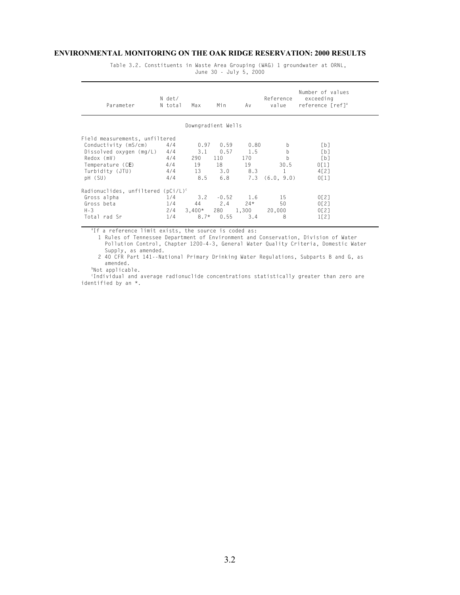Table 3.2. Constituents in Waste Area Grouping (WAG) 1 groundwater at ORNL, June 30 - July 5, 2000

| Parameter                            | N det/<br>N total | Max                | Min     | Av    | Reference<br>value | Number of values<br>exceeding<br>reference [ref] <sup>ª</sup> |  |  |  |
|--------------------------------------|-------------------|--------------------|---------|-------|--------------------|---------------------------------------------------------------|--|--|--|
| Downgradient Wells                   |                   |                    |         |       |                    |                                                               |  |  |  |
| Field measurements, unfiltered       |                   |                    |         |       |                    |                                                               |  |  |  |
| Conductivity (mS/cm)                 | 4/4               | 0.97               | 0.59    | 0.80  | b                  | [b]                                                           |  |  |  |
| Dissolved oxygen (mg/L)              | 4/4               | 3.1                | 0.57    | 1.5   | b                  | [b]                                                           |  |  |  |
| Redox (mV)                           | 4/4               | 290                | 110     | 170   | b                  | [b]                                                           |  |  |  |
| Temperature (CE)                     | 4/4               | 19                 | 18      | 19    | 30.5               | 0[1]                                                          |  |  |  |
| Turbidity (JTU)                      | 4/4               | 13                 | 3.0     | 8.3   |                    | 4[2]                                                          |  |  |  |
| pH (SU)                              | 4/4               | 8.5                | 6.8     | 7.3   | (6.0, 9.0)         | 0[1]                                                          |  |  |  |
| $Radionuclides, unfiltered (pCi/L)c$ |                   |                    |         |       |                    |                                                               |  |  |  |
| Gross alpha                          | 1/4               | 3.2                | $-0.52$ | 1.6   | 15                 | 0[2]                                                          |  |  |  |
| Gross beta                           | 1/4               | 44                 | 2.4     | $24*$ | 50                 | 0[2]                                                          |  |  |  |
| $H - 3$                              | 2/4               | $3,400*$ 280 1,300 |         |       | 20,000             | 0[2]                                                          |  |  |  |
| Total rad Sr                         | 1/4               | $8.7*$             | 0.55    | 3.4   | 8                  | 1[2]                                                          |  |  |  |

<sup>a</sup>If a reference limit exists, the source is coded as:

1 Rules of Tennessee Department of Environment and Conservation, Division of Water Pollution Control, Chapter 1200-4-3, General Water Quality Criteria, Domestic Water Supply, as amended.

2 40 CFR Part 141--National Primary Drinking Water Regulations, Subparts B and G, as amended.

bNot applicable.

c Individual and average radionuclide concentrations statistically greater than zero are identified by an \*.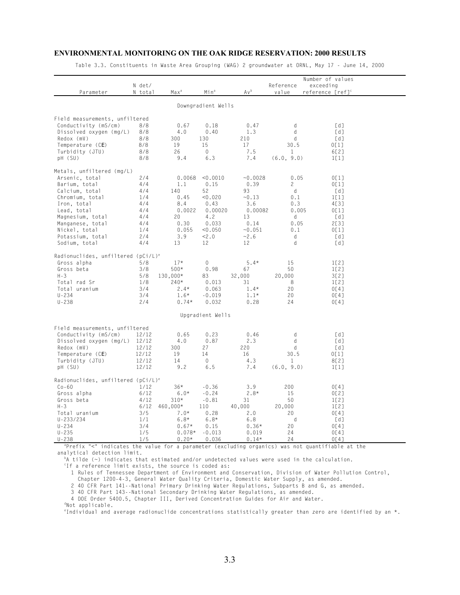Table 3.3. Constituents in Waste Area Grouping (WAG) 2 groundwater at ORNL, May 17 - June 14, 2000

| Parameter                                      | N det/<br>N total | Max <sup>a</sup>    | Min <sup>a</sup>   | Avb              | Reference<br>value   | Number of values<br>exceeding<br>reference [ref] <sup>c</sup> |  |
|------------------------------------------------|-------------------|---------------------|--------------------|------------------|----------------------|---------------------------------------------------------------|--|
|                                                |                   |                     | Downgradient Wells |                  |                      |                                                               |  |
| Field measurements, unfiltered                 |                   |                     |                    |                  |                      |                                                               |  |
| Conductivity (mS/cm)                           | 8/8               | 0.67                | 0.18               | 0.47             | d                    | [d]                                                           |  |
| Dissolved oxygen (mg/L)                        | 8/8               | 4.0                 | 0.40               | 1.3              | d                    | [d]                                                           |  |
| Redox (mV)                                     | 8/8               | 300                 | 130                | 210              | d                    | [d]                                                           |  |
| Temperature (CE)                               | 8/8               | 19                  | 15                 | 17               | 30.5                 | 0[1]                                                          |  |
| Turbidity (JTU)                                | 8/8               | 26                  | 0                  | 7.5              | $\mathbf{1}$         | 6[2]                                                          |  |
| pH (SU)                                        | 8/8               | 9.4                 | 6.3                | 7.4              | (6.0, 9.0)           | 1[1]                                                          |  |
| Metals, unfiltered (mg/L)                      |                   |                     |                    |                  |                      |                                                               |  |
| Arsenic, total                                 | 2/4               | 0.0068              | < 0.0010           | $-0.0028$        | 0.05                 | 0[1]                                                          |  |
| Barium, total                                  | 4/4               | 1.1                 | 0.15               | 0.39             | $\mathbf{2}^{\circ}$ | 0[1]                                                          |  |
| Calcium, total                                 | 4/4               | 140                 | 52                 | 93               | d                    | [d]                                                           |  |
| Chromium, total                                | 1/4               | 0.45                | < 0.020            | $-0.13$          | 0.1                  | 1[1]                                                          |  |
| Iron, total                                    | 4/4               | 8.4                 | 0.43               | 3.6              | 0.3                  | 4[3]                                                          |  |
| Lead, total                                    | 4/4               | 0.0022              | 0.00020            | 0.00082          | 0.005                | 0[1]                                                          |  |
| Magnesium, total                               | 4/4               | 20                  | 4.2                | 13               | d                    | [d]                                                           |  |
| Manganese, total                               | 4/4               | 0.30                | 0.033              | 0.14             | 0.05                 | 2[3]                                                          |  |
| Nickel, total                                  | 1/4               | 0.055               | < 0.050            | ~10.051          | 0.1                  | 0[1]                                                          |  |
| Potassium, total                               | 2/4               | 3.9                 | 2.0                | ~2.6             | d                    | [d]                                                           |  |
| Sodium, total                                  | 4/4               | 13                  | 12                 | 12               | d                    | [d]                                                           |  |
| Radionuclides, unfiltered (pCi/L) <sup>e</sup> |                   |                     |                    |                  |                      |                                                               |  |
| Gross alpha                                    | 5/8               | $17*$               | 0                  | $5.4*$           | 15                   | 1[2]                                                          |  |
| Gross beta                                     | 3/8               | $500*$              | 0.98               | 67               | 50                   | 1[2]                                                          |  |
| $H - 3$                                        | 5/8               | 130,000*            | 83                 | 32,000           | 20,000               | 3[2]                                                          |  |
| Total rad Sr                                   | 1/8               | $240*$              | 0.013              | 31               | 8                    | 1[2]                                                          |  |
| Total uranium                                  | 3/4               | $2.4*$              | 0.063              | $1.4*$           | 20                   | 0[4]                                                          |  |
| $U - 234$                                      | 3/4               | $1.6*$              | $-0.019$           | $1.1*$           | 20                   | 0[4]                                                          |  |
| $U - 238$                                      | 2/4               | $0.74*$             | 0.032              | 0.28             | 24                   | 0[4]                                                          |  |
|                                                |                   |                     | Upgradient Wells   |                  |                      |                                                               |  |
| Field measurements, unfiltered                 |                   |                     |                    |                  |                      |                                                               |  |
| Conductivity (mS/cm)                           | 12/12             | 0.65                | 0.23               | 0.46             | d                    | [d]                                                           |  |
| Dissolved oxygen (mg/L)                        | 12/12             | 4.0                 | 0.87               | 2.3              | d                    | [d]                                                           |  |
| Redox (mV)                                     | 12/12             | 300                 | 27                 | 220              | d                    | [d]                                                           |  |
| Temperature (CE)                               | 12/12             | 19                  | 14                 | 16               | 30.5                 | 0[1]                                                          |  |
| Turbidity (JTU)                                | 12/12             | 14                  | 0                  | 4.3              | 1                    | 8[2]                                                          |  |
| pH (SU)                                        | 12/12             | 9.2                 | 6.5                | 7.4              | (6.0, 9.0)           | 1[1]                                                          |  |
| Radionuclides, unfiltered $(pCi/L)^e$          |                   |                     |                    |                  |                      |                                                               |  |
| $Co-60$                                        | 1/12              | $36*$               | $-0.36$            | 3.9              | 200                  | 0[4]                                                          |  |
| Gross alpha                                    | 6/12              | $6.0*$              | $-0.24$            | $2.8*$           | 15                   | 0[2]                                                          |  |
| Gross beta                                     | 4/12              | $310*$              | $-0.81$            | 31               | 50                   | 1[2]                                                          |  |
| $H - 3$                                        | 6/12              | 460,000*            | 110                | 40,000           | 20,000               | 1[2]                                                          |  |
| Total uranium                                  | 3/5               | $7.0*$              | 0.28               | 2.0              | 20                   | 0[4]                                                          |  |
| $U - 233/234$                                  | 1/1<br>3/4        | $6.8*$              | $6.8*$             | 6.8              | d                    | [d]                                                           |  |
| $U - 234$<br>$U - 235$                         | 1/5               | $0.67*$<br>$0.078*$ | 0.15<br>$-0.013$   | $0.36*$<br>0.019 | 20<br>24             | 0[4]<br>0[4]                                                  |  |
| $U - 238$                                      | 1/5               | $0.20*$             | 0.036              | $0.14*$          | 24                   | 0[4]                                                          |  |

 $U-238$   $1/5$   $0.20*$   $0.036$   $0.14*$   $24$   $0[4]$ <br>  ${}^{3}$ Prefix "<" indicates the value for a parameter (excluding organics) was not quantifiable at the analytical detection limit.

b A tilde (~) indicates that estimated and/or undetected values were used in the calculation.

c If a reference limit exists, the source is coded as:

1 Rules of Tennessee Department of Environment and Conservation, Division of Water Pollution Control,

Chapter 1200-4-3, General Water Quality Criteria, Domestic Water Supply, as amended.

2 40 CFR Part 141--National Primary Drinking Water Regulations, Subparts B and G, as amended.

3 40 CFR Part 143--National Secondary Drinking Water Regulations, as amended.

4 DOE Order 5400.5, Chapter III, Derived Concentration Guides for Air and Water.

d Not applicable.

e Individual and average radionuclide concentrations statistically greater than zero are identified by an \*.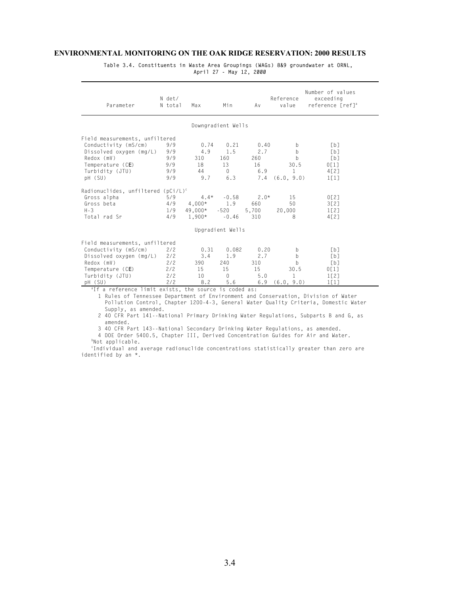**Table 3.4. Constituents in Waste Area Groupings (WAGs) 8&9 groundwater at ORNL, April 27 - May 12, 2000**

| Parameter                                                                                                                                   | N det/<br>N total | Max      | Min              | Av     | Reference<br>value | Number of values<br>exceeding<br>reference [ref] <sup>a</sup> |  |  |  |  |
|---------------------------------------------------------------------------------------------------------------------------------------------|-------------------|----------|------------------|--------|--------------------|---------------------------------------------------------------|--|--|--|--|
| Downgradient Wells                                                                                                                          |                   |          |                  |        |                    |                                                               |  |  |  |  |
| Field measurements, unfiltered                                                                                                              |                   |          |                  |        |                    |                                                               |  |  |  |  |
| Conductivity (mS/cm)                                                                                                                        | 9/9               | 0.74     | 0.21             | 0.40   | b                  | [b]                                                           |  |  |  |  |
| Dissolved oxygen (mg/L)                                                                                                                     | 9/9               | 4.9      | 1.5              | 2.7    | b                  | [b]                                                           |  |  |  |  |
| Redox (mV)                                                                                                                                  | 9/9               | 310      | 160              | 260    | b                  | [b]                                                           |  |  |  |  |
| Temperature (CE)                                                                                                                            | 9/9               | 18       | 13               | 16     | 30.5               | 0[1]                                                          |  |  |  |  |
| Turbidity (JTU)                                                                                                                             | 9/9               | 44       | $\Omega$         | 6.9    | $\mathbf{1}$       | 4[2]                                                          |  |  |  |  |
| pH (SU)                                                                                                                                     | 9/9               | 9.7      | 6.3              |        | $7.4$ $(6.0, 9.0)$ | 1[1]                                                          |  |  |  |  |
| Radionuclides, unfiltered $(pCi/L)^c$                                                                                                       |                   |          |                  |        |                    |                                                               |  |  |  |  |
| Gross alpha                                                                                                                                 | 5/9               | $4.4*$   | $-0.58$          | $2.0*$ | 15                 | 0[2]                                                          |  |  |  |  |
| Gross beta                                                                                                                                  | 4/9               | $4,000*$ | 1.9              | 660    | 50                 | 3[2]                                                          |  |  |  |  |
| $H - 3$                                                                                                                                     | 1/9               | 49,000*  | -520             | 5,700  | 20,000             | 1[2]                                                          |  |  |  |  |
| Total rad Sr                                                                                                                                | 4/9               | $1.900*$ | $-0.46$          | 310    | 8                  | 4[2]                                                          |  |  |  |  |
|                                                                                                                                             |                   |          | Upgradient Wells |        |                    |                                                               |  |  |  |  |
| Field measurements, unfiltered                                                                                                              |                   |          |                  |        |                    |                                                               |  |  |  |  |
| Conductivity (mS/cm)                                                                                                                        | 2/2               | 0.31     | 0.082            | 0.20   | b                  | [b]                                                           |  |  |  |  |
| Dissolved oxygen (mg/L)                                                                                                                     | 2/2               | 3.4      | 1.9              | 2.7    | <sub>b</sub>       | [b]                                                           |  |  |  |  |
| Redox (mV)                                                                                                                                  | 2/2               | 390      | 240              | 310    | $\mathsf{h}$       | [b]                                                           |  |  |  |  |
| Temperature (CE)                                                                                                                            | 2/2               | 15       | 15               | 15     | 30.5               | 0[1]                                                          |  |  |  |  |
| Turbidity (JTU)                                                                                                                             | 2/2               | 10       | $\Omega$         | 5.0    | 1                  | 1[2]                                                          |  |  |  |  |
| pH (SU)                                                                                                                                     | 2/2               | 8.2      | 5.6              | 6.9    | (6.0, 9.0)         | 1 <sub>1</sub> 1 <sub>1</sub>                                 |  |  |  |  |
| "If a reference limit exists, the source is coded as:<br>1 Pulse of Tonnossoo Dopartment of Environment and Conservation, Division of Water |                   |          |                  |        |                    |                                                               |  |  |  |  |

1 Rules of Tennessee Department of Environment and Conservation, Division of Water Pollution Control, Chapter 1200-4-3, General Water Quality Criteria, Domestic Water Supply, as amended.

2 40 CFR Part 141--National Primary Drinking Water Regulations, Subparts B and G, as amended.

3 40 CFR Part 143--National Secondary Drinking Water Regulations, as amended.

4 DOE Order 5400.5, Chapter III, Derived Concentration Guides for Air and Water. b Not applicable.

c Individual and average radionuclide concentrations statistically greater than zero are identified by an \*.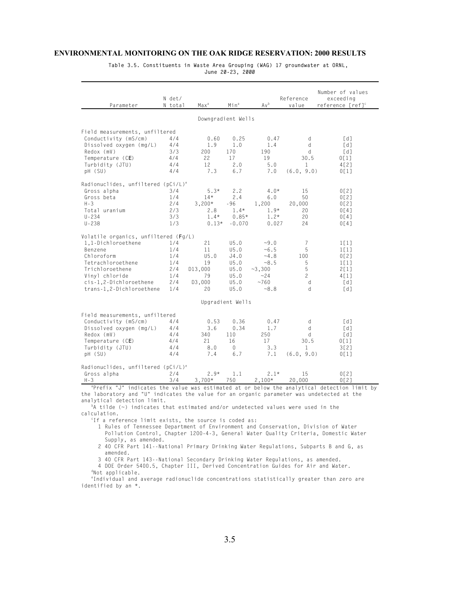**Table 3.5. Constituents in Waste Area Grouping (WAG) 17 groundwater at ORNL, June 20-23, 2000**

| Parameter                                                                                                                                                                                                               |  | N det/<br>N total | Max <sup>a</sup> | Min <sup>a</sup> | Av <sup>b</sup> | Reference<br>value | Number of values<br>exceeding<br>reference [ref] <sup>c</sup> |  |  |  |
|-------------------------------------------------------------------------------------------------------------------------------------------------------------------------------------------------------------------------|--|-------------------|------------------|------------------|-----------------|--------------------|---------------------------------------------------------------|--|--|--|
| Downgradient Wells                                                                                                                                                                                                      |  |                   |                  |                  |                 |                    |                                                               |  |  |  |
| Field measurements, unfiltered                                                                                                                                                                                          |  |                   |                  |                  |                 |                    |                                                               |  |  |  |
| Conductivity (mS/cm)                                                                                                                                                                                                    |  | 4/4               | 0.60             | 0.25             | 0.47            | d                  | [d]                                                           |  |  |  |
| Dissolved oxygen (mg/L)                                                                                                                                                                                                 |  | 4/4               | 1.9              | 1.0              | 1.4             | d                  | [d]                                                           |  |  |  |
| Redox (mV)                                                                                                                                                                                                              |  | 3/3               | 200              | 170              | 190             | d                  | [d]                                                           |  |  |  |
| Temperature (CE)                                                                                                                                                                                                        |  | 4/4               | 22               | 17               | 19              | 30.5               | 0[1]                                                          |  |  |  |
| Turbidity (JTU)                                                                                                                                                                                                         |  | 4/4               | 12               | 2.0              | 5.0             | $\mathbf{1}$       | 4[2]                                                          |  |  |  |
| pH (SU)                                                                                                                                                                                                                 |  | 4/4               | 7.3              | 6.7              | 7.0             | (6.0, 9.0)         | 0[1]                                                          |  |  |  |
| Radionuclides, unfiltered (pCi/L) <sup>e</sup>                                                                                                                                                                          |  |                   |                  |                  |                 |                    |                                                               |  |  |  |
| Gross alpha                                                                                                                                                                                                             |  | 3/4               | $5.3*$           | 2.2              | $4.0*$          | 15                 | 0[2]                                                          |  |  |  |
| Gross beta                                                                                                                                                                                                              |  | 1/4               | $14*$            | 2.4              | 6.0             | 50                 | 0[2]                                                          |  |  |  |
| $H - 3$                                                                                                                                                                                                                 |  | 2/4               | $3,200*$         | -96              | 1,200           | 20,000             | 0[2]                                                          |  |  |  |
| Total uranium                                                                                                                                                                                                           |  | 2/3               | 2.8              | $1.4*$           | $1.9*$          | 20                 | 0[4]                                                          |  |  |  |
| $U - 234$                                                                                                                                                                                                               |  | 3/3               | $1.4*$           | $0.85*$          | $1.2*$          | 20                 | 0[4]                                                          |  |  |  |
| $U - 238$                                                                                                                                                                                                               |  | 1/3               | $0.13*$          | $-0.070$         | 0.027           | 24                 | 0[4]                                                          |  |  |  |
| Volatile organics, unfiltered (Fg/L)                                                                                                                                                                                    |  |                   |                  |                  |                 |                    |                                                               |  |  |  |
| 1,1-Dichloroethene                                                                                                                                                                                                      |  | 1/4               | 21               | U5.0             | $-9.0$          | 7                  | 1[1]                                                          |  |  |  |
| Benzene                                                                                                                                                                                                                 |  | 1/4               | 11               | U5.0             | $~10 - 6.5$     | 5                  | 1[1]                                                          |  |  |  |
| Chloroform                                                                                                                                                                                                              |  | 1/4               | U5.0             | J4.0             | $-4.8$          | 100                | 0[2]                                                          |  |  |  |
| Tetrachloroethene                                                                                                                                                                                                       |  | 1/4               | 19               | U5.0             | $-8.5$          | 5                  | 1[1]                                                          |  |  |  |
| Trichloroethene                                                                                                                                                                                                         |  | 2/4               | D13,000          | U5.0             | $-3,300$        | 5                  | 2[1]                                                          |  |  |  |
| Vinyl chloride                                                                                                                                                                                                          |  | 1/4               | 79               | U5.0             | $-24$           | $\mathbf{2}$       | 4[1]                                                          |  |  |  |
| cis-1,2-Dichloroethene                                                                                                                                                                                                  |  | 2/4               | D3,000           | U5.0             | ~1760           | d                  | [d]                                                           |  |  |  |
| trans-1,2-Dichloroethene                                                                                                                                                                                                |  | 1/4               | 20               | U5.0             | $-8.8$          | d                  | [d]                                                           |  |  |  |
|                                                                                                                                                                                                                         |  |                   |                  | Upgradient Wells |                 |                    |                                                               |  |  |  |
| Field measurements, unfiltered                                                                                                                                                                                          |  |                   |                  |                  |                 |                    |                                                               |  |  |  |
| Conductivity (mS/cm)                                                                                                                                                                                                    |  | 4/4               | 0.53             | 0.36             | 0.47            | d                  | [d]                                                           |  |  |  |
| Dissolved oxygen (mg/L)                                                                                                                                                                                                 |  | 4/4               | 3.6              | 0.34             | 1.7             | $\mathsf{d}$       | [d]                                                           |  |  |  |
| Redox (mV)                                                                                                                                                                                                              |  | 4/4               | 340              | 110              | 250             | d                  | [d]                                                           |  |  |  |
| Temperature (CE)                                                                                                                                                                                                        |  | 4/4               | 21               | 16               | 17              | 30.5               | 0[1]                                                          |  |  |  |
| Turbidity (JTU)                                                                                                                                                                                                         |  | 4/4               | 8.0              | 0                | 3.3             | $\mathbf{1}$       | 3[2]                                                          |  |  |  |
| pH (SU)                                                                                                                                                                                                                 |  | 4/4               | 7.4              | 6.7              | 7.1             | (6.0, 9.0)         | 0[1]                                                          |  |  |  |
| Radionuclides, unfiltered (pCi/L) <sup>e</sup>                                                                                                                                                                          |  |                   |                  |                  |                 |                    |                                                               |  |  |  |
| Gross alpha                                                                                                                                                                                                             |  | 2/4               | $2.9*$           | 1.1              | $2.1*$          | 15                 | 0[2]                                                          |  |  |  |
| $H - 3$                                                                                                                                                                                                                 |  | 3/4               | $3,700*$         | 750              | $2,100*$        | 20,000             | 0[2]                                                          |  |  |  |
| "Prefix "J" indicates the value was estimated at or below the analytical detection limit by<br>the laboratory and "U" indicates the value for an organic parameter was undetected at the<br>analytical detection limit. |  |                   |                  |                  |                 |                    |                                                               |  |  |  |

analytical detection limit.<br><sup>b</sup>A tilde (~) indicates that estimated and/or undetected values were used in the calculation.

c If a reference limit exists, the source is coded as:

1 Rules of Tennessee Department of Environment and Conservation, Division of Water Pollution Control, Chapter 1200-4-3, General Water Quality Criteria, Domestic Water Supply, as amended.

2 40 CFR Part 141--National Primary Drinking Water Regulations, Subparts B and G, as amended.

3 40 CFR Part 143--National Secondary Drinking Water Regulations, as amended.

4 DOE Order 5400.5, Chapter III, Derived Concentration Guides for Air and Water. d Not applicable.

e Individual and average radionuclide concentrations statistically greater than zero are identified by an \*.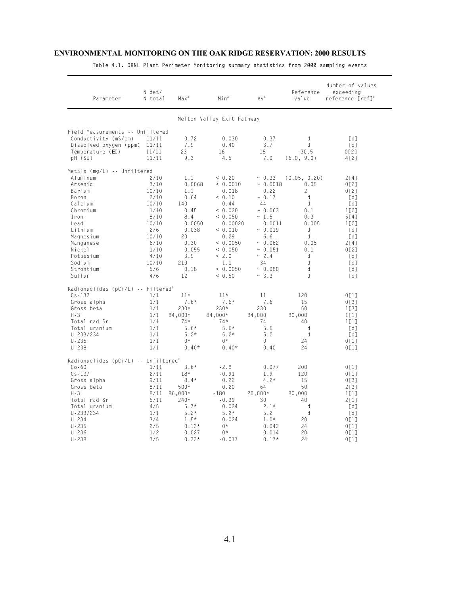| Parameter                                        | N det/<br>N total | Max <sup>a</sup> | Min <sup>a</sup> | Av <sup>b</sup> | Reference<br>value | Number of values<br>exceeding<br>reference [ref] <sup>c</sup> |  |  |  |  |
|--------------------------------------------------|-------------------|------------------|------------------|-----------------|--------------------|---------------------------------------------------------------|--|--|--|--|
| Melton Valley Exit Pathway                       |                   |                  |                  |                 |                    |                                                               |  |  |  |  |
| Field Measurements -- Unfiltered                 |                   |                  |                  |                 |                    |                                                               |  |  |  |  |
| Conductivity (mS/cm)                             | 11/11             | 0.72             | 0.030            | 0.37            | d                  | [d]                                                           |  |  |  |  |
| Dissolved oxygen (ppm)                           | 11/11             | 7.9              | 0.40             | 3.7             | d                  | $\lceil d \rceil$                                             |  |  |  |  |
| Temperature (EC)                                 | 11/11             | 23               | 16               | 18              | 30.5               | 0[2]                                                          |  |  |  |  |
| pH (SU)                                          | 11/11             | 9.3              | 4.5              | 7.0             | (6.0, 9.0)         | 4[2]                                                          |  |  |  |  |
| Metals (mg/L) -- Unfiltered                      |                   |                  |                  |                 |                    |                                                               |  |  |  |  |
| Aluminum                                         | 2/10              | 1.1              | < 0.20           | ~10.33          | (0.05, 0.20)       | 2[4]                                                          |  |  |  |  |
| Arsenic                                          | 3/10              | 0.0068           | < 0.0010         | ~0.0018         | 0.05               | 0[2]                                                          |  |  |  |  |
| Barium                                           | 10/10             | 1.1              | 0.018            | 0.22            | $\overline{c}$     | 0[2]                                                          |  |  |  |  |
| Boron                                            | 2/10              | 0.64             | < 0.10           | ~0.17           | d                  | [d]                                                           |  |  |  |  |
| Calcium                                          | 10/10             | 140              | 0.44             | 44              | d                  | [d]                                                           |  |  |  |  |
| Chromium                                         | 1/10              | 0.45             | < 0.020          | ~10.063         | 0.1                | 1 <sub>1</sub> 2 <sub>1</sub>                                 |  |  |  |  |
| Iron                                             | 8/10              | 8.4              | < 0.050          | ~1.5            | 0.3                | 5[4]                                                          |  |  |  |  |
| Lead                                             | 10/10             | 0.0050           | 0.00020          | 0.0011          | 0.005              | 1[2]                                                          |  |  |  |  |
| Lithium                                          | 2/6               | 0.038            | < 0.010          | ~10.019         | d                  | $\lceil d \rceil$                                             |  |  |  |  |
| Magnesium                                        | 10/10             | 20               | 0.29             | 6.6             | d                  | [d]                                                           |  |  |  |  |
| Manganese                                        | 6/10              | 0.30             | < 0.0050         | ~10.062         | 0.05               | 2[4]                                                          |  |  |  |  |
| Nickel                                           | 1/10              | 0.055            | < 0.050          | ~0.051          | 0.1                | 0[2]                                                          |  |  |  |  |
| Potassium                                        | 4/10              | 3.9              | < 2.0            | ~2.4            | d                  | [d]                                                           |  |  |  |  |
| Sodium                                           | 10/10             | 210              | 1.1              | 34              | d                  | [d]                                                           |  |  |  |  |
| Strontium                                        | 5/6               | 0.18             | < 0.0050         | ~10.080         | d                  | [d]                                                           |  |  |  |  |
| Sulfur                                           | 4/6               | 12               | < 0.50           | ~1.3            | d                  | [d]                                                           |  |  |  |  |
| Radionuclides (pCi/L) -- Filtered <sup>e</sup>   |                   |                  |                  |                 |                    |                                                               |  |  |  |  |
| $Cs - 137$                                       | 1/1               | $11*$            | $11*$            | 11              | 120                | 0[1]                                                          |  |  |  |  |
| Gross alpha                                      | 1/1               | $7.6*$           | $7.6*$           | 7.6             | 15                 | 0[3]                                                          |  |  |  |  |
| Gross beta                                       | 1/1               | $230*$           | 230*             | 230             | 50                 | 1 <sub>1</sub> 3 <sub>1</sub>                                 |  |  |  |  |
| $H - 3$                                          | 1/1               | 84.000*          | 84.000*          | 84,000          | 80,000             | 1[1]                                                          |  |  |  |  |
| Total rad Sr                                     | 1/1               | $74*$            | $74*$            | 74              | 40                 | 1[1]                                                          |  |  |  |  |
| Total uranium                                    | 1/1               | $5.6*$           | $5.6*$           | 5.6             | d                  | $\lceil d \rceil$                                             |  |  |  |  |
| $U - 233/234$                                    | 1/1               | $5.2*$           | $5.2*$           | 5.2             | d                  | [d]                                                           |  |  |  |  |
| $U - 235$                                        | 1/1               | $0*$             | $0*$             | 0               | 24                 | 0[1]                                                          |  |  |  |  |
| $U - 238$                                        | 1/1               | $0.40*$          | $0.40*$          | 0.40            | 24                 | 0[1]                                                          |  |  |  |  |
| Radionuclides (pCi/L) -- Unfiltered <sup>e</sup> |                   |                  |                  |                 |                    |                                                               |  |  |  |  |
| $Co-60$                                          | 1/11              | $3.6*$           | $-2.8$           | 0.077           | 200                | 0[1]                                                          |  |  |  |  |
| $Cs - 137$                                       | 2/11              | $18*$            | $-0.91$          | 1.9             | 120                | 0[1]                                                          |  |  |  |  |
| Gross alpha                                      | 9/11              | $8.4*$           | 0.22             | $4.2*$          | 15                 | 0[3]                                                          |  |  |  |  |
| Gross beta                                       | 8/11              | 500*             | 0.20             | 64              | 50                 | 2[3]                                                          |  |  |  |  |
| $H - 3$                                          | 8/11              | 86,000*          | $-180$           | $20,000*$       | 80,000             | 1[1]                                                          |  |  |  |  |
| Total rad Sr                                     | 5/11              | $240*$           | $-0.39$          | 30              | 40                 | 2[1]                                                          |  |  |  |  |
| Total uranium                                    | 4/5               | $5.7*$           | 0.024            | $2.1*$          | d                  | [d]                                                           |  |  |  |  |
| $U - 233/234$                                    | 1/1               | $5.2*$           | $5.2*$           | 5.2             | d                  | [d]                                                           |  |  |  |  |
| $U - 234$                                        | 3/4               | $1.5*$           | 0.024            | $1.0*$          | 20                 | 0[1]                                                          |  |  |  |  |
| $U - 235$                                        | 2/5               | $0.13*$          | $0*$             | 0.042           | 24                 | 0[1]                                                          |  |  |  |  |
| $U - 236$                                        | 1/2               | 0.027            | $0*$             | 0.014           | 20                 | 0[1]                                                          |  |  |  |  |
| $U - 238$                                        | 3/5               | $0.33*$          | $-0.017$         | $0.17*$         | 24                 | 0[1]                                                          |  |  |  |  |

**Table 4.1. ORNL Plant Perimeter Monitoring summary statistics from 2000 sampling events**

4.1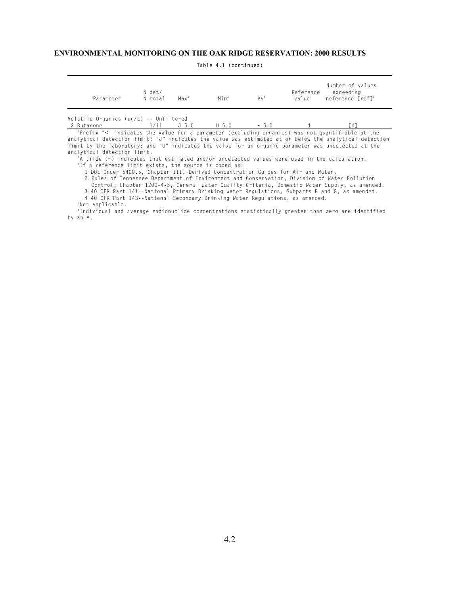| Parameter                                                              | N det/<br>N total | Max <sup>a</sup> | Minª   | Av <sup>b</sup>       | value | Number of values<br>Reference exceeding<br>reference [ref] <sup>c</sup> |  |
|------------------------------------------------------------------------|-------------------|------------------|--------|-----------------------|-------|-------------------------------------------------------------------------|--|
| Volatile Organics (ug/L) -- Unfiltered<br>$2.5 + 3.0000$ $1/11$ $1.50$ |                   |                  | $\Box$ | $\ldots E \cdot \cap$ |       | <b>FAT</b>                                                              |  |

**Table 4.1 (continued)**

 $2$ -Butanone 1/11 J 5.0 U 5.0  $\sim$  5.0 d [d]<br>
<sup>a</sup>Prefix "<" indicates the value for a parameter (excluding organics) was not quantifiable at the analytical detection limit; "J" indicates the value was estimated at or below the analytical detection limit by the laboratory; and "U" indicates the value for an organic parameter was undetected at the analytical detection limit.

b A tilde (~) indicates that estimated and/or undetected values were used in the calculation. c If a reference limit exists, the source is coded as:

1 DOE Order 5400.5, Chapter III, Derived Concentration Guides for Air and Water.

2 Rules of Tennessee Department of Environment and Conservation, Division of Water Pollution Control, Chapter 1200-4-3, General Water Quality Criteria, Domestic Water Supply, as amended.

3 40 CFR Part 141--National Primary Drinking Water Regulations, Subparts B and G, as amended.

4 40 CFR Part 143--National Secondary Drinking Water Regulations, as amended. d Not applicable.

e Individual and average radionuclide concentrations statistically greater than zero are identified by an  $*$ .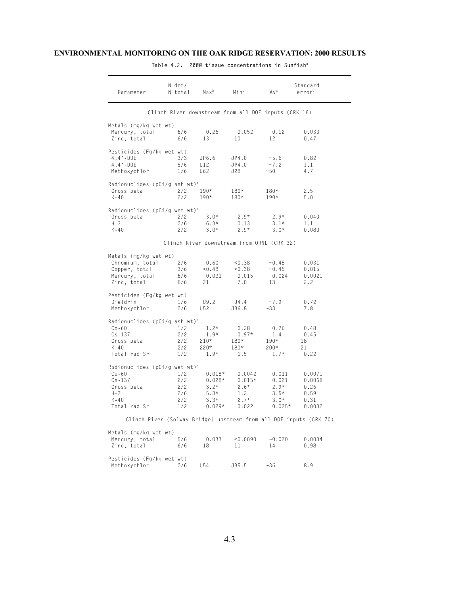| Parameter                                 | N det/<br>N total | $Max^b$                                              | Min <sup>b</sup> | Av <sup>c</sup>    | Standard<br>error <sup>d</sup>                                     |
|-------------------------------------------|-------------------|------------------------------------------------------|------------------|--------------------|--------------------------------------------------------------------|
|                                           |                   | Clinch River downstream from all DOE inputs (CRK 16) |                  |                    |                                                                    |
| Metals (mg/kg wet wt)                     |                   |                                                      |                  |                    |                                                                    |
| Mercury, total<br>Zinc, total             | 6/6<br>6/6        | 0.26<br>13                                           | 0.052<br>10      | 0.12<br>12         | 0.033<br>0.47                                                      |
| Pesticides (Fg/kg wet wt)                 |                   |                                                      |                  |                    |                                                                    |
| $4,4$ '-DDE                               | 3/3               | JP6.6                                                | JP4.0            | $-5.6$             | 0.82                                                               |
| $4,4$ '-DDE                               | 5/6               | U12                                                  | JP4.0            | $-7.2$             | 1.1                                                                |
| Methoxychlor                              | 1/6               | U62                                                  | J28              | $-50$              | 4.7                                                                |
| Radionuclides (pCi/g ash wt) <sup>e</sup> |                   |                                                      |                  |                    |                                                                    |
| Gross beta                                | 2/2               | $190*$                                               | $180*$           | $180*$             | 2.5                                                                |
| $K - 40$                                  | 2/2               | $190*$                                               | $180*$           | $190*$             | 5.0                                                                |
| Radionuclides (pCi/g wet wt) <sup>e</sup> |                   |                                                      |                  |                    |                                                                    |
| Gross beta                                | 2/2               | $3.0*$                                               | $2.9*$<br>0.13   | $2.9*$             | 0.040                                                              |
| $H - 3$<br>$K - 40$                       | 2/6<br>2/2        | $6.3*$<br>$3.0*$                                     | $2.9*$           | $3.1*$<br>$3.0*$   | 1.1<br>0.080                                                       |
|                                           |                   |                                                      |                  |                    |                                                                    |
|                                           |                   | Clinch River downstream from ORNL (CRK 32)           |                  |                    |                                                                    |
| Metals (mg/kg wet wt)                     |                   |                                                      |                  |                    |                                                                    |
| Chromium, total                           | 2/6               | 0.60                                                 | < 0.38           | ~10.48             | 0.031                                                              |
| Copper, total<br>Mercury, total           | 3/6<br>6/6        | < 0.48<br>0.031                                      | < 0.38<br>0.015  | ~10.45<br>0.024    | 0.015<br>0.0021                                                    |
| Zinc, total                               | 6/6               | 21                                                   | 7.0              | 13                 | 2.2                                                                |
| Pesticides (Fg/kg wet wt)                 |                   |                                                      |                  |                    |                                                                    |
| Dieldrin                                  | 1/6               | U9.2                                                 | J4.4             | $-7.9$             | 0.72                                                               |
| Methoxychlor                              | 2/6               | U52                                                  | JB6.8            | $~1 - 33$          | 7.8                                                                |
| Radionuclides (pCi/g ash wt) <sup>e</sup> |                   |                                                      |                  |                    |                                                                    |
| $Co-60$                                   | 1/2               | $1.2*$                                               | 0.28             | 0.76               | 0.48                                                               |
| $Cs - 137$                                | 2/2               | $1.9*$                                               | $0.97*$          | 1.4                | 0.45                                                               |
| Gross beta<br>K-40                        | 2/2<br>2/2        | $210*$<br>$220*$                                     | $180*$<br>$180*$ | $190*$<br>$200*$   | 18<br>21                                                           |
| Total rad Sr                              | 1/2               | $1.9*$                                               | 1.5              | $1.7*$             | 0.22                                                               |
| Radionuclides (pCi/g wet wt) <sup>e</sup> |                   |                                                      |                  |                    |                                                                    |
| $Co-60$                                   | 1/2               | $0.018*$                                             | 0.0042           | 0.011              | 0.0071                                                             |
| $Cs - 137$                                | 2/2               | $0.028*$                                             | $0.015*$         | 0.021              | 0.0068                                                             |
| Gross beta                                | 2/2               | $3.2*$                                               | $2.6*$           | $2.9*$             | 0.26                                                               |
| H-3                                       | 2/6               | $5.3*$                                               | 1.2              | $3.5*$             | 0.59                                                               |
| $K - 40$<br>Total rad Sr                  | 2/2<br>1/2        | $3.3*$<br>$0.029*$                                   | $2.7*$<br>0.022  | $3.0*$<br>$0.025*$ | 0.31<br>0.0032                                                     |
|                                           |                   |                                                      |                  |                    |                                                                    |
|                                           |                   |                                                      |                  |                    | Clinch River (Solway Bridge) upstream from all DOE inputs (CRK 70) |
| Metals (mg/kg wet wt)                     |                   |                                                      |                  |                    |                                                                    |
| Mercury, total                            | 5/6               | 0.033                                                | < 0.0090         | ~10.020            | 0.0034                                                             |
| Zinc, total                               | 6/6               | 18                                                   | 11               | 14                 | 0.98                                                               |
| Pesticides (Fg/kg wet wt)                 |                   |                                                      |                  |                    |                                                                    |
| Methoxychlor                              | 2/6               | U54                                                  | JB5.5            | $~1$ – 36          | 8.9                                                                |

**Table 4.2. 2000 tissue concentrations in Sunfish<sup>a</sup>**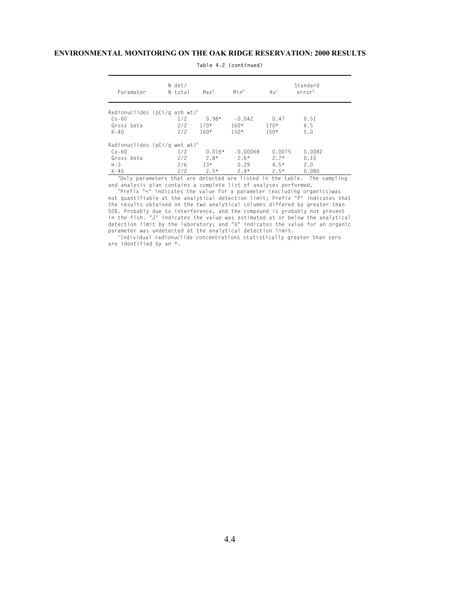| Parameter                                               | N det/<br>N total | $Max^b$  | Min <sup>b</sup> | Av <sup>c</sup> | Standard<br>error <sup>d</sup>                                           |
|---------------------------------------------------------|-------------------|----------|------------------|-----------------|--------------------------------------------------------------------------|
| Radionuclides ( $pCi/q$ ash wt) <sup>e</sup><br>$Co-60$ | 1/2               | $0.98*$  | $-0.042$         | 0.47            | 0.51                                                                     |
| Gross beta                                              | 2/2               | $170*$   | $160*$           | $170*$          | 6.5                                                                      |
| $K - 40$                                                | 2/2               | $160*$   | $150*$           | $150*$          | 5.0                                                                      |
| Radionuclides ( $pCi/q$ wet wt) <sup>e</sup>            |                   |          |                  |                 |                                                                          |
| $Co-60$                                                 | 1/2               | $0.016*$ | $-0.00068$       | 0.0075          | 0.0082                                                                   |
| Gross beta                                              | 2/2               | $2.8*$   | $2.6*$           | $2.7*$          | 0.10                                                                     |
| $H - 3$                                                 | 2/6               | $13*$    | 0.29             | $4.5*$          | 2.0                                                                      |
| $K - 40$                                                | 2/2               | $2.5*$   | $2.4*$           | $2.5*$          | 0.080                                                                    |
|                                                         |                   |          |                  |                 | andly parameters that are detected are listed in the table. The sampling |

**Table 4.2 (continued)**

and analysis plan contains a complete list of analyses performed.<br><sup>b</sup>Prefix "<" indicates the value for a parameter (excluding organics)was not quantifiable at the analytical detection limit; Prefix "P" indicates that the results obtained on the two analytical columns differed by greater than 50%. Probably due to interference, and the compound is probably not present in the fish. "J" indicates the value was estimated at or below the analytical detection limit by the laboratory; and "U" indicates the value for an organic parameter was undetected at the analytical detection limit.

c Individual radionuclide concentrations statistically greater than zero are identified by an \*.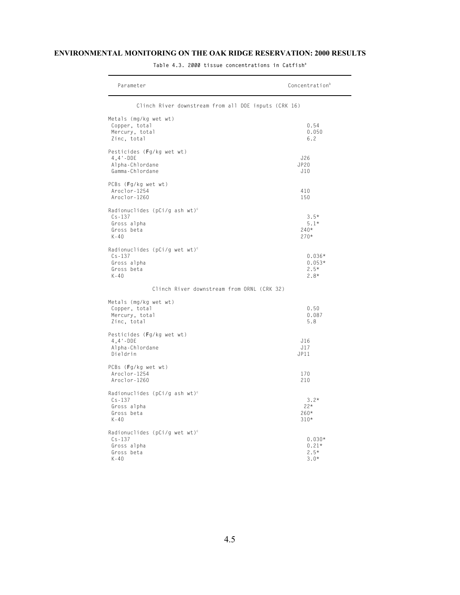| Parameter                                               | Concentration <sup>b</sup> |
|---------------------------------------------------------|----------------------------|
| Clinch River downstream from all DOE inputs (CRK 16)    |                            |
| Metals (mg/kg wet wt)                                   |                            |
| Copper, total                                           | 0.54                       |
| Mercury, total<br>Zinc, total                           | 0.050<br>6.2               |
|                                                         |                            |
| Pesticides (Fg/kg wet wt)                               |                            |
| $4,4$ $\cdot$ -DDE                                      | J26                        |
| Alpha-Chlordane<br>Gamma-Chlordane                      | JP20<br>J10                |
|                                                         |                            |
| PCBs (Fg/kg wet wt)<br>Aroclor-1254                     | 410                        |
| Aroclor-1260                                            | 150                        |
|                                                         |                            |
| Radionuclides (pCi/g ash wt) <sup>c</sup><br>$Cs - 137$ | $3.5*$                     |
| Gross alpha                                             | $5.1*$                     |
| Gross beta                                              | $240*$                     |
| $K - 40$                                                | $270*$                     |
| Radionuclides (pCi/g wet wt) <sup>c</sup>               |                            |
| $Cs - 137$                                              | $0.036*$                   |
| Gross alpha                                             | $0.053*$                   |
| Gross beta<br>$K - 40$                                  | $2.5*$<br>$2.8*$           |
|                                                         |                            |
| Clinch River downstream from ORNL (CRK 32)              |                            |
| Metals (mg/kg wet wt)                                   |                            |
| Copper, total                                           | 0.50                       |
| Mercury, total<br>Zinc, total                           | 0.087<br>5.8               |
|                                                         |                            |
| Pesticides (Fg/kg wet wt)                               |                            |
| $4,4$ -DDE<br>Alpha-Chlordane                           | J16<br>J17                 |
| Dieldrin                                                | JPI1                       |
|                                                         |                            |
| PCBs (Fg/kg wet wt)<br>Aroclor-1254                     | 170                        |
| Aroclor-1260                                            | 210                        |
|                                                         |                            |
| Radionuclides (pCi/g ash wt) <sup>c</sup><br>$Cs - 137$ | $3.2*$                     |
| Gross alpha                                             | $22*$                      |
| Gross beta                                              | $260*$                     |
| $K - 40$                                                | $310*$                     |
| Radionuclides (pCi/g wet wt) <sup>c</sup>               |                            |
| $Cs - 137$                                              | $0.030*$                   |
| Gross alpha                                             | $0.21*$                    |
| Gross beta<br>$K - 40$                                  | $2.5*$<br>$3.0*$           |
|                                                         |                            |

**Table 4.3. 2000 tissue concentrations in Catfish<sup>a</sup>**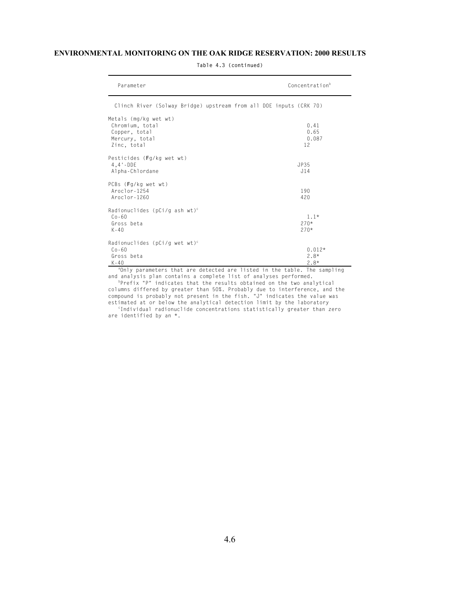| Parameter                                                                                                                                                              | Concentration <sup>b</sup>   |
|------------------------------------------------------------------------------------------------------------------------------------------------------------------------|------------------------------|
| Clinch River (Solway Bridge) upstream from all DOE inputs (CRK 70)                                                                                                     |                              |
| Metals (mg/kg wet wt)<br>Chromium, total<br>Copper, total<br>Mercury, total<br>Zinc, total                                                                             | 0.41<br>0.65<br>0.087<br>12  |
| Pesticides (Fg/kg wet wt)<br>$4.4 - DDE$<br>Alpha-Chlordane                                                                                                            | JP35<br>J14                  |
| PCBs (Fg/kg wet wt)<br>$Aroc1or-1254$<br>$Aroclor-1260$                                                                                                                | 190<br>420                   |
| Radionuclides (pCi/g ash wt) <sup>c</sup><br>$0.0 - 60$<br>Gross beta<br>$K - 40$                                                                                      | $1.1*$<br>$270*$<br>$270*$   |
| Radionuclides (pCi/g wet wt) <sup>c</sup><br>$Co-60$<br>Gross beta<br>$K - 40$<br><sup>a</sup> Only parameters that are detected are listed in the table. The sampling | $0.012*$<br>$2.8*$<br>$2.8*$ |

**Table 4.3 (continued)**

and analysis plan contains a complete list of analyses performed.<br><sup>b</sup>Prefix "P" indicates that the results obtained on the two analytical

columns differed by greater than 50%. Probably due to interference, and the compound is probably not present in the fish. "J" indicates the value was estimated at or below the analytical detection limit by the laboratory c Individual radionuclide concentrations statistically greater than zero

are identified by an \*.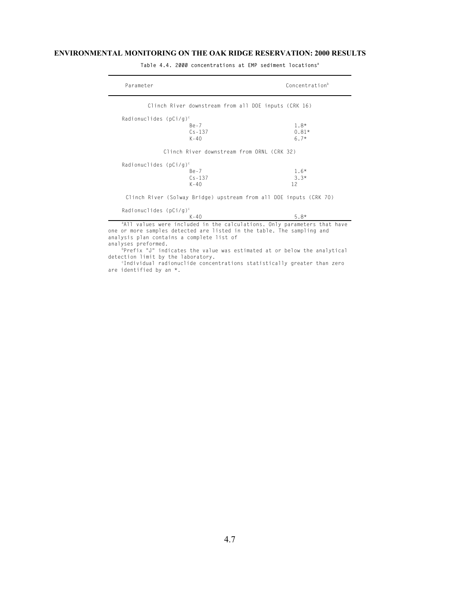| Parameter                              |                                                      | Concentration <sup>b</sup>                                                                                                                        |
|----------------------------------------|------------------------------------------------------|---------------------------------------------------------------------------------------------------------------------------------------------------|
|                                        | Clinch River downstream from all DOE inputs (CRK 16) |                                                                                                                                                   |
| Radionuclides ( $pCi/g$ ) <sup>c</sup> |                                                      |                                                                                                                                                   |
|                                        | $Be - 7$                                             | $1.8*$                                                                                                                                            |
|                                        | $Cs - 137$                                           | $0.81*$                                                                                                                                           |
|                                        | K-40                                                 | $6.7*$                                                                                                                                            |
|                                        | Clinch River downstream from ORNL (CRK 32)           |                                                                                                                                                   |
| Radionuclides ( $pCi/g$ ) <sup>c</sup> |                                                      |                                                                                                                                                   |
|                                        | $Be - 7$                                             | $1.6*$                                                                                                                                            |
|                                        | $Cs - 137$                                           | $3.3*$                                                                                                                                            |
|                                        | $K - 40$                                             | 12                                                                                                                                                |
|                                        |                                                      | Clinch River (Solway Bridge) upstream from all DOE inputs (CRK 70)                                                                                |
| Radionuclides ( $pCi/g$ ) <sup>c</sup> |                                                      |                                                                                                                                                   |
|                                        | $K - 40$                                             | $5.8*$                                                                                                                                            |
|                                        |                                                      | and values were included in the calculations. Only parameters that have<br>one or more samples detected are listed in the table. The sampling and |

**Table 4.4. 2000 concentrations at EMP sediment locations<sup>a</sup>**

analysis plan contains a complete list of analyses preformed.

<sup>b</sup>Prefix "J" indicates the value was estimated at or below the analytical detection limit by the laboratory.

c Individual radionuclide concentrations statistically greater than zero are identified by an \*.